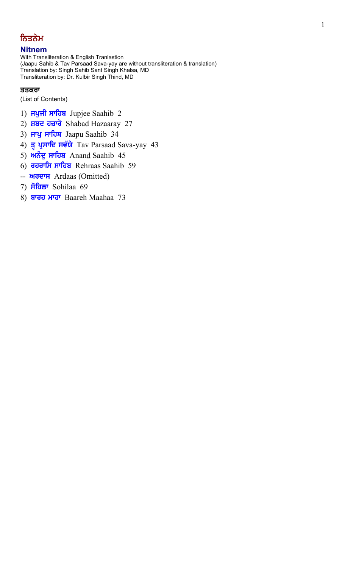# ਨਿਤਨੇਮ

# **Nitnem**

With Transliteration & English Tranlastion (Jaapu Sahib & Tav Parsaad Sava-yay are without transliteration & translation) Translation by: Singh Sahib Sant Singh Khalsa, MD Transliteration by: Dr. Kulbir Singh Thind, MD

## ਤਤਕਰਾ

(List of Contents)

- 1) **ਜਪੁਜੀ ਸਾਹਿਬ** Jupjee Saahib 2
- 2)  $H = 2$   $H = 27$  Shabad Hazaaray 27
- 3) ਜਾਪੁ ਸਾਹਿਬ Jaapu Saahib 34
- 4) वृ **ਪ੍ਰਸਾਦਿ ਸਵੱਯੇ** Tav Parsaad Sava-yay 43
- 5)  $\overrightarrow{n}$ ਨੰਦੂ ਸਾਹਿਬ Anand Saahib 45
- 6) **ਰਹਰਾਸਿ ਸਾਹਿਬ** Rehraas Saahib 59
- -- **ителя** Ardaas (Omitted)
- 7) Flow Sohilaa 69
- 8) ਬਾਰਹ ਮਾਹਾ Baareh Maahaa 73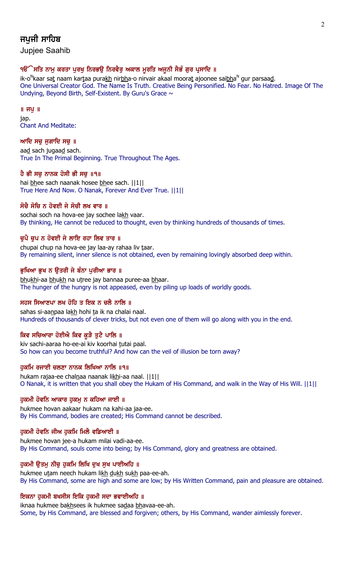# ਜਪਜੀ ਸਾਹਿਬ

Jupjee Saahib

# ੧ੳੱੇਸਤਿ ਨਾਮੂ ਕਰਤਾ ਪੂਰਖੂ ਨਿਰਭਉ ਨਿਰਵੈਰੂ ਅਕਾਲ ਮੁਰਤਿ ਅਜੂਨੀ ਸੈਭੰ ਗੁਰ ਪ੍ਰਸਾਦਿ ॥

ik-o<sup>N</sup>kaar sat naam kartaa pura<u>kh</u> nir<u>bh</u>a-o nirvair akaal moorat ajoonee sai<u>bh</u>a<sup>n</sup> gur parsaa<u>d</u>. One Universal Creator God. The Name Is Truth. Creative Being Personified. No Fear. No Hatred. Image Of The Undying, Beyond Birth, Self-Existent. By Guru's Grace ~

# $\parallel$  ਜਪੁ $\parallel$

jap. Chant And Meditate:

# ਆਦਿ ਸਚ ਜਗਾਦਿ ਸਚ $\parallel$

aad sach jugaad sach. True In The Primal Beginning. True Throughout The Ages.

# ਹੈ ਭੀ ਸਚੂ ਨਾਨਕ ਹੋਸੀ ਭੀ ਸਚੂ ॥੧॥

hai bhee sach naanak hosee bhee sach. ||1|| True Here And Now. O Nanak, Forever And Ever True. ||1||

# ਸੋਚੈ ਸੋਚਿ ਨ ਹੋਵਈ ਜੇ ਸੋਚੀ ਲਖ ਵਾਰ ॥

sochai soch na hova-ee jay sochee lakh vaar. By thinking, He cannot be reduced to thought, even by thinking hundreds of thousands of times.

# ਚੁਪੈ ਚੁਪ ਨ ਹੋਵਈ ਜੇ ਲਾਇ ਰਹਾ ਲਿਵ ਤਾਰ ॥

chupai chup na hova-ee jay laa-ay rahaa liv taar. By remaining silent, inner silence is not obtained, even by remaining lovingly absorbed deep within.

# ਭਖਿਆ ਭਖ ਨ ੳਤਰੀ ਜੇ ਬੰਨਾ ਪਰੀਆ ਭਾਰ ॥

bhukhi-aa bhukh na utree jay bannaa puree-aa bhaar. The hunger of the hungry is not appeased, even by piling up loads of worldly goods.

# ਸਹਸ ਸਿਆਣਪਾ ਲਖ ਹੋਹਿ ਤ ਇਕ ਨ ਚਲੈ ਨਾਲਿ ॥

sahas si-aanpaa lakh hohi ta ik na chalai naal. Hundreds of thousands of clever tricks, but not even one of them will go along with you in the end.

# ਕਿਵ ਸਚਿਆਰਾ ਹੋਈਐ ਕਿਵ ਕੜੈ ਤਟੈ ਪਾਲਿ ॥

kiv sachi-aaraa ho-ee-ai kiv koorhai tutai paal. So how can you become truthful? And how can the veil of illusion be torn away?

# ਹਕਮਿ ਰਜਾਈ ਚਲਣਾ ਨਾਨਕ ਲਿਖਿਆ ਨਾਲਿ ॥੧॥

hukam rajaa-ee chalnaa naanak likhi-aa naal. [[1]] O Nanak, it is written that you shall obey the Hukam of His Command, and walk in the Way of His Will. ||1||

# ਹਕਮੀ ਹੋਵਨਿ ਆਕਾਰ ਹਕਮ ਨ ਕਹਿਆ ਜਾਈ ॥

hukmee hovan aakaar hukam na kahi-aa jaa-ee. By His Command, bodies are created; His Command cannot be described.

# ਹੁਕਮੀ ਹੋਵਨਿ ਜੀਅ ਹੁਕਮਿ ਮਿਲੈ ਵਡਿਆਈ ॥

hukmee hovan jee-a hukam milai vadi-aa-ee. By His Command, souls come into being; by His Command, glory and greatness are obtained.

# ਹੁਕਮੀ ਉਤਮੁ ਨੀਚੁ ਹੁਕਮਿ ਲਿਖਿ ਦੁਖ ਸੁਖ ਪਾਈਅਹਿ ॥

hukmee utam neech hukam likh dukh sukh paa-ee-ah. By His Command, some are high and some are low; by His Written Command, pain and pleasure are obtained.

# ਇਕਨਾ ਹਕਮੀ ਬਖਸੀਸ ਇਕਿ ਹਕਮੀ ਸਦਾ ਭਵਾਈਅਹਿ ॥

iknaa hukmee bakhsees ik hukmee sadaa bhavaa-ee-ah. Some, by His Command, are blessed and forgiven; others, by His Command, wander aimlessly forever.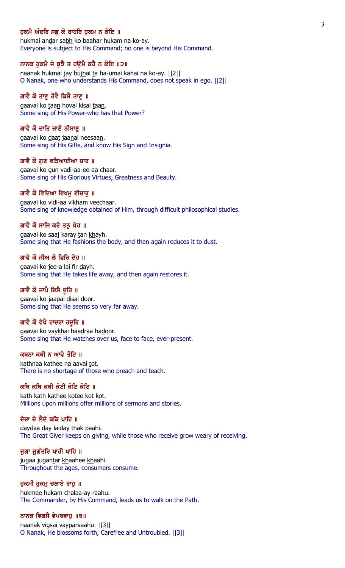### ਹਕਮੈ ਅੰਦਰਿ ਸਭ ਕੋ ਬਾਹਰਿ ਹਕਮ ਨ ਕੋਇ ॥

hukmai andar sabh ko baahar hukam na ko-ay. Everyone is subject to His Command; no one is beyond His Command.

## ਨਾਨਕ ਹੁਕਮੈ ਜੇ ਬੁਝੈ ਤ ਹਉਮੈ ਕਹੈ ਨ ਕੋਇ ॥੨॥

naanak hukmai jay bujhai ta ha-umai kahai na ko-ay. ||2|| O Nanak, one who understands His Command, does not speak in ego. ||2||

# ਗਾਵੈ ਕੋ ਤਾਣੂ ਹੋਵੈ ਕਿਸੈ ਤਾਣੂ ॥

gaavai ko taan hovai kisai taan. Some sing of His Power-who has that Power?

#### ਗਾਵੈ ਕੋ ਦਾਤਿ ਜਾਣੈ ਨੀਸਾਣ ॥

gaavai ko daat jaanai neesaan. Some sing of His Gifts, and know His Sign and Insignia.

#### ਗਾਵੈ ਕੋ ਗਣ ਵਡਿਆਈਆ ਚਾਰ ॥

gaavai ko gun vadi-aa-ee-aa chaar. Some sing of His Glorious Virtues, Greatness and Beauty.

#### ਗਾਵੈ ਕੋ ਵਿਦਿਆ ਵਿਖਮੂ ਵੀਚਾਰੂ ॥

gaavai ko vidi-aa vikham veechaar. Some sing of knowledge obtained of Him, through difficult philosophical studies.

#### ਗਾਵੈ ਕੋ ਸਾਜਿ ਕਰੇ ਤਨ ਖੇਹ ॥

gaavai ko saaj karay tan khayh. Some sing that He fashions the body, and then again reduces it to dust.

#### ਗਾਵੈ ਕੋ ਜੀਅ ਲੈ ਫਿਰਿ ਦੇਹ ॥

gaavai ko jee-a lai fir dayh. Some sing that He takes life away, and then again restores it.

#### ਗਾਵੈ ਕੋ ਜਾਪੈ ਦਿਸੈ ਦੁਰਿ ॥

gaavai ko jaapai disai door. Some sing that He seems so very far away.

# ਗਾਵੈ ਕੋ ਵੇਖੈ ਹਾਦਰਾ ਹਦੁਰਿ ॥

gaavai ko vaykhai haadraa hadoor. Some sing that He watches over us, face to face, ever-present.

# ਕਥਨਾ ਕਥੀ ਨ ਆਵੈ ਤੋਟਿ ॥

kathnaa kathee na aavai tot. There is no shortage of those who preach and teach.

## ਕਥਿ ਕਥਿ ਕਥੀ ਕੋਟੀ ਕੋਟਿ ਕੋਟਿ ॥

kath kath kathee kotee kot kot. Millions upon millions offer millions of sermons and stories.

### ਦੇਦਾ ਦੇ ਲੈਦੇ ਥਕਿ ਪਾਹਿ ॥

daydaa day laiday thak paahi. The Great Giver keeps on giving, while those who receive grow weary of receiving.

## ਜੁਗਾ ਜੁਗੰਤਰਿ ਖਾਹੀ ਖਾਹਿ ॥

jugaa jugantar khaahee khaahi. Throughout the ages, consumers consume.

#### ਹੁਕਮੀ ਹੁਕਮੁ ਚਲਾਏ ਰਾਹੁ ॥

hukmee hukam chalaa-ay raahu. The Commander, by His Command, leads us to walk on the Path.

#### ਨਾਨਕ ਵਿਗਸੈ ਵੇਪਰਵਾਹੁ ॥੩॥

naanak vigsai vayparvaahu. ||3|| O Nanak, He blossoms forth, Carefree and Untroubled. ||3||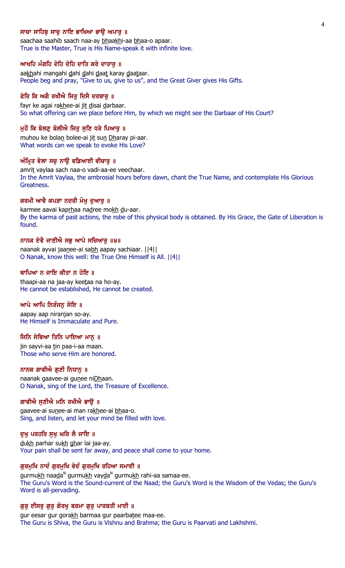### ਸਾਚਾ ਸਾਹਿਬ ਸਾਚ ਨਾਇ ਭਾਖਿਆ ਭਾੳ ਅਪਾਰ ॥

saachaa saahib saach naa-ay bhaakhi-aa bhaa-o apaar. True is the Master, True is His Name-speak it with infinite love.

#### ਆਖਹਿ ਮੰਗਹਿ ਦੇਹਿ ਦੇਹਿ ਦਾਤਿ ਕਰੇ ਦਾਤਾਰੂ ॥

aakhahi mangahi dahi dahi daat karay daataar. People beg and pray, "Give to us, give to us", and the Great Giver gives His Gifts.

### ਫੇਰਿ ਕਿ ਅਗੈ ਰਖੀਐ ਜਿਤੂ ਦਿਸੈ ਦਰਬਾਰੂ ॥

fayr ke agai rakhee-ai jit disai darbaar. So what offering can we place before Him, by which we might see the Darbaar of His Court?

#### ਮੁਹੌ ਕਿ ਬੋਲਣੂ ਬੋਲੀਐ ਜਿਤੂ ਸੁਣਿ ਧਰੇ ਪਿਆਰੂ ॥

muhou ke bolan bolee-ai jit sun Dharay pi-aar. What words can we speak to evoke His Love?

#### ਅੰਮ੍ਰਿਤ ਵੇਲਾ ਸਚੂ ਨਾਉ ਵਡਿਆਈ ਵੀਚਾਰੂ ॥

amrit vaylaa sach naa-o vadi-aa-ee veechaar. In the Amrit Vaylaa, the ambrosial hours before dawn, chant the True Name, and contemplate His Glorious Greatness.

#### ਕਰਮੀ ਆਵੈ ਕਪੜਾ ਨਦਰੀ ਮੋਖ਼ ਦੁਆਰੂ ॥

karmee aavai kaprhaa nadree mokh du-aar. By the karma of past actions, the robe of this physical body is obtained. By His Grace, the Gate of Liberation is found.

#### ਨਾਨਕ ਏਵੈ ਜਾਣੀਐ ਸਭ ਆਪੇ ਸਚਿਆਰ ॥੪॥

naanak ayvai jaanee-ai sabh aapay sachiaar. ||4|| O Nanak, know this well: the True One Himself is All. ||4||

#### ਥਾਪਿਆ ਨ ਜਾਇ ਕੀਤਾ ਨ ਹੋਇ ॥

thaapi-aa na jaa-ay keetaa na ho-ay. He cannot be established, He cannot be created.

#### ਆਪੇ ਆਪਿ ਨਿਰੰਜਨੂ ਸੋਇ ॥

aapay aap niranjan so-ay. He Himself is Immaculate and Pure.

## ਜਿਨਿ ਸੇਵਿਆ ਤਿਨਿ ਪਾਇਆ ਮਾਨੂ ॥

jin sayvi-aa tin paa-i-aa maan. Those who serve Him are honored.

#### ਨਾਨਕ ਗਾਵੀਐ ਗੁਣੀ ਨਿਧਾਨੂ ॥

naanak gaavee-ai gunee niDhaan. O Nanak, sing of the Lord, the Treasure of Excellence.

#### ਗਾਵੀਐ ਸੁਣੀਐ ਮਨਿ ਰਖੀਐ ਭਾਉ ॥

gaavee-ai sunee-ai man rakhee-ai bhaa-o. Sing, and listen, and let your mind be filled with love.

#### ਦੁਖੁ ਪਰਹਰਿ ਸੁਖੁ ਘਰਿ ਲੈ ਜਾਇ ॥

dukh parhar sukh ghar lai jaa-ay. Your pain shall be sent far away, and peace shall come to your home.

## ਗੁਰਮੁਖਿ ਨਾਦੰ ਗੁਰਮੁਖਿ ਵੇਦੰ ਗੁਰਮੁਖਿ ਰਹਿਆ ਸਮਾਈ ॥

gurmu<u>kh</u> naa<u>d</u>a<sup>n</sup> gurmu<u>kh</u> vay<u>d</u>a<sup>n</sup> gurmu<u>kh</u> rahi-aa samaa-ee. The Guru's Word is the Sound-current of the Naad; the Guru's Word is the Wisdom of the Vedas; the Guru's Word is all-pervading.

#### ਗੁਰੁ ਈਸਰੁ ਗੁਰੁ ਗੋਰਖੁ ਬਰਮਾ ਗੁਰੁ ਪਾਰਬਤੀ ਮਾਈ ॥

gur eesar gur gorakh barmaa gur paarbatee maa-ee. The Guru is Shiva, the Guru is Vishnu and Brahma; the Guru is Paarvati and Lakhshmi.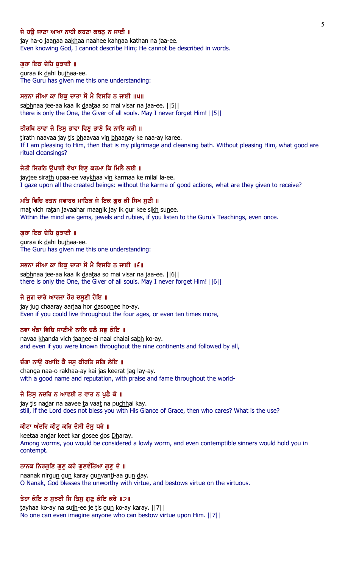## ਜੇ ਹੳ ਜਾਣਾ ਆਖਾ ਨਾਹੀ ਕਹਣਾ ਕਥਨ ਨ ਜਾਈ ॥

jay ha-o jaanaa aakhaa naahee kahnaa kathan na jaa-ee. Even knowing God, I cannot describe Him; He cannot be described in words.

#### ਗੁਰਾ ਇਕ ਦੇਹਿ ਬੁਝਾਈ ॥

guraa ik dahi bujhaa-ee. The Guru has given me this one understanding:

### ਸਭਨਾ ਜੀਆ ਕਾ ਇਕੁ ਦਾਤਾ ਸੋ ਮੈ ਵਿਸਰਿ ਨ ਜਾਈ ॥੫॥

sabhnaa jee-aa kaa ik daataa so mai visar na jaa-ee. ||5|| there is only the One, the Giver of all souls. May I never forget Him! ||5||

#### ਤੀਰਥਿ ਨਾਵਾ ਜੇ ਤਿਸੁ ਭਾਵਾ ਵਿਣੁ ਭਾਣੇ ਕਿ ਨਾਇ ਕਰੀ ॥

tirath naavaa jay tis bhaavaa vin bhaanay ke naa-ay karee. If I am pleasing to Him, then that is my pilgrimage and cleansing bath. Without pleasing Him, what good are ritual cleansings?

#### ਜੇਤੀ ਸਿਰਠਿ ੳਪਾਈ ਵੇਖਾ ਵਿਣ ਕਰਮਾ ਕਿ ਮਿਲੈ ਲਈ ॥

jaytee sirath upaa-ee vaykhaa vin karmaa ke milai la-ee. I gaze upon all the created beings: without the karma of good actions, what are they given to receive?

#### ਮਤਿ ਵਿਚਿ ਰਤਨ ਜਵਾਹਰ ਮਾਣਿਕ ਜੇ ਇਕ ਗਰ ਕੀ ਸਿਖ ਸਣੀ ॥

mat vich ratan javaahar maanik jay ik gur kee sikh sunee. Within the mind are gems, jewels and rubies, if you listen to the Guru's Teachings, even once.

#### ਗਰਾ ਇਕ ਦੇਹਿ ਬਝਾਈ ॥

guraa ik dahi bujhaa-ee. The Guru has given me this one understanding:

### ਸਭਨਾ ਜੀਆ ਕਾ ਇਕੁ ਦਾਤਾ ਸੋ ਮੈ ਵਿਸਰਿ ਨ ਜਾਈ ॥੬॥

sabhnaa jee-aa kaa ik daataa so mai visar na jaa-ee. ||6|| there is only the One, the Giver of all souls. May I never forget Him! ||6||

#### ਜੇ ਜੁਗ ਚਾਰੇ ਆਰਜਾ ਹੋਰ ਦਸੂਣੀ ਹੋਇ ॥

jay jug chaaray aarjaa hor dasoonee ho-ay. Even if you could live throughout the four ages, or even ten times more,

#### ਨਵਾ ਖੰਡਾ ਵਿਚਿ ਜਾਣੀਐ ਨਾਲਿ ਚਲੈ ਸਭੁ ਕੋਇ ॥

navaa khanda vich jaanee-ai naal chalai sabh ko-ay. and even if you were known throughout the nine continents and followed by all,

# ਚੰਗਾ ਨਾੳ ਰਖਾਇ ਕੈ ਜਸ ਕੀਰਤਿ ਜਗਿ ਲੇਇ ॥

changa naa-o rakhaa-ay kai jas keerat jag lay-ay. with a good name and reputation, with praise and fame throughout the world-

#### ਜੇ ਤਿਸੁ ਨਦਰਿ ਨ ਆਵਈ ਤ ਵਾਤ ਨ ਪੁਛੋ ਕੇ ॥

jay tis nadar na aavee ta vaat na puchhai kay. still, if the Lord does not bless you with His Glance of Grace, then who cares? What is the use?

## ਕੀਟਾ ਅੰਦਰਿ ਕੀਟੂ ਕਰਿ ਦੋਸੀ ਦੋਸੂ ਧਰੇ ॥

keetaa andar keet kar dosee dos Dharay. Among worms, you would be considered a lowly worm, and even contemptible sinners would hold you in contempt.

#### ਨਾਨਕ ਨਿਰਗੁਣਿ ਗੁਣੁ ਕਰੇ ਗੁਣਵੰਤਿਆ ਗੁਣੁ ਦੇ ॥

naanak nirgun gun karay gunvanti-aa gun day. O Nanak, God blesses the unworthy with virtue, and bestows virtue on the virtuous.

#### ਤੇਹਾ ਕੋਇ ਨ ਸੁਝਈ ਜਿ ਤਿਸੁ ਗੁਣੁ ਕੋਇ ਕਰੇ ॥੭॥

tayhaa ko-ay na sujh-ee je tis gun ko-ay karay. ||7|| No one can even imagine anyone who can bestow virtue upon Him. ||7||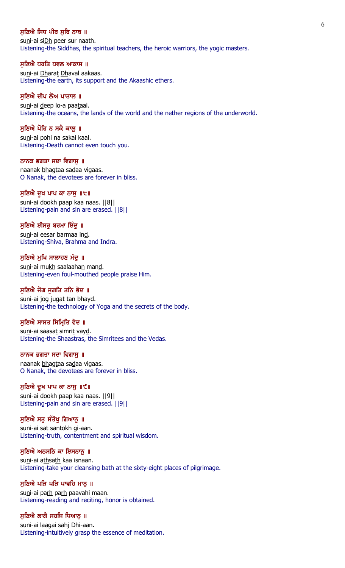## ਸਣਿਐ ਸਿਧ ਪੀਰ ਸਰਿ ਨਾਥ ॥

suni-ai siDh peer sur naath. Listening-the Siddhas, the spiritual teachers, the heroic warriors, the yogic masters.

#### ਸੁਣਿਐ ਧਰਤਿ ਧਵਲ ਆਕਾਸ ॥

suni-ai Dharat Dhaval aakaas. Listening-the earth, its support and the Akaashic ethers.

#### ਸੁਣਿਐ ਦੀਪ ਲੋਅ ਪਾਤਾਲ ॥

suni-ai deep lo-a paataal. Listening-the oceans, the lands of the world and the nether regions of the underworld.

#### ਸਣਿਐ ਪੋਹਿ ਨ ਸਕੈ ਕਾਲ ॥

suni-ai pohi na sakai kaal. Listening-Death cannot even touch you.

# ਨਾਨਕ ਭਗਤਾ ਸਦਾ ਵਿਗਾਸ ॥

naanak bhagtaa sadaa vigaas. O Nanak, the devotees are forever in bliss.

### ਸੁਣਿਐ ਦੁਖ ਪਾਪ ਕਾ ਨਾਸੁ ॥੮॥

suni-ai dookh paap kaa naas. | 8| | Listening-pain and sin are erased. ||8||

#### ਸਣਿਐ ਈਸਰ ਬਰਮਾ ਇੰਦ ॥

suni-ai eesar barmaa ind. Listening-Shiva, Brahma and Indra.

#### ਸੁਣਿਐ ਮੁਖਿ ਸਾਲਾਹਣ ਮੰਦੂ ॥

suni-ai mukh saalaahan mand. Listening-even foul-mouthed people praise Him.

#### ਸੁਣਿਐ ਜੋਗ ਜੁਗਤਿ ਤਨਿ ਭੇਦ ॥

suni-ai jog jugat tan bhayd. Listening-the technology of Yoga and the secrets of the body.

## ਸੁਣਿਐ ਸਾਸਤ ਸਿਮ੍ਰਿਤਿ ਵੇਦ ॥

suni-ai saasat simrit vayd. Listening-the Shaastras, the Simritees and the Vedas.

# ਨਾਨਕ ਭਗਤਾ ਸਦਾ ਵਿਗਾਸੁ ॥

naanak bhagtaa sadaa vigaas. O Nanak, the devotees are forever in bliss.

#### ਸੁਣਿਐ ਦੁਖ ਪਾਪ ਕਾ ਨਾਸੁ ॥੯॥

suni-ai dookh paap kaa naas. [[9]] Listening-pain and sin are erased. ||9||

#### ਸੁਣਿਐ ਸਤੁ ਸੰਤੋਖੁ ਗਿਆਨੂ ॥

suni-ai sat santokh gi-aan. Listening-truth, contentment and spiritual wisdom.

### ਸੁਣਿਐ ਅਠਸਠਿ ਕਾ ਇਸਨਾਨੁ ॥

suni-ai athsath kaa isnaan. Listening-take your cleansing bath at the sixty-eight places of pilgrimage.

### ਸੁਣਿਐ ਪੜਿ ਪੜਿ ਪਾਵਹਿ ਮਾਨੂ ॥

suni-ai parh parh paavahi maan. Listening-reading and reciting, honor is obtained.

### ਸੁਣਿਐ ਲਾਗੈ ਸਹਜਿ ਧਿਆਨੂ ॥

su<u>n</u>i-ai laagai sahj <u>Dh</u>i-aan. Listening-intuitively grasp the essence of meditation.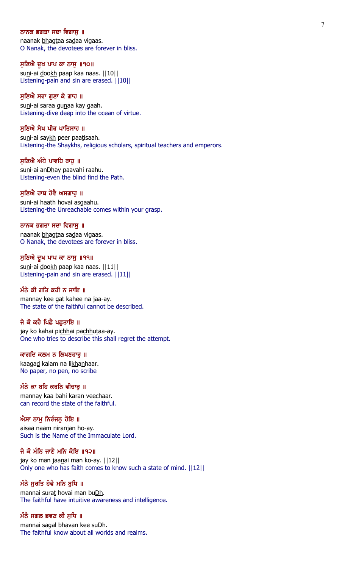#### ਨਾਨਕ ਭਗਤਾ ਸਦਾ ਵਿਗਾਸ ॥

naanak bhagtaa sadaa vigaas. O Nanak, the devotees are forever in bliss.

ਸੁਣਿਐ ਦੁਖ ਪਾਪ ਕਾ ਨਾਸੁ ॥੧੦॥

suni-ai dookh paap kaa naas. | | 10 | | Listening-pain and sin are erased. ||10||

#### ਸੁਣਿਐ ਸਰਾ ਗੁਣਾ ਕੇ ਗਾਹ ॥

suni-ai saraa gunaa kay gaah. Listening-dive deep into the ocean of virtue.

#### ਸਣਿਐ ਸੇਖ ਪੀਰ ਪਾਤਿਸਾਹ ॥

suni-ai saykh peer paatisaah. Listening-the Shaykhs, religious scholars, spiritual teachers and emperors.

#### ਸਣਿਐ ਅੰਧੇ ਪਾਵਹਿ ਰਾਹ ॥

suni-ai anDhay paavahi raahu. Listening-even the blind find the Path.

# ਸੁਣਿਐ ਹਾਥ ਹੋਵੈ ਅਸਗਾਹੁ ॥

suni-ai haath hovai asgaahu. Listening-the Unreachable comes within your grasp.

### ਨਾਨਕ ਭਗਤਾ ਸਦਾ ਵਿਗਾਸ ॥

naanak bhagtaa sadaa vigaas. O Nanak, the devotees are forever in bliss.

### ਸੁਣਿਐ ਦੁਖ ਪਾਪ ਕਾ ਨਾਸੁ ॥੧੧॥

suni-ai dookh paap kaa naas. | | 11| | Listening-pain and sin are erased. ||11||

# ਮੰਨੇ ਕੀ ਗਤਿ ਕਹੀ ਨ ਜਾਇ ॥

mannay kee gat kahee na jaa-ay. The state of the faithful cannot be described.

### ਜੇ ਕੋ ਕਹੈ ਪਿਛੈ ਪਛਤਾਇ ॥

jay ko kahai pichhai pachhutaa-ay. One who tries to describe this shall regret the attempt.

# ਕਾਗਦਿ ਕਲਮ ਨ ਲਿਖਣਹਾਰੁ ॥

kaagad kalam na likhanhaar. No paper, no pen, no scribe

# ਮੰਨੇ ਕਾ ਬਹਿ ਕਰਨਿ ਵੀਚਾਰ ॥

mannay kaa bahi karan veechaar. can record the state of the faithful.

### ਐਸਾ ਨਾਮੂ ਨਿਰੰਜਨੂ ਹੋਇ ॥

aisaa naam niranjan ho-ay. Such is the Name of the Immaculate Lord.

# ਜੇ ਕੋ ਮੰਨਿ ਜਾਣੈ ਮਨਿ ਕੋਇ ॥੧੨॥

jay ko man jaanai man ko-ay. | | 12| | Only one who has faith comes to know such a state of mind. ||12||

## ਮੰਨੈ ਸੁਰਤਿ ਹੋਵੈ ਮਨਿ ਬੁਧਿ ॥

mannai surat hovai man buDh. The faithful have intuitive awareness and intelligence.

#### ਮੰਨੈ ਸਗਲ ਭਵਣ ਕੀ ਸੁਧਿ ॥

mannai sagal bhavan kee suDh. The faithful know about all worlds and realms.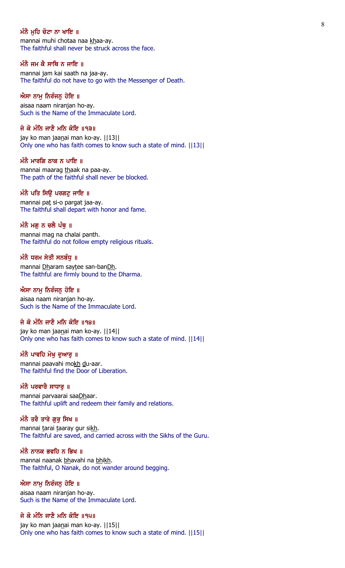### ਮੰਨੈ ਮਹਿ ਚੋਟਾ ਨਾ ਖਾਇ ॥

mannai muhi chotaa naa khaa-ay. The faithful shall never be struck across the face.

# ਮੰਨੈ ਜਮ ਕੈ ਸਾਥਿ ਨ ਜਾਇ ॥

mannai jam kai saath na jaa-ay. The faithful do not have to go with the Messenger of Death.

### ਐਸਾ ਨਾਮੂ ਨਿਰੰਜਨੂ ਹੋਇ ॥

aisaa naam niranjan ho-ay. Such is the Name of the Immaculate Lord.

# ਜੇ ਕੋ ਮੰਨਿ ਜਾਣੈ ਮਨਿ ਕੋਇ ॥੧੩॥

jay ko man jaanai man ko-ay. ||13|| Only one who has faith comes to know such a state of mind. ||13||

#### ਮੰਨੈ ਮਾਰਗਿ ਠਾਕ ਨ ਪਾਇ ॥

mannai maarag thaak na paa-ay. The path of the faithful shall never be blocked.

## ਮੰਨੈ ਪਤਿ ਸਿਉ ਪਰਗਟੂ ਜਾਇ ॥

mannai pat si-o pargat jaa-ay. The faithful shall depart with honor and fame.

#### ਮੰਨੈ ਮਗ ਨ ਚਲੈ ਪੰਥ ॥

mannai mag na chalai panth. The faithful do not follow empty religious rituals.

#### ਮੰਨੈ ਧਰਮ ਸੇਤੀ ਸਨਬੰਧ ॥

mannai Dharam saytee san-banDh. The faithful are firmly bound to the Dharma.

# ਐਸਾ ਨਾਮੁ ਨਿਰੰਜਨੁ ਹੋਇ ॥

aisaa naam niranjan ho-ay. Such is the Name of the Immaculate Lord.

## ਜੇ ਕੋ ਮੰਨਿ ਜਾਣੈ ਮਨਿ ਕੋਇ ॥੧੪॥

jay ko man jaanai man ko-ay. ||14|| Only one who has faith comes to know such a state of mind. ||14||

# ਮੰਨੈ ਪਾਵਹਿ ਮੋਖੁ ਦੁਆਰੁ ॥

mannai paavahi mokh du-aar. The faithful find the Door of Liberation.

#### ਮੰਨੈ ਪਰਵਾਰੈ ਸਾਧਾਰ ॥

mannai parvaarai saaDhaar. The faithful uplift and redeem their family and relations.

### ਮੰਨੈ ਤਰੈ ਤਾਰੇ ਗੁਰੂ ਸਿਖ ॥

mannai tarai taaray gur sikh. The faithful are saved, and carried across with the Sikhs of the Guru.

# ਮੰਨੈ ਨਾਨਕ ਭਵਹਿ ਨ ਭਿਖ $\,$  ॥

mannai naanak bhavahi na bhikh. The faithful, O Nanak, do not wander around begging.

## ਐਸਾ ਨਾਮੂ ਨਿਰੰਜਨੂ ਹੋਇ ॥

aisaa naam niranjan ho-ay. Such is the Name of the Immaculate Lord.

# ਜੇ ਕੋ ਮੰਨਿ ਜਾਣੈ ਮਨਿ ਕੋਇ ॥੧੫॥

jay ko man jaanai man ko-ay. | | 15| | Only one who has faith comes to know such a state of mind. ||15||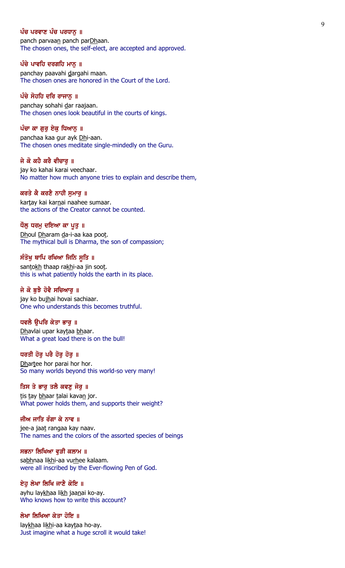## ਪੰਚ ਪਰਵਾਣ ਪੰਚ ਪਰਧਾਨ ॥

panch parvaan panch parDhaan. The chosen ones, the self-elect, are accepted and approved.

## ਪੰਚੇ ਪਾਵਹਿ ਦਰਗਹਿ ਮਾਨੂ ॥

panchay paavahi dargahi maan. The chosen ones are honored in the Court of the Lord.

### ਪੰਚੇ ਸੋਹਹਿ ਦਰਿ ਰਾਜਾਨੂ ॥

panchay sohahi dar raajaan. The chosen ones look beautiful in the courts of kings.

#### ਪੰਚਾ ਕਾ ਗਰ ਏਕ ਧਿਆਨ ॥

panchaa kaa gur ayk Dhi-aan. The chosen ones meditate single-mindedly on the Guru.

#### ਜੇ ਕੋ ਕਹੈ ਕਰੈ ਵੀਚਾਰ ॥

jay ko kahai karai veechaar. No matter how much anyone tries to explain and describe them,

# ਕਰਤੇ ਕੈ ਕਰਣੈ ਨਾਹੀ ਸੁਮਾਰੂ ॥

kartay kai karnai naahee sumaar. the actions of the Creator cannot be counted.

#### ਧੌਲ ਧਰਮ ਦਇਆ ਕਾ ਪਤ ॥

Dhoul Dharam da-i-aa kaa poot. The mythical bull is Dharma, the son of compassion;

### ਸੰਤੋਖ਼ ਥਾਪਿ ਰਖਿਆ ਜਿਨਿ ਸੁਤਿ ॥

santokh thaap rakhi-aa jin soot. this is what patiently holds the earth in its place.

### ਜੇ ਕੋ ਬਝੈ ਹੋਵੈ ਸਚਿਆਰ ॥

jay ko bujhai hovai sachiaar. One who understands this becomes truthful.

## ਧਵਲੈ ੳਪਰਿ ਕੇਤਾ ਭਾਰ ॥

Dhavlai upar kaytaa bhaar. What a great load there is on the bull!

# ਧਰਤੀ ਹੋਰੂ ਪਰੈ ਹੋਰੂ ਹੋਰੂ ॥

Dhartee hor parai hor hor. So many worlds beyond this world-so very many!

## ਤਿਸ ਤੇ ਭਾਰੂ ਤਲੈ ਕਵਣੂ ਜੋਰੂ ॥

tis tay bhaar talai kavan jor. What power holds them, and supports their weight?

### ਜੀਅ ਜਾਤਿ ਰੰਗਾ ਕੇ ਨਾਵ ॥

jee-a jaat rangaa kay naav. The names and the colors of the assorted species of beings

### ਸਭਨਾ ਲਿਖਿਆ ਵੁੜੀ ਕਲਾਮ ॥

sabhnaa likhi-aa vurhee kalaam. were all inscribed by the Ever-flowing Pen of God.

#### ਏਹ ਲੇਖਾ ਲਿਖਿ ਜਾਣੈ ਕੋਇ ॥

ayhu laykhaa likh jaanai ko-ay. Who knows how to write this account?

# ਲੇਖਾ ਲਿਖਿਆ ਕੇਤਾ ਹੋਇ ॥

laykhaa likhi-aa kaytaa ho-ay. Just imagine what a huge scroll it would take!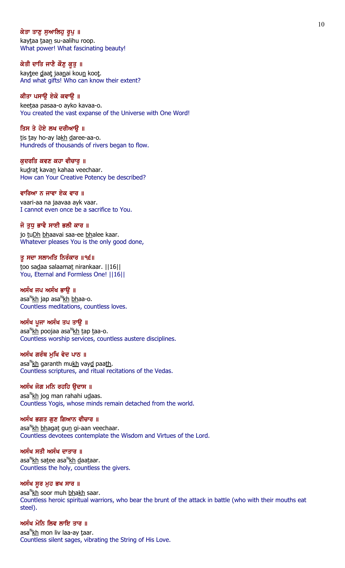# ਕੇਤਾ ਤਾਣੁ ਸੁਆਲਿਹੁ ਰੁਪੁ ॥

kaytaa taan su-aalihu roop. What power! What fascinating beauty!

# ਕੇਤੀ ਦਾਤਿ ਜਾਣੈ ਕੌਣੁ ਕੁਤੁ ॥

kaytee daat jaanai koun koot. And what gifts! Who can know their extent?

## ਕੀਤਾ ਪਸਾਉ ਏਕੋ ਕਵਾਉ ॥

keetaa pasaa-o ayko kavaa-o. You created the vast expanse of the Universe with One Word!

### ਤਿਸ ਤੇ ਹੋਏ ਲਖ ਦਰੀਆੳ ॥

tis tay ho-ay lakh daree-aa-o. Hundreds of thousands of rivers began to flow.

#### ਕਦਰਤਿ ਕਵਣ ਕਹਾ ਵੀਚਾਰ ॥

kudrat kavan kahaa veechaar. How can Your Creative Potency be described?

### ਵਾਰਿਆ ਨ ਜਾਵਾ ਏਕ ਵਾਰ ॥

vaari-aa na jaavaa ayk vaar. I cannot even once be a sacrifice to You.

## ਜੋ ਤਧ ਭਾਵੈ ਸਾਈ ਭਲੀ ਕਾਰ ॥

jo tuDh bhaavai saa-ee bhalee kaar. Whatever pleases You is the only good done,

### ਤੂ ਸਦਾ ਸਲਾਮਤਿ ਨਿਰੰਕਾਰ ॥੧੬॥

too sadaa salaamat nirankaar. | 16| | You, Eternal and Formless One! ||16||

### ਅਸੰਖ ਜਪ ਅਸੰਖ ਭਾੳ ॥

asa<sup>n</sup><u>kh</u> jap asa<sup>n</sup>kh <u>bh</u>aa-o. Countless meditations, countless loves.

# ਅਸੰਖ ਪੂਜਾ ਅਸੰਖ ਤਪ ਤਾੳ ॥

asa<sup>n</sup>kh poojaa asa<sup>n</sup>kh <u>t</u>ap <u>t</u>aa-o. Countless worship services, countless austere disciplines.

# ਅਸੰਖ ਗਰੰਥ ਮੁਖਿ ਵੇਦ ਪਾਠ ॥

asa<sup>n</sup><u>kh</u> garanth mu<u>kh</u> vay<u>d</u> paa<u>th</u>. Countless scriptures, and ritual recitations of the Vedas.

# ਅਸੰਖ ਜੋਗ ਮਨਿ ਰਹਹਿ ੳਦਾਸ ॥

asa<sup>n</sup><u>kh</u> jog man rahahi u<u>d</u>aas. Countless Yogis, whose minds remain detached from the world.

### ਅਸੰਖ ਭਗਤ ਗੁਣ ਗਿਆਨ ਵੀਚਾਰ ॥

asa<sup>n</sup>kh bhagat gun gi-aan veechaar. Countless devotees contemplate the Wisdom and Virtues of the Lord.

# ਅਸੰਖ ਸਤੀ ਅਸੰਖ ਦਾਤਾਰ ॥

asa<sup>n</sup><u>kh</u> sa<u>t</u>ee asa<sup>n</sup>kh <u>d</u>aa<u>t</u>aar. Countless the holy, countless the givers.

## ਅਸੰਖ ਸੁਰ ਮੁਹ ਭਖ ਸਾਰ ॥

asa<sup>n</sup><u>kh</u> soor muh <u>bhakh</u> saar. Countless heroic spiritual warriors, who bear the brunt of the attack in battle (who with their mouths eat steel).

# ਅਸੰਖ ਮੋਨਿ ਲਿਵ ਲਾਇ ਤਾਰ ॥

asa<sup>n</sup><u>kh</u> mon liv laa-ay <u>t</u>aar. Countless silent sages, vibrating the String of His Love.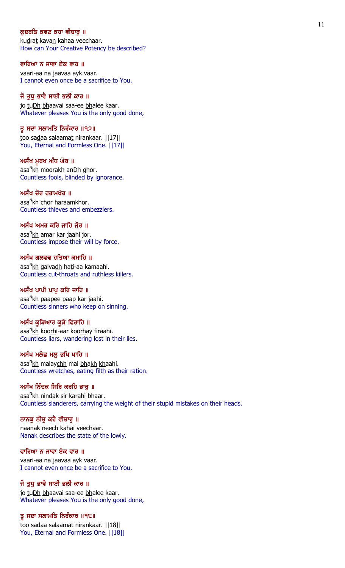## ਕੁਦਰਤਿ ਕਵਣ ਕਹਾ ਵੀਚਾਰੁ ॥

kudrat kavan kahaa veechaar. How can Your Creative Potency be described?

#### ਵਾਰਿਆ ਨ ਜਾਵਾ ਏਕ ਵਾਰ ॥

vaari-aa na jaavaa ayk vaar. I cannot even once be a sacrifice to You.

### ਜੋ ਤੁਧੁ ਭਾਵੈ ਸਾਈ ਭਲੀ ਕਾਰ ॥

jo tuDh bhaavai saa-ee bhalee kaar. Whatever pleases You is the only good done,

### ਤੂ ਸਦਾ ਸਲਾਮਤਿ ਨਿਰੰਕਾਰ ॥੧੭॥

too sadaa salaamat nirankaar. ||17|| You, Eternal and Formless One. ||17||

#### ਅਸੰਖ ਮੁਰਖ ਅੰਧ ਘੋਰ ॥

asa<sup>n</sup><u>kh</u> moora<u>kh</u> an<u>Dh gh</u>or. Countless fools, blinded by ignorance.

### ਅਸੰਖ ਚੋਰ ਹਰਾਮਖੋਰ ॥

asa<sup>n</sup><u>kh</u> chor haraam<u>kh</u>or. Countless thieves and embezzlers.

## ਅਸੰਖ ਅਮਰ ਕਰਿ ਜਾਹਿ ਜੋਰ ॥

asa<sup>n</sup><u>kh</u> amar kar jaahi jor. Countless impose their will by force.

### ਅਸੰਖ ਗਲਵਢ ਹਤਿਆ ਕਮਾਹਿ ॥

asa<sup>n</sup><u>kh</u> galva<u>dh</u> ha<u>t</u>i-aa kamaahi. Countless cut-throats and ruthless killers.

### ਅਸੰਖ ਪਾਪੀ ਪਾਪ ਕਰਿ ਜਾਹਿ ॥

asa<sup>n</sup>kh paapee paap kar jaahi. Countless sinners who keep on sinning.

#### ਅਸੰਖ ਕੁੜਿਆਰ ਕੁੜੇ ਫਿਰਾਹਿ ॥

asa<sup>n</sup><u>kh</u> koo<u>rh</u>i-aar koo<u>rh</u>ay firaahi. Countless liars, wandering lost in their lies.

## ਅਸੰਖ ਮਲੇਛ ਮਲੂ ਭਖਿ ਖਾਹਿ ॥

asa<sup>n</sup><u>kh</u> malay<u>chh</u> mal <u>bhakh kh</u>aahi. Countless wretches, eating filth as their ration.

## ਅਸੰਖ ਨਿੰਦਕ ਸਿਰਿ ਕਰਹਿ ਭਾਰ ॥

asa<sup>n</sup>kh nin<u>d</u>ak sir karahi <u>bh</u>aar. Countless slanderers, carrying the weight of their stupid mistakes on their heads.

## ਨਾਨਕੁ ਨੀਚੁ ਕਹੈ ਵੀਚਾਰੁ ॥

naanak neech kahai veechaar. Nanak describes the state of the lowly.

## ਵਾਰਿਆ ਨ ਜਾਵਾ ਏਕ ਵਾਰ ॥

vaari-aa na jaavaa ayk vaar. I cannot even once be a sacrifice to You.

# ਜੋ ਤੁਧੁ ਭਾਵੈ ਸਾਈ ਭਲੀ ਕਾਰ ॥

jo tuDh bhaavai saa-ee bhalee kaar. Whatever pleases You is the only good done,

### ਤੂ ਸਦਾ ਸਲਾਮਤਿ ਨਿਰੰਕਾਰ ॥੧੮॥

too sadaa salaamat nirankaar. | | 18 | | You, Eternal and Formless One. ||18||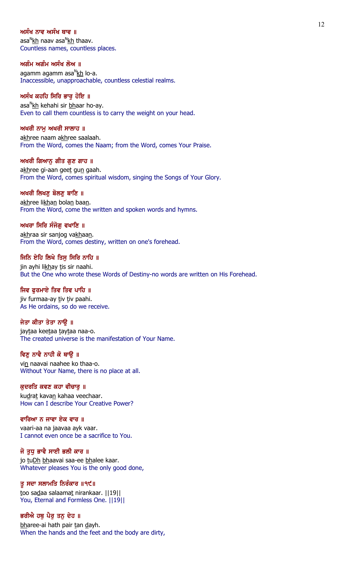### ਅਸੰਖ ਨਾਵ ਅਸੰਖ ਥਾਵ ॥

asa<sup>n</sup><u>kh</u> naav asa<sup>n</sup>kh thaav. Countless names, countless places.

### ਅਗੰਮ ਅਗੰਮ ਅਸੰਖ ਲੋਅ ॥

agamm agamm asa<sup>n</sup>kh lo-a. Inaccessible, unapproachable, countless celestial realms.

# ਅਸੰਖ ਕਹਹਿ ਸਿਰਿ ਭਾਰੂ ਹੋਇ ॥

asa<sup>n</sup>kh kehahi sir <u>bh</u>aar ho-ay. Even to call them countless is to carry the weight on your head.

## ਅਖਰੀ ਨਾਮ ਅਖਰੀ ਸਾਲਾਹ ॥

akhree naam akhree saalaah. From the Word, comes the Naam; from the Word, comes Your Praise.

### ਅਖਰੀ ਗਿਆਨ ਗੀਤ ਗਣ ਗਾਹ ॥

akhree gi-aan geet gun gaah. From the Word, comes spiritual wisdom, singing the Songs of Your Glory.

## ਅਖਰੀ ਲਿਖਣੂ ਬੋਲਣੂ ਬਾਣਿ ॥

akhree likhan bolan baan. From the Word, come the written and spoken words and hymns.

# ਅਖਰਾ ਸਿਰਿ ਸੰਜੋਗ ਵਖਾਣਿ ॥

akhraa sir sanjog vakhaan. From the Word, comes destiny, written on one's forehead.

### ਜਿਨਿ ਏਹਿ ਲਿਖੇ ਤਿਸ ਸਿਰਿ ਨਾਹਿ ॥

jin ayhi likhay tis sir naahi. But the One who wrote these Words of Destiny-no words are written on His Forehead.

# ਜਿਵ ਫਰਮਾਏ ਤਿਵ ਤਿਵ ਪਾਹਿ ॥

jiv furmaa-ay tiv tiv paahi. As He ordains, so do we receive.

## ਜੇਤਾ ਕੀਤਾ ਤੇਤਾ ਨਾੳ ॥

jaytaa keetaa taytaa naa-o. The created universe is the manifestation of Your Name.

# ਵਿਣੂ ਨਾਵੈ ਨਾਹੀ ਕੋ ਥਾਉ ॥

vin naavai naahee ko thaa-o. Without Your Name, there is no place at all.

### ਕਦਰਤਿ ਕਵਣ ਕਹਾ ਵੀਚਾਰ ॥

kudrat kavan kahaa veechaar. How can I describe Your Creative Power?

### ਵਾਰਿਆ ਨ ਜਾਵਾ ਏਕ ਵਾਰ ॥

vaari-aa na jaavaa ayk vaar. I cannot even once be a sacrifice to You.

# ਜੋ ਤੁਧ ਭਾਵੈ ਸਾਈ ਭਲੀ ਕਾਰ ॥

jo tuDh bhaavai saa-ee bhalee kaar. Whatever pleases You is the only good done,

# ਤੂ ਸਦਾ ਸਲਾਮਤਿ ਨਿਰੰਕਾਰ ॥੧੯॥

too sadaa salaamat nirankaar. ||19|| You, Eternal and Formless One. ||19||

# ਭਰੀਐ ਹਥੂ ਪੈਰੂ ਤਨੂ ਦੇਹ ॥

bharee-ai hath pair tan dayh. When the hands and the feet and the body are dirty,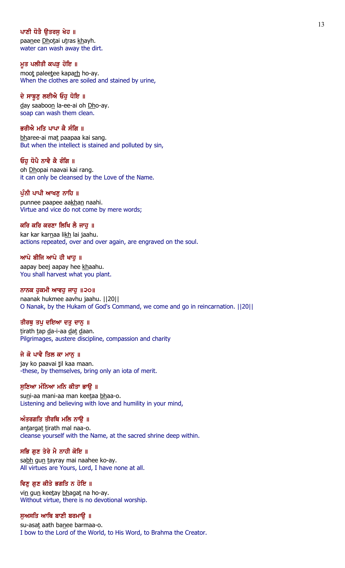# ਪਾਣੀ ਧੋਤੈ ੳਤਰਸ ਖੇਹ ॥

paanee Dhotai utras khayh. water can wash away the dirt.

### ਮੁਤ ਪਲੀਤੀ ਕਪੜ ਹੋਇ ॥

moot paleetee kaparh ho-ay. When the clothes are soiled and stained by urine,

### ਦੇ ਸਾਬੁਣੂ ਲਈਐ ਓਹੁ ਧੋਇ ॥

day saaboon la-ee-ai oh Dho-ay. soap can wash them clean.

# ਭਰੀਐ ਮਤਿ ਪਾਪਾ ਕੈ ਸੰਗਿ ॥

bharee-ai mat paapaa kai sang. But when the intellect is stained and polluted by sin,

### ਓਹ ਧੋਪੈ ਨਾਵੈ ਕੈ ਰੰਗਿ ॥

oh Dhopai naavai kai rang. it can only be cleansed by the Love of the Name.

# ਪੁੰਨੀ ਪਾਪੀ ਆਖਣੂ ਨਾਹਿ ॥

punnee paapee aakhan naahi. Virtue and vice do not come by mere words;

## ਕਰਿ ਕਰਿ ਕਰਣਾ ਲਿਖਿ ਲੈ ਜਾਹ ॥

kar kar karnaa likh lai jaahu. actions repeated, over and over again, are engraved on the soul.

### ਆਪੇ ਬੀਜਿ ਆਪੇ ਹੀ ਖਾਹ ॥

aapay beej aapay hee khaahu. You shall harvest what you plant.

# ਨਾਨਕ ਹੁਕਮੀ ਆਵਹੁ ਜਾਹੁ ॥੨੦॥

naanak hukmee aavhu jaahu. ||20|| O Nanak, by the Hukam of God's Command, we come and go in reincarnation. ||20||

# ਤੀਰਥੁ ਤਪੁ ਦਇਆ ਦਤੁ ਦਾਨੁ ॥

tirath tap da-i-aa dat daan. Pilgrimages, austere discipline, compassion and charity

# ਜੇ ਕੋ ਪਾਵੈ ਤਿਲ ਕਾ ਮਾਨੁ ॥

jay ko paavai til kaa maan. -these, by themselves, bring only an iota of merit.

### ਸਣਿਆ ਮੰਨਿਆ ਮਨਿ ਕੀਤਾ ਭਾੳ ॥

suni-aa mani-aa man keetaa bhaa-o. Listening and believing with love and humility in your mind,

### ਅੰਤਰਗਤਿ ਤੀਰਥਿ ਮਲਿ ਨਾਉ $\,$  ॥

antargat tirath mal naa-o. cleanse yourself with the Name, at the sacred shrine deep within.

# ਸਭਿ ਗੁਣ ਤੇਰੇ ਮੈ ਨਾਹੀ ਕੋਇ ॥

sabh gun tayray mai naahee ko-ay. All virtues are Yours, Lord, I have none at all.

# ਵਿਣੂ ਗੁਣ ਕੀਤੇ ਭਗਤਿ ਨ ਹੋਇ ॥

vin gun keetay bhagat na ho-ay. Without virtue, there is no devotional worship.

#### ਸੁਅਸਤਿ ਆਥਿ ਬਾਣੀ ਬਰਮਾਉ ॥

su-asat aath banee barmaa-o. I bow to the Lord of the World, to His Word, to Brahma the Creator.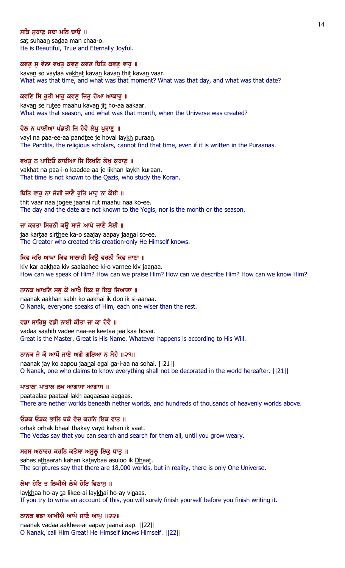# ਸਤਿ ਸਹਾਣ ਸਦਾ ਮਨਿ ਚਾੳ ॥

sat suhaan sadaa man chaa-o. He is Beautiful, True and Eternally Joyful.

## ਕਵਣੂ ਸੂ ਵੇਲਾ ਵਖਤੂ ਕਵਣੂ ਕਵਣ ਥਿਤਿ ਕਵਣੂ ਵਾਰੂ ॥

kavan so vaylaa vakhat kavan kavan thit kavan vaar. What was that time, and what was that moment? What was that day, and what was that date?

# ਕਵਣਿ ਸਿ ਰੁਤੀ ਮਾਹੂ ਕਵਣੂ ਜਿਤੂ ਹੋਆ ਆਕਾਰੂ ॥

kavan se rutee maahu kavan jit ho-aa aakaar. What was that season, and what was that month, when the Universe was created?

# ਵੇਲ ਨ ਪਾਈਆ ਪੰਡਤੀ ਜਿ ਹੋਵੈ ਲੇਖ ਪਰਾਣ ॥

vayl na paa-ee-aa pandtee je hovai laykh puraan. The Pandits, the religious scholars, cannot find that time, even if it is written in the Puraanas.

### ਵਖਤ ਨ ਪਾਇਓ ਕਾਦੀਆ ਜਿ ਲਿਖਨਿ ਲੇਖ ਕਰਾਣ ॥

vakhat na paa-i-o kaadee-aa je likhan laykh kuraan. That time is not known to the Qazis, who study the Koran.

### ਥਿਤਿ ਵਾਰੂ ਨਾ ਜੋਗੀ ਜਾਣੈ ਰੁਤਿ ਮਾਹੂ ਨਾ ਕੋਈ ॥

thit vaar naa jogee jaanai rut maahu naa ko-ee. The day and the date are not known to the Yogis, nor is the month or the season.

## ਜਾ ਕਰਤਾ ਸਿਰਠੀ ਕੳ ਸਾਜੇ ਆਪੇ ਜਾਣੈ ਸੋਈ ॥

jaa kartaa sirthee ka-o saajay aapay jaanai so-ee. The Creator who created this creation-only He Himself knows.

#### ਕਿਵ ਕਰਿ ਆਖਾ ਕਿਵ ਸਾਲਾਹੀ ਕਿੳ ਵਰਨੀ ਕਿਵ ਜਾਣਾ ॥

kiv kar aakhaa kiv saalaahee ki-o varnee kiv jaanaa. How can we speak of Him? How can we praise Him? How can we describe Him? How can we know Him?

# ਨਾਨਕ ਆਖਣਿ ਸਭੁ ਕੋ ਆਖੈ ਇਕ ਦੁ ਇਕੁ ਸਿਆਣਾ ॥

naanak aakhan sabh ko aakhai ik doo ik si-aanaa. O Nanak, everyone speaks of Him, each one wiser than the rest.

# ਵਡਾ ਸਾਹਿਬ ਵਡੀ ਨਾਈ ਕੀਤਾ ਜਾ ਕਾ ਹੋਵੈ ॥

vadaa saahib vadee naa-ee keetaa jaa kaa hovai. Great is the Master, Great is His Name. Whatever happens is according to His Will.

# ਨਾਨਕ ਜੇ ਕੋ ਆਪੌ ਜਾਣੈ ਅਗੈ ਗਇਆ ਨ ਸੋਹੈ ॥੨੧॥

naanak jay ko aapou jaanai agai ga-i-aa na sohai. ||21|| O Nanak, one who claims to know everything shall not be decorated in the world hereafter. ||21||

#### ਪਾਤਾਲਾ ਪਾਤਾਲ ਲਖ ਆਗਾਸਾ ਆਗਾਸ $\parallel$  ll

paataalaa paataal lakh aagaasaa aagaas. There are nether worlds beneath nether worlds, and hundreds of thousands of heavenly worlds above.

### ਓੜਕ ਓੜਕ ਭਾਲਿ ਥਕੇ ਵੇਦ ਕਹਨਿ ਇਕ ਵਾਤ ॥

orhak orhak bhaal thakay vayd kahan ik vaat. The Vedas say that you can search and search for them all, until you grow weary.

## ਸਹਸ ਅਠਾਰਹ ਕਹਨਿ ਕਤੇਬਾ ਅਸੁਲੂ ਇਕੁ ਧਾਤੁ ॥

sahas athaarah kahan kataybaa asuloo ik Dhaat. The scriptures say that there are 18,000 worlds, but in reality, there is only One Universe.

# ਲੇਖਾ ਹੋਇ ਤ ਲਿਖੀਐ ਲੇਖੈ ਹੋਇ ਵਿਣਾਸ ॥

laykhaa ho-ay ta likee-ai laykhai ho-ay vinaas. If you try to write an account of this, you will surely finish yourself before you finish writing it.

# ਨਾਨਕ ਵਡਾ ਆਖੀਐ ਆਪੇ ਜਾਣੈ ਆਪ ॥੨੨॥

naanak vadaa aakhee-ai aapay jaanai aap. ||22|| O Nanak, call Him Great! He Himself knows Himself. ||22||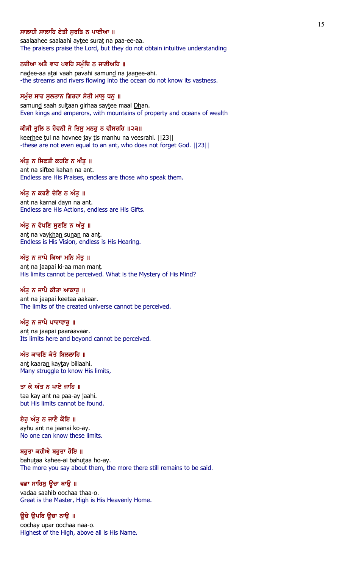# ਸਾਲਾਹੀ ਸਾਲਾਹਿ ਏਤੀ ਸਰਤਿ ਨ ਪਾਈਆ ॥

saalaahee saalaahi aytee surat na paa-ee-aa. The praisers praise the Lord, but they do not obtain intuitive understanding

### ਨਦੀਆ ਅਤੇ ਵਾਹ ਪਵਹਿ ਸਮੁੰਦਿ ਨ ਜਾਣੀਅਹਿ ॥

nadee-aa atai vaah pavahi samund na jaanee-ahi. -the streams and rivers flowing into the ocean do not know its vastness.

### ਸਮੁੰਦ ਸਾਹ ਸੁਲਤਾਨ ਗਿਰਹਾ ਸੇਤੀ ਮਾਲੂ ਧਨੂ ॥

samund saah sultaan girhaa saytee maal Dhan. Even kings and emperors, with mountains of property and oceans of wealth

### ਕੀੜੀ ਤੁਲਿ ਨ ਹੋਵਨੀ ਜੇ ਤਿਸੁ ਮਨਹੂ ਨ ਵੀਸਰਹਿ ॥੨੩॥

keerhee tul na hovnee jay tis manhu na veesrahi. [[23]] -these are not even equal to an ant, who does not forget God. ||23||

#### ਅੰਤ ਨ ਸਿਫਤੀ ਕਹਣਿ ਨ ਅੰਤ ॥

ant na siftee kahan na ant. Endless are His Praises, endless are those who speak them.

# ਅੰਤੂ ਨ ਕਰਣੈ ਦੇਣਿ ਨ ਅੰਤੂ ॥

ant na karnai dayn na ant. Endless are His Actions, endless are His Gifts.

## ਅੰਤ ਨ ਵੇਖਣਿ ਸਣਣਿ ਨ ਅੰਤ ॥

ant na vaykhan sunan na ant. Endless is His Vision, endless is His Hearing.

#### ਅੰਤੂ ਨ ਜਾਪੈ ਕਿਆ ਮਨਿ ਮੰਤੂ ॥

ant na jaapai ki-aa man mant. His limits cannot be perceived. What is the Mystery of His Mind?

### ਅੰਤੂ ਨ ਜਾਪੈ ਕੀਤਾ ਆਕਾਰੂ ॥

ant na jaapai keetaa aakaar. The limits of the created universe cannot be perceived.

# ਅੰਤ ਨ ਜਾਪੈ ਪਾਰਾਵਾਰ ॥

ant na jaapai paaraavaar. Its limits here and beyond cannot be perceived.

# ਅੰਤ ਕਾਰਣਿ ਕੇਤੇ ਬਿਲਲਾਹਿ ॥

ant kaaran kaytay billaahi. Many struggle to know His limits,

# ਤਾ ਕੇ ਅੰਤ ਨ ਪਾਏ ਜਾਹਿ ॥

taa kay ant na paa-ay jaahi. but His limits cannot be found.

### ਏਹੁ ਅੰਤੁ ਨ ਜਾਣੈ ਕੋਇ ॥

ayhu ant na jaanai ko-ay. No one can know these limits.

### ਬਹੁਤਾ ਕਹੀਐ ਬਹੁਤਾ ਹੋਇ ॥

bahutaa kahee-ai bahutaa ho-ay. The more you say about them, the more there still remains to be said.

## ਵਡਾ ਸਾਹਿਬੂ ਉਚਾ ਥਾਉ ॥

vadaa saahib oochaa thaa-o. Great is the Master, High is His Heavenly Home.

# ਉਚੇ ਉਪਰਿ ਉਚਾ ਨਾਉ ॥

oochay upar oochaa naa-o. Highest of the High, above all is His Name.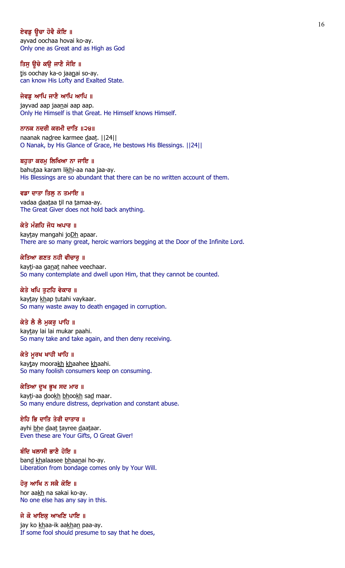# ਏਵਡ ਉਚਾ ਹੋਵੈ ਕੋਇ ॥

ayvad oochaa hovai ko-ay. Only one as Great and as High as God

# ਤਿਸੂ ਉਚੇ ਕਉ ਜਾਣੈ ਸੋਇ ॥

tis oochay ka-o jaanai so-ay. can know His Lofty and Exalted State.

# ਜੇਵਡੂ ਆਪਿ ਜਾਣੈ ਆਪਿ ਆਪਿ ॥

jayvad aap jaanai aap aap. Only He Himself is that Great. He Himself knows Himself.

## ਨਾਨਕ ਨਦਰੀ ਕਰਮੀ ਦਾਤਿ ॥੨੪॥

naanak nadree karmee daat. ||24|| O Nanak, by His Glance of Grace, He bestows His Blessings. ||24||

#### ਬਹਤਾ ਕਰਮ ਲਿਖਿਆ ਨਾ ਜਾਇ ॥

bahutaa karam likhi-aa naa jaa-ay. His Blessings are so abundant that there can be no written account of them.

#### ਵਡਾ ਦਾਤਾ ਤਿਲੂ ਨ ਤਮਾਇ ॥

vadaa daataa til na tamaa-ay. The Great Giver does not hold back anything.

#### ਕੇਤੇ ਮੰਗਹਿ ਜੋਧ ਅਪਾਰ ॥

kaytay mangahi joDh apaar. There are so many great, heroic warriors begging at the Door of the Infinite Lord.

#### ਕੇਤਿਆ ਗਣਤ ਨਹੀ ਵੀਚਾਰ ॥

kayti-aa ganat nahee veechaar. So many contemplate and dwell upon Him, that they cannot be counted.

### ਕੇਤੇ ਖਪਿ ਤੁਟਹਿ ਵੇਕਾਰ ॥

kaytay khap tutahi vaykaar. So many waste away to death engaged in corruption.

# ਕੇਤੇ ਲੈ ਲੈ ਮਕਰ ਪਾਹਿ ॥

kaytay lai lai mukar paahi. So many take and take again, and then deny receiving.

## ਕੇਤੇ ਮੁਰਖ ਖਾਹੀ ਖਾਹਿ ॥

kaytay moorakh khaahee khaahi. So many foolish consumers keep on consuming.

#### ਕੇਤਿਆ ਦੁਖ ਭੁਖ ਸਦ ਮਾਰ ॥

kayti-aa dookh bhookh sad maar. So many endure distress, deprivation and constant abuse.

### ਏਹਿ ਭਿ ਦਾਤਿ ਤੇਰੀ ਦਾਤਾਰ ॥

ayhi bhe daat tayree daataar. Even these are Your Gifts, O Great Giver!

# ਬੰਦਿ ਖਲਾਸੀ ਭਾਣੈ ਹੋਇ ॥

band khalaasee bhaanai ho-ay. Liberation from bondage comes only by Your Will.

# ਹੋਰ ਆਖਿ ਨ ਸਕੈ ਕੋਇ ॥

hor aakh na sakai ko-ay. No one else has any say in this.

# ਜੇ ਕੋ ਖਾਇਕ ਆਖਣਿ ਪਾਇ ॥

jay ko khaa-ik aakhan paa-ay. If some fool should presume to say that he does,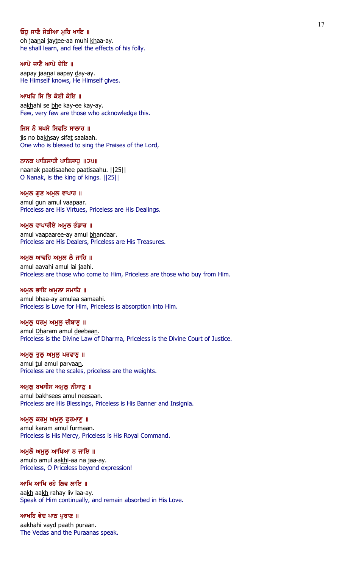# ਓਹ ਜਾਣੈ ਜੇਤੀਆ ਮਹਿ ਖਾਇ ॥

oh jaanai jaytee-aa muhi khaa-ay. he shall learn, and feel the effects of his folly.

#### ਆਪੇ ਜਾਣੈ ਆਪੇ ਦੇਇ ॥

aapay jaanai aapay day-ay. He Himself knows, He Himself gives.

# ਆਖਹਿ ਸਿ ਭਿ ਕੇਈ ਕੇਇ ॥

aakhahi se bhe kay-ee kay-ay. Few, very few are those who acknowledge this.

# ਜਿਸ ਨੋ ਬਖਸੇ ਸਿਫਤਿ ਸਾਲਾਹ ॥

jis no bakhsay sifat saalaah. One who is blessed to sing the Praises of the Lord,

#### ਨਾਨਕ ਪਾਤਿਸਾਹੀ ਪਾਤਿਸਾਹ ॥੨੫॥

naanak paatisaahee paatisaahu. ||25|| O Nanak, is the king of kings. ||25||

### ਅਮੁਲ ਗੁਣ ਅਮੁਲ ਵਾਪਾਰ ॥

amul gun amul vaapaar. Priceless are His Virtues, Priceless are His Dealings.

### ਅਮਲ ਵਾਪਾਰੀਏ ਅਮਲ ਭੰਡਾਰ ॥

amul vaapaaree-ay amul bhandaar. Priceless are His Dealers, Priceless are His Treasures.

#### ਅਮੁਲ ਆਵਹਿ ਅਮੁਲ ਲੈ ਜਾਹਿ ॥

amul aavahi amul lai jaahi. Priceless are those who come to Him, Priceless are those who buy from Him.

### ਅਮੁਲ ਭਾਇ ਅਮੁਲਾ ਸਮਾਹਿ ॥

amul bhaa-ay amulaa samaahi. Priceless is Love for Him, Priceless is absorption into Him.

# ਅਮੁਲੂ ਧਰਮੂ ਅਮੁਲੂ ਦੀਬਾਣੂ ॥

amul Dharam amul deebaan. Priceless is the Divine Law of Dharma, Priceless is the Divine Court of Justice.

# ਅਮੁਲੁ ਤੁਲੁ ਅਮੁਲੁ ਪਰਵਾਣੁ ॥

amul tul amul parvaan. Priceless are the scales, priceless are the weights.

#### ਅਮੁਲੁ ਬਖਸੀਸ ਅਮੁਲੁ ਨੀਸਾਣੁ ॥

amul bakhsees amul neesaan. Priceless are His Blessings, Priceless is His Banner and Insignia.

# ਅਮੁਲੁ ਕਰਮੁ ਅਮੁਲੁ ਫੁਰਮਾਣੁ ॥

amul karam amul furmaan. Priceless is His Mercy, Priceless is His Royal Command.

## ਅਮੁਲੋ ਅਮੁਲੂ ਆਖਿਆ ਨ ਜਾਇ ॥

amulo amul aakhi-aa na jaa-ay. Priceless, O Priceless beyond expression!

## ਆਖਿ ਆਖਿ ਰਹੇ ਲਿਵ ਲਾਇ ॥

aakh aakh rahay liv laa-ay. Speak of Him continually, and remain absorbed in His Love.

# ਆਖਹਿ ਵੇਦ ਪਾਠ ਪੁਰਾਣ ॥

aakhahi vayd paath puraan. The Vedas and the Puraanas speak.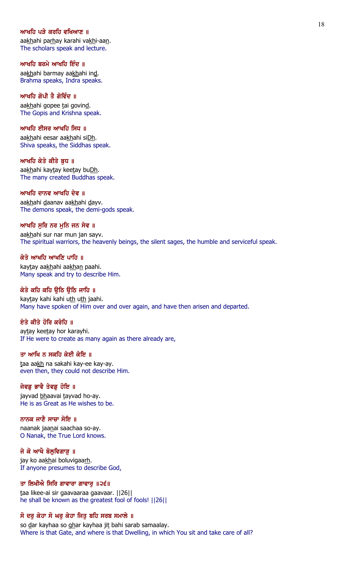### ਆਖਹਿ ਪੜੇ ਕਰਹਿ ਵਖਿਆਣ ॥

aakhahi parhay karahi vakhi-aan. The scholars speak and lecture.

### ਆਖਹਿ ਬਰਮੇ ਆਖਹਿ ਇੰਦ ॥

aakhahi barmay aakhahi ind. Brahma speaks, Indra speaks.

# ਆਖਹਿ ਗੋਪੀ ਤੈ ਗੋਵਿੰਦ ॥

aakhahi gopee tai govind. The Gopis and Krishna speak.

## ਆਖਹਿ ਈਸਰ ਆਖਹਿ ਸਿਧ ॥

aakhahi eesar aakhahi siDh. Shiva speaks, the Siddhas speak.

#### ਆਖਹਿ ਕੇਤੇ ਕੀਤੇ ਬਧ ॥

aakhahi kaytay keetay buDh. The many created Buddhas speak.

## ਆਖਹਿ ਦਾਨਵ ਆਖਹਿ ਦੇਵ ॥

aakhahi daanav aakhahi dayv. The demons speak, the demi-gods speak.

# ਆਖਹਿ ਸਰਿ ਨਰ ਮਨਿ ਜਨ ਸੇਵ ॥

aakhahi sur nar mun jan sayv. The spiritual warriors, the heavenly beings, the silent sages, the humble and serviceful speak.

### ਕੇਤੇ ਆਖਹਿ ਆਖਣਿ ਪਾਹਿ ॥

kaytay aakhahi aakhan paahi. Many speak and try to describe Him.

# ਕੇਤੇ ਕਹਿ ਕਹਿ ੳਠਿ ੳਠਿ ਜਾਹਿ ॥

kaytay kahi kahi uth uth jaahi. Many have spoken of Him over and over again, and have then arisen and departed.

# ਏਤੇ ਕੀਤੇ ਹੋਰਿ ਕਰੇਹਿ ॥

aytay keetay hor karayhi. If He were to create as many again as there already are,

# ਤਾ ਆਖਿ ਨ ਸਕਹਿ ਕੇਈ ਕੇਇ ॥

taa aakh na sakahi kay-ee kay-ay. even then, they could not describe Him.

## ਜੇਵਡੂ ਭਾਵੈ ਤੇਵਡੂ ਹੋਇ ॥

jayvad bhaavai tayvad ho-ay. He is as Great as He wishes to be.

# ਨਾਨਕ ਜਾਣੈ ਸਾਚਾ ਸੋਇ ॥

naanak jaanai saachaa so-ay. O Nanak, the True Lord knows.

# ਜੇ ਕੋ ਆਖੈ ਬੋਲੁਵਿਗਾੜੂ ॥

jay ko aakhai boluvigaarh. If anyone presumes to describe God,

# ਤਾ ਲਿਖੀਐ ਸਿਰਿ ਗਾਵਾਰਾ ਗਾਵਾਰੁ ॥੨੬॥

taa likee-ai sir gaavaaraa gaavaar. ||26|| he shall be known as the greatest fool of fools! ||26||

# ਸੋ ਦਰ ਕੇਹਾ ਸੋ ਘਰ ਕੇਹਾ ਜਿਤੂ ਬਹਿ ਸਰਬ ਸਮਾਲੇ ॥

so dar kayhaa so ghar kayhaa jit bahi sarab samaalay. Where is that Gate, and where is that Dwelling, in which You sit and take care of all?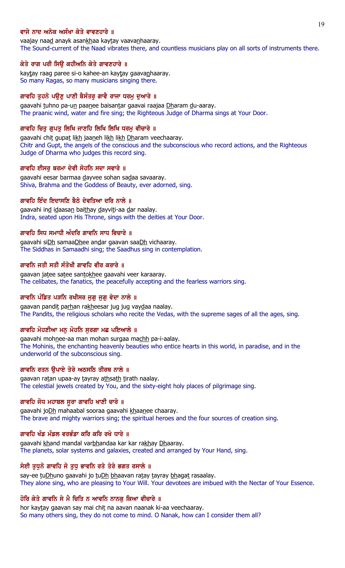# ਵਾਜੇ ਨਾਦ ਅਨੇਕ ਅਸੰਖਾ ਕੇਤੇ ਵਾਵਣਹਾਰੇ ॥

vaajay naad anayk asankhaa kaytay vaavanhaaray. The Sound-current of the Naad vibrates there, and countless musicians play on all sorts of instruments there.

# ਕੇਤੇ ਰਾਗ ਪਰੀ ਸਿੳ ਕਹੀਅਨਿ ਕੇਤੇ ਗਾਵਣਹਾਰੇ ॥

kaytay raag paree si-o kahee-an kaytay gaavan haaray. So many Ragas, so many musicians singing there.

# ਗਾਵਹਿ ਤੁਹਨੋ ਪਉਣੂ ਪਾਣੀ ਬੈਸੰਤਰੂ ਗਾਵੈ ਰਾਜਾ ਧਰਮੂ ਦੁਆਰੇ ॥

gaavahi tuhno pa-un paanee baisantar gaavai raajaa Dharam du-aaray. The praanic wind, water and fire sing; the Righteous Judge of Dharma sings at Your Door.

# ਗਾਵਹਿ ਚਿਤ ਗਪਤ ਲਿਖਿ ਜਾਣਹਿ ਲਿਖਿ ਲਿਖਿ ਧਰਮ ਵੀਚਾਰੇ ॥

gaavahi chit gupat likh jaaneh likh likh Dharam veechaaray. Chitr and Gupt, the angels of the conscious and the subconscious who record actions, and the Righteous Judge of Dharma who judges this record sing.

# ਗਾਵਹਿ ਈਸਰ ਬਰਮਾ ਦੇਵੀ ਸੋਹਨਿ ਸਦਾ ਸਵਾਰੇ ॥

gaavahi eesar barmaa dayvee sohan sadaa savaaray. Shiva, Brahma and the Goddess of Beauty, ever adorned, sing.

# ਗਾਵਹਿ ਇੰਦ ਇਦਾਸਣਿ ਬੈਠੇ ਦੇਵਤਿਆ ਦਰਿ ਨਾਲੇ ॥

gaavahi ind idaasan baithay dayviti-aa dar naalay. Indra, seated upon His Throne, sings with the deities at Your Door.

# ਗਾਵਹਿ ਸਿਧ ਸਮਾਧੀ ਅੰਦਰਿ ਗਾਵਨਿ ਸਾਧ ਵਿਚਾਰੇ ॥

gaavahi siDh samaaDhee andar gaavan saaDh vichaaray. The Siddhas in Samaadhi sing; the Saadhus sing in contemplation.

# ਗਾਵਨਿ ਜਤੀ ਸਤੀ ਸੰਤੋਖੀ ਗਾਵਹਿ ਵੀਰ ਕਰਾਰੇ ॥

gaavan jatee satee santokhee gaavahi veer karaaray. The celibates, the fanatics, the peacefully accepting and the fearless warriors sing.

# ਗਾਵਨਿ ਪੰਡਿਤ ਪੜਨਿ ਰਖੀਸਰ ਜੁਗੁ ਜੁਗੁ ਵੇਦਾ ਨਾਲੇ ॥

gaavan pandit parhan rakheesar jug jug vaydaa naalay. The Pandits, the religious scholars who recite the Vedas, with the supreme sages of all the ages, sing.

# ਗਾਵਹਿ ਮੋਹਣੀਆ ਮਨੁ ਮੋਹਨਿ ਸੁਰਗਾ ਮਛ ਪਇਆਲੇ ॥

gaavahi mohnee-aa man mohan surgaa machh pa-i-aalay. The Mohinis, the enchanting heavenly beauties who entice hearts in this world, in paradise, and in the underworld of the subconscious sing.

# ਗਾਵਨਿ ਰਤਨ ਉਪਾਏ ਤੇਰੇ ਅਠਸਠਿ ਤੀਰਥ ਨਾਲੇ ॥

gaavan ratan upaa-ay tayray athsath tirath naalay. The celestial jewels created by You, and the sixty-eight holy places of pilgrimage sing.

# ਗਾਵਹਿ ਜੋਧ ਮਹਾਬਲ ਸੂਰਾ ਗਾਵਹਿ ਖਾਣੀ ਚਾਰੇ ॥

gaavahi joDh mahaabal sooraa gaavahi khaanee chaaray. The brave and mighty warriors sing; the spiritual heroes and the four sources of creation sing.

# ਗਾਵਹਿ ਖੰਡ ਮੰਡਲ ਵਰਭੰਡਾ ਕਰਿ ਕਰਿ ਰਖੇ ਧਾਰੇ ॥

gaavahi khand mandal varbhandaa kar kar rakhay Dhaaray. The planets, solar systems and galaxies, created and arranged by Your Hand, sing.

# ਸੇਈ ਤੁਧੁਨੋ ਗਾਵਹਿ ਜੋ ਤੁਧੁ ਭਾਵਨਿ ਰਤੇ ਤੇਰੇ ਭਗਤ ਰਸਾਲੇ ॥

say-ee tuDhuno gaavahi jo tuDh bhaavan ratay tayray bhagat rasaalay. They alone sing, who are pleasing to Your Will. Your devotees are imbued with the Nectar of Your Essence.

# ਹੋਰਿ ਕੇਤੇ ਗਾਵਨਿ ਸੇ ਮੈ ਚਿਤਿ ਨ ਆਵਨਿ ਨਾਨਕੂ ਕਿਆ ਵੀਚਾਰੇ ॥

hor kaytay gaavan say mai chit na aavan naanak ki-aa veechaaray. So many others sing, they do not come to mind. O Nanak, how can I consider them all?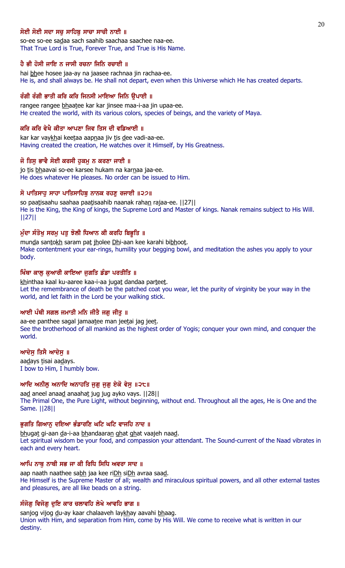# ਸੋਈ ਸੋਈ ਸਦਾ ਸਚ ਸਾਹਿਬ ਸਾਚਾ ਸਾਚੀ ਨਾਈ ॥

so-ee so-ee sadaa sach saahib saachaa saachee naa-ee. That True Lord is True, Forever True, and True is His Name.

### ਹੈ ਭੀ ਹੋਸੀ ਜਾਇ ਨ ਜਾਸੀ ਰਚਨਾ ਜਿਨਿ ਰਚਾਈ ॥

hai bhee hosee jaa-ay na jaasee rachnaa jin rachaa-ee. He is, and shall always be. He shall not depart, even when this Universe which He has created departs.

# ਰੰਗੀ ਰੰਗੀ ਭਾਤੀ ਕਰਿ ਕਰਿ ਜਿਨਸੀ ਮਾਇਆ ਜਿਨਿ ਉਪਾਈ ॥

rangee rangee bhaatee kar kar jinsee maa-i-aa jin upaa-ee. He created the world, with its various colors, species of beings, and the variety of Maya.

### ਕਰਿ ਕਰਿ ਵੇਖੈ ਕੀਤਾ ਆਪਣਾ ਜਿਵ ਤਿਸ ਦੀ ਵਡਿਆਈ ॥

kar kar vaykhai keetaa aapnaa jiv tis dee vadi-aa-ee. Having created the creation, He watches over it Himself, by His Greatness.

### ਜੋ ਤਿਸ ਭਾਵੈ ਸੋਈ ਕਰਸੀ ਹਕਮ ਨ ਕਰਣਾ ਜਾਈ ॥

jo tis bhaavai so-ee karsee hukam na karnaa jaa-ee. He does whatever He pleases. No order can be issued to Him.

# ਸੋ ਪਾਤਿਸਾਹ ਸਾਹਾ ਪਾਤਿਸਾਹਿਬੂ ਨਾਨਕ ਰਹਣੂ ਰਜਾਈ ॥੨੭॥

so paatisaahu saahaa paatisaahib naanak rahan rajaa-ee. [127] He is the King, the King of kings, the Supreme Lord and Master of kings. Nanak remains subject to His Will. ||27||

# ਮੰਦਾ ਸੰਤੋਖ ਸਰਮ ਪਤ ਝੋਲੀ ਧਿਆਨ ਕੀ ਕਰਹਿ ਬਿਭੁਤਿ ॥

munda santokh saram pat jholee Dhi-aan kee karahi bibhoot. Make contentment your ear-rings, humility your begging bowl, and meditation the ashes you apply to your body.

### ਖਿੰਥਾ ਕਾਲ ਕਆਰੀ ਕਾਇਆ ਜਗਤਿ ਡੰਡਾ ਪਰਤੀਤਿ ॥

khinthaa kaal ku-aaree kaa-i-aa jugat dandaa parteet. Let the remembrance of death be the patched coat you wear, let the purity of virginity be your way in the world, and let faith in the Lord be your walking stick.

### ਆਈ ਪੰਥੀ ਸਗਲ ਜਮਾਤੀ ਮਨਿ ਜੀਤੈ ਜਗੂ ਜੀਤੂ ॥

aa-ee panthee sagal jamaatee man jeetai jag jeet. See the brotherhood of all mankind as the highest order of Yogis; conquer your own mind, and conquer the world.

### ਆਦੇਸ ਤਿਸੈ ਆਦੇਸ ॥

aadays tisai aadays. I bow to Him, I humbly bow.

### ਆਦਿ ਅਨੀਲ ਅਨਾਦਿ ਅਨਾਹਤਿ ਜਗ ਜਗ ਏਕੋ ਵੇਸ ॥੨੮॥

aad aneel anaad anaahat jug jug ayko vays. [[28]] The Primal One, the Pure Light, without beginning, without end. Throughout all the ages, He is One and the Same. ||28||

### ਭਗਤਿ ਗਿਆਨ ਦਇਆ ਭੰਡਾਰਣਿ ਘਟਿ ਘਟਿ ਵਾਜਹਿ ਨਾਦ ॥

bhugat gi-aan da-i-aa bhandaaran ghat ghat vaajeh naad. Let spiritual wisdom be your food, and compassion your attendant. The Sound-current of the Naad vibrates in each and every heart.

# ਆਪਿ ਨਾਥੂ ਨਾਥੀ ਸਭ ਜਾ ਕੀ ਰਿਧਿ ਸਿਧਿ ਅਵਰਾ ਸਾਦ ॥

aap naath naathee sabh jaa kee riDh siDh avraa saad. He Himself is the Supreme Master of all; wealth and miraculous spiritual powers, and all other external tastes and pleasures, are all like beads on a string.

# ਸੰਜੋਗ ਵਿਜੋਗ ਦੁਇ ਕਾਰ ਚਲਾਵਹਿ ਲੇਖੇ ਆਵਹਿ ਭਾਗ ॥

sanjog vijog du-ay kaar chalaaveh laykhay aavahi bhaag. Union with Him, and separation from Him, come by His Will. We come to receive what is written in our destiny.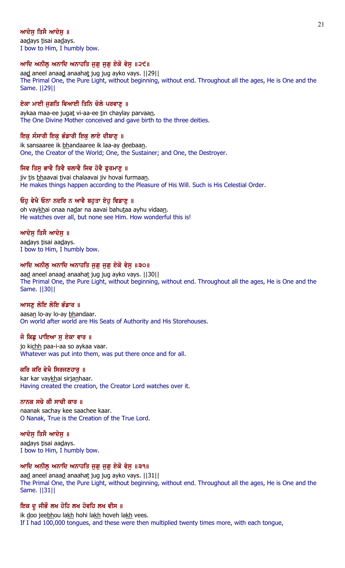# ਆਦੇਸ ਤਿਸੈ ਆਦੇਸ ॥

aadays tisai aadays. I bow to Him, I humbly bow.

# ਆਦਿ ਅਨੀਲੂ ਅਨਾਦਿ ਅਨਾਹਤਿ ਜੁਗੂ ਜੁਗੂ ਏਕੋ ਵੇਸੂ ॥੨੯॥

aad aneel anaad anaahat jug jug ayko vays. [[29]] The Primal One, the Pure Light, without beginning, without end. Throughout all the ages, He is One and the Same. ||29||

# ਏਕਾ ਮਾਈ ਜੁਗਤਿ ਵਿਆਈ ਤਿਨਿ ਚੇਲੇ ਪਰਵਾਣੂ ॥

aykaa maa-ee jugat vi-aa-ee tin chaylay parvaan. The One Divine Mother conceived and gave birth to the three deities.

# ਇਕ ਸੰਸਾਰੀ ਇਕ ਭੰਡਾਰੀ ਇਕ ਲਾਏ ਦੀਬਾਣੂ ॥

ik sansaaree ik bhandaaree ik laa-ay deebaan. One, the Creator of the World; One, the Sustainer; and One, the Destroyer.

# ਜਿਵ ਤਿਸ ਭਾਵੈ ਤਿਵੈ ਚਲਾਵੈ ਜਿਵ ਹੋਵੈ ਫਰਮਾਣ ॥

jiv tis bhaavai tivai chalaavai jiv hovai furmaan. He makes things happen according to the Pleasure of His Will. Such is His Celestial Order.

# ਓਹ ਵੇਖੈ ਓਨਾ ਨਦਰਿ ਨ ਆਵੈ ਬਹਤਾ ਏਹ ਵਿਡਾਣ ॥

oh vaykhai onaa nadar na aavai bahutaa ayhu vidaan. He watches over all, but none see Him. How wonderful this is!

# ਆਦੇਸ ਤਿਸੈ ਆਦੇਸ ॥

aadays tisai aadays. I bow to Him, I humbly bow.

# ਆਦਿ ਅਨੀਲੂ ਅਨਾਦਿ ਅਨਾਹਤਿ ਜੁਗੂ ਜੁਗੂ ਏਕੋ ਵੇਸੁ ॥੩੦॥

aad aneel anaad anaahat jug jug ayko vays. ||30|| The Primal One, the Pure Light, without beginning, without end. Throughout all the ages, He is One and the Same. ||30||

# ਆਸਣ ਲੋਇ ਲੋਇ ਭੰਡਾਰ ॥

aasan lo-ay lo-ay bhandaar. On world after world are His Seats of Authority and His Storehouses.

# ਜੋ ਕਿਛੂ ਪਾਇਆ ਸੁ ਏਕਾ ਵਾਰ ॥

jo kichh paa-i-aa so aykaa vaar. Whatever was put into them, was put there once and for all.

# ਕਰਿ ਕਰਿ ਵੇਖੈ ਸਿਰਜਣਹਾਰ ॥

kar kar vaykhai sirjanhaar. Having created the creation, the Creator Lord watches over it.

# ਨਾਨਕ ਸਚੇ ਕੀ ਸਾਚੀ ਕਾਰ ॥

naanak sachay kee saachee kaar. O Nanak, True is the Creation of the True Lord.

# ਆਦੇਸੁ ਤਿਸੈ ਆਦੇਸੁ ॥

aadays tisai aadays. I bow to Him, I humbly bow.

# ਆਦਿ ਅਨੀਲੂ ਅਨਾਦਿ ਅਨਾਹਤਿ ਜੁਗੁ ਜੁਗੁ ਏਕੋ ਵੇਸੁ ॥੩੧॥

aad aneel anaad anaahat jug jug ayko vays. [[31] The Primal One, the Pure Light, without beginning, without end. Throughout all the ages, He is One and the Same. ||31||

# ਇਕ ਦੂ ਜੀਭੌ ਲਖ ਹੋਹਿ ਲਖ ਹੋਵਹਿ ਲਖ ਵੀਸ ॥

ik doo jeebhou lakh hohi lakh hoveh lakh vees. If I had 100,000 tongues, and these were then multiplied twenty times more, with each tongue,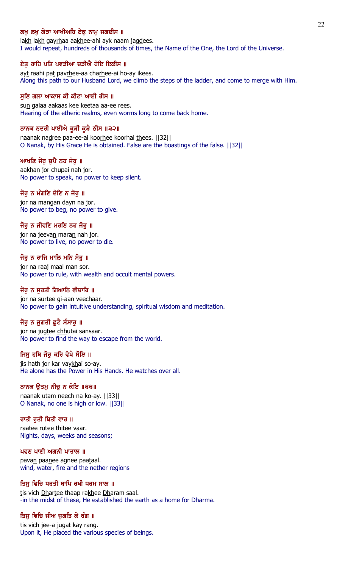# ਲਖ ਲਖ ਗੇੜਾ ਆਖੀਅਹਿ ਏਕ ਨਾਮ ਜਗਦੀਸ ॥

lakh lakh gayrhaa aakhee-ahi ayk naam jagdees. I would repeat, hundreds of thousands of times, the Name of the One, the Lord of the Universe.

## ਏਤੂ ਰਾਹਿ ਪਤਿ ਪਵੜੀਆ ਚੜੀਐ ਹੋਇ ਇਕੀਸ ॥

ayt raahi pat pavrhee-aa charhee-ai ho-ay ikees. Along this path to our Husband Lord, we climb the steps of the ladder, and come to merge with Him.

#### ਸੁਣਿ ਗਲਾ ਆਕਾਸ ਕੀ ਕੀਟਾ ਆਈ ਰੀਸ ॥

sun galaa aakaas kee keetaa aa-ee rees. Hearing of the etheric realms, even worms long to come back home.

#### ਨਾਨਕ ਨਦਰੀ ਪਾਈਐ ਕੁੜੀ ਕੁੜੈ ਠੀਸ ॥੩੨॥

naanak nadree paa-ee-ai koorhee koorhai thees. ||32|| O Nanak, by His Grace He is obtained. False are the boastings of the false. ||32||

# ਆਖਣਿ ਜੋਰ ਚਪੈ ਨਹ ਜੋਰ ॥

aakhan jor chupai nah jor. No power to speak, no power to keep silent.

# ਜੋਰ ਨ ਮੰਗਣਿ ਦੇਣਿ ਨ ਜੋਰੂ ॥

jor na mangan dayn na jor. No power to beg, no power to give.

#### ਜੋਰ ਨ ਜੀਵਣਿ ਮਰਣਿ ਨਹ ਜੋਰ ॥

jor na jeevan maran nah jor. No power to live, no power to die.

#### ਜੋਰ ਨ ਰਾਜਿ ਮਾਲਿ ਮਨਿ ਸੋਰ ॥

jor na raaj maal man sor. No power to rule, with wealth and occult mental powers.

#### ਜੋਰ ਨ ਸਰਤੀ ਗਿਆਨਿ ਵੀਚਾਰਿ ॥

jor na surtee gi-aan veechaar. No power to gain intuitive understanding, spiritual wisdom and meditation.

## ਜੋਰੁ ਨ ਜੁਗਤੀ ਛੁਟੈ ਸੰਸਾਰੁ ॥

jor na jugtee chhutai sansaar. No power to find the way to escape from the world.

# ਜਿਸ ਹਥਿ ਜੋਰੂ ਕਰਿ ਵੇਖੈ ਸੋਇ ॥

jis hath jor kar vaykhai so-ay. He alone has the Power in His Hands. He watches over all.

### ਨਾਨਕ ਉਤਮੁ ਨੀਚੁ ਨ ਕੋਇ ॥੩੩॥

naanak utam neech na ko-ay. ||33|| O Nanak, no one is high or low. ||33||

### ਰਾਤੀ ਰੁਤੀ ਥਿਤੀ ਵਾਰ ॥

raatee rutee thitee vaar. Nights, days, weeks and seasons;

## ਪਵਣ ਪਾਣੀ ਅਗਨੀ ਪਾਤਾਲ ॥

pavan paanee agnee paataal. wind, water, fire and the nether regions

## ਤਿਸੁ ਵਿਚਿ ਧਰਤੀ ਥਾਪਿ ਰਖੀ ਧਰਮ ਸਾਲ ॥

tis vich Dhartee thaap rakhee Dharam saal. -in the midst of these, He established the earth as a home for Dharma.

# ਤਿਸੁ ਵਿਚਿ ਜੀਅ ਜੁਗਤਿ ਕੇ ਰੰਗ ॥

tis vich jee-a jugat kay rang. Upon it, He placed the various species of beings.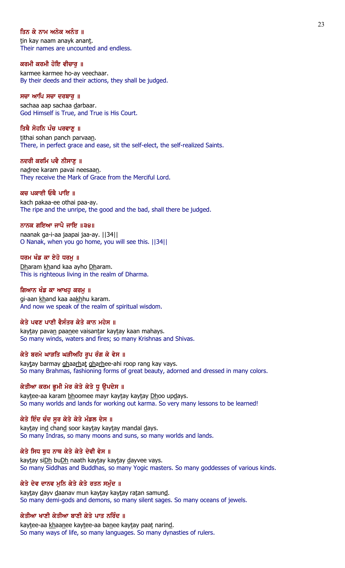# ਤਿਨ ਕੇ ਨਾਮ ਅਨੇਕ ਅਨੰਤ ॥

tin kay naam anayk anant. Their names are uncounted and endless.

### ਕਰਮੀ ਕਰਮੀ ਹੋਇ ਵੀਚਾਰੂ ॥

karmee karmee ho-ay veechaar. By their deeds and their actions, they shall be judged.

## ਸਚਾ ਆਪਿ ਸਚਾ ਦਰਬਾਰੂ ॥

sachaa aap sachaa darbaar. God Himself is True, and True is His Court.

## ਤਿਥੈ ਸੋਹਨਿ ਪੰਚ ਪਰਵਾਣ ॥

tithai sohan panch parvaan. There, in perfect grace and ease, sit the self-elect, the self-realized Saints.

### ਨਦਰੀ ਕਰਮਿ ਪਵੈ ਨੀਸਾਣ ॥

nadree karam pavai neesaan. They receive the Mark of Grace from the Merciful Lord.

## ਕਚ ਪਕਾਈ ਓਥੈ ਪਾਇ ॥

kach pakaa-ee othai paa-ay. The ripe and the unripe, the good and the bad, shall there be judged.

### ਨਾਨਕ ਗਇਆ ਜਾਪੈ ਜਾਇ ॥੩੪॥

naanak ga-i-aa jaapai jaa-ay. ||34|| O Nanak, when you go home, you will see this. ||34||

#### ਧਰਮ ਖੰਡ ਕਾ ਏਹੋ ਧਰਮ ॥

Dharam khand kaa ayho Dharam. This is righteous living in the realm of Dharma.

#### ਗਿਆਨ ਖੰਡ ਕਾ ਆਖਹ ਕਰਮ ॥

gi-aan khand kaa aakhhu karam. And now we speak of the realm of spiritual wisdom.

# ਕੇਤੇ ਪਵਣ ਪਾਣੀ ਵੈਸੰਤਰ ਕੇਤੇ ਕਾਨ ਮਹੇਸ ॥

kaytay pavan paanee vaisantar kaytay kaan mahays. So many winds, waters and fires; so many Krishnas and Shivas.

# ਕੇਤੇ ਬਰਮੇ ਘਾੜਤਿ ਘੜੀਅਹਿ ਰੂਪ ਰੰਗ ਕੇ ਵੇਸ ॥

kaytay barmay ghaarhat gharhee-ahi roop rang kay vays. So many Brahmas, fashioning forms of great beauty, adorned and dressed in many colors.

# ਕੇਤੀਆ ਕਰਮ ਭੂਮੀ ਮੇਰ ਕੇਤੇ ਕੇਤੇ ਧੁ ਉਪਦੇਸ ॥

kaytee-aa karam bhoomee mayr kaytay kaytay Dhoo updays. So many worlds and lands for working out karma. So very many lessons to be learned!

# ਕੇਤੇ ਇੰਦ ਚੰਦ ਸੂਰ ਕੇਤੇ ਕੇਤੇ ਮੰਡਲ ਦੇਸ ॥

kaytay ind chand soor kaytay kaytay mandal days. So many Indras, so many moons and suns, so many worlds and lands.

# ਕੇਤੇ ਸਿਧ ਬੁਧ ਨਾਥ ਕੇਤੇ ਕੇਤੇ ਦੇਵੀ ਵੇਸ ॥

kaytay siDh buDh naath kaytay kaytay dayvee vays. So many Siddhas and Buddhas, so many Yogic masters. So many goddesses of various kinds.

# ਕੇਤੇ ਦੇਵ ਦਾਨਵ ਮੁਨਿ ਕੇਤੇ ਕੇਤੇ ਰਤਨ ਸਮੁੰਦ ॥

kaytay dayv daanav mun kaytay kaytay ratan samund. So many demi-gods and demons, so many silent sages. So many oceans of jewels.

# ਕੇਤੀਆ ਖਾਣੀ ਕੇਤੀਆ ਬਾਣੀ ਕੇਤੇ ਪਾਤ ਨਰਿੰਦ ॥

kaytee-aa khaanee kaytee-aa banee kaytay paat narind. So many ways of life, so many languages. So many dynasties of rulers.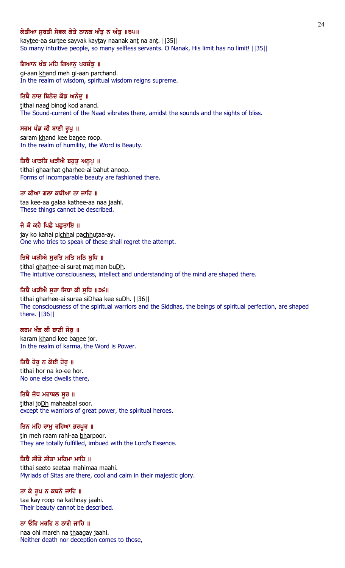# ਕੇਤੀਆ ਸਰਤੀ ਸੇਵਕ ਕੇਤੇ ਨਾਨਕ ਅੰਤ ਨ ਅੰਤ ॥੩੫॥

kaytee-aa surtee sayvak kaytay naanak ant na ant. | [35] So many intuitive people, so many selfless servants. O Nanak, His limit has no limit! ||35||

### ਗਿਆਨ ਖੰਡ ਮਹਿ ਗਿਆਨੂ ਪਰਚੰਡੂ ॥

gi-aan khand meh gi-aan parchand. In the realm of wisdom, spiritual wisdom reigns supreme.

## ਤਿਥੈ ਨਾਦ ਬਿਨੋਦ ਕੋਡ ਅਨੰਦੂ ॥

tithai naad binod kod anand. The Sound-current of the Naad vibrates there, amidst the sounds and the sights of bliss.

#### ਸਰਮ ਖੰਡ ਕੀ ਬਾਣੀ ਰੁਪੁ ॥

saram khand kee banee roop. In the realm of humility, the Word is Beauty.

#### ਤਿਥੈ ਘਾੜਤਿ ਘੜੀਐ ਬਹੁਤੁ ਅਨੁਪੁ ॥

tithai ghaarhat gharhee-ai bahut anoop. Forms of incomparable beauty are fashioned there.

### ਤਾ ਕੀਆ ਗਲਾ ਕਥੀਆ ਨਾ ਜਾਹਿ ॥

taa kee-aa galaa kathee-aa naa jaahi. These things cannot be described.

#### ਜੇ ਕੋ ਕਹੈ ਪਿਛੈ ਪਛਤਾਇ ॥

jay ko kahai pichhai pachhutaa-ay. One who tries to speak of these shall regret the attempt.

#### ਤਿਥੈ ਘੜੀਐ ਸਰਤਿ ਮਤਿ ਮਨਿ ਬਧਿ ॥

tithai gharhee-ai surat mat man buDh. The intuitive consciousness, intellect and understanding of the mind are shaped there.

### ਤਿਥੈ ਘੜੀਐ ਸੁਰਾ ਸਿਧਾ ਕੀ ਸੁਧਿ ॥੩੬॥

tithai gharhee-ai suraa siDhaa kee suDh. | [36] The consciousness of the spiritual warriors and the Siddhas, the beings of spiritual perfection, are shaped there. ||36||

# ਕਰਮ ਖੰਡ ਕੀ ਬਾਣੀ ਜੋਰ ॥

karam khand kee banee jor. In the realm of karma, the Word is Power.

# ਤਿਥੈ ਹੋਰ ਨ ਕੋਈ ਹੋਰ ॥

tithai hor na ko-ee hor. No one else dwells there,

# ਤਿਥੈ ਜੋਧ ਮਹਾਬਲ ਸੂਰ ॥

tithai joDh mahaabal soor. except the warriors of great power, the spiritual heroes.

# ਤਿਨ ਮਹਿ ਰਾਮੁ ਰਹਿਆ ਭਰਪੂਰ ॥

tin meh raam rahi-aa bharpoor. They are totally fulfilled, imbued with the Lord's Essence.

# ਤਿਥੈ ਸੀਤੋ ਸੀਤਾ ਮਹਿਮਾ ਮਾਹਿ ॥

tithai seeto seetaa mahimaa maahi. Myriads of Sitas are there, cool and calm in their majestic glory.

#### ਤਾ ਕੇ ਰੂਪ ਨ ਕਥਨੇ ਜਾਹਿ ॥

taa kay roop na kathnay jaahi. Their beauty cannot be described.

### ਨਾ ਓਹਿ ਮਰਹਿ ਨ ਠਾਗੇ ਜਾਹਿ ॥

naa ohi mareh na thaagay jaahi. Neither death nor deception comes to those,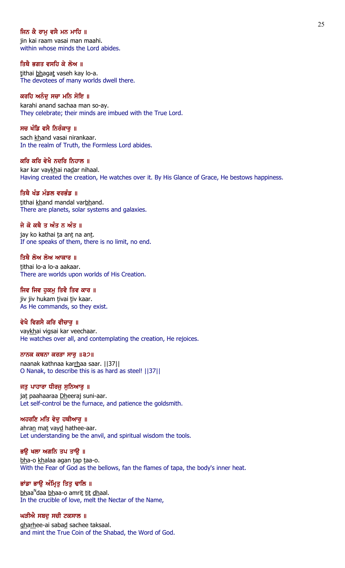# ਜਿਨ ਕੈ ਰਾਮ ਵਸੈ ਮਨ ਮਾਹਿ ॥

jin kai raam vasai man maahi. within whose minds the Lord abides.

ਤਿਥੈ ਭਗਤ ਵਸਹਿ ਕੇ ਲੋਅ ॥ tithai bhagat vaseh kay lo-a. The devotees of many worlds dwell there.

# ਕਰਹਿ ਅਨੰਦੂ ਸਚਾ ਮਨਿ ਸੋਇ ॥

karahi anand sachaa man so-ay. They celebrate; their minds are imbued with the True Lord.

# ਸਚ ਖੰਡਿ ਵਸੈ ਨਿਰੰਕਾਰ ॥

sach khand vasai nirankaar. In the realm of Truth, the Formless Lord abides.

#### ਕਰਿ ਕਰਿ ਵੇਖੈ ਨਦਰਿ ਨਿਹਾਲ ॥

kar kar vaykhai nadar nihaal. Having created the creation, He watches over it. By His Glance of Grace, He bestows happiness.

#### ਤਿਥੈ ਖੰਡ ਮੰਡਲ ਵਰਭੰਡ ॥

tithai khand mandal varbhand. There are planets, solar systems and galaxies.

ਜੇ ਕੋ ਕਥੈ ਤ ਅੰਤ ਨ ਅੰਤ ॥

jay ko kathai ta ant na ant. If one speaks of them, there is no limit, no end.

ਤਿਥੈ ਲੋਅ ਲੋਅ ਆਕਾਰ ॥ tithai lo-a lo-a aakaar. There are worlds upon worlds of His Creation.

# ਜਿਵ ਜਿਵ ਹਕਮ ਤਿਵੈ ਤਿਵ ਕਾਰ ॥

jiv jiv hukam tivai tiv kaar. As He commands, so they exist.

# ਵੇਖੈ ਵਿਗਸੈ ਕਰਿ ਵੀਚਾਰ ॥

vaykhai vigsai kar veechaar. He watches over all, and contemplating the creation, He rejoices.

### ਨਾਨਕ ਕਥਨਾ ਕਰੜਾ ਸਾਰੁ ॥੩੭॥

naanak kathnaa karrhaa saar. ||37|| O Nanak, to describe this is as hard as steel! ||37||

# ਜਤੁ ਪਾਹਾਰਾ ਧੀਰਜੁ ਸੁਨਿਆਰੁ ॥

jat paahaaraa Dheeraj suni-aar. Let self-control be the furnace, and patience the goldsmith.

# ਅਹਰਣਿ ਮਤਿ ਵੇਦੁ ਹਥੀਆਰੁ ॥

ahran mat vayd hathee-aar. Let understanding be the anvil, and spiritual wisdom the tools.

## ਭਉ ਖਲਾ ਅਗਨਿ ਤਪ ਤਾਉ ॥

bha-o khalaa agan tap taa-o. With the Fear of God as the bellows, fan the flames of tapa, the body's inner heat.

## ਭਾਂਡਾ ਭਾਉ ਅੰਮ੍ਰਿਤੂ ਤਿਤੁ ਢਾਲਿ ॥

<u>bh</u>aa<sup>n</sup>daa <u>bh</u>aa-o amri<u>t tit dh</u>aal. In the crucible of love, melt the Nectar of the Name,

### ਘੜੀਐ ਸਬਦੂ ਸਚੀ ਟਕਸਾਲ ॥

gharhee-ai sabad sachee taksaal. and mint the True Coin of the Shabad, the Word of God.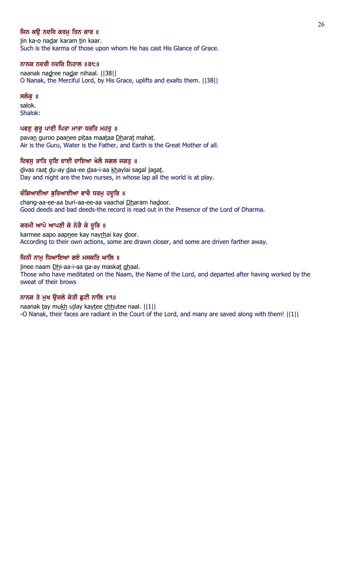# ਜਿਨ ਕੳ ਨਦਰਿ ਕਰਮ ਤਿਨ ਕਾਰ ॥

jin ka-o nadar karam tin kaar. Such is the karma of those upon whom He has cast His Glance of Grace.

# ਨਾਨਕ ਨਦਰੀ ਨਦਰਿ ਨਿਹਾਲ ॥੩੮॥

naanak nadree nadar nihaal. ||38|| O Nanak, the Merciful Lord, by His Grace, uplifts and exalts them. ||38||

# ਸਲੋਕ ॥

salok. Shalok:

# ਪਵਣੁ ਗੁਰੁ ਪਾਣੀ ਪਿਤਾ ਮਾਤਾ ਧਰਤਿ ਮਹਤੁ ॥

pavan guroo paanee pitaa maataa Dharat mahat. Air is the Guru, Water is the Father, and Earth is the Great Mother of all.

# ਦਿਵਸ ਰਾਤਿ ਦਇ ਦਾਈ ਦਾਇਆ ਖੇਲੈ ਸਗਲ ਜਗਤ ॥

divas raat du-ay daa-ee daa-i-aa khaylai sagal jagat. Day and night are the two nurses, in whose lap all the world is at play.

# ਚੰਗਿਆਈਆ ਬੁਰਿਆਈਆ ਵਾਚੈ ਧਰਮੂ ਹਦੂਰਿ ॥

chang-aa-ee-aa buri-aa-ee-aa vaachai Dharam hadoor. Good deeds and bad deeds-the record is read out in the Presence of the Lord of Dharma.

# ਕਰਮੀ ਆਪੋ ਆਪਣੀ ਕੇ ਨੇੜੈ ਕੇ ਦੂਰਿ ॥

karmee aapo aapnee kay nayrhai kay door. According to their own actions, some are drawn closer, and some are driven farther away.

# ਜਿਨੀ ਨਾਮੂ ਧਿਆਇਆ ਗਏ ਮਸਕਤਿ ਘਾਲਿ ॥

jinee naam Dhi-aa-i-aa ga-ay maskat ghaal. Those who have meditated on the Naam, the Name of the Lord, and departed after having worked by the sweat of their brows

# ਨਾਨਕ ਤੇ ਮੁਖ ਉਜਲੇ ਕੇਤੀ ਛੁਟੀ ਨਾਲਿ ॥੧॥

naanak tay mukh ujlay kaytee chhutee naal. ||1|| -O Nanak, their faces are radiant in the Court of the Lord, and many are saved along with them! ||1||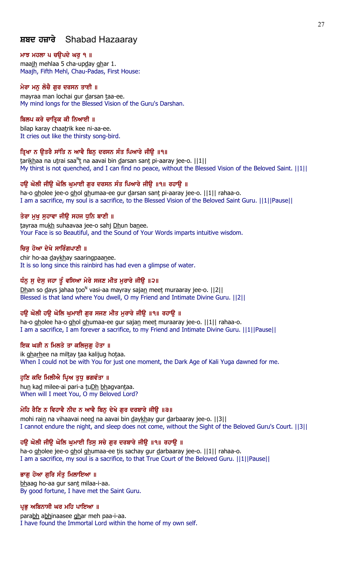# ਸ਼ਬਦ ਹਜ਼ਾਰੇ Shabad Hazaaray

#### ਮਾਝ ਮਹਲਾ ਪ ਚਉਪਦੇ ਘਰੁ ੧ ॥

maajh mehlaa 5 cha-upday ghar 1. Maajh, Fifth Mehl, Chau-Padas, First House:

#### ਮੇਰਾ ਮਨ ਲੋਚੈ ਗਰ ਦਰਸਨ ਤਾਈ ॥

mayraa man lochai gur darsan taa-ee. My mind longs for the Blessed Vision of the Guru's Darshan.

### ਬਿਲਪ ਕਰੇ ਚਾਤ੍ਰਿਕ ਕੀ ਨਿਆਈ ॥

bilap karay chaatrik kee ni-aa-ee. It cries out like the thirsty song-bird.

# ਤ੍ਰਿਖਾ ਨ ਉਤਰੈ ਸਾਂਤਿ ਨ ਆਵੈ ਬਿਨੁ ਦਰਸਨ ਸੰਤ ਪਿਆਰੇ ਜੀਉ ॥੧॥

tarikhaa na utrai saa<sup>n</sup>t na aavai bin <u>d</u>arsan sant pi-aaray jee-o. ||1|| My thirst is not quenched, and I can find no peace, without the Blessed Vision of the Beloved Saint. ||1||

#### ਹਉ ਘੋਲੀ ਜੀਉ ਘੋਲਿ ਘੁਮਾਈ ਗੁਰ ਦਰਸਨ ਸੰਤ ਪਿਆਰੇ ਜੀਉ ॥੧॥ ਰਹਾਉ ॥

ha-o gholee jee-o ghol ghumaa-ee gur darsan sant pi-aaray jee-o. ||1|| rahaa-o. I am a sacrifice, my soul is a sacrifice, to the Blessed Vision of the Beloved Saint Guru. ||1||Pause||

#### ਤੇਰਾ ਮਖ ਸਹਾਵਾ ਜੀੳ ਸਹਜ ਧਨਿ ਬਾਣੀ ॥

tayraa mukh suhaavaa jee-o sahj Dhun banee. Your Face is so Beautiful, and the Sound of Your Words imparts intuitive wisdom.

#### ਚਿਰ ਹੋਆ ਦੇਖੇ ਸਾਰਿੰਗਪਾਣੀ ॥

chir ho-aa daykhay saaringpaanee. It is so long since this rainbird has had even a glimpse of water.

#### ਧੰਨੂ ਸੁ ਦੇਸੁ ਜਹਾ ਤੂੰ ਵਸਿਆ ਮੇਰੇ ਸਜਣ ਮੀਤ ਮੁਰਾਰੇ ਜੀਉ ॥੨॥

Dhan so days jahaa too<sup>n</sup> vasi-aa mayray sajan meet muraaray jee-o. [[2][ Blessed is that land where You dwell, O my Friend and Intimate Divine Guru. ||2||

### ਹਉ ਘੋਲੀ ਹਉ ਘੋਲਿ ਘੁਮਾਈ ਗੁਰ ਸਜਣ ਮੀਤ ਮੁਰਾਰੇ ਜੀਉ ॥੧॥ ਰਹਾਉ ॥

ha-o gholee ha-o ghol ghumaa-ee gur sajan meet muraaray jee-o. ||1|| rahaa-o. I am a sacrifice, I am forever a sacrifice, to my Friend and Intimate Divine Guru. ||1||Pause||

#### ਇਕ ਘੜੀ ਨ ਮਿਲਤੇ ਤਾ ਕਲਿਜੁਗੁ ਹੋਤਾ ॥

ik gharhee na miltay taa kalijug hotaa. When I could not be with You for just one moment, the Dark Age of Kali Yuga dawned for me.

#### ਹੁਣਿ ਕਦਿ ਮਿਲੀਐ ਪ੍ਰਿਅ ਤੁਧੂ ਭਗਵੰਤਾ ॥

hun kad milee-ai pari-a tuDh bhagvantaa. When will I meet You, O my Beloved Lord?

### ਮੋਹਿ ਰੈਣਿ ਨ ਵਿਹਾਵੈ ਨੀਦ ਨ ਆਵੈ ਬਿਨੂ ਦੇਖੇ ਗੁਰ ਦਰਬਾਰੇ ਜੀਉ ॥੩॥

mohi rain na vihaavai need na aavai bin daykhay gur darbaaray jee-o. [[3]] I cannot endure the night, and sleep does not come, without the Sight of the Beloved Guru's Court. ||3||

#### ਹੳ ਘੋਲੀ ਜੀੳ ਘੋਲਿ ਘਮਾਈ ਤਿਸ ਸਚੇ ਗਰ ਦਰਬਾਰੇ ਜੀੳ ॥੧॥ ਰਹਾੳ ॥

ha-o gholee jee-o ghol ghumaa-ee tis sachay gur darbaaray jee-o. ||1|| rahaa-o. I am a sacrifice, my soul is a sacrifice, to that True Court of the Beloved Guru. ||1||Pause||

# ਭਾਗੂ ਹੋਆ ਗੁਰਿ ਸੰਤੁ ਮਿਲਾਇਆ ॥

bhaag ho-aa gur sant milaa-i-aa. By good fortune, I have met the Saint Guru.

#### ਪ੍ਰਭੂ ਅਬਿਨਾਸੀ ਘਰ ਮਹਿ ਪਾਇਆ ॥

parabh abhinaasee ghar meh paa-i-aa. I have found the Immortal Lord within the home of my own self.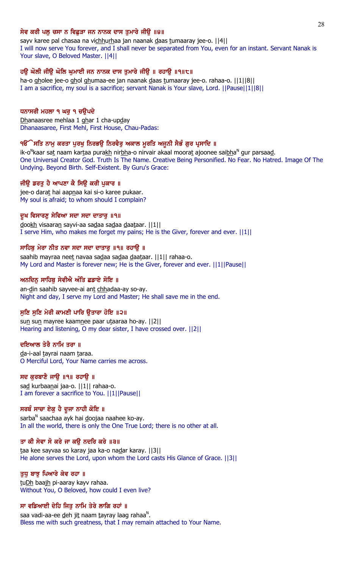## ਸੇਵ ਕਰੀ ਪਲੂ ਚਸਾ ਨ ਵਿਛੁੜਾ ਜਨ ਨਾਨਕ ਦਾਸ ਤੁਮਾਰੇ ਜੀਉ ॥੪॥

sayv karee pal chasaa na vichhurhaa jan naanak daas tumaaray jee-o. [[4]] I will now serve You forever, and I shall never be separated from You, even for an instant. Servant Nanak is Your slave, O Beloved Master. ||4||

# ਹਉ ਘੋਲੀ ਜੀਊ ਘੋਲਿ ਘੁਮਾਈ ਜਨ ਨਾਨਕ ਦਾਸ ਤੁਮਾਰੇ ਜੀਉ ॥ ਰਹਾਉ ॥੧॥੮॥

ha-o gholee jee-o ghol ghumaa-ee jan naanak daas tumaaray jee-o. rahaa-o. ||1||8|| I am a sacrifice, my soul is a sacrifice; servant Nanak is Your slave, Lord. ||Pause||1||8||

#### ਧਨਾਸਰੀ ਮਹਲਾ ੧ ਘਰੁ ੧ ਚਉਪਦੇ

Dhanaasree mehlaa 1 ghar 1 cha-upday Dhanaasaree, First Mehl, First House, Chau-Padas:

#### ੧ੳੱੇਸਤਿ ਨਾਮੁ ਕਰਤਾ ਪੁਰਖੁ ਨਿਰਭਉ ਨਿਰਵੈਰੁ ਅਕਾਲ ਮੂਰਤਿ ਅਜੂਨੀ ਸੈਭੰ ਗੁਰ ਪ੍ਰਸਾਦਿ ॥

ik-o<sup>N</sup>kaar sat naam kartaa pura<u>kh</u> nir<u>bh</u>a-o nirvair akaal moorat ajoonee sai<u>bh</u>a<sup>n</sup> gur parsaa<u>d</u>. One Universal Creator God. Truth Is The Name. Creative Being Personified. No Fear. No Hatred. Image Of The Undying. Beyond Birth. Self-Existent. By Guru's Grace:

### ਜੀਉ ਡਰਤੁ ਹੈ ਆਪਣਾ ਕੈ ਸਿਉ ਕਰੀ ਪੁਕਾਰ ॥

jee-o darat hai aapnaa kai si-o karee pukaar. My soul is afraid; to whom should I complain?

#### ਦੂਖ ਵਿਸਾਰਣੁ ਸੇਵਿਆ ਸਦਾ ਸਦਾ ਦਾਤਾਰੁ ॥੧॥

dookh visaaran sayvi-aa sadaa sadaa daataar. ||1|| I serve Him, who makes me forget my pains; He is the Giver, forever and ever. ||1||

#### ਸਾਹਿਬੂ ਮੇਰਾ ਨੀਤ ਨਵਾ ਸਦਾ ਸਦਾ ਦਾਤਾਰੂ ॥੧॥ ਰਹਾਉੁ ॥

saahib mayraa neet navaa sadaa sadaa daataar. ||1|| rahaa-o. My Lord and Master is forever new; He is the Giver, forever and ever. ||1||Pause||

#### ਅਨਦਿਨ ਸਾਹਿਬੂ ਸੇਵੀਐ ਅੰਤਿ ਛਡਾਏ ਸੋਇ ॥

an-din saahib sayvee-ai ant chhadaa-ay so-ay. Night and day, I serve my Lord and Master; He shall save me in the end.

### ਸੁਣਿ ਸੁਣਿ ਮੇਰੀ ਕਾਮਣੀ ਪਾਰਿ ਉਤਾਰਾ ਹੋਇ ॥੨॥

sun sun mayree kaamnee paar utaaraa ho-ay. | | 2 | | Hearing and listening, O my dear sister, I have crossed over. ||2||

#### ਦਇਆਲ ਤੇਰੈ ਨਾਮਿ ਤਰਾ ॥

da-i-aal tayrai naam taraa. O Merciful Lord, Your Name carries me across.

#### ਸਦ ਕੁਰਬਾਣੈ ਜਾਉ ॥੧॥ ਰਹਾਉ ॥

sa<u>d</u> kurbaanai jaa-o. ||1|| rahaa-o. I am forever a sacrifice to You. ||1||Pause||

# ਸਰਬੰ ਸਾਚਾ ਏਕੁ ਹੈ ਦੂਜਾ ਨਾਹੀ ਕੋਇ ॥

sarba<sup>n</sup> saachaa ayk hai <u>d</u>oojaa naahee ko-ay. In all the world, there is only the One True Lord; there is no other at all.

#### ਤਾ ਕੀ ਸੇਵਾ ਸੋ ਕਰੇ ਜਾ ਕਉ ਨਦਰਿ ਕਰੇ ॥੩॥

taa kee sayvaa so karay jaa ka-o nadar karay. ||3|| He alone serves the Lord, upon whom the Lord casts His Glance of Grace. ||3||

#### ਤਧ ਬਾਝ ਪਿਆਰੇ ਕੇਵ ਰਹਾ ॥

tuDh baajh pi-aaray kayv rahaa. Without You, O Beloved, how could I even live?

#### ਸਾ ਵਡਿਆਈ ਦੇਹਿ ਜਿਤੁ ਨਾਮਿ ਤੇਰੇ ਲਾਗਿ ਰਹਾਂ ॥

saa vadi-aa-ee <u>d</u>eh ji<u>t</u> naam <u>t</u>ayray laag rahaa<sup>n</sup>. Bless me with such greatness, that I may remain attached to Your Name.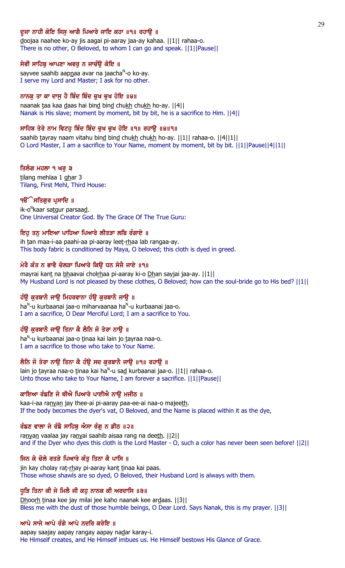# ਦੂਜਾ ਨਾਹੀ ਕੋਇ ਜਿਸੂ ਆਗੈ ਪਿਆਰੇ ਜਾਇ ਕਹਾ ॥੧॥ ਰਹਾਉ ॥

doojaa naahee ko-ay jis aagai pi-aaray jaa-ay kahaa. ||1|| rahaa-o. There is no other, O Beloved, to whom I can go and speak. ||1||Pause||

### ਸੇਵੀ ਸਾਹਿਬੂ ਆਪਣਾ ਅਵਰੂ ਨ ਜਾਚੰਉ ਕੋਇ ॥

sayvee saahib aapnaa avar na jaacha<sup>n</sup>-o ko-ay. I serve my Lord and Master; I ask for no other.

## ਨਾਨਕੁ ਤਾ ਕਾ ਦਾਸੁ ਹੈ ਬਿੰਦ ਬਿੰਦ ਚੁਖ ਚੁਖ ਹੋਇ ॥੪॥

naanak taa kaa daas hai bind bind chukh chukh ho-ay. ||4|| Nanak is His slave; moment by moment, bit by bit, he is a sacrifice to Him. ||4||

# ਸਾਹਿਬ ਤੇਰੇ ਨਾਮ ਵਿਟਹੁ ਬਿੰਦ ਬਿੰਦ ਚੁਖ ਚੁਖ ਹੋਇ ॥੧॥ ਰਹਾਉ ॥੪॥੧॥

saahib tayray naam vitahu bind bind chukh chukh ho-ay.  $||1||$  rahaa-o.  $||4||1||$ O Lord Master, I am a sacrifice to Your Name, moment by moment, bit by bit. ||1||Pause||4||1||

#### ਤਿਲੰਗ ਮਹਲਾ ੧ ਘਰੁ ੩

tilang mehlaa 1 ghar 3 Tilang, First Mehl, Third House:

### ੧**ੳੱੇ ਸਤਿਗੁਰ ਪ੍ਰਸਾਦਿ** ॥

ik-o<sup>n</sup>kaar sa<u>tg</u>ur parsaa<u>d</u>. One Universal Creator God. By The Grace Of The True Guru:

## ਇਹੁ ਤਨੁ ਮਾਇਆ ਪਾਹਿਆ ਪਿਆਰੇ ਲੀਤੜਾ ਲਬਿ ਰੰਗਾਏ ॥

ih tan maa-i-aa paahi-aa pi-aaray leet-rhaa lab rangaa-ay. This body fabric is conditioned by Maya, O beloved; this cloth is dyed in greed.

### ਮੇਰੈ ਕੰਤ ਨ ਭਾਵੈ ਚੋਲੜਾ ਪਿਆਰੇ ਕਿਉ ਧਨ ਸੇਜੈ ਜਾਏ ॥੧॥

mayrai kant na bhaavai cholrhaa pi-aaray ki-o Dhan sayjai jaa-ay. ||1|| My Husband Lord is not pleased by these clothes, O Beloved; how can the soul-bride go to His bed? ||1||

# ਹੰਉ ਕੁਰਬਾਨੈ ਜਾਉ ਮਿਹਰਵਾਨਾ ਹੰਉ ਕੁਰਬਾਨੈ ਜਾਉ ॥

ha<sup>n</sup>-u kurbaanai jaa-o miharvaanaa ha<sup>n</sup>-u kurbaanai jaa-o. I am a sacrifice, O Dear Merciful Lord; I am a sacrifice to You.

### ਹੰਉ ਕੁਰਬਾਨੈ ਜਾਉ ਤਿਨਾ ਕੈ ਲੈਨਿ ਜੋ ਤੇਰਾ ਨਾਉ ॥

ha<sup>n</sup>-u kurbaanai jaa-o <u>t</u>inaa kai lain jo <u>t</u>ayraa naa-o. I am a sacrifice to those who take to Your Name.

# ਲੈਨਿ ਜੋ ਤੇਰਾ ਨਾਉ ਤਿਨਾ ਕੈ ਹੰਉ ਸਦ ਕੁਰਬਾਨੈ ਜਾਉ ॥੧॥ ਰਹਾਉ ॥

lain jo tayraa naa-o tinaa kai ha<sup>n</sup>-u sa<u>d</u> kurbaanai jaa-o. ||1|| rahaa-o. Unto those who take to Your Name, I am forever a sacrifice. ||1||Pause||

#### ਕਾਇਆ ਰੰਙਣਿ ਜੇ ਥੀਐ ਪਿਆਰੇ ਪਾਈਐ ਨਾਉ ਮਜੀਠ ॥

kaa-i-aa ranyan jay thee-ai pi-aaray paa-ee-ai naa-o majeeth. If the body becomes the dyer's vat, O Beloved, and the Name is placed within it as the dye,

# ਰੰਙਣ ਵਾਲਾ ਜੇ ਰੰਙੈ ਸਾਹਿਬੁ ਐਸਾ ਰੰਗੁ ਨ ਡੀਠ ॥੨॥

ranyan vaalaa jay ranyai saahib aisaa rang na deeth. | | 2 | | and if the Dyer who dyes this cloth is the Lord Master - O, such a color has never been seen before! ||2||

## ਜਿਨ ਕੇ ਚੋਲੇ ਰਤੜੇ ਪਿਆਰੇ ਕੰਤੁ ਤਿਨਾ ਕੈ ਪਾਸਿ ॥

jin kay cholay rat-rhay pi-aaray kant tinaa kai paas. Those whose shawls are so dyed, O Beloved, their Husband Lord is always with them.

### ਧੁੜਿ ਤਿਨਾ ਕੀ ਜੇ ਮਿਲੈ ਜੀ ਕਹੁ ਨਾਨਕ ਕੀ ਅਰਦਾਸਿ ॥੩॥

Dhoorh tinaa kee jay milai jee kaho naanak kee ardaas. ||3|| Bless me with the dust of those humble beings, O Dear Lord. Says Nanak, this is my prayer. ||3||

### ਆਪੇ ਸਾਜੇ ਆਪੇ ਰੰਗੇ ਆਪੇ ਨਦਰਿ ਕਰੇਇ ॥

aapay saajay aapay rangay aapay nadar karay-i. He Himself creates, and He Himself imbues us. He Himself bestows His Glance of Grace.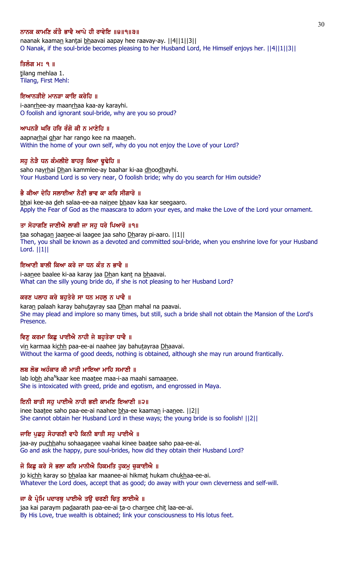# ਨਾਨਕ ਕਾਮਣਿ ਕੰਤੈ ਭਾਵੈ ਆਪੇ ਹੀ ਰਾਵੇਇ ॥੪॥੧॥੩॥

naanak kaaman kantai bhaavai aapay hee raavay-ay. [[4][1][3]] O Nanak, if the soul-bride becomes pleasing to her Husband Lord, He Himself enjoys her. ||4||1||3||

### ਤਿਲੰਗ ਮਃ ੧ ॥

tilang mehlaa 1. Tilang, First Mehl:

# ਇਆਨੜੀਏ ਮਾਨੜਾ ਕਾਇ ਕਰੇਹਿ ॥

i-aanrhee-ay maanrhaa kaa-ay karayhi. O foolish and ignorant soul-bride, why are you so proud?

# ਆਪਨੜੈ ਘਰਿ ਹਰਿ ਰੰਗੋ ਕੀ ਨ ਮਾਣੇਹਿ ॥

aapnarhai ghar har rango kee na maaneh. Within the home of your own self, why do you not enjoy the Love of your Lord?

# ਸਹ ਨੇੜੈ ਧਨ ਕੰਮਲੀਏ ਬਾਹਰ ਕਿਆ ਢਢੇਹਿ ॥

saho nayrhai Dhan kammlee-ay baahar ki-aa dhoodhayhi. Your Husband Lord is so very near, O foolish bride; why do you search for Him outside?

# ਭੈ ਕੀਆ ਦੇਹਿ ਸਲਾਈਆ ਨੈਣੀ ਭਾਵ ਕਾ ਕਰਿ ਸੀਗਾਰੋ ॥

bhai kee-aa deh salaa-ee-aa nainee bhaav kaa kar seegaaro. Apply the Fear of God as the maascara to adorn your eyes, and make the Love of the Lord your ornament.

# ਤਾ ਸੋਹਾਗਣਿ ਜਾਣੀਐ ਲਾਗੀ ਜਾ ਸਹ ਧਰੇ ਪਿਆਰੋ ॥੧॥

taa sohagan jaanee-ai laagee jaa saho Dharay pi-aaro. ||1|| Then, you shall be known as a devoted and committed soul-bride, when you enshrine love for your Husband Lord. ||1||

# ਇਆਣੀ ਬਾਲੀ ਕਿਆ ਕਰੇ ਜਾ ਧਨ ਕੰਤ ਨ ਭਾਵੈ ॥

i-aanee baalee ki-aa karay jaa Dhan kant na bhaavai. What can the silly young bride do, if she is not pleasing to her Husband Lord?

# ਕਰਣ ਪਲਾਹ ਕਰੇ ਬਹੁਤੇਰੇ ਸਾ ਧਨ ਮਹਲੂ ਨ ਪਾਵੈ ॥

karan palaah karay bahutayray saa Dhan mahal na paavai. She may plead and implore so many times, but still, such a bride shall not obtain the Mansion of the Lord's Presence.

# ਵਿਣੂ ਕਰਮਾ ਕਿਛੂ ਪਾਈਐ ਨਾਹੀ ਜੇ ਬਹੁਤੇਰਾ ਧਾਵੈ ॥

vin karmaa kichh paa-ee-ai naahee jay bahutayraa Dhaavai. Without the karma of good deeds, nothing is obtained, although she may run around frantically.

# ਲਬ ਲੋਭ ਅਹੰਕਾਰ ਕੀ ਮਾਤੀ ਮਾਇਆ ਮਾਹਿ ਸਮਾਣੀ ॥

lab lo<u>bh</u> aha<sup>n</sup>kaar kee maa<u>t</u>ee maa-i-aa maahi samaa<u>n</u>ee. She is intoxicated with greed, pride and egotism, and engrossed in Maya.

# ਇਨੀ ਬਾਤੀ ਸਹ ਪਾਈਐ ਨਾਹੀ ਭਈ ਕਾਮਣਿ ਇਆਣੀ ॥੨॥

inee baatee saho paa-ee-ai naahee bha-ee kaaman i-aanee. ||2|| She cannot obtain her Husband Lord in these ways; the young bride is so foolish! ||2||

# ਜਾਇ ਪੁਛਹੁ ਸੋਹਾਗਣੀ ਵਾਹੈ ਕਿਨੀ ਬਾਤੀ ਸਹੁ ਪਾਈਐ ॥

jaa-ay puchhahu sohaaganee vaahai kinee baatee saho paa-ee-ai. Go and ask the happy, pure soul-brides, how did they obtain their Husband Lord?

# ਜੋ ਕਿਛੂ ਕਰੇ ਸੋ ਭਲਾ ਕਰਿ ਮਾਨੀਐ ਹਿਕਮਤਿ ਹੁਕਮੂ ਚੁਕਾਈਐ ॥

jo kichh karay so bhalaa kar maanee-ai hikmat hukam chukhaa-ee-ai. Whatever the Lord does, accept that as good; do away with your own cleverness and self-will.

# ਜਾ ਕੈ ਪ੍ਰੇਮਿ ਪਦਾਰਥੂ ਪਾਈਐ ਤਉ ਚਰਣੀ ਚਿਤੂ ਲਾਈਐ ॥

jaa kai paraym padaarath paa-ee-ai ta-o charnee chit laa-ee-ai. By His Love, true wealth is obtained; link your consciousness to His lotus feet.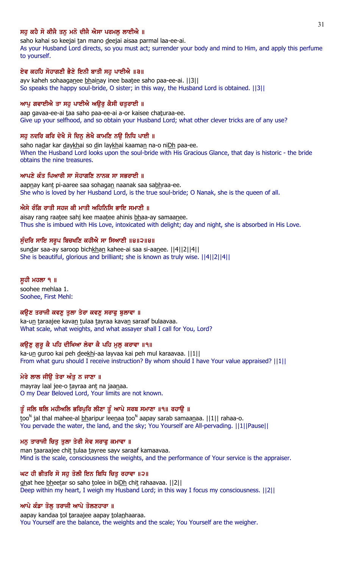# ਸਹ ਕਹੈ ਸੋ ਕੀਜੈ ਤਨ ਮਨੋ ਦੀਜੈ ਐਸਾ ਪਰਮਲ ਲਾਈਐ ॥

saho kahai so keejai tan mano deejai aisaa parmal laa-ee-ai.

As your Husband Lord directs, so you must act; surrender your body and mind to Him, and apply this perfume to yourself.

## ਏਵ ਕਹਹਿ ਸੋਹਾਗਣੀ ਭੈਣੇ ਇਨੀ ਬਾਤੀ ਸਹ ਪਾਈਐ ॥੩॥

ayv kaheh sohaaganee bhainay inee baatee saho paa-ee-ai. ||3|| So speaks the happy soul-bride, O sister; in this way, the Husband Lord is obtained. ||3||

#### ਆਪੂ ਗਵਾਈਐ ਤਾ ਸਹੂ ਪਾਈਐ ਅਉਰੂ ਕੈਸੀ ਚਤੁਰਾਈ ॥

aap gavaa-ee-ai taa saho paa-ee-ai a-or kaisee chaturaa-ee. Give up your selfhood, and so obtain your Husband Lord; what other clever tricks are of any use?

## ਸਹੂ ਨਦਰਿ ਕਰਿ ਦੇਖੈ ਸੋ ਦਿਨੂ ਲੇਖੈ ਕਾਮਣਿ ਨਉ ਨਿਧਿ ਪਾਈ ॥

saho nadar kar daykhai so din laykhai kaaman na-o niDh paa-ee. When the Husband Lord looks upon the soul-bride with His Gracious Glance, that day is historic - the bride obtains the nine treasures.

#### ਆਪਣੇ ਕੰਤ ਪਿਆਰੀ ਸਾ ਸੋਹਾਗਣਿ ਨਾਨਕ ਸਾ ਸਭਰਾਈ ॥

aapnay kant pi-aaree saa sohagan naanak saa sabhraa-ee. She who is loved by her Husband Lord, is the true soul-bride; O Nanak, she is the queen of all.

### ਐਸੇ ਰੰਗਿ ਰਾਤੀ ਸਹਜ ਕੀ ਮਾਤੀ ਅਹਿਨਿਸਿ ਭਾਇ ਸਮਾਣੀ ॥

aisay rang raatee sahj kee maatee ahinis bhaa-ay samaanee. Thus she is imbued with His Love, intoxicated with delight; day and night, she is absorbed in His Love.

### ਸੁੰਦਰਿ ਸਾਇ ਸਰੂਪ ਬਿਚਖਣਿ ਕਹੀਐ ਸਾ ਸਿਆਣੀ ॥੪॥੨॥੪॥

sundar saa-ay saroop bichkhan kahee-ai saa si-aanee. [[4][2][4]] She is beautiful, glorious and brilliant; she is known as truly wise. ||4||2||4||

#### ਸੁਹੀ ਮਹਲਾ ੧ ॥

soohee mehlaa 1. Soohee, First Mehl:

#### ਕਉਣ ਤਰਾਜੀ ਕਵਣੂ ਤੁਲਾ ਤੇਰਾ ਕਵਣੂ ਸਰਾਫੂ ਬੁਲਾਵਾ ॥

ka-un taraajee kavan tulaa tayraa kavan saraaf bulaavaa. What scale, what weights, and what assayer shall I call for You, Lord?

### ਕਉਣੂ ਗੁਰੂ ਕੈ ਪਹਿ ਦੀਖਿਆ ਲੇਵਾ ਕੈ ਪਹਿ ਮੁਲੂ ਕਰਾਵਾ ॥੧॥

ka-un guroo kai peh deekhi-aa layvaa kai peh mul karaavaa. ||1|| From what guru should I receive instruction? By whom should I have Your value appraised? ||1||

# ਮੇਰੇ ਲਾਲ ਜੀੳ ਤੇਰਾ ਅੰਤ ਨ ਜਾਣਾ ॥

mayray laal jee-o tayraa ant na jaanaa. O my Dear Beloved Lord, Your limits are not known.

# ਤੂੰ ਜਲਿ ਥਲਿ ਮਹੀਅਲਿ ਭਰਿਪੁਰਿ ਲੀਣਾ ਤੂੰ ਆਪੇ ਸਰਬ ਸਮਾਣਾ ॥੧॥ ਰਹਾਉ ॥

too<sup>n</sup> jal thal mahee-al <u>bh</u>aripur leenaa too<sup>n</sup> aapay sarab samaanaa. ||1|| rahaa-o. You pervade the water, the land, and the sky; You Yourself are All-pervading. ||1||Pause||

### ਮਨੁ ਤਾਰਾਜੀ ਚਿਤੁ ਤੁਲਾ ਤੇਰੀ ਸੇਵ ਸਰਾਫੁ ਕਮਾਵਾ ॥

man taaraajee chit tulaa tayree sayv saraaf kamaavaa. Mind is the scale, consciousness the weights, and the performance of Your service is the appraiser.

## ਘਟ ਹੀ ਭੀਤਰਿ ਸੋ ਸਹ ਤੋਲੀ ਇਨ ਬਿਧਿ ਚਿਤ ਰਹਾਵਾ ॥੨॥

ghat hee bheetar so saho tolee in biDh chit rahaavaa. [2] Deep within my heart, I weigh my Husband Lord; in this way I focus my consciousness. ||2||

### ਆਪੇ ਕੰਡਾ ਤੋਲੂ ਤਰਾਜੀ ਆਪੇ ਤੋਲਣਹਾਰਾ ॥

aapay kandaa tol taraajee aapay tolanhaaraa. You Yourself are the balance, the weights and the scale; You Yourself are the weigher.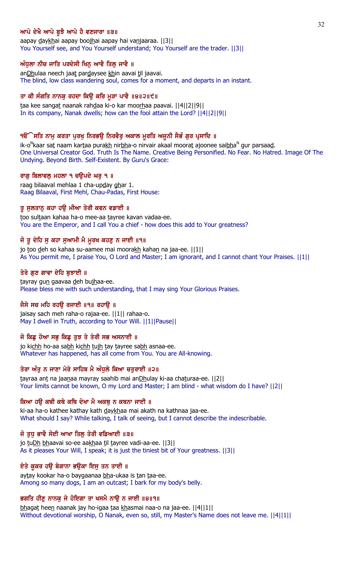# ਆਪੇ ਦੇਖੈ ਆਪੇ ਬੂਝੈ ਆਪੇ ਹੈ ਵਣਜਾਰਾ ॥੩॥

aapay daykhai aapay boojhai aapay hai vanjaaraa. ||3|| You Yourself see, and You Yourself understand; You Yourself are the trader. ||3||

## ਅੰਧੁਲਾ ਨੀਚ ਜਾਤਿ ਪਰਦੇਸੀ ਖਿਨੂ ਆਵੈ ਤਿਲ੍ਹ ਜਾਵੈ ॥

anDhulaa neech jaat pardaysee khin aavai til jaavai. The blind, low class wandering soul, comes for a moment, and departs in an instant.

## ਤਾ ਕੀ ਸੰਗਤਿ ਨਾਨਕੁ ਰਹਦਾ ਕਿਉ ਕਰਿ ਮੂੜਾ ਪਾਵੈ ॥੪॥੨॥੯॥

taa kee sangat naanak rahdaa ki-o kar moorhaa paavai. ||4||2||9|| In its company, Nanak dwells; how can the fool attain the Lord? ||4||2||9||

#### ੧ੳੱੇਸਤਿ ਨਾਮੂ ਕਰਤਾ ਪੂਰਖੂ ਨਿਰਭਉ ਨਿਰਵੈਰੂ ਅਕਾਲ ਮੁਰਤਿ ਅਜੂਨੀ ਸੈਭੰ ਗੁਰ ਪ੍ਰਸਾਦਿ ॥

ik-o<sup>N</sup>kaar sa<u>t</u> naam kar<u>t</u>aa pura<u>kh</u> nir<u>bh</u>a-o nirvair akaal moora<u>t</u> ajoonee sai<u>bh</u>a<sup>n</sup> gur parsaa<u>d</u>. One Universal Creator God. Truth Is The Name. Creative Being Personified. No Fear. No Hatred. Image Of The Undying. Beyond Birth. Self-Existent. By Guru's Grace:

# ਰਾਗੁ ਬਿਲਾਵਲੁ ਮਹਲਾ ੧ ਚਉਪਦੇ ਘਰੁ ੧ ॥

raag bilaaval mehlaa 1 cha-upday ghar 1. Raag Bilaaval, First Mehl, Chau-Padas, First House:

#### ਤੂ ਸੁਲਤਾਨੂ ਕਹਾ ਹਉ ਮੀਆ ਤੇਰੀ ਕਵਨ ਵਡਾਈ ॥

too sultaan kahaa ha-o mee-aa tayree kavan vadaa-ee. You are the Emperor, and I call You a chief - how does this add to Your greatness?

## ਜੋ ਤੂ ਦੇਹਿ ਸੁ ਕਹਾ ਸੁਆਮੀ ਮੈ ਮੁਰਖ ਕਹਣੁ ਨ ਜਾਈ ॥੧॥

jo too deh so kahaa su-aamee mai moorakh kahan na jaa-ee.  $||1||$ As You permit me, I praise You, O Lord and Master; I am ignorant, and I cannot chant Your Praises. ||1||

#### ਤੇਰੇ ਗੁਣ ਗਾਵਾ ਦੇਹਿ ਬੁਝਾਈ ॥

tayray gun gaavaa deh bujhaa-ee. Please bless me with such understanding, that I may sing Your Glorious Praises.

#### ਜੈਸੇ ਸਚ ਮਹਿ ਰਹਉ ਰਜਾਈ ॥੧॥ ਰਹਾਉ ॥

jaisay sach meh raha-o rajaa-ee. ||1|| rahaa-o. May I dwell in Truth, according to Your Will. ||1||Pause||

## ਜੋ ਕਿਛੂ ਹੋਆ ਸਭੂ ਕਿਛੂ ਤੁਝ ਤੇ ਤੇਰੀ ਸਭ ਅਸਨਾਈ ॥

jo kichh ho-aa sabh kichh tujh tay tayree sabh asnaa-ee. Whatever has happened, has all come from You. You are All-knowing.

#### ਤੇਰਾ ਅੰਤੁ ਨ ਜਾਣਾ ਮੇਰੇ ਸਾਹਿਬ ਮੈ ਅੰਧੁਲੇ ਕਿਆ ਚਤੁਰਾਈ ॥੨॥

tayraa ant na jaanaa mayray saahib mai anDhulay ki-aa chaturaa-ee. [[2]] Your limits cannot be known, O my Lord and Master; I am blind - what wisdom do I have? ||2||

#### ਕਿਆ ਹਉ ਕਥੀ ਕਥੇ ਕਥਿ ਦੇਖਾ ਮੈ ਅਕਥੂ ਨ ਕਥਨਾ ਜਾਈ ॥

ki-aa ha-o kathee kathay kath daykhaa mai akath na kathnaa jaa-ee. What should I say? While talking, I talk of seeing, but I cannot describe the indescribable.

### ਜੋ ਤੁਧ ਭਾਵੈ ਸੋਈ ਆਖਾ ਤਿਲ੍ਹ ਤੇਰੀ ਵਡਿਆਈ ॥੩॥

jo tuDh bhaavai so-ee aakhaa til tayree vadi-aa-ee. [[3]] As it pleases Your Will, I speak; it is just the tiniest bit of Your greatness. ||3||

#### ਏਤੇ ਕੁਕਰ ਹਉ ਬੇਗਾਨਾ ਭਉਕਾ ਇਸੁ ਤਨ ਤਾਈ ॥

aytay kookar ha-o baygaanaa bha-ukaa is tan taa-ee. Among so many dogs, I am an outcast; I bark for my body's belly.

#### ਭਗਤਿ ਹੀਣੂ ਨਾਨਕੂ ਜੇ ਹੋਇਗਾ ਤਾ ਖਸਮੈ ਨਾਉ ਨ ਜਾਈ ॥੪॥੧॥

bhagat heen naanak jay ho-igaa taa khasmai naa-o na jaa-ee. [[4][1]] Without devotional worship, O Nanak, even so, still, my Master's Name does not leave me. ||4||1||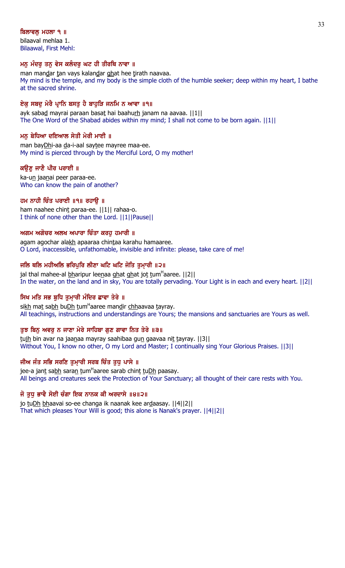# ਬਿਲਾਵਲ ਮਹਲਾ ੧ ॥

bilaaval mehlaa 1. Bilaawal, First Mehl:

# <u>ਮਨ</u> ਮੰਦਰੂ ਤਨ ਵੇਸ ਕਲੰਦਰੂ ਘਟ ਹੀ ਤੀਰਥਿ ਨਾਵਾ ॥

man mandar tan vays kalandar ghat hee tirath naavaa. My mind is the temple, and my body is the simple cloth of the humble seeker; deep within my heart, I bathe at the sacred shrine.

# ਏਕ ਸਬਦੁ ਮੇਰੈ ਪ੍ਰਾਨਿ ਬਸਤੁ ਹੈ ਬਾਹੁੜਿ ਜਨਮਿ ਨ ਆਵਾ ॥੧॥

ayk sabad mayrai paraan basat hai baahurh janam na aavaa. ||1|| The One Word of the Shabad abides within my mind; I shall not come to be born again. ||1||

# ਮਨੂ ਬੇਧਿਆ ਦਇਆਲ ਸੇਤੀ ਮੇਰੀ ਮਾਈ ॥

man bayDhi-aa da-i-aal saytee mayree maa-ee. My mind is pierced through by the Merciful Lord, O my mother!

# ਕੳਣ ਜਾਣੈ ਪੀਰ ਪਰਾਈ ॥

ka-un jaanai peer paraa-ee. Who can know the pain of another?

# ਹਮ ਨਾਹੀ ਚਿੰਤ ਪਰਾਈ ॥੧॥ ਰਹਾੳ ॥

ham naahee chint paraa-ee. ||1|| rahaa-o. I think of none other than the Lord. ||1||Pause||

# ਅਗਮ ਅਗੋਚਰ ਅਲਖ ਅਪਾਰਾ ਚਿੰਤਾ ਕਰਹ ਹਮਾਰੀ ॥

agam agochar alakh apaaraa chintaa karahu hamaaree. O Lord, inaccessible, unfathomable, invisible and infinite: please, take care of me!

# ਜਲਿ ਥਲਿ ਮਹੀਅਲਿ ਭਰਿਪੁਰਿ ਲੀਣਾ ਘਟਿ ਘਟਿ ਜੋਤਿ ਤੁਮਾਰੀ ॥੨॥

jal thal mahee-al <u>bh</u>aripur lee<u>n</u>aa <u>gh</u>at ghat jo<u>t</u> tum<sup>H</sup>aaree. [[2][ In the water, on the land and in sky, You are totally pervading. Your Light is in each and every heart. ||2||

# ਸਿਖ ਮਤਿ ਸਭ ਬੁਧਿ ਤੁਮਾਰੀ ਮੰਦਿਰ ਛਾਵਾ ਤੇਰੇ ॥

si<u>kh</u> ma<u>t</u> sa<u>bh</u> bu<u>Dh t</u>um<sup>H</sup>aaree man<u>d</u>ir <u>chh</u>aavaa tayray. All teachings, instructions and understandings are Yours; the mansions and sanctuaries are Yours as well.

# ਤੁਝ ਬਿਨੁ ਅਵਰੁ ਨ ਜਾਣਾ ਮੇਰੇ ਸਾਹਿਬਾ ਗੁਣ ਗਾਵਾ ਨਿਤ ਤੇਰੇ ॥੩॥

tujh bin avar na jaanaa mayray saahibaa gun gaavaa nit tayray. ||3|| Without You, I know no other, O my Lord and Master; I continually sing Your Glorious Praises. ||3||

# ਜੀਅ ਜੰਤ ਸਭਿ ਸਰਣਿ ਤੁਮਾਰੀ ਸਰਬ ਚਿੰਤ ਤੁਧੁ ਪਾਸੇ ॥

jee-a jan<u>t</u> sa<u>bh</u> sara<u>n t</u>um<sup>H</sup>aaree sarab chin<u>t t</u>u<u>Dh</u> paasay. All beings and creatures seek the Protection of Your Sanctuary; all thought of their care rests with You.

# ਜੋ ਤੁਧੂ ਭਾਵੈ ਸੋਈ ਚੰਗਾ ਇਕ ਨਾਨਕ ਕੀ ਅਰਦਾਸੇ ॥੪॥੨॥

jo tuDh bhaavai so-ee changa ik naanak kee ardaasay. ||4||2|| That which pleases Your Will is good; this alone is Nanak's prayer. ||4||2||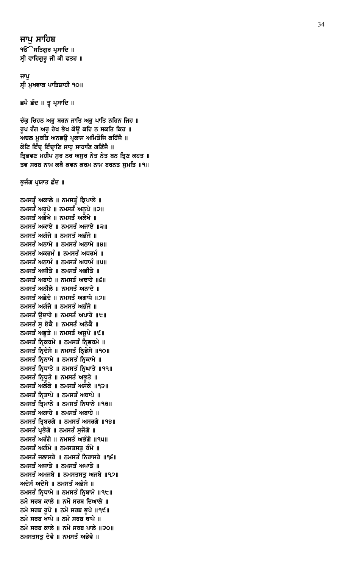ਜਾਪ ਸਾਹਿਬ ੧**ੳ**ੇਸਤਿਗੁਰ ਪ੍ਰਸਾਦਿ ॥ ਸ੍ਰੀ ਵਾਹਿਗੁਰੂ ਜੀ ਕੀ ਫਤਹ ॥

ਜਾਪ ਸ੍ਰੀ ਮੁਖਵਾਕ ਪਾਤਿਸ਼ਾਹੀ ੧੦॥

ਛਪੈ ਛੰਦ ॥ ਤ੍ਰ ਪ੍ਰਸਾਦਿ ॥

ਚੱਕ੍ਰ ਚਿਹਨ ਅਰੁ ਬਰਨ ਜਾਤਿ ਅਰੁ ਪਾਤਿ ਨਹਿਨ ਜਿਹ ॥ ਰੂਪ ਰੰਗ ਅਰੂ ਰੇਖ ਭੇਖ ਕੋਉ ਕਹਿ ਨ ਸਕਤਿ ਕਿਹ ॥ ਅਚਲ ਮੁਰਤਿ ਅਨਭਉ ਪ੍ਰਕਾਸ ਅਮਿਤੋਜਿ ਕਹਿੱਜੈ ॥ ਕੋਟਿ ਇੰਦ੍ਰ ਇੰਦ੍ਰਾਣਿ ਸਾਹੁ ਸਾਹਾਣਿ ਗਣਿੱਜੈ ॥ ਤ੍ਰਿਭਵਣ ਮਹੀਪ ਸੁਰ ਨਰ ਅਸੁਰ ਨੇਤ ਨੇਤ ਬਨ ਤ੍ਰਿਣ ਕਹਤ ॥ ਤਵ ਸਰਬ ਨਾਮ ਕਥੈ ਕਵਨ ਕਰਮ ਨਾਮ ਬਰਨਤ ਸਮਤਿ ॥੧॥

ਭੁਜੰਗ ਪ੍ਰਯਾਤ ਛੰਦ ॥

ਨਮਸਤੂੰ ਅਕਾਲੇ ॥ ਨਮਸਤੂੰ ਕ੍ਰਿਪਾਲੇ ॥ ਨਮਸਤੰ ਅਰੁਪੇ ॥ ਨਮਸਤੰ ਅਨੁਪੇ ॥੨॥ ਨਮਸਤੰ ਅਭੇਖੇ ॥ ਨਮਸਤੰ ਅਲੇਖੇ ॥ ਨਮਸਤੰ ਅਕਾਏ ॥ ਨਮਸਤੰ ਅਜਾਏ ॥੩॥ ਨਮਸਤੰ ਅਗੰਜੇ ॥ ਨਮਸਤੰ ਅਭੰਜੇ ॥ ਨਮਸਤੰ ਅਨਾਮੇ ॥ ਨਮਸਤੰ ਅਠਾਮੇ ॥੪॥ ਨਮਸਤੰ ਅਕਰਮੰ ॥ ਨਮਸਤੰ ਅਧਰਮੰ ॥ ਨਮਸਤੰ ਅਨਾਮੰ ॥ ਨਮਸਤੰ ਅਧਾਮੰ ॥੫॥ ਨਮਸਤੰ ਅਜੀਤੇ ॥ ਨਮਸਤੰ ਅਭੀਤੇ ॥ ਨਮਸਤੰ ਅਬਾਹੇ ॥ ਨਮਸਤੰ ਅਢਾਹੇ ॥੬॥ ਨਮਸਤੰ ਅਨੀਲੇ ॥ ਨਮਸਤੰ ਅਨਾਦੇ ॥ ਨਮਸਤੰ ਅਛੇਦੇ ॥ ਨਮਸਤੰ ਅਗਾਧੇ ॥੭॥ ਨਮਸਤੰ ਅਗੰਜੇ ॥ ਨਮਸਤੰ ਅਭੰਜੇ ॥ ਨਮਸਤੰ ਉਦਾਰੇ ॥ ਨਮਸਤੰ ਅਪਾਰੇ ॥੮॥ ਨਮਸਤੰ ਸੁ ਏਕੈ ॥ ਨਮਸਤੰ ਅਨੇਕੈ ॥ ਨਮਸਤੰ ਅਭੁਤੇ ॥ ਨਮਸਤੰ ਅਜੁਪੇ ॥੯॥ ਨਮਸਤੰ ਨ੍ਰਿਕਰਮੇ ॥ ਨਮਸਤੰ ਨ੍ਰਿਭਰਮੇ ॥ ਨਮਸਤੰ ਨ੍ਰਿਦੇਸੇ ॥ ਨਮਸਤੰ ਨ੍ਰਿਭੇਸੇ ॥੧੦॥ ਨਮਸਤੰ ਨ੍ਰਿਨਾਮੇ ॥ ਨਮਸਤੰ ਨ੍ਰਿਕਾਮੇ ॥ ਨਮਸਤੰ ਨ੍ਰਿਧਾਤੇ ॥ ਨਮਸਤੰ ਨ੍ਰਿਘਾਤੇ ॥੧੧॥ ਨਮਸਤੰ ਨ੍ਰਿਧੁਤੇ ॥ ਨਮਸਤੰ ਅਭੁਤੇ ॥ ਨਮਸਤੰ ਅਲੋਕੇ ॥ ਨਮਸਤੰ ਅਸੋਕੇ ॥੧੨॥ ਨਮਸਤੰ ਨਿਤਾਪੇ ॥ ਨਮਸਤੰ ਅਥਾਪੇ ॥ ਨਮਸਤੰ ਤ੍ਰਿਮਾਨੇ ॥ ਨਮਸਤੰ ਨਿਧਾਨੇ ॥੧੩॥ ਨਮਸਤੰ ਅਗਾਹੇ ॥ ਨਮਸਤੰ ਅਬਾਹੇ ॥ ਨਮਸਤੰ ਤਿਬਰਗੇ ॥ ਨਮਸਤੰ ਅਸਰਗੇ ॥੧੪॥ ਨਮਸਤੰ ਪ੍ਰਭੋਗੇ ॥ ਨਮਸਤੰ ਸਜੋਗੇ ॥ ਨਮਸਤੰ ਅਰੰਗੇ ॥ ਨਮਸਤੰ ਅਭੰਗੇ ॥੧੫॥ ਨਮਸਤੰ ਅਗੰਮੇ ॥ ਨਮਸਤਸਤ ਰੰਮੇ ॥ ਨਮਸਤੰ ਜਲਾਸਰੇ ॥ ਨਮਸਤੰ ਨਿਰਾਸਰੇ ॥੧੬॥ ਨਮਸਤੰ ਅਜਾਤੇ ॥ ਨਮਸਤੰ ਅਪਾਤੇ ॥ ਨਮਸਤੰ ਅਮਜਬੇ ॥ ਨਮਸਤਸਤ ਅਜਬੇ ॥੧੭॥ ਅਦੇਸੰ ਅਦੇਸੇ ॥ ਨਮਸਤੰ ਅਭੇਸੇ ॥ ਨਮਸਤੰ ਨਿਧਾਮੇ ॥ ਨਮਸਤੰ ਨਿਬਾਮੇ ॥੧੮॥ ਨਮੋ ਸਰਬ ਕਾਲੇ ॥ ਨਮੋ ਸਰਬ ਦਿਆਲੇ ॥ ਨਮੋ ਸਰਬ ਰੁਪੇ ॥ ਨਮੋ ਸਰਬ ਭੁਪੇ ॥੧੯॥ ਨਮੋ ਸਰਬ ਖਾਪੇ ॥ ਨਮੋ ਸਰਬ ਥਾਪੇ ॥ ਨਮੋ ਸਰਬ ਕਾਲੇ ॥ ਨਮੋ ਸਰਬ ਪਾਲੇ ॥੨੦॥ ਨਮਸਤਸਤੁ ਦੇਵੈ ॥ ਨਮਸਤੰ ਅਭੇਵੈ ॥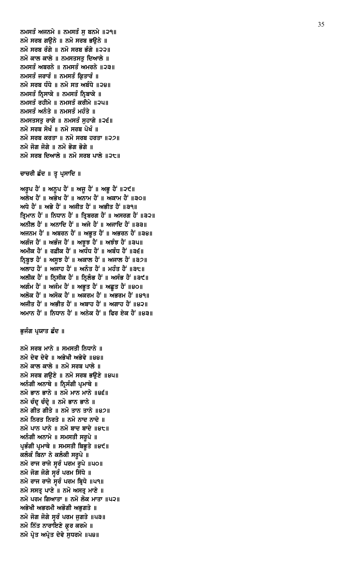ਨਮੋ ਸਰਬ ਮਾਨੇ ॥ ਸਮਸਤੀ ਨਿਧਾਨੇ ॥ ਨਮੋ ਦੇਵ ਦੇਵੇ ॥ ਅਭੇਖੀ ਅਭੇਵੇ ॥੪੪॥ ਨਮੋ ਕਾਲ ਕਾਲੇ ॥ ਨਮੋ ਸਰਬ ਪਾਲੇ ॥ ਨਮੋ ਸਰਬ ਗੳਣੇ ॥ ਨਮੋ ਸਰਬ ਭਉਣੇ ॥੪੫॥ ਅਨੰਗੀ ਅਨਾਥੇ ॥ ਨ੍ਰਿਸੰਗੀ ਪ੍ਰਮਾਥੇ ॥ ਨਮੋ ਭਾਨ ਭਾਨੇ ॥ ਨਮੋ ਮਾਨ ਮਾਨੇ ॥੪੬॥ ਨਮੋ ਚੰਦ ਚੰਦੇ ॥ ਨਮੋ ਭਾਨ ਭਾਨੇ ॥ ਨਮੋ ਗੀਤ ਗੀਤੇ ॥ ਨਮੋ ਤਾਨ ਤਾਨੇ ॥੪੭॥ ਨਮੋ ਨਿਰਤ ਨਿਰਤੇ ॥ ਨਮੋ ਨਾਦ ਨਾਦੇ ॥ ਨਮੋ ਪਾਨ ਪਾਨੇ ॥ ਨਮੋ ਬਾਦ ਬਾਦੇ ॥੪੮॥ ਅਨੰਗੀ ਅਨਾਮੇ ॥ ਸਮਸਤੀ ਸਰੂਪੇ ॥ ਪ੍ਰਭੰਗੀ ਪ੍ਰਮਾਥੇ ॥ ਸਮਸਤੀ ਬਿਭੁਤੇ ॥੪੯॥ ਕਲੰਕੰ ਬਿਨਾ ਨੇ ਕਲੰਕੀ ਸਰੂਪੇ ॥ ਨਮੋ ਰਾਜ ਰਾਜੇ ਸੁਰੰ ਪਰਮ ਰੁਪੇ ॥੫੦॥ ਨਮੋ ਜੋਗ ਜੋਗੇ ਸੁੱਚੰ ਪਰਮ ਸਿੱਧੇ ॥ ਨਮੋ ਰਾਜ ਰਾਜੇ ਸੁਰੰ ਪਰਮ ਬ੍ਰਿਧੇ ॥ਪ੧॥ ਨਮੋ ਸਸਤ੍ਰ ਪਾਣੇ ॥ ਨਮੋ ਅਸਤ੍ਰ ਮਾਣੇ ॥ ਨਮੋ ਪਰਮ ਗਿਆਤਾ ॥ ਨਮੋ ਲੋਕ ਮਾਤਾ ॥੫੨॥ ਅਭੇਖੀ ਅਭਰਮੀ ਅਭੋਗੀ ਅਭਗਤੇ ॥ ਨਮੋ ਜੋਗ ਜੋਗੇ ਸੁਰੰ ਪਰਮ ਜੁਗਤੇ ॥੫੩॥ ਨਮੋ ਨਿੱਤ ਨਾਰਾਇਣੇ ਕ੍ਰਰ ਕਰਮੇ ॥ ਨਮੋ ਪ੍ਰੇਤ ਅਪ੍ਰੇਤ ਦੇਵੇ ਸੁਧਰਮੇ ॥ਪ੪॥

# ਭੁਜੰਗ ਪ੍ਰਯਾਤ ਛੰਦ ॥

ਅਲੇਖ ਹੈਂ ॥ ਅਭੇਖ ਹੈਂ ॥ ਅਨਾਮ ਹੈਂ ॥ ਅਕਾਮ ਹੈਂ ॥੩੦॥ ਅਧੇ ਹੈਂ ॥ ਅਭੇ ਹੈਂ ॥ ਅਜੀਤ ਹੈਂ ॥ ਅਭੀਤ ਹੈਂ ॥੩੧॥ ਤ੍ਰਿਮਾਨ ਹੈਂ ॥ ਨਿਧਾਨ ਹੈਂ ॥ ਤ੍ਰਿਬਰਗ ਹੈਂ ॥ ਅਸਰਗ ਹੈਂ ॥੩੨॥ ਅਨੀਲ ਹੈਂ ॥ ਅਨਾਦਿ ਹੈਂ ॥ ਅਜੇ ਹੈਂ ॥ ਅਜਾਦਿ ਹੈਂ ॥੩੩॥ ਅਜਨਮ ਹੈਂ ॥ ਅਬਰਨ ਹੈਂ ॥ ਅਭੁਤ ਹੈਂ ॥ ਅਭਰਨ ਹੈਂ ॥੩੪॥ ਅਗੰਜ ਹੈਂ ॥ ਅਭੰਜ ਹੈਂ ॥ ਅਝੁਝ ਹੈਂ ॥ ਅਝੰਝ ਹੈਂ ॥੩੫॥ ਅਮੀਕ ਹੈਂ ॥ ਰਫ਼ੀਕ ਹੈਂ ॥ ਅਧੰਧ ਹੈਂ ॥ ਅਬੰਧ ਹੈਂ ॥੩੬॥ ਨਿਬੁਝ ਹੈਂ ॥ ਅਸੁਝ ਹੈਂ ॥ ਅਕਾਲ ਹੈਂ ॥ ਅਜਾਲ ਹੈਂ ॥੩੭॥ ਅਲਾਹ ਹੈਂ ॥ ਅਜਾਹ ਹੈਂ ॥ ਅਨੰਤ ਹੈਂ ॥ ਮਹੰਤ ਹੈਂ ॥੩੮॥ ਅਲੀਕ ਹੈਂ ॥ ਨ੍ਰਿਸੀਕ ਹੈਂ ॥ ਨ੍ਰਿਲੰਭ ਹੈਂ ॥ ਅਸੰਭ ਹੈਂ ॥੩੯॥ ਅਗੰਮ ਹੈਂ ॥ ਅਜੰਮ ਹੈਂ ॥ ਅਭੂਤ ਹੈਂ ॥ ਅਛੂਤ ਹੈਂ ॥੪੦॥ ਅਲੋਕ ਹੈਂ ॥ ਅਸੋਕ ਹੈਂ ॥ ਅਕਰਮ ਹੈਂ ॥ ਅਭਰਮ ਹੈਂ ॥੪੧॥ ਅਜੀਤ ਹੈਂ ॥ ਅਭੀਤ ਹੈਂ ॥ ਅਬਾਹ ਹੈਂ ॥ ਅਗਾਹ ਹੈਂ ॥੪੨॥ ਅਮਾਨ ਹੈਂ ॥ ਨਿਧਾਨ ਹੈਂ ॥ ਅਨੇਕ ਹੈਂ ॥ ਫਿਰ ਏਕ ਹੈਂ ॥੪੩॥

ਅਰੁਪ ਹੈਂ ॥ ਅਨੁਪ ਹੈਂ ॥ ਅਜੁ ਹੈਂ ॥ ਅਭੁ ਹੈਂ ॥੨੯॥

# ਚਾਚਰੀ ਛੰਦ ॥ ਤੂ ਪ੍ਰਸਾਦਿ ॥

ਨਮਸਤੰ ਅਜਨਮੇ ॥ ਨਮਸਤੰ ਸ ਬਨਮੇ ॥੨੧॥ ਨਮੋ ਸਰਬ ਗੳਨੇ ॥ ਨਮੋ ਸਰਬ ਭੳਨੇ ॥ ਨਮੋ ਸਰਬ ਰੰਗੇ ॥ ਨਮੋ ਸਰਬ ਭੰਗੇ ॥੨੨॥ ਨਮੋ ਕਾਲ ਕਾਲੇ ॥ ਨਮਸਤਸਤ ਦਿਆਲੇ ॥ ਨਮਸਤੰ ਅਬਰਨੇ ॥ ਨਮਸਤੰ ਅਮਰਨੇ ॥੨੩॥ ਨਮਸਤੰ ਜਰਾਰੰ ॥ ਨਮਸਤੰ ਕ੍ਰਿਤਾਰੰ ॥ ਨਮੋ ਸਰਬ ਧੰਧੇ ॥ ਨਮੋ ਸਤ ਅਬੰਧੇ ॥੨੪॥ ਨਮਸਤੰ ਨ੍ਰਿਸਾਕੇ ॥ ਨਮਸਤੰ ਨ੍ਰਿਬਾਕੇ ॥ ਨਮਸਤੰ ਰਹੀਮੇ ॥ ਨਮਸਤੰ ਕਰੀਮੇ ॥੨੫॥ ਨਮਸਤੰ ਅਨੰਤੇ ॥ ਨਮਸਤੰ ਮਹੰਤੇ ॥ ਨਮਸਤਸਤੁ ਰਾਗੇ ॥ ਨਮਸਤੰ ਸੁਹਾਗੇ ॥੨੬॥ ਨਮੋ ਸਰਬ ਸੋਖੰ ॥ ਨਮੋ ਸਰਬ ਪੋਖੰ ॥ ਨਮੋ ਸਰਬ ਕਰਤਾ ॥ ਨਮੋ ਸਰਬ ਹਰਤਾ ॥੨੭॥ ਨਮੋ ਜੋਗ ਜੋਗੇ ॥ ਨਮੋ ਭੋਗ ਭੋਗੇ ॥ ਨਮੋ ਸਰਬ ਦਿਆਲੇ ॥ ਨਮੋ ਸਰਬ ਪਾਲੇ ॥੨੮॥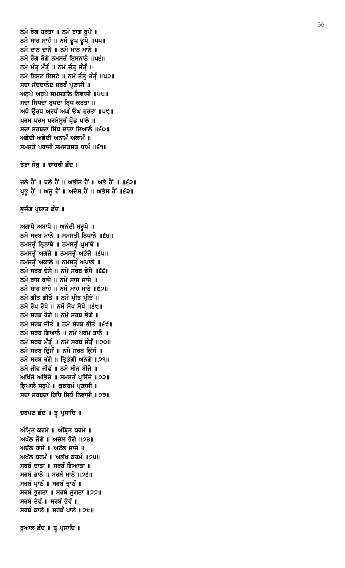```
ਨਮੋ ਸਰਬ ਜੀਤੰ ॥ ਨਮੋ ਸਰਬ ਭੀਤੰ ॥੬੯॥
ਨਮੋ ਸਰਬ ਗਿਆਨੰ ॥ ਨਮੋ ਪਰਮ ਤਾਨੰ ॥
ਨਮੋ ਸਰਬ ਮੰਤ੍ਰੰ ॥ ਨਮੋ ਸਰਬ ਜੰਤ੍ਰੰ ॥੭੦॥
ਨਮੋ ਸਰਬ ਦਿੱਸੰ ॥ ਨਮੋ ਸਰਬ ਕਿੱਸੰ ॥
ਨਮੋ ਸਰਬ ਰੰਗੇ ॥ ਤਿਭੰਗੀ ਅਨੰਗੇ ॥੭੧॥
ਨਮੋ ਜੀਵ ਜੀਵੰ ॥ ਨਮੋ ਬੀਜ ਬੀਜੇ ॥
ਅਖਿੱਜੇ ਅਭਿੱਜੇ ॥ ਸਮਸਤੰ ਪ੍ਰਸਿੱਜੇ ॥੭੨॥
ਕਿ਼ਪਾਲੰ ਸਰਪੇ ॥ ਕਕਰਮੰ ਪਣਾਸੀ ॥
ਸਦਾ ਸਰਬਦਾ ਰਿਧਿ ਸਿਧੰ ਨਿਵਾਸੀ ॥2੩॥
ਚਰਪਟ ਛੰਦ ॥ ਤੂ ਪ੍ਰਸਾਦਿ ॥
ਅੰਮ੍ਰਿਤ ਕਰਮੇ ॥ ਅੰਬ੍ਰਿਤ ਧਰਮੇ ॥
ਅਖੱਲ ਜੋਗੇ ॥ ਅਚੱਲ ਭੋਗੇ ॥28॥
ਅਚੱਲ ਰਾਜੇ ॥ ਅਟੱਲ ਸਾਜੇ ॥
ਅਖੱਲ ਧਰਮੰ\parallel ਅਲੱਖ ਕਰਮੰ\parallel24\parallelਸਰਬੰ ਦਾਤਾ ॥ ਸਰਬੰ ਗਿਆਤਾ ॥
ਸਰਬੰ ਭਾਨੇ ॥ ਸਰਬੰ ਮਾਨੇ ॥੭੬॥
ਸਰਬੰ ਪ੍ਰਾਣੰ ॥ ਸਰਬੰ ਤ੍ਰਾਣੰ ॥
ਸਰਬੰ ਭਗਤਾ ॥ ਸਰਬੰ ਜਗਤਾ ॥੭੭॥
ਸਰਬੰ ਦੇਵੰ ॥ ਸਰਬੰ ਭੇਵੰ ॥
ਸਰਬੰ ਕਾਲੇ ॥ ਸਰਬੰ ਪਾਲੇ ॥੭੮॥
ਰੁਆਲ ਛੰਦ ॥ ਤੂ ਪ੍ਰਸਾਦਿ ॥
```
ਭੁਜੰਗ ਪ੍ਰਯਾਤ ਛੰਦ ॥

ਅਗਾਧੇ ਅਬਾਧੇ ॥ ਅਨੰਦੀ ਸਰੂਪੇ ॥

ਨਮਸਤੂੰ ਨ੍ਰਿਨਾਥੇ ॥ ਨਮਸਤੂੰ ਪ੍ਰਮਾਥੇ ॥ ਨਮਸਤੂੰ ਅਗੰਜੇ ॥ ਨਮਸਤੂੰ ਅਭੰਜੇ ॥੬੫॥ ਨਮਸਤੂੰ ਅਕਾਲੇ ॥ ਨਮਸਤੂੰ ਅਪਾਲੇ ॥ ਨਮੋ ਸਰਬ ਦੇਸੇ ॥ ਨਮੋ ਸਰਬ ਭੇਸੇ ॥੬੬॥ ਨਮੋ ਰਾਜ ਰਾਜੇ ॥ ਨਮੋ ਸਾਜ ਸਾਜੇ ॥ ਨਮੋ ਸ਼ਾਹ ਸ਼ਾਹੇ ॥ ਨਮੋ ਮਾਹ ਮਾਹੇ ॥੬੭॥ ਨਮੋ ਗੀਤ ਗੀਤੇ ॥ ਨਮੋ ਪ੍ਰੀਤ ਪ੍ਰੀਤੇ ॥ ਨਮੋ ਰੋਖ ਰੋਖੇ ॥ ਨਮੋ ਸੋਖ ਸੋਖੇ ॥੬੮॥ ਨਮੋ ਸਰਬ ਰੋਗੇ ॥ ਨਮੋ ਸਰਬ ਭੋਗੇ ॥

ਨਮੋ ਸਰਬ ਮਾਨੇ ॥ ਸਮਸਤੀ ਨਿਧਾਨੇ ॥੬੪॥

ਜਲੇ ਹੈਂ ॥ ਥਲੇ ਹੈਂ ॥ ਅਭੀਤ ਹੈਂ ॥ ਅਭੇ ਹੈਂ ॥ ॥੬੨॥ ਪ੍ਰਭੂ ਹੈਂ ॥ ਅਜੂ ਹੈਂ ॥ ਅਦੇਸ ਹੈਂ ॥ ਅਭੇਸ ਹੈਂ ॥੬੩॥

ਤੇਰਾ ਜੋਰੂ ॥ ਚਾਚਰੀ ਛੰਦ ॥

ਨਮੋ ਰੋਗ ਹਰਤਾ ॥ ਨਮੋ ਰਾਗ ਰੂਪੇ ॥ ਨਮੋ ਸਾਹ ਸਾਹੰ ॥ ਨਮੋ ਭੁਪ ਭੁਪੇ ॥੫੫॥ ਨਮੋ ਦਾਨ ਦਾਨੇ ॥ ਨਮੋ ਮਾਨ ਮਾਨੇ ॥ ਨਮੋ ਰੋਗ ਰੋਗੇ ਨਮਸਤੰ ਇਸਨਾਨੰ ॥ਪ੬॥ ਨਮੋ ਮੰਤ੍ਰ ਮੰਤ੍ਰੰ ॥ ਨਮੋ ਜੰਤ੍ਰ ਜੰਤ੍ਰੰ ॥ ਨਮੋ ਇਸਟ ਇਸਟੇ ॥ ਨਮੋ ਤੰਤ੍ਰ ਤੰਤ੍ਰੰ ॥੫੭॥ ਸਦਾ ਸੱਚਦਾਨੰਦ ਸਰਬੰ ਪ੍ਰਣਾਸੀ ॥ ਅਨੁਪੇ ਅਰੁਪੇ ਸਮਸਤੁਲਿ ਨਿਵਾਸੀ ॥੫੮॥ ਸਦਾ ਸਿਧਦਾ ਬੁਧਦਾ ਬ੍ਰਿਧ ਕਰਤਾ ॥ ਅਧੋ ਉਰਧ ਅਰਧੰ ਅਘੰ ਓਘ ਹਰਤਾ ॥ਪ੯॥ ਪਰਮ ਪਰਮ ਪਰਮੇਸੁਰੰ ਪ੍ਰੋਛ ਪਾਲੰ ॥ ਸਦਾ ਸਰਬਦਾ ਸਿੱਧ ਦਾਤਾ ਦਿਆਲੰ ॥੬੦॥ ਅਛੇਦੀ ਅਭੇਦੀ ਅਨਾਮੰ ਅਕਾਮੰ ॥ ਸਮਸਤੋ ਪਰਾਜੀ ਸਮਸਤਸਤੁ ਧਾਮੰ ॥੬੧॥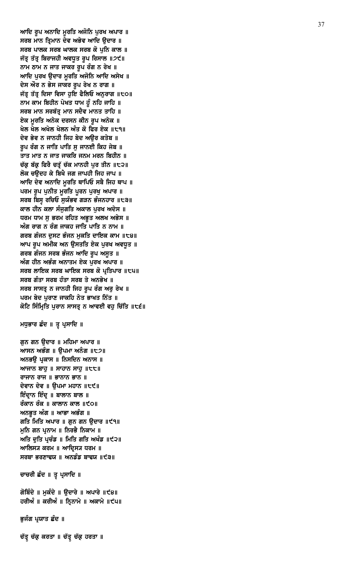ਚੱਤ੍ਰ ਚੱਕ੍ਰ ਕਰਤਾ ॥ ਚੱਤ੍ਰ ਚੱਕ੍ਰ ਹਰਤਾ ॥

ਭੁਜੰਗ ਪ੍ਰਯਾਤ ਛੰਦ ॥

ਗੋਬਿੰਦੇ ॥ ਮੁਕੰਦੇ ॥ ਉਦਾਰੇ ॥ ਅਪਾਰੇ ॥੯੪॥ ਹਰੀਅੰ ॥ ਕਰੀਅੰ ॥ ਨ੍ਰਿਨਾਮੇ ॥ ਅਕਾਮੇ ॥੯੫॥

ਚਾਚਰੀ ਛੰਦ ॥ ਤੂ ਪ੍ਰਸਾਦਿ ॥

ਆਸਨ ਅਭੰਗ ॥ ੳਪਮਾ ਅਨੰਗ ॥੮੭॥ ਅਨਭੳ ਪਕਾਸ ॥ ਨਿਸਦਿਨ ਅਨਾਸ ॥ ਆਜਾਨ ਬਾਹੁ ॥ ਸਾਹਾਨ ਸਾਹੁ ॥ $t$ t॥ ਰਾਜਾਨ ਰਾਜ ॥ ਭਾਨਾਨ ਭਾਨ ॥ ਦੇਵਾਨ ਦੇਵ ॥ ੳਪਮਾ ਮਹਾਨ ॥੮੯॥ ਇੰਦ੍ਰਾਨ ਇੰਦ੍ਰ ॥ ਬਾਲਾਨ ਬਾਲ ॥ ਰੰਕਾਨ ਰੰਕ ॥ ਕਾਲਾਨ ਕਾਲ ॥੯੦॥ ਅਨਭੂਤ ਅੰਗ ॥ ਆਭਾ ਅਭੰਗ ॥ ਗਤਿ ਮਿਤਿ ਅਪਾਰ ॥ ਗੁਨ ਗਨ ਉਦਾਰ ॥੯੧॥ ਮੁਨਿ ਗਨ ਪ੍ਰਨਾਮ ॥ ਨਿਰਭੈ ਨਿਕਾਮ ॥ ਅਤਿ ਦੁਤਿ ਪ੍ਰਚੰਡ ॥ ਮਿਤਿ ਗਤਿ ਅਖੰਡ ॥੯੨॥ ਆਲਿਸ੍ਯ ਕਰਮ ॥ ਆਦ੍ਰਿਸ੍ਯ ਧਰਮ ॥ ਸਰਬਾ ਭਰਣਾਢਯ ॥ ਅਨਡੰਡ ਬਾਢਯ ॥੯੩॥

ਮਧੁਭਾਰ ਛੰਦ ॥ ਤੂ ਪ੍ਰਸਾਦਿ ॥

ਗੁਨ ਗਨ ਉਦਾਰ ॥ ਮਹਿਮਾ ਅਪਾਰ ॥

ਆਦਿ ਰੂਪ ਅਨਾਦਿ ਮੁਰਤਿ ਅਜੋਨਿ ਪੁਰਖ ਅਪਾਰ ॥ ਸਰਬ ਮਾਨ ਤ੍ਰਿਮਾਨ ਦੇਵ ਅਭੇਵ ਆਦਿ ਉਦਾਰ ॥ ਸਰਬ ਪਾਲਕ ਸਰਬ ਘਾਲਕ ਸਰਬ ਕੋ ਪੁਨਿ ਕਾਲ ॥ ਜੱਤ੍ਰ ਤੱਤ੍ਰ ਬਿਰਾਜਹੀ ਅਵਧੂਤ ਰੂਪ ਰਿਸਾਲ ॥੭੯॥ ਨਾਮ ਠਾਮ ਨ ਜਾਤ ਜਾਕਰ ਰੂਪ ਰੰਗ ਨ ਰੇਖ ॥ ਆਦਿ ਪੁਰਖ ਉਦਾਰ ਮੂਰਤਿ ਅਜੋਨਿ ਆਦਿ ਅਸੇਖ ॥ ਦੇਸ ਔਰ ਨ ਭੇਸ ਜਾਕਰ ਰੂਪ ਰੇਖ ਨ ਰਾਗ ॥ ਜੱਤ੍ਰ ਤੱਤ੍ਰ ਦਿਸਾ ਵਿਸਾ ਹੁਇ ਫੈਲਿਓ ਅਨੁਰਾਗ ॥੮੦॥ ਨਾਮ ਕਾਮ ਬਿਹੀਨ ਪੇਖਤ ਧਾਮ ਹੂੰ ਨਹਿ ਜਾਹਿ ॥ ਸਰਬ ਮਾਨ ਸਰਬੱਤ੍ਰ ਮਾਨ ਸਦੈਵ ਮਾਨਤ ਤਾਹਿ ॥ ਏਕ ਮੁਰਤਿ ਅਨੇਕ ਦਰਸਨ ਕੀਨ ਰੂਪ ਅਨੇਕ ॥ ਖੇਲ ਖੇਲ ਅਖੇਲ ਖੇਲਨ ਅੰਤ ਕੋ ਫਿਰ ਏਕ ॥੮੧॥ ਦੇਵ ਭੇਵ ਨ ਜਾਨਹੀ ਜਿਹ ਬੇਦ ਅੳਰ ਕਤੇਬ ॥ ਰੂਪ ਰੰਗ ਨ ਜਾਤਿ ਪਾਤਿ ਸੁ ਜਾਨਈ ਕਿਹ ਜੇਬ ॥ ਤਾਤ ਮਾਤ ਨ ਜਾਤ ਜਾਕਰਿ ਜਨਮ ਮਰਨ ਬਿਹੀਨ ॥ ਚੱਕ੍ਰ ਬੱਕ੍ਰ ਫਿਰੈ ਚਤ੍ਰੱ ਚੱਕ ਮਾਨਹੀ ਪੁਰ ਤੀਨ ॥੮੨॥ ਲੋਕ ਚਉਦਹ ਕੇ ਬਿਖੈ ਜਗ ਜਾਪਹੀ ਜਿਹ ਜਾਪ ॥ ਆਦਿ ਦੇਵ ਅਨਾਦਿ ਮੁਰਤਿ ਥਾਪਿਓ ਸਬੈ ਜਿਹ ਥਾਪ ॥ ਪਰਮ ਰੂਪ ਪੁਨੀਤ ਮੁਰਤਿ ਪੁਰਨ ਪੁਰਖੁ ਅਪਾਰ ॥ ਸਰਬ ਬਿਸ੍ਰ ਰਚਿਓ ਸੁਯੰਭਵ ਗੜਨ ਭੰਜਨਹਾਰ ॥੮੩॥ ਕਾਲ ਹੀਨ ਕਲਾ ਸੰਜੁਗਤਿ ਅਕਾਲ ਪੂਰਖ ਅਦੇਸ ॥ ਧਰਮ ਧਾਮ ਸੁ ਭਰਮ ਰਹਿਤ ਅਭੁਤ ਅਲਖ ਅਭੇਸ ॥ ਅੰਗ ਰਾਗ ਨ ਰੰਗ ਜਾਕਹ ਜਾਤਿ ਪਾਤਿ ਨ ਨਾਮ ॥ ਗਰਬ ਗੰਜਨ ਦੁਸਟ ਭੰਜਨ ਮੁਕਤਿ ਦਾਇਕ ਕਾਮ ॥੮੪॥ ਆਪ ਰੂਪ ਅਮੀਕ ਅਨ ਉਸਤਤਿ ਏਕ ਪੂਰਖ ਅਵਧੂਤ ॥ ਗਰਬ ਗੰਜਨ ਸਰਬ ਭੰਜਨ ਆਦਿ ਰੂਪ ਅਸੂਤ ॥ ਅੰਗ ਹੀਨ ਅਭੰਗ ਅਨਾਤਮ ਏਕ ਪੂਰਖ ਅਪਾਰ ॥ ਸਰਬ ਲਾਇਕ ਸਰਬ ਘਾਇਕ ਸਰਬ ਕੋ ਪ੍ਰਤਿਪਾਰ ॥੮੫॥ ਸਰਬ ਗੰਤਾ ਸਰਬ ਹੰਤਾ ਸਰਬ ਤੇ ਅਨਭੇਖ ॥ ਸਰਬ ਸਾਸਤ੍ਰ ਨ ਜਾਨਹੀ ਜਿਹ ਰੁਪ ਰੰਗ ਅਰੁ ਰੇਖ ॥ ਪਰਮ ਬੇਦ ਪੁਰਾਣ ਜਾਕਹਿ ਨੇਤ ਭਾਖਤ ਨਿੱਤ ॥ ਕੋਟਿ ਸਿੰਮ੍ਰਿਤਿ ਪੁਰਾਨ ਸਾਸਤ੍ਰ ਨ ਆਵਈ ਵਹੁ ਚਿੱਤਿ ॥੮੬॥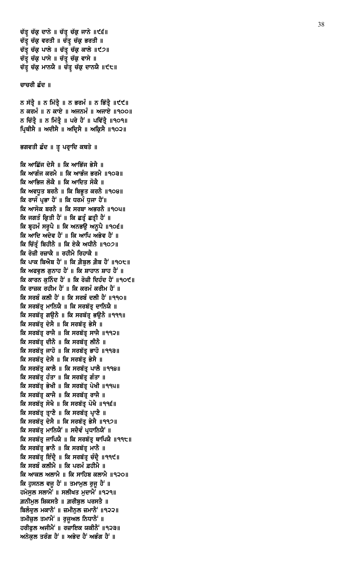ਚੱਤ੍ਰ ਚੱਕ੍ਰ ਦਾਨੇ ॥ ਚੱਤ੍ਰ ਚੱਕ੍ਰ ਜਾਨੇ ॥੯੬॥ ਚੱਤ੍ਰ ਚੱਕ੍ਰ ਵਰਤੀ ॥ ਚੱਤ੍ਰ ਚੱਕ੍ਰ ਭਰਤੀ ॥ ਚੱਤ੍ਰ ਚੱਕ੍ਰ ਪਾਲੇ ॥ ਚੱਤ੍ਰ ਚੱਕ੍ਰ ਕਾਲੇ ॥੯੭॥ ਚੱਤ੍ਰ ਚੱਕ੍ਰ ਪਾਸੇ ॥ ਚੱਤ੍ਰ ਚੱਕ੍ਰ ਵਾਸੇ ॥ ਚੱਤ੍ਰ ਚੱਕ੍ਰ ਮਾਨਯੈ ॥ ਚੱਤ੍ਰ ਚੱਕ੍ਰ ਦਾਨਯੈ ॥੯੮॥

#### ਚਾਚਰੀ ਛੰਦ ॥

ਨ ਸੱਤ੍ਰੈ ॥ ਨ ਮਿੱਤ੍ਰੈ ॥ ਨ ਭਰਮੰ ॥ ਨ ਭਿੱਤ੍ਰੈ ॥੯੯॥ ਨ ਕਰਮੰ ॥ ਨ ਕਾਏ ॥ ਅਜਨਮੰ ॥ ਅਜਾਏ ॥੧੦੦॥ ਨ ਚਿੱਤ੍ਰੈ ॥ ਨ ਮਿੱਤ੍ਰੈ ॥ ਪਰੇ ਹੈਂ ॥ ਪਵਿੱਤ੍ਰੈ ॥੧੦੧॥ ਪ੍ਰਿਥੀਸੈ ॥ ਅਦੀਸੈ ॥ ਅਦ੍ਰਿਸੈ ॥ ਅਕ੍ਰਿਸੈ ॥੧੦੨॥

ਭਗਵਤੀ ਛੰਦ ॥ ਤੂ ਪਰ੍ਰਾਦਿ ਕਥਤੇ ॥

ਕਿ ਆਛਿੱਜ ਦੇਸੈ ॥ ਕਿ ਆਭਿੱਜ ਭੇਸੈ ॥ ਕਿ ਆਗੰਜ ਕਰਮੈ ॥ ਕਿ ਆਭੰਜ ਭਰਮੈ ॥੧੦੩॥ ਕਿ ਆਭਿਜ ਲੋਕੈ ॥ ਕਿ ਆਦਿਤ ਸੋਕੈ ॥ ਕਿ ਅਵਧੂਤ ਬਰਨੈ ॥ ਕਿ ਬਿਭੂਤ ਕਰਨੈ ॥੧੦੪॥ ਕਿ ਰਾਜੰ ਪ੍ਰਭਾ ਹੈਂ ॥ ਕਿ ਧਰਮੰ ਧੁਜਾ ਹੈਂ॥ ਕਿ ਆਸੋਕ ਬਰਨੈ ॥ ਕਿ ਸਰਬਾ ਅਭਰਨੈ ॥੧੦੫॥ ਕਿ ਜਗਤੰ ਕਿਤੀ ਹੈਂ ॥ ਕਿ ਛਤੰ ਛਤੀ ਹੈਂ ॥ ਕਿ ਬ੍ਰਹਮੰ ਸਰੁਪੈ ॥ ਕਿ ਅਨਭਉ ਅਨੁਪੈ ॥੧੦੬॥ ਕਿ ਆਦਿ ਅਦੇਵ ਹੈਂ ॥ ਕਿ ਆਪਿ ਅਭੇਵ ਹੈਂ ॥ ਕਿ ਚਿੱਤੰ ਬਿਹੀਨੈ ॥ ਕਿ ਏਕੈ ਅਧੀਨੈ ॥੧੦੭॥ ਕਿ ਰੋਜ਼ੀ ਰਜ਼ਾਕੈ ॥ ਰਹੀਮੈ ਰਿਹਾਕੈ ॥ ਕਿ ਪਾਕ ਬਿਐਬ ਹੈਂ ॥ ਕਿ ਗ਼ੈਬੁਲ ਗ਼ੈਬ ਹੈਂ ॥੧੦੮॥ ਕਿ ਅਫਵਲ ਗਨਾਹ ਹੈਂ ॥ ਕਿ ਸ਼ਾਹਾਨ ਸ਼ਾਹ ਹੈਂ ॥ ਕਿ ਕਾਰਨ ਕਨਿੰਦ ਹੈਂ ॥ ਕਿ ਰੋਜ਼ੀ ਦਿਹੰਦ ਹੈਂ ॥੧੦੯॥ ਕਿ ਰਾਜ਼ਕ ਰਹੀਮ ਹੈਂ ॥ ਕਿ ਕਰਮੰ ਕਰੀਮ ਹੈਂ ॥ ਕਿ ਸਰਬੰ ਕਲੀ ਹੈਂ ॥ ਕਿ ਸਰਬੰ ਦਲੀ ਹੈਂ ॥੧੧੦॥ ਕਿ ਸਰਬੱਤ੍ਰ ਮਾਨਿਯੈ ॥ ਕਿ ਸਰਬੱਤ੍ਰ ਦਾਨਿਯੈ ॥ ਕਿ ਸਰਬੱਤ੍ਰ ਗਉਨੈ ॥ ਕਿ ਸਰਬੱਤ੍ਰ ਭਉਨੈ ॥੧੧੧॥ ਕਿ ਸਰਬੱਤ੍ਰ ਦੇਸੈ ॥ ਕਿ ਸਰਬੱਤ੍ਰ ਭੇਸੈ ॥ ਕਿ ਸਰਬੱਤ੍ਰ ਰਾਜੈ ॥ ਕਿ ਸਰਬੱਤ੍ਰ ਸਾਜੈ ॥੧੧੨॥ ਕਿ ਸਰਬੱਤ੍ਰ ਦੀਨੈ ॥ ਕਿ ਸਰਬੱਤ੍ਰ ਲੀਨੈ ॥ ਕਿ ਸਰਬੱਤ ਜਾਹੋ ॥ ਕਿ ਸਰਬੱਤ ਭਾਹੋ ॥੧੧੩॥ ਕਿ ਸਰਬੱਤ ਦੇਸੈ ॥ ਕਿ ਸਰਬੱਤ ਭੇਸੈ ॥ ਕਿ ਸਰਬੱਤ੍ਰ ਕਾਲੈ ॥ ਕਿ ਸਰਬੱਤ੍ਰ ਪਾਲੈ ॥੧੧੪॥ ਕਿ ਸਰਬੱਤ ਹੰਤਾ ॥ ਕਿ ਸਰਬੱਤ ਗੰਤਾ ॥ ਕਿ ਸਰਬੱਤ ਭੇਖੀ ॥ ਕਿ ਸਰਬੱਤ ਪੇਖੀ ॥੧੧੫॥ ਕਿ ਸਰਬੱਤੂ ਕਾਜੈ ॥ ਕਿ ਸਰਬੱਤੂ ਰਾਜੈ ॥ ਕਿ ਸਰਬੱਤ੍ਰ ਸੋਖੈ ॥ ਕਿ ਸਰਬੱਤ੍ਰ ਪੋਖੈ ॥੧੧੬॥ ਕਿ ਸਰਬੱਤ੍ਰ ਤ੍ਰਾਣੈ ॥ ਕਿ ਸਰਬੱਤ੍ਰ ਪ੍ਰਾਣੈ ॥ ਕਿ ਸਰਬੱਤ੍ਰ ਦੇਸੈ ॥ ਕਿ ਸਰਬੱਤ੍ਰ ਭੇਸੈ ॥੧੧੭॥ ਕਿ ਸਰਬੱਤ੍ਰ ਮਾਨਿਯੈਂ ॥ ਸਦੈਵੰ ਪ੍ਰਧਾਨਿਯੈਂ ॥ ਕਿ ਸਰਬੱਤੂ ਜਾਪਿਯੈ ॥ ਕਿ ਸਰਬੱਤੂ ਥਾਪਿਯੈ ॥੧੧੮॥ ਕਿ ਸਰਬੱਤ੍ਰ ਭਾਨੈ ॥ ਕਿ ਸਰਬੱਤ੍ਰ ਮਾਨੈ ॥ ਕਿ ਸਰਬੱਤ੍ਰ ਇੰਦ੍ਰੈ ॥ ਕਿ ਸਰਬੱਤ੍ਰ ਚੰਦ੍ਰੈ ॥੧੧੯॥ ਕਿ ਸਰਬੰ ਕਲੀਮੈ ॥ ਕਿ ਪਰਮੰ ਫ਼ਹੀਮੈ ॥ ਕਿ ਆਕਲ ਅਲਾਮੈ ॥ ਕਿ ਸਾਹਿਬ ਕਲਾਮੈ ॥੧੨੦॥ ਕਿ ਹੁਸਨਲ ਵਜੂ ਹੈਂ ॥ ਤਮਾਮੂਲ ਰੁਜੂ ਹੈਂ ॥ ਹਮੇਸੁਲ ਸਲਾਮੈਂ ॥ ਸਲੀਖਤ ਮੁਦਾਮੈਂ ॥੧੨੧॥ ਗ਼ਨੀਮਲ ਸ਼ਿਕਸਤੈ ॥ ਗ਼ਰੀਬਲ ਪਰਸਤੈ ॥ ਬਿਲੰਦੁਲ ਮਕਾਨੈਂ ॥ ਜ਼ਮੀਨੁਲ ਜ਼ਮਾਨੈਂ ॥੧੨੨॥ ਤਮੀਜ਼ੁਲ ਤਮਾਮੈਂ ॥ ਰੁਜੁਅਲ ਨਿਧਾਨੈਂ ॥ ਹਰੀਫੁਲ ਅਜੀਮੈਂ ॥ ਰਜ਼ਾਇਕ ਯਕੀਨੈਂ ॥੧੨੩॥ ਅਨੇਕੁਲ ਤਰੰਗ ਹੈਂ ॥ ਅਭੇਦ ਹੈਂ ਅਭੰਗ ਹੈਂ ॥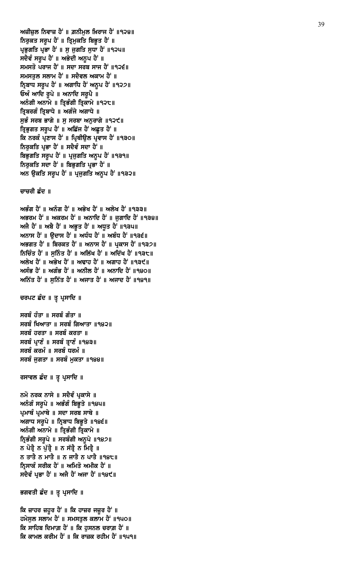ਕਿ ਜ਼ਾਹਰ ਜ਼ਹੂਰ ਹੈਂ ॥ ਕਿ ਹਾਜ਼ਰ ਜਜ਼ੂਰ ਹੈਂ ॥ ਹਮੇਸੁਲ ਸਲਾਮ ਹੈਂ ॥ ਸਮਸਤੁਲ ਕਲਾਮ ਹੈਂ ॥੧੫੦॥ ਕਿ ਸਾਹਿਬ ਦਿਮਾਗ਼ ਹੈਂ ॥ ਕਿ ਹੁਸਨਲ ਚਰਾਗ਼ ਹੈਂ ॥ ਕਿ ਕਾਮਲ ਕਰੀਮ ਹੈਂ ॥ ਕਿ ਰਾਜ਼ਕ ਰਹੀਮ ਹੈਂ ॥੧੫੧॥

ਭਗਵਤੀ ਛੰਦ ॥ ਤੁ ਪ੍ਰਸਾਦਿ ॥

ਨਮੋ ਨਰਕ ਨਾਸੇ ॥ ਸਦੈਵੰ ਪ੍ਰਕਾਸੇ ॥ ਅਨੰਗੰ ਸਰੂਪੇ ॥ ਅਭੰਗੰ ਬਿਭੁਤੇ ॥੧੪੫॥ ਪ੍ਰਮਾਥੰ ਪ੍ਰਮਾਥੇ ॥ ਸਦਾ ਸਰਬ ਸਾਥੇ ॥ ਅਗਾਧ ਸਰੁਪੇ ॥ ਨ੍ਰਿਬਾਧ ਬਿਭੁਤੇ ॥ ९४९॥ ਅਨੰਗੀ ਅਨਾਮੇ ॥ ਤ੍ਰਿਭੰਗੀ ਤ੍ਰਿਕਾਮੇ ॥ ਨ੍ਰਿਭੰਗੀ ਸਰੂਪੇ ॥ ਸਰਬੰਗੀ ਅਨੁਪੇ ॥੧੪੭॥ ਨ ਪੋਤ੍ਰੈ ਨ ਪੁੱਤ੍ਰੈ ॥ ਨ ਸੱਤ੍ਰੈ ਨ ਮਿਤ੍ਰੈ ॥ ਨ ਤਾਤੈ ਨ ਮਾਤੈ ॥ ਨ ਜਾਤੈ ਨ ਪਾਤੈ ॥੧੪੮॥ ਨਿਸਾਕੰ ਸਰੀਕ ਹੈਂ ॥ ਅਮਿਤੋ ਅਮੀਕ ਹੈਂ ॥ ਸਦੈਵੰ ਪ੍ਰਭਾ ਹੈਂ ॥ ਅਜੈ ਹੈਂ ਅਜਾ ਹੈਂ ॥੧੪੯॥

ਰਸਾਵਲ ਛੰਦ ॥ ਤੂ ਪ੍ਰਸਾਦਿ ॥

ਸਰਬੰ ਹੰਤਾ ॥ ਸਰਬੰ ਗੰਤਾ ॥ ਸਰਬੰ ਖਿਆਤਾ ॥ ਸਰਬੰ ਗਿਆਤਾ ॥੧੪੨॥ ਸਰਬੰ ਹਰਤਾ ॥ ਸਰਬੰ ਕਰਤਾ ॥ ਸਰਬੰ ਪ੍ਰਾਣੰ ॥ ਸਰਬੰ ਤ੍ਰਾਣੰ ॥੧੪੩॥ ਸਰਬੰ ਕਰਮੰ ॥ ਸਰਬੰ ਧਰਮੰ ॥ ਸਰਬੰ ਜਗਤਾ ॥ ਸਰਬੰ ਮਕਤਾ ॥੧੪੪॥

ਚਰਪਟ ਛੰਦ ॥ ਤੂ ਪ੍ਰਸਾਦਿ ॥

ਅਭੰਗ ਹੈਂ ॥ ਅਨੰਗ ਹੈਂ ॥ ਅਭੇਖ ਹੈਂ ॥ ਅਲੇਖ ਹੈਂ ॥੧੩੩॥ ਅਭਰਮ ਹੈਂ ॥ ਅਕਰਮ ਹੈਂ ॥ ਅਨਾਦਿ ਹੈਂ ॥ ਜਗਾਦਿ ਹੈਂ ॥੧੩੪॥ ਅਜੈ ਹੈਂ ॥ ਅਬੈ ਹੈਂ ॥ ਅਭੂਤ ਹੈਂ ॥ ਅਧੂਤ ਹੈਂ ॥੧੩੫॥ ਅਨਾਸ ਹੈਂ ॥ ਉਦਾਸ ਹੈਂ ॥ ਅਧੰਧ ਹੈਂ ॥ ਅਬੰਧ ਹੈਂ ॥੧੩੬॥ ਅਭਗਤ ਹੈਂ ॥ ਬਿਰਕਤ ਹੈਂ ॥ ਅਨਾਸ ਹੈਂ ॥ ਪਕਾਸ ਹੈਂ ॥੧੩੭॥ inica di la ra di la manggi di la materi di sultana di sultana di la rato di la rato di la rato di l ਅਲੇਖ ਹੈਂ ॥ ਅਭੇਖ ਹੈਂ ॥ ਅਢਾਹ ਹੈਂ ॥ ਅਗਾਹ ਹੈਂ ॥੧੩੯॥ ਅਸੰਭ ਹੈਂ ॥ ਅਗੰਭ ਹੈਂ ॥ ਅਨੀਲ ਹੈਂ ॥ ਅਨਾਦਿ ਹੈਂ ॥੧੪੦॥ ਅਨਿੱਤ ਹੈਂ ॥ ਸਨਿੱਤ ਹੈਂ ॥ ਅਜਾਤ ਹੈਂ ॥ ਅਜਾਦ ਹੈਂ ॥੧੪੧॥

ਚਾਚਰੀ ਛੰਦ ॥

ਅਜ਼ੀਜ਼ਲ ਨਿਵਾਜ਼ ਹੈਂ ॥ ਗ਼ਨੀਮਲ ਖ਼ਿਰਾਜ ਹੈਂ ॥੧੨੪॥ ਨਿਰੁਕਤ ਸਰੂਪ ਹੈਂ ॥ ਤ੍ਰਿਮੁਕਤਿ ਬਿਭੁਤ ਹੈਂ ॥ ਪ੍ਰਭੁਗਤਿ ਪ੍ਰਭਾ ਹੈਂ ॥ ਸੁ ਜੁਗਤਿ ਸੁਧਾ ਹੈਂ ॥੧੨੫॥ ਸਦੈਵੰ ਸਰੂਪ ਹੈਂ ॥ ਅਭੇਦੀ ਅਨੁਪ ਹੈਂ ॥ ਸਮਸਤੋ ਪਰਾਜ ਹੈਂ ॥ ਸਦਾ ਸਰਬ ਸਾਜ ਹੈਂ ॥੧੨੬॥ ਸਮਸਤੁਲ ਸਲਾਮ ਹੈਂ ॥ ਸਦੈਵਲ ਅਕਾਮ ਹੈਂ ॥ ਨ੍ਰਿਬਾਧ ਸਰੂਪ ਹੈਂ ॥ ਅਗਾਧਿ ਹੈਂ ਅਨੂਪ ਹੈਂ ॥੧੨੭॥ ਓਅੰ ਆਦਿ ਰੁਪੇ ॥ ਅਨਾਦਿ ਸਰੁਪੈ ॥ ਅਨੰਗੀ ਅਨਾਮੇ ॥ ਤ੍ਰਿਭੰਗੀ ਤ੍ਰਿਕਾਮੇ ॥੧੨੮॥ ਤ੍ਰਿਬਰਗੰ ਤ੍ਰਿਬਾਧੇ ॥ ਅਗੰਜੇ ਅਗਾਧੇ ॥ ਸੁਭੰ ਸਰਬ ਭਾਗੇ ॥ ਸੁ ਸਰਬਾ ਅਨੁਰਾਗੇ ॥੧੨੯॥ ਤ੍ਰਿਭੁਗਤ ਸਰੂਪ ਹੈਂ ॥ ਅਛਿੱਜ ਹੈਂ ਅਛੂਤ ਹੈਂ ॥ ਕਿ ਨਰਕੰ ਪਣਾਸ ਹੈਂ ॥ ਪਿਥੀੳਲ ਪਵਾਸ ਹੈਂ ॥੧੩੦॥ ਨਿਰੁਕਤਿ ਪ੍ਰਭਾ ਹੈਂ ॥ ਸਦੈਵੰ ਸਦਾ ਹੈਂ ॥ ਬਿਭਗਤਿ ਸਰੂਪ ਹੈਂ ॥ ਪ੍ਰਜੁਗਤਿ ਅਨੁਪ ਹੈਂ ॥੧੩੧॥ ਨਿਰਕਤਿ ਸਦਾ ਹੈਂ ॥ ਬਿਭਗਤਿ ਪਭਾ ਹੈਂ ॥ ਅਨ ਉਕਤਿ ਸਰੂਪ ਹੈਂ ॥ ਪ੍ਰਜੁਗਤਿ ਅਨੂਪ ਹੈਂ ॥੧੩੨॥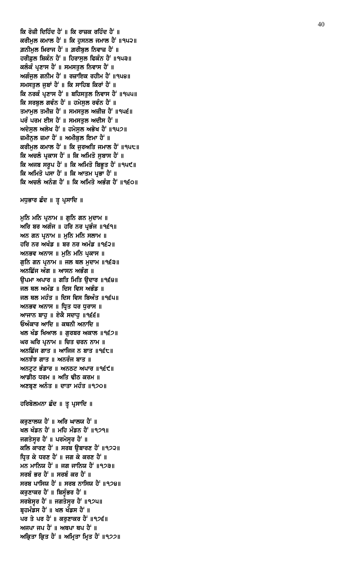ਕਰਣਾਲਯ ਹੈਂ ॥ ਅਰਿ ਘਾਲਯ ਹੈਂ ॥ ਖਲ ਖੰਡਨ ਹੈਂ ॥ ਮਹਿ ਮੰਡਨ ਹੈਂ ॥੧੭੧॥ ਜਗਤੇਸੁਰ ਹੈਂ ॥ ਪਰਮੇਸੁਰ ਹੈਂ ॥ ਕਲਿ ਕਾਰਣ ਹੈਂ ॥ ਸਰਬ ਉਬਾਰਣ ਹੈਂ ॥੧੭੨॥ ਧ੍ਰਿਤ ਕੇ ਧਰਣ ਹੈਂ ॥ ਜਗ ਕੇ ਕਰਣ ਹੈਂ ॥ ਮਨ ਮਾਨਿਯ ਹੈਂ ॥ ਜਗ ਜਾਨਿਯ ਹੈਂ ॥੧੭੩॥ ਸਰਬੰ ਭਰ ਹੈਂ ॥ ਸਰਬੰ ਕਰ ਹੈਂ ॥ ਸਰਬ ਪਾਸਿਯ ਹੈਂ ॥ ਸਰਬ ਨਾਸਿਯ ਹੈਂ ॥੧੭੪॥ ਕਰੁਣਾਕਰ ਹੈਂ ॥ ਬਿਸੁੰਭਰ ਹੈਂ ॥ ਸਰਬੇਸੁਰ ਹੈਂ ॥ ਜਗਤੇਸੁਰ ਹੈਂ ॥੧੭੫॥ ਬ੍ਰਹਮੰਡਸ ਹੈਂ ॥ ਖਲ ਖੰਡਸ ਹੈਂ ॥ ਪਰ ਤੇ ਪਰ ਹੈਂ ॥ ਕਰੁਣਾਕਰ ਹੈਂ ॥੧੭੬॥ ਅਜਪਾ ਜਪ ਹੈਂ ॥ ਅਥਪਾ ਥਪ ਹੈਂ ॥ ਅਕ੍ਰਿਤਾ ਕ੍ਰਿਤ ਹੈਂ ॥ ਅਮ੍ਰਿਤਾ ਮ੍ਰਿਤ ਹੈਂ ॥੧੭੭॥

# ਹਰਿਬੋਲਮਨਾ ਛੰਦ ॥ ਤੁ ਪ੍ਰਸਾਦਿ ॥

ਅਰਿ ਬਰ ਅਗੰਜ ॥ ਹਰਿ ਨਰ ਪ੍ਰਭੰਜ ॥੧੬੧॥ ਅਨ ਗਨ ਪੁਨਾਮ ॥ ਮਨਿ ਮਨਿ ਸਲਾਮ ॥ ਹਰਿ ਨਰ ਅਖੰਡ ॥ ਬਰ ਨਰ ਅਮੰਡ ॥੧੬੨॥ ਅਨਭਵ ਅਨਾਸ ॥ ਮੁਨਿ ਮਨਿ ਪ੍ਰਕਾਸ ॥ ਗੁਨਿ ਗਨ ਪ੍ਰਨਾਮ ॥ ਜਲ ਥਲ ਮੁਦਾਮ ॥੧੬੩॥ ਅਨਛਿੱਜ ਅੰਗ ॥ ਆਸਨ ਅਭੰਗ ॥ ੳਪਮਾ ਅਪਾਰ ॥ ਗਤਿ ਮਿਤਿ ੳਦਾਰ ॥੧੬੪॥ ਜਲ ਥਲ ਅਮੰਡ ॥ ਦਿਸ ਵਿਸ ਅਭੰਡ ॥ ਜਲ ਥਲ ਮਹੰਤ ॥ ਦਿਸ ਵਿਸ ਬਿਅੰਤ ॥੧੬੫॥ ਅਨਭਵ ਅਨਾਸ ॥ ਧ੍ਰਿਤ ਧਰ ਧੁਰਾਸ ॥ ਆਜਾਨ ਬਾਹੁ ॥ ਏਕੈ ਸਦਾਹੁ ॥੧੬੬॥ ਓਅੰਕਾਰ ਆਦਿ ॥ ਕਥਨੀ ਅਨਾਦਿ ॥ ਖਲ ਖੰਡ ਖਿਆਲ ॥ ਗੁਰਬਰ ਅਕਾਲ ॥੧੬੭॥ ਘਰ ਘਰਿ ਪੁਨਾਮ ॥ ਚਿਤ ਚਰਨ ਨਾਮ ॥ ਅਨਛਿੱਜ ਗਾਤ ॥ ਆਜਿਜ ਨ ਬਾਤ ॥੧੬੮॥ ਅਨਝੰਝ ਗਾਤ ॥ ਅਨਰੰਜ ਬਾਤ ॥ ਅਨਟਟ ਭੰਡਾਰ ॥ ਅਨਠਟ ਅਪਾਰ ॥੧੬੯॥ ਆਡੀਠ ਧਰਮ ॥ ਅਤਿ ਢੀਠ ਕਰਮ ॥ ਅਣਬਣ ਅਨੰਤ ॥ ਦਾਤਾ ਮਹੰਤ ॥੧੭੦॥

ਮਧੁਭਾਰ ਛੰਦ ॥ ਤੁ ਪ੍ਰਸਾਦਿ ॥

ਮੁਨਿ ਮਨਿ ਪ੍ਰਨਾਮ ॥ ਗੁਨਿ ਗਨ ਮੁਦਾਮ ॥

ਕਰੀਮਲ ਕਮਾਲ ਹੈਂ ॥ ਕਿ ਹਸਨਲ ਜਮਾਲ ਹੈਂ ॥੧੫੨॥ ਗ਼ਨੀਮੂਲ ਖ਼ਿਰਾਜ ਹੈਂ ॥ ਗ਼ਰੀਬੁਲ ਨਿਵਾਜ਼ ਹੈਂ ॥ ਹਰੀਫ਼ਲ ਸ਼ਿਕੰਨ ਹੈਂ ॥ ਹਿਰਾਸਲ ਫਿਕੰਨ ਹੈਂ ॥੧੫੩॥ ਕਲੰਕੰ ਪ੍ਰਣਾਸ ਹੈਂ ॥ ਸਮਸਤੁਲ ਨਿਵਾਸ ਹੈਂ ॥ ਅਗੰਜੁਲ ਗਨੀਮ ਹੈਂ ॥ ਰਜ਼ਾਇਕ ਰਹੀਮ ਹੈਂ ॥੧੫੪॥ ਸਮਸਤੁਲ ਜੂਬਾਂ ਹੈਂ ॥ ਕਿ ਸਾਹਿਬ ਕਿਰਾਂ ਹੈਂ ॥ ਕਿ ਨਰਕੰ ਪ੍ਰਣਾਸ ਹੈਂ ॥ ਬਹਿਸਤੁਲ ਨਿਵਾਸ ਹੈਂ ॥੧੫੫॥ ਕਿ ਸਰਬੁਲ ਗਵੰਨ ਹੈਂ ॥ ਹਮੇਸੁਲ ਰਵੰਨ ਹੈਂ ॥ ਤਮਾਮੂਲ ਤਮੀਜ਼ ਹੈਂ ॥ ਸਮਸਤੂਲ ਅਜ਼ੀਜ਼ ਹੈਂ ॥੧੫੬॥ ਪਰੰ ਪਰਮ ਈਸ ਹੈਂ ॥ ਸਮਸਤੁਲ ਅਦੀਸ ਹੈਂ ॥ ਅਦੇਸੁਲ ਅਲੇਖ ਹੈਂ ॥ ਹਮੇਸੁਲ ਅਭੇਖ ਹੈਂ ॥੧੫੭॥ ਜ਼ਮੀਨਲ ਜ਼ਮਾ ਹੈਂ ॥ ਅਮੀਕਲ ਇਮਾ ਹੈਂ ॥ ਕਰੀਮੁਲ ਕਮਾਲ ਹੈਂ ॥ ਕਿ ਜੁਰਅਤਿ ਜਮਾਲ ਹੈਂ ॥੧੫੮॥ ਕਿ ਅਚਲੰ ਪ੍ਰਕਾਸ ਹੈਂ ॥ ਕਿ ਅਮਿਤੋ ਸੂਬਾਸ ਹੈਂ ॥ ਕਿ ਅਜਬ ਸਰਪ ਹੈਂ ॥ ਕਿ ਅਮਿਤੋ ਬਿਭਤ ਹੈਂ ॥੧੫੯॥ ਕਿ ਅਮਿਤੋ ਪਸਾ ਹੈਂ ॥ ਕਿ ਆਤਮ ਪ੍ਰਭਾ ਹੈਂ ॥ ਕਿ ਅਚਲੰ ਅਨੰਗ ਹੈਂ ॥ ਕਿ ਅਮਿਤੋ ਅਭੰਗ ਹੈਂ ॥੧੬੦॥

ਕਿ ਰੋਜ਼ੀ ਦਿਹਿੰਦ ਹੈਂ ॥ ਕਿ ਰਾਜ਼ਕ ਰਹਿੰਦ ਹੈਂ ॥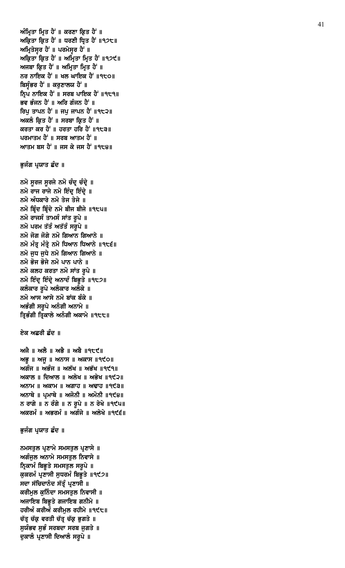ਨਮਸਤੁਲ ਪ੍ਰਣਾਮੇ ਸਮਸਤੁਲ ਪ੍ਰਣਾਸੇ ॥ ਅਗੰਜੁਲ ਅਨਾਮੇ ਸਮਸਤੁਲ ਨਿਵਾਸੇ ॥ ਨ੍ਰਿਕਾਮੰ ਬਿਭੁਤੇ ਸਮਸਤੁਲ ਸਰੁਪੇ ॥ ਕੁਕਰਮੰ ਪ੍ਰਣਾਸੀ ਸੁਧਰਮੰ ਬਿਭੁਤੇ ॥੧੯੭॥ ਸਦਾ ਸੱਚਿਦਾਨੰਦ ਸੱਤੂੰ ਪ੍ਰਣਾਸੀ **॥** ਕਰੀਮੁਲ ਕੁਨਿੰਦਾ ਸਮਸਤੁਲ ਨਿਵਾਸੀ ॥ ਅਜਾਇਬ ਬਿਭੁਤੇ ਗਜਾਇਬ ਗਨੀਮੇ ॥ ਹਰੀਅੰ ਕਰੀਅੰ ਕਰੀਮੁਲ ਰਹੀਮੇ ॥੧੯੮॥ ਚੱਤ੍ਰ ਚੱਕ੍ਰ ਵਰਤੀ ਚੱਤ੍ਰ ਚੱਕ੍ਰ ਭੁਗਤੇ ॥ ਸੁਯੰਭਵ ਸੁਭੰ ਸਰਬਦਾ ਸਰਬ ਜੁਗਤੇ ॥ ਦੁਕਾਲੰ ਪ੍ਰਣਾਸੀ ਦਿਆਲੰ ਸਰੂਪੇ ॥

# ਭੁਜੰਗ ਪ੍ਰਯਾਤ ਛੰਦ ॥

ਅਜੈ ॥ ਅਲੈ ॥ ਅਭੈ ॥ ਅਬੈ ॥੧੮੯॥  $M\bar{B}$  ||  $M\bar{B}$  ||  $M\bar{C}$ ਅਗੰਜ ॥ ਅਭੰਜ ॥ ਅਲੱਖ ॥ ਅਭੱਖ ॥੧੯੧॥ ਅਕਾਲ ॥ ਦਿਆਲ ॥ ਅਲੇਖ ॥ ਅਭੇਖ ॥੧੯੨॥  $M$ ਨਾਮ ॥  $M$ ਕਾਮ ॥  $M$ ਗਾਹ ॥  $M$ ਢਾਹ ॥ ੧੯੩॥ ਅਨਾਥੇ ॥ ਪ੍ਰਮਾਥੇ ॥ ਅਜੋਨੀ ॥ ਅਮੋਨੀ ॥੧੯੪॥ ਨ ਰਾਗੇ ॥ ਨ ਰੰਗੇ ॥ ਨ ਰੁਪੇ ॥ ਨ ਰੇਖੇ ॥੧੯੫॥ ਅਕਰਮੰ ॥ ਅਭਰਮੰ ॥ ਅਗੰਜੇ ॥ ਅਲੇਖੇ ॥੧੯੬॥

# ਏਕ ਅਛਰੀ ਛੰਦ ॥

ਨਮੋ ਸੁਰਜ ਸੁਰਜੇ ਨਮੋ ਚੰਦ੍ਰ ਚੰਦ੍ਰੇ ॥ ਨਮੋ ਰਾਜ ਰਾਜੇ ਨਮੋ ਇੰਦ੍ ਇੰਦ੍ਵੇ ॥ ਨਮੋ ਅੰਧਕਾਰੇ ਨਮੋ ਤੇਜ ਤੇਜੇ ॥ ਨਮੋ ਬ੍ਰਿੰਦ ਬ੍ਰਿੰਦੇ ਨਮੋ ਬੀਜ ਬੀਜੇ ॥੧੮੫॥ ਨਮੋ ਰਾਜਸੰ ਤਾਮਸੰ ਸਾਂਤ ਰੁਪੇ ॥ ਨਮੋ ਪਰਮ ਤੱਤੰ ਅਤੱਤੰ ਸਰੁਪੇ ॥ ਨਮੋ ਜੋਗ ਜੋਗੇ ਨਮੋ ਗਿਆਨ ਗਿਆਨੇ ॥ ਨਮੋ ਮੰਤੂ ਮੰਤ੍ਰੇ ਨਮੋ ਧਿਆਨ ਧਿਆਨੇ ॥੧੮੬॥ ਨਮੋ ਜੁਧ ਜੁਧੇ ਨਮੋ ਗਿਆਨ ਗਿਆਨੇ ॥ ਨਮੋ ਭੋਜ ਭੋਜੇ ਨਮੋ ਪਾਨ ਪਾਨੇ ॥ ਨਮੋ ਕਲਹ ਕਰਤਾ ਨਮੋ ਸਾਂਤ ਰੁਪੇ ॥ ਨਮੋ ਇੰਦ੍ ਇੰਦ੍ ਅਨਾਦੰ ਬਿਭੁਤੇ ॥੧੮੭॥ ਕਲੰਕਾਰ ਰੂਪੇ ਅਲੰਕਾਰ ਅਲੰਕੇ ॥ ਨਮੋ ਆਸ ਆਸੇ ਨਮੋ ਬਾਂਕ ਬੰਕੇ ॥ ਅਭੰਗੀ ਸਰੂਪੇ ਅਨੰਗੀ ਅਨਾਮੇ ॥ ਤ੍ਰਿਭੰਗੀ ਤ੍ਰਿਕਾਲੇ ਅਨੰਗੀ ਅਕਾਮੇ ॥੧੮੮॥

# ਭੁਜੰਗ ਪ੍ਰਯਾਤ ਛੰਦ ॥

ਅੰਮ੍ਰਿਤਾ ਮ੍ਰਿਤ ਹੈਂ ॥ ਕਰਣਾ ਕ੍ਰਿਤ ਹੈਂ ॥ ਅਕ੍ਰਿਤਾ ਕ੍ਰਿਤ ਹੈਂ ॥ ਧਰਣੀ ਧ੍ਰਿਤ ਹੈਂ ॥੧੭੮॥ ਅਮ੍ਰਿਤੇਸੁਰ ਹੈਂ ॥ ਪਰਮੇਸੁਰ ਹੈਂ ॥ ਅਕ੍ਰਿਤਾ ਕ੍ਰਿਤ ਹੈਂ ॥ ਅਮ੍ਰਿਤਾ ਮ੍ਰਿਤ ਹੈਂ ॥੧੭੯॥ ਅਜਬਾ ਕ੍ਰਿਤ ਹੈਂ ॥ ਅਮ੍ਰਿਤਾ ਮ੍ਰਿਤ ਹੈਂ ॥ ਨਰ ਨਾਇਕ ਹੈਂ ॥ ਖਲ ਘਾਇਕ ਹੈਂ ॥੧੮੦॥ ਬਿਸੁੰਭਰ ਹੈਂ ॥ ਕਰੁਣਾਲਯ ਹੈਂ ॥ ਨ੍ਰਿਪ ਨਾਇਕ ਹੈਂ ॥ ਸਰਬ ਪਾਇਕ ਹੈਂ ॥੧੮੧॥ ਭਵ ਭੰਜਨ ਹੈਂ ॥ ਅਰਿ ਗੰਜਨ ਹੈਂ ॥ ਰਿਪੂ ਤਾਪਨ ਹੈਂ ॥ ਜਪੂ ਜਾਪਨ ਹੈਂ ॥੧੮੨॥ ਅਕਲੰ ਕ੍ਰਿਤ ਹੈ<sup>:</sup> ॥ ਸਰਬਾ ਕ੍ਰਿਤ ਹੈ<sup>:</sup> ॥ ਕਰਤਾ ਕਰ ਹੈਂ ॥ ਹਰਤਾ ਹਰਿ ਹੈਂ ॥੧੮੩॥ ਪਰਮਾਤਮ ਹੈਂ ॥ ਸਰਬ ਆਤਮ ਹੈਂ ॥ ਆਤਮ ਬਸ ਹੈਂ ॥ ਜਸ ਕੇ ਜਸ ਹੈਂ ॥੧੮੪॥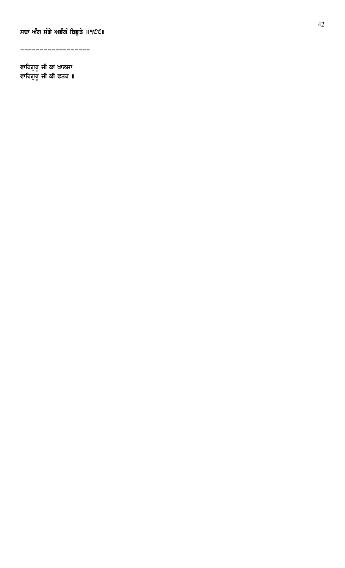ਸਦਾ ਅੰਗ ਸੰਗੇ ਅਭੰਗੰ ਬਿਭੂਤੇ ॥੧੯੯॥

------------------

ਵਾਹਿਗਰ ਜੀ ਕਾ ਖਾਲਸਾ ਵਾਹਿਗਰ ਜੀ ਕੀ ਫਤਹ ॥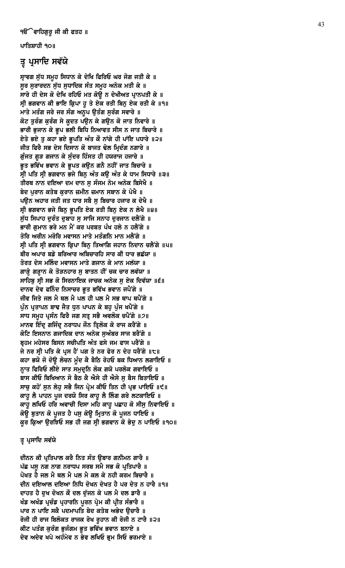ਪਾਤਿਸ਼ਾਹੀ ੧੦॥

# ਤ੍ਰ ਪ੍ਰਸਾਦਿ ਸਵੱਯੇ

ਸ੍ਰਾਵਗ ਸੁੱਧ ਸਮੂਹ ਸਿਧਾਨ ਕੇ ਦੇਖਿ ਫਿਰਿਓ ਘਰ ਜੋਗ ਜਤੀ ਕੇ ॥ ਸੁਰ ਸੁਰਾਰਦਨ ਸੁੱਧ ਸੁਧਾਦਿਕ ਸੰਤ ਸਮੂਹ ਅਨੇਕ ਮਤੀ ਕੇ ॥ ਸਾਰੇ ਹੀ ਦੇਸ ਕੋ ਦੇਖਿ ਰਹਿਓ ਮਤ ਕੋਉ ਨ ਦੇਖੀਅਤ ਪ੍ਰਾਨਪਤੀ ਕੇ ॥ ਸ੍ਰੀ ਭਗਵਾਨ ਕੀ ਭਾਇ ਕ੍ਰਿਪਾ ਹੁ ਤੇ ਏਕ ਰਤੀ ਬਿਨੁ ਏਕ ਰਤੀ ਕੇ ॥੧॥ ਮਾਤੇ ਮਤੰਗ ਜਰੇ ਜਰ ਸੰਗ ਅਨੁਪ ਉਤੰਗ ਸੁਰੰਗ ਸਵਾਰੇ ॥ ਕੋਟ ਤੁਰੰਗ ਕੁਰੰਗ ਸੇ ਕੁਦਤ ਪਉਨ ਕੇ ਗਉਨ ਕੋ ਜਾਤ ਨਿਵਾਰੇ ॥ ਭਾਰੀ ਭੁਜਾਨ ਕੇ ਭੂਪ ਭਲੀ ਬਿਧਿ ਨਿਆਵਤ ਸੀਸ ਨ ਜਾਤ ਬਿਚਾਰੇ ॥ ਏਤੇ ਭਏ ਤੂ ਕਹਾ ਭਏ ਭੂਪਤਿ ਅੰਤ ਕੌ ਨਾਂਗੇ ਹੀ ਪਾਂਇ ਪਧਾਰੇ ॥੨॥ ਜੀਤ ਫਿਰੈ ਸਭ ਦੇਸ ਦਿਸਾਨ ਕੋ ਬਾਜਤ ਢੋਲ ਮ੍ਰਿਦੰਗ ਨਗਾਰੇ ॥ ਗੁੰਜਤ ਗੁੜ ਗਜਾਨ ਕੇ ਸੁੰਦਰ ਹਿੰਸਤ ਹੀ ਹਯਰਾਜ ਹਜਾਰੇ ॥ ਭੁਤ ਭਵਿੱਖ ਭਵਾਨ ਕੇ ਭੁਪਤ ਕਉਨ ਗਨੈ ਨਹੀਂ ਜਾਤ ਬਿਚਾਰੇ ॥ ਸ੍ਰੀ ਪਤਿ ਸ੍ਰੀ ਭਗਵਾਨ ਭਜੇ ਬਿਨ ਅੰਤ ਕੳ ਅੰਤ ਕੇ ਧਾਮ ਸਿਧਾਰੇ ॥੩॥ ਤੀਰਥ ਨਾਨ ਦਇਆ ਦਮ ਦਾਨ ਸੁ ਸੰਜਮ ਨੇਮ ਅਨੇਕ ਬਿਸੇਖੈ ॥ ਬੇਦ ਪੁਰਾਨ ਕਤੇਬ ਕੁਰਾਨ ਜ਼ਮੀਨ ਜ਼ਮਾਨ ਸਬਾਨ ਕੇ ਪੇਖੈ ॥ ਪੳਨ ਅਹਾਰ ਜਤੀ ਜਤ ਧਾਰ ਸਬੈ ਸ ਬਿਚਾਰ ਹਜਾਰ ਕ ਦੇਖੈ ॥ ਸ੍ਰੀ ਭਗਵਾਨ ਭਜੇ ਬਿਨੂ ਭੂਪਤਿ ਏਕ ਰਤੀ ਬਿਨੂ ਏਕ ਨ ਲੇਖੈ ॥੪॥ ਸੁੱਧ ਸਿਪਾਹ ਦੁਰੰਤ ਦੁਬਾਹ ਸੁ ਸਾਜਿ ਸਨਾਹ ਦੁਰਜਾਨ ਦਲੈਂਗੇ ॥ ਭਾਰੀ ਗਮਾਨ ਭਰੇ ਮਨ ਮੈਂ ਕਰ ਪਰਬਤ ਪੰਖ ਹਲੇ ਨ ਹਲੈਂਗੇ ॥ ਤੋਰਿ ਅਰੀਨ ਮਰੋਰਿ ਮਵਾਸਨ ਮਾਤੇ ਮਤੰਗਨਿ ਮਾਨ ਮਲੈਂਗੇ ॥ ਸ੍ਰੀ ਪਤਿ ਸ੍ਰੀ ਭਗਵਾਨ ਕ੍ਰਿਪਾ ਬਿਨੂ ਤਿਆਗਿ ਜਹਾਨ ਨਿਦਾਨ ਚਲੈਂਗੇ ॥੫॥ ਬੀਰ ਅਪਾਰ ਬਡੇ ਬਰਿਆਰ ਅਬਿਚਾਰਹਿ ਸਾਰ ਕੀ ਧਾਰ ਭਛੱਯਾ ॥ ਤੋਰਤ ਦੇਸ ਮਲਿੰਦ ਮਵਾਸਨ ਮਾਤੇ ਗਜਾਨ ਕੇ ਮਾਨ ਮਲੱਯਾ ॥ ਗਾੜ੍ਹੇ ਗੜ੍ਹਾਨ ਕੇ ਤੋੜਨਹਾਰ ਸੁ ਬਾਤਨ ਹੀਂ ਚਕ ਚਾਰ ਲਵੱਯਾ ॥ ਸਾਹਿਬੂ ਸ੍ਰੀ ਸਭ ਕੋ ਸਿਰਨਾਇਕ ਜਾਚਕ ਅਨੇਕ ਸੁ ਏਕ ਦਿਵੱਯਾ ॥੬॥ ਦਾਨਵ ਦੇਵ ਫਨਿੰਦ ਨਿਸਾਚਰ ਭੁਤ ਭਵਿੱਖ ਭਵਾਨ ਜਪੈਂਗੇ ॥ ਜੀਵ ਜਿਤੇ ਜਲ ਮੈ ਥਲ ਮੈ ਪਲ ਹੀ ਪਲ ਮੈ ਸਭ ਥਾਪ ਥਪੈਂਗੇ ॥ ਪੁੰਨ ਪ੍ਰਤਾਪਨ ਬਾਢ ਜੈਤ ਧੁਨ ਪਾਪਨ ਕੇ ਬਹੁ ਪੁੰਜ ਖਪੈਂਗੇ ॥ ਸਾਧ ਸਮਹ ਪਸੰਨ ਫਿਰੈ ਜਗ ਸਤ ਸਭੈ ਅਵਲੋਕ ਚਪੈਂਗੇ ॥੭॥ ਮਾਨਵ ਇੰਦ੍ਰ ਗਜਿੰਦ੍ਰ ਨਰਾਧਪ ਜੌਨ ਤ੍ਰਿਲੋਕ ਕੋ ਰਾਜ ਕਰੈਂਗੇ ॥ ਕੋਟਿ ਇਸਨਾਨ ਗਜਾਦਿਕ ਦਾਨ ਅਨੇਕ ਸੁਅੰਬਰ ਸਾਜ ਬਰੈਂਗੇ ॥ ਬਹਮ ਮਹੇਸਰ ਬਿਸਨ ਸਚੀਪਤਿ ਅੰਤ ਫਸੇ ਜਮ ਫਾਸ ਪਰੈਂਗੇ ॥ ਜੇ ਨਰ ਸ੍ਰੀ ਪਤਿ ਕੇ ਪ੍ਰਸ ਹੈਂ ਪਗ ਤੇ ਨਰ ਫੇਰ ਨ ਦੇਹ ਧਰੈਂਗੇ ॥੮॥ ਕਹਾ ਭਯੋ ਜੋ ਦੋਉ ਲੋਚਨ ਮੁੰਦ ਕੈ ਬੈਠਿ ਰੋਹਓ ਬਕ ਧਿਆਨ ਲਗਾਇਓ ॥ ਨਾਤ ਫਿਰਿਓ ਲੀਏ ਸਾਤ ਸਮਦੂਨਿ ਲੋਕ ਗਯੋ ਪਰਲੋਕ ਗਵਾਇਓ ॥ ਬਾਸ ਕੀਓ ਬਿਖਿਆਨ ਸੋ ਬੈਠ ਕੈ ਐਸੇ ਹੀ ਐਸੇ ਸ ਬੈਸ ਬਿਤਾਇਓ ॥ ਸਾਚੂ ਕਹੋਂ ਸੁਨ ਲੇਹੂ ਸਭੈ ਜਿਨ ਪ੍ਰੇਮ ਕੀਓ ਤਿਨ ਹੀ ਪ੍ਰਭ ਪਾਇਓ ॥੯॥ ਕਾਹੂ ਲੈ ਪਾਹਨ ਪੂਜ ਦਰਯੋ ਸਿਰ ਕਾਹੂ ਲੈ ਲਿੰਗ ਗਰੇ ਲਟਕਾਇਓ ॥ ਕਾਹੁ ਲਖਿਓ ਹਰਿ ਅਵਾਚੀ ਦਿਸਾ ਮਹਿ ਕਾਹੁ ਪਛਾਹ ਕੋ ਸੀਸੁ ਨਿਵਾਇਓ ॥ ਕੋਉ ਬੁਤਾਨ ਕੋ ਪੁਜਤ ਹੈ ਪਸੁ ਕੋਉ ਮ੍ਰਿਤਾਨ ਕੋ ਪੁਜਨ ਧਾਇਓ ॥ ਕੁਰ ਕ੍ਰਿਆ ਉਰਝਿਓ ਸਭ ਹੀ ਜਗ ਸ੍ਰੀ ਭਗਵਾਨ ਕੋ ਭੇਦੁ ਨ ਪਾਇਓ ॥੧੦॥

# ਤ੍ਰ ਪ੍ਰਸਾਦਿ ਸਵੱਯੇ

ਦੀਨਨ ਕੀ ਪ੍ਰਤਿਪਾਲ ਕਰੈ ਨਿਤ ਸੰਤ ੳਬਾਰ ਗਨੀਮਨ ਗਾਰੈ ॥ ਪੱਛ ਪਸੁ ਨਗ ਨਾਗ ਨਰਾਧਪ ਸਰਬ ਸਮੈ ਸਭ ਕੋ ਪ੍ਰਤਿਪਾਰੈ ॥ ਪੋਖਤ ਹੈ ਜਲ ਮੈ ਥਲ ਮੈ ਪਲ ਮੈ ਕਲ ਕੇ ਨਹੀ ਕਰਮ ਬਿਚਾਰੈ ॥ ਦੀਨ ਦਇਆਲ ਦਇਆ ਨਿਧਿ ਦੋਖਨ ਦੇਖਤ ਹੈ ਪਰ ਦੇਤ ਨ ਹਾਰੈ ॥੧॥ ਦਾਹਤ ਹੈ ਦੁਖ ਦੋਖਨ ਕੌ ਦਲ ਦੁੱਜਨ ਕੇ ਪਲ ਮੈ ਦਲ ਡਾਰੈ ॥ ਖੰਡ ਅਖੰਡ ਪ੍ਰਚੰਡ ਪ੍ਰਹਾਰਨਿ ਪੂਰਨ ਪ੍ਰੇਮ ਕੀ ਪ੍ਰੀਤ ਸੰਭਾਰੈ ॥ ਪਾਰ ਨ ਪਾਇ ਸਕੈ ਪਦਮਾਪਤਿ ਬੇਦ ਕਤੇਬ ਅਭੇਦ ਉਚਾਰੈ ॥ ਰੋਜੀ ਹੀ ਰਾਜ ਬਿਲੋਕਤ ਰਾਜਕ ਰੋਖ ਰੁਹਾਨ ਕੀ ਰੋਜੀ ਨ ਟਾਰੈ ॥੨॥ ਕੀਟ ਪਤੰਗ ਕੁਰੰਗ ਭੁਜੰਗਮ ਭੁਤ ਭਵਿੱਖ ਭਵਾਨ ਬਨਾਏ ॥ ਦੇਵ ਅਦੇਵ ਖਪੇ ਅਹੰਮੇਵ ਨ ਭੇਵ ਲਖਿਓ ਭੁਮ ਸਿਓ ਭਰਮਾਏ ॥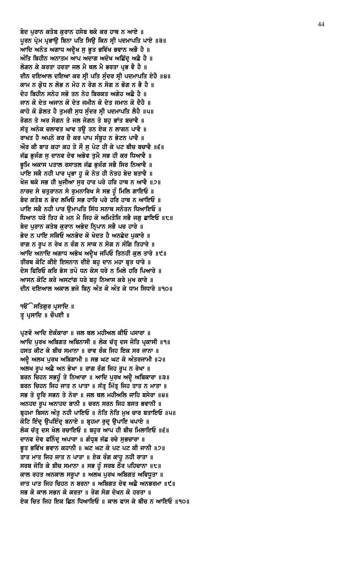ਬੇਦ ਪਰਾਨ ਕਤੇਬ ਕਰਾਨ ਹਸੇਬ ਥਕੇ ਕਰ ਹਾਥ ਨ ਆਏ ॥ ਪੂਰਨ ਪ੍ਰੇਮ ਪ੍ਰਭਾਉ ਬਿਨਾ ਪਤਿ ਸਿਉ ਕਿਨ ਸ੍ਰੀ ਪਦਮਾਪਤਿ ਪਾਏ ॥੩॥ ਆਦਿ ਅਨੰਤ ਅਗਾਧ ਅਦ੍ਰੈਖ ਸੁ ਭੁਤ ਭਵਿੱਖ ਭਵਾਨ ਅਭੈ ਹੈ ॥ ਅੰਤਿ ਬਿਹੀਨ ਅਨਾਤਮ ਆਪ ਅਦਾਗ ਅਦੋਖ ਅਛਿੱਦੂ ਅਛੈ ਹੈ ॥ ਲੋਗਨ ਕੇ ਕਰਤਾ ਹਰਤਾ ਜਲ ਮੈ ਥਲ ਮੈ ਭਰਤਾ ਪ੍ਰਭ ਵੈ ਹੈ ॥ ਦੀਨ ਦਇਆਲ ਦਇਆ ਕਰ ਸ੍ਰੀ ਪਤਿ ਸੁੰਦਰ ਸ੍ਰੀ ਪਦਮਾਪਤਿ ਏਹੈ ॥੪॥ ਕਾਮ ਨ ਕ੍ਰੋਧ ਨ ਲੋਭ ਨ ਮੋਹ ਨ ਰੋਗ ਨ ਸੋਗ ਨ ਭੋਗ ਨ ਭੈ ਹੈ ॥ ਦੇਹ ਬਿਹੀਨ ਸਨੇਹ ਸਭੋ ਤਨ ਨੇਹ ਬਿਰਕਤ ਅਗੇਹ ਅਛੇ ਹੈ ॥ ਜਾਨ ਕੋ ਦੇਤ ਅਜਾਨ ਕੋ ਦੇਤ ਜਮੀਨ ਕੋ ਦੇਤ ਜਮਾਨ ਕੋ ਦੈਹੈ ॥ ਕਾਹੇ ਕੋ ਡੋਲਤ ਹੈ ਤੁਮਰੀ ਸੁਧ ਸੁੰਦਰ ਸ੍ਰੀ ਪਦਮਾਪਤਿ ਲੈਹੈ ॥੫॥ ਰੋਗਨ ਤੇ ਅਰ ਸੋਗਨ ਤੇ ਜਲ ਜੋਗਨ ਤੇ ਬਹੁ ਭਾਂਤ ਬਚਾਵੈ ॥ ਸੱਤ੍ਰ ਅਨੇਕ ਚਲਾਵਤ ਘਾਵ ਤਉ ਤਨ ਏਕ ਨ ਲਾਗਨ ਪਾਵੈ ॥ ਰਾਖਤ ਹੈ ਅਪਨੋ ਕਰ ਦੈ ਕਰ ਪਾਪ ਸੰਬੁਹ ਨ ਭੇਟਨ ਪਾਵੈ ॥ ਔਰ ਕੀ ਬਾਤ ਕਹਾ ਕਹ ਤੋ ਸੌ ਸੁ ਪੇਟ ਹੀ ਕੇ ਪਟ ਬੀਚ ਬਚਾਵੈ ॥੬॥ ਜੱਛ ਭਜੰਗ ਸ ਦਾਨਵ ਦੇਵ ਅਭੇਵ ਤਮੈ ਸਭ ਹੀ ਕਰ ਧਿਆਵੈ ॥ ਭਮਿ ਅਕਾਸ ਪਤਾਲ ਰਸਾਤਲ ਜੱਛ ਭਜੰਗ ਸਭੈ ਸਿਰ ਨਿਆਵੈ ॥ ਪਾਇ ਸਕੈ ਨਹੀ ਪਾਰ ਪ੍ਰਭਾ ਹੁ ਕੋ ਨੇਤ ਹੀ ਨੇਤਹ ਬੇਦ ਬਤਾਵੈ ॥ ਖੋਜ ਥਕੇ ਸਭ ਹੀ ਖੁਜੀਆ ਸੁਰ ਹਾਰ ਪਰੇ ਹਰਿ ਹਾਥ ਨ ਆਵੈ ॥੭॥ ਨਾਰਦ ਸੇ ਚਤਰਾਨਨ ਸੇ ਰਮਨਾਰਿਖ ਸੇ ਸਭ ਹੁੰ ਮਿਲਿ ਗਾਇਓ ॥ ਬੇਦ ਕਤੇਬ ਨ ਭੇਦ ਲਖਿਓ ਸਭ ਹਾਰਿ ਪਰੇ ਹਰਿ ਹਾਥ ਨ ਆਇਓ ॥ ਪਾਇ ਸਕੈ ਨਹੀ ਪਾਰ ੳਮਾਪਤਿ ਸਿੱਧ ਸਨਾਥ ਸਨੰਤਨ ਧਿਆਇਓ ॥ ਧਿਆਨ ਧਰੋ ਤਿਹ ਕੇ ਮਨ ਮੈ ਜਿਹ ਕੋ ਅਮਿਤੋਜਿ ਸਭੈ ਜਗ ਛਾਇਓ ॥੮॥ ਬੇਦ ਪੁਰਾਨ ਕਤੇਬ ਕੁਰਾਨ ਅਭੇਦ ਨ੍ਰਿਪਾਨ ਸਭੈ ਪਚ ਹਾਰੇ ॥ ਭੇਦ ਨ ਪਾਇ ਸਕਿਓ ਅਨਭੇਦ ਕੋ ਖੇਦਤ ਹੈ ਅਨਛੇਦ ਪਕਾਰੇ ॥ ਰਾਗ ਨ ਰੂਪ ਨ ਰੇਖ ਨ ਰੰਗ ਨ ਸਾਕ ਨ ਸੋਗ ਨ ਸੰਗਿ ਤਿਹਾਰੇ ॥ ਆਦਿ ਅਨਾਦਿ ਅਗਾਧ ਅਭੇਖ ਅਦ੍ਵੈਖ ਜਪਿਓ ਤਿਨਹੀ ਕੁਲ ਤਾਰੇ ॥੯॥ ਤੀਰਥ ਕੋਟਿ ਕੀਏ ਇਸਨਾਨ ਦੀਏ ਬਹੁ ਦਾਨ ਮਹਾ ਬ੍ਰਤ ਧਾਰੇ ॥ ਦੇਸ ਫਿਰਿਓ ਕਰਿ ਭੇਸ ਤਪੋ ਧਨ ਕੇਸ ਧਰੇ ਨ ਮਿਲੇ ਹਰਿ ਪਿਆਰੇ ॥ ਆਸਨ ਕੋਟਿ ਕਰੇ ਅਸਟਾਂਗ ਧਰੇ ਬਹ ਨਿਆਸ ਕਰੇ ਮਖ ਕਾਰੇ ॥ ਦੀਨ ਦਇਆਲ ਅਕਾਲ ਭਜੇ ਬਿਨੂ ਅੰਤ ਕੋ ਅੰਤ ਕੇ ਧਾਮ ਸਿਧਾਰੇ ॥੧੦॥

**ੴ ਸਤਿਗੁਰ ਪ੍ਰਸਾਦਿ** ॥ ਤ੍ਰ ਪ੍ਰਸਾਦਿ ॥ ਚੌਪਈ ॥

ਪ੍ਰਣਵੋ ਆਦਿ ਏਕੰਕਾਰਾ ॥ ਜਲ ਥਲ ਮਹੀਅਲ ਕੀਓ ਪਸਾਰਾ ॥ ਆਦਿ ਪੂਰਖ ਅਬਿਗਤ ਅਬਿਨਾਸੀ ॥ ਲੋਕ ਚੱਤ੍ਰ ਦਸ ਜੋਤਿ ਪ੍ਰਕਾਸੀ ॥੧॥ ਹਸਤ ਕੀਟ ਕੇ ਬੀਚ ਸਮਾਨਾ ॥ ਰਾਵ ਰੰਕ ਜਿਹ ਇਕ ਸਰ ਜਾਨਾ ॥ ਅਦ੍ਰੈ ਅਲਖ ਪੁਰਖ ਅਬਿਗਾਮੀ ॥ ਸਭ ਘਟ ਘਟ ਕੇ ਅੰਤਰਜਾਮੀ ॥੨॥ ਅਲਖ ਰੂਪ ਅਛੈ ਅਨ ਭੇਖਾ ॥ ਰਾਗ ਰੰਗ ਜਿਹ ਰੂਪ ਨ ਰੇਖਾ ॥ ਬਰਨ ਚਿਹਨ ਸਭਹੁੰ ਤੇ ਨਿਆਰਾ ॥ ਆਦਿ ਪੁਰਖ ਅਦ੍ਵੈ ਅਬਿਕਾਰਾ ॥੩॥ ਬਰਨ ਚਿਹਨ ਜਿਹ ਜਾਤ ਨ ਪਾਤਾ ॥ ਸੱਤ੍ਰ ਮਿੱਤ੍ਰ ਜਿਹ ਤਾਤ ਨ ਮਾਤਾ ॥ ਸਭ ਤੇ ਦੁਰਿ ਸਭਨ ਤੇ ਨੇਰਾ ॥ ਜਲ ਥਲ ਮਹੀਅਲਿ ਜਾਹਿ ਬਸੇਰਾ ॥੪॥ ਅਨਹਦ ਰੂਪ ਅਨਾਹਦ ਬਾਨੀ ॥ ਚਰਨ ਸਰਨ ਜਿਹ ਬਸਤ ਭਵਾਨੀ ॥ ਬੁਹਮਾ ਬਿਸਨ ਅੰਤ ਨਹੀ ਪਾਇਓ ॥ ਨੇਤਿ ਨੇਤਿ ਮਖ ਚਾਰ ਬਤਾਇਓ ॥੫॥ ਕੋਟਿ ਇੰਦ੍ ੳਪਇੰਦ੍ ਬਨਾਏ ॥ ਬੁਹਮਾ ਰਦ੍ ੳਪਾਇ ਖਪਾਏ ॥ ਲੋਕ ਚੱਤੂ ਦਸ ਖੇਲ ਰਚਾਇਓ ॥ ਬਹਰ ਆਪ ਹੀ ਬੀਚ ਮਿਲਾਇਓ ॥੬॥ ਦਾਨਵ ਦੇਵ ਫਨਿੰਦ੍ਰ ਅਪਾਰਾ ॥ ਗੰਧ੍ਰਬ ਜੱਛ ਰਚੇ ਸੁਭਚਾਰਾ ॥ ਭੁਤ ਭਵਿੱਖ ਭਵਾਨ ਕਹਾਨੀ ॥ ਘਟ ਘਟ ਕੇ ਪਟ ਪਟ ਕੀ ਜਾਨੀ ॥੭॥ ਤਾਤ ਮਾਤ ਜਿਹ ਜਾਤ ਨ ਪਾਤਾ ॥ ਏਕ ਰੰਗ ਕਾਹੁ ਨਹੀ ਰਾਤਾ ॥ ਸਰਬ ਜੋਤਿ ਕੇ ਬੀਚ ਸਮਾਨਾ ॥ ਸਭ ਹੁੰ ਸਰਬ ਠੌਰ ਪਹਿਚਾਨਾ ॥੮॥ ਕਾਲ ਰਹਤ ਅਨਕਾਲ ਸਰੁਪਾ ॥ ਅਲਖ ਪੂਰਖ ਅਬਿਗਤ ਅਵਿਧੁਤਾ ॥ ਜਾਤ ਪਾਤ ਜਿਹ ਚਿਹਨ ਨ ਬਰਨਾ ॥ ਅਬਿਗਤ ਦੇਵ ਅਛੈ ਅਨਭਰਮਾ ॥੯॥ ਸਭ ਕੋ ਕਾਲ ਸਭਨ ਕੋ ਕਰਤਾ ॥ ਰੋਗ ਸੋਗ ਦੋਖਨ ਕੋ ਹਰਤਾ ॥ ਏਕ ਚਿਤ ਜਿਹ ਇਕ ਛਿਨ ਧਿਆਇਓ ॥ ਕਾਲ ਫਾਸ ਕੇ ਬੀਚ ਨ ਆਇਓ ॥੧੦॥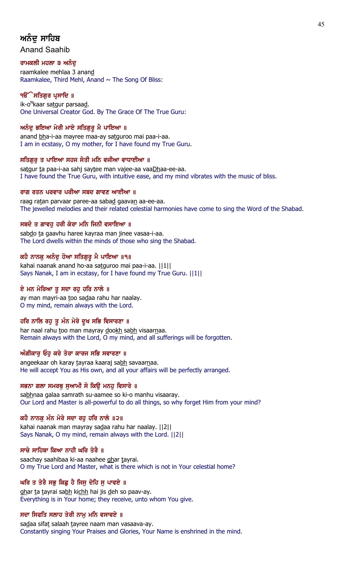# ਅਨੰਦ ਸਾਹਿਬ

Anand Saahib

# ਰਾਮਕਲੀ ਮਹਲਾ ੩ ਅਨੰਦ

raamkalee mehlaa 3 anand Raamkalee, Third Mehl, Anand  $\sim$  The Song Of Bliss:

# ੧**ੳੇਸਤਿਗਰ ਪ੍ਰਸਾਦਿ** ॥

ik-o<sup>n</sup>kaar sa<u>tg</u>ur parsaa<u>d</u>. One Universal Creator God. By The Grace Of The True Guru:

# ਅਨੰਦੁ ਭਇਆ ਮੇਰੀ ਮਾਏ ਸਤਿਗੁਰੂ ਮੈ ਪਾਇਆ ॥

anand bha-i-aa mayree maa-ay satguroo mai paa-i-aa. I am in ecstasy, O my mother, for I have found my True Guru.

# ਸਤਿਗੁਰੁ ਤ ਪਾਇਆ ਸਹਜ ਸੇਤੀ ਮਨਿ ਵਜੀਆ ਵਾਧਾਈਆ ॥

satgur ta paa-i-aa sahj saytee man vajee-aa vaaDhaa-ee-aa. I have found the True Guru, with intuitive ease, and my mind vibrates with the music of bliss.

# ਰਾਗ ਰਤਨ ਪਰਵਾਰ ਪਰੀਆ ਸਬਦ ਗਾਵਣ ਆਈਆ ॥

raag ratan parvaar paree-aa sabad gaavan aa-ee-aa. The jewelled melodies and their related celestial harmonies have come to sing the Word of the Shabad.

# ਸਬਦੋ ਤ ਗਾਵਹੁ ਹਰੀ ਕੇਰਾ ਮਨਿ ਜਿਨੀ ਵਸਾਇਆ ॥

sabdo ta gaavhu haree kayraa man jinee vasaa-i-aa. The Lord dwells within the minds of those who sing the Shabad.

# ਕਹੈ ਨਾਨਕ ਅਨੰਦ ਹੋਆ ਸਤਿਗਰ ਮੈ ਪਾਇਆ ॥੧॥

kahai naanak anand ho-aa satguroo mai paa-i-aa. ||1|| Says Nanak, I am in ecstasy, for I have found my True Guru. ||1||

# ਏ ਮਨ ਮੇਰਿਆ ਤੂ ਸਦਾ ਰਹੁ ਹਰਿ ਨਾਲੇ ॥

ay man mayri-aa too sadaa rahu har naalay. O my mind, remain always with the Lord.

# ਹਰਿ ਨਾਲਿ ਰਹੁ ਤੁ ਮੰਨ ਮੇਰੇ ਦੁਖ ਸਭਿ ਵਿਸਾਰਣਾ ॥

har naal rahu too man mayray dookh sabh visaarnaa. Remain always with the Lord, O my mind, and all sufferings will be forgotten.

# ਅੰਗੀਕਾਰ ਓਹ ਕਰੇ ਤੇਰਾ ਕਾਰਜ ਸਭਿ ਸਵਾਰਣਾ ॥

angeekaar oh karay tayraa kaaraj sabh savaarnaa. He will accept You as His own, and all your affairs will be perfectly arranged.

# ਸਭਨਾ ਗਲਾ ਸਮਰਥੂ ਸੁਆਮੀ ਸੋ ਕਿਉ ਮਨਹੂ ਵਿਸਾਰੇ ॥

sabhnaa galaa samrath su-aamee so ki-o manhu visaaray. Our Lord and Master is all-powerful to do all things, so why forget Him from your mind?

# ਕਹੈ ਨਾਨਕ ਮੰਨ ਮੇਰੇ ਸਦਾ ਰਹ ਹਰਿ ਨਾਲੇ ॥੨॥

kahai naanak man mayray sadaa rahu har naalay. ||2|| Says Nanak, O my mind, remain always with the Lord. ||2||

# ਸਾਚੇ ਸਾਹਿਬਾ ਕਿਆ ਨਾਹੀ ਘਰਿ ਤੇਰੈ ॥

saachay saahibaa ki-aa naahee ghar tayrai. O my True Lord and Master, what is there which is not in Your celestial home?

# ਘਰਿ ਤ ਤੇਰੈ ਸਭੁ ਕਿਛੁ ਹੈ ਜਿਸੁ ਦੇਹਿ ਸੁ ਪਾਵਏ ॥

ghar ta tayrai sabh kichh hai jis deh so paav-ay. Everything is in Your home; they receive, unto whom You give.

# ਸਦਾ ਸਿਫਤਿ ਸਲਾਹ ਤੇਰੀ ਨਾਮ ਮਨਿ ਵਸਾਵਏ ॥

sadaa sifat salaah tayree naam man vasaava-ay. Constantly singing Your Praises and Glories, Your Name is enshrined in the mind.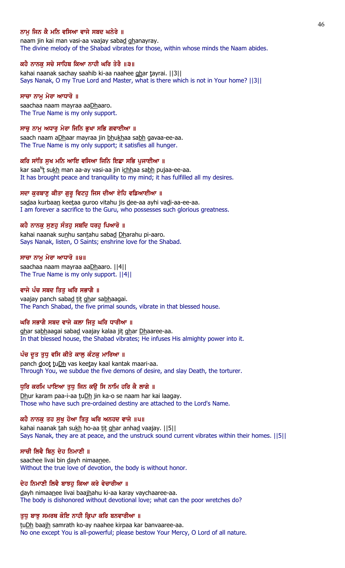# ਨਾਮ ਜਿਨ ਕੈ ਮਨਿ ਵਸਿਆ ਵਾਜੇ ਸਬਦ ਘਨੇਰੇ ॥

naam jin kai man vasi-aa vaajay sabad ghanayray. The divine melody of the Shabad vibrates for those, within whose minds the Naam abides.

#### ਕਹੈ ਨਾਨਕੂ ਸਚੇ ਸਾਹਿਬ ਕਿਆ ਨਾਹੀ ਘਰਿ ਤੇਰੈ ॥੩॥

kahai naanak sachay saahib ki-aa naahee ghar tayrai. ||3|| Says Nanak, O my True Lord and Master, what is there which is not in Your home? ||3||

#### ਸਾਚਾ ਨਾਮੂ ਮੇਰਾ ਆਧਾਰੋ ॥

saachaa naam mayraa aaDhaaro. The True Name is my only support.

#### ਸਾਚੂ ਨਾਮੂ ਅਧਾਰੂ ਮੇਰਾ ਜਿਨਿ ਭੂਖਾ ਸਭਿ ਗਵਾਈਆ ॥

saach naam aDhaar mayraa jin bhukhaa sabh gavaa-ee-aa. The True Name is my only support; it satisfies all hunger.

#### ਕਰਿ ਸਾਂਤਿ ਸੁਖ ਮਨਿ ਆਇ ਵਸਿਆ ਜਿਨਿ ਇਛਾ ਸਭਿ ਪੁਜਾਈਆ ॥

kar saa<sup>n</sup>t su<u>kh</u> man aa-ay vasi-aa jin i<u>chh</u>aa sa<u>bh</u> pujaa-ee-aa. It has brought peace and tranquility to my mind; it has fulfilled all my desires.

#### ਸਦਾ ਕੁਰਬਾਣੁ ਕੀਤਾ ਗੁਰੂ ਵਿਟਹੁ ਜਿਸ ਦੀਆ ਏਹਿ ਵਡਿਆਈਆ ॥

sadaa kurbaan keetaa guroo vitahu jis dee-aa ayhi vadi-aa-ee-aa. I am forever a sacrifice to the Guru, who possesses such glorious greatness.

#### ਕਹੈ ਨਾਨਕੁ ਸੁਣਹੁ ਸੰਤਹੁ ਸਬਦਿ ਧਰਹੁ ਪਿਆਰੋ ॥

kahai naanak sunhu santahu sabad Dharahu pi-aaro. Says Nanak, listen, O Saints; enshrine love for the Shabad.

#### ਸਾਚਾ ਨਾਮੂ ਮੇਰਾ ਆਧਾਰੋ ॥੪॥

saachaa naam mayraa aaDhaaro. ||4|| The True Name is my only support. ||4||

#### ਵਾਜੇ ਪੰਚ ਸਬਦ ਤਿਤੂ ਘਰਿ ਸਭਾਗੈ ॥

vaajay panch sabad tit ghar sabhaagai. The Panch Shabad, the five primal sounds, vibrate in that blessed house.

#### ਘਰਿ ਸਭਾਗੈ ਸਬਦ ਵਾਜੇ ਕਲਾ ਜਿਤੂ ਘਰਿ ਧਾਰੀਆ ॥

ghar sabhaagai sabad vaajay kalaa jit ghar Dhaaree-aa. In that blessed house, the Shabad vibrates; He infuses His almighty power into it.

#### ਪੰਚ ਦੂਤ ਤੁਧੁ ਵਸਿ ਕੀਤੇ ਕਾਲੁ ਕੰਟਕੁ ਮਾਰਿਆ ॥

panch doot tuDh vas keetay kaal kantak maari-aa. Through You, we subdue the five demons of desire, and slay Death, the torturer.

#### ਧੁਰਿ ਕਰਮਿ ਪਾਇਆ ਤੁਧੁ ਜਿਨ ਕਉ ਸਿ ਨਾਮਿ ਹਰਿ ਕੈ ਲਾਗੇ ॥

Dhur karam paa-i-aa tuDh jin ka-o se naam har kai laagay. Those who have such pre-ordained destiny are attached to the Lord's Name.

#### ਕਹੈ ਨਾਨਕੂ ਤਹ ਸੁਖੂ ਹੋਆ ਤਿਤੂ ਘਰਿ ਅਨਹਦ ਵਾਜੇ ॥੫॥

kahai naanak tah sukh ho-aa tit ghar anhad vaajay. [[5]] Says Nanak, they are at peace, and the unstruck sound current vibrates within their homes. ||5||

#### ਸਾਚੀ ਲਿਵੈ ਬਿਨੂ ਦੇਹ ਨਿਮਾਣੀ ॥

saachee livai bin dayh nimaanee. Without the true love of devotion, the body is without honor.

#### ਦੇਹ ਨਿਮਾਣੀ ਲਿਵੈ ਬਾਝਹੂ ਕਿਆ ਕਰੇ ਵੇਚਾਰੀਆ ॥

dayh nimaanee livai baajhahu ki-aa karay vaychaaree-aa. The body is dishonored without devotional love; what can the poor wretches do?

#### ਤੁਧੁ ਬਾਝੁ ਸਮਰਥ ਕੋਇ ਨਾਹੀ ਕ੍ਰਿਪਾ ਕਰਿ ਬਨਵਾਰੀਆ ॥

tuDh baajh samrath ko-ay naahee kirpaa kar banvaaree-aa. No one except You is all-powerful; please bestow Your Mercy, O Lord of all nature.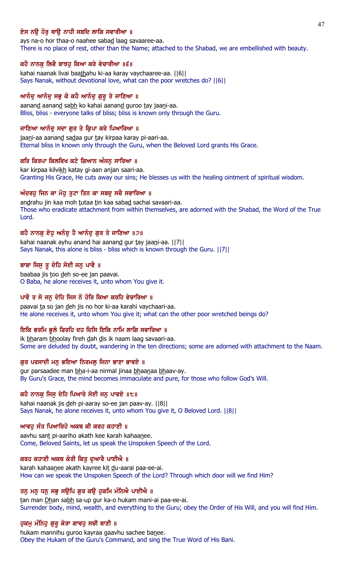# ਏਸ ਨੳ ਹੋਰ ਥਾੳ ਨਾਹੀ ਸਬਦਿ ਲਾਗਿ ਸਵਾਰੀਆ ॥

ays na-o hor thaa-o naahee sabad laag savaaree-aa. There is no place of rest, other than the Name; attached to the Shabad, we are embellished with beauty.

# ਕਹੈ ਨਾਨਕੂ ਲਿਵੈ ਬਾਝਹੂ ਕਿਆ ਕਰੇ ਵੇਚਾਰੀਆ ॥੬॥

kahai naanak livai baajhahu ki-aa karay vaychaaree-aa. ||6|| Says Nanak, without devotional love, what can the poor wretches do? ||6||

# ਆਨੰਦੂ ਆਨੰਦੂ ਸਭੂ ਕੋ ਕਹੈ ਆਨੰਦੂ ਗੁਰੂ ਤੇ ਜਾਣਿਆ ॥

aanand aanand sabh ko kahai aanand guroo tay jaani-aa. Bliss, bliss - everyone talks of bliss; bliss is known only through the Guru.

### ਜਾਣਿਆ ਆਨੰਦ ਸਦਾ ਗਰ ਤੇ ਕ੍ਰਿਪਾ ਕਰੇ ਪਿਆਰਿਆ ॥

jaani-aa aanand sadaa gur tay kirpaa karay pi-aari-aa. Eternal bliss in known only through the Guru, when the Beloved Lord grants His Grace.

### ਕਰਿ ਕਿਰਪਾ ਕਿਲਵਿਖ ਕਟੇ ਗਿਆਨ ਅੰਜਨ ਸਾਰਿਆ ॥

kar kirpaa kilvikh katay gi-aan anjan saari-aa. Granting His Grace, He cuts away our sins; He blesses us with the healing ointment of spiritual wisdom.

# ਅੰਦਰਹੂ ਜਿਨ ਕਾ ਮੋਹੂ ਤੁਟਾ ਤਿਨ ਕਾ ਸਬਦੂ ਸਚੈ ਸਵਾਰਿਆ ॥

andrahu jin kaa moh tutaa tin kaa sabad sachai savaari-aa. Those who eradicate attachment from within themselves, are adorned with the Shabad, the Word of the True Lord.

# ਕਹੈ ਨਾਨਕ ਏਹ ਅਨੰਦ ਹੈ ਆਨੰਦ ਗਰ ਤੇ ਜਾਣਿਆ ॥੭॥

kahai naanak ayhu anand hai aanand gur tay jaani-aa. ||7|| Says Nanak, this alone is bliss - bliss which is known through the Guru. ||7||

# ਬਾਬਾ ਜਿਸੁ ਤੁ ਦੇਹਿ ਸੋਈ ਜਨੁ ਪਾਵੈ ॥

baabaa jis too deh so-ee jan paavai. O Baba, he alone receives it, unto whom You give it.

# ਪਾਵੈ ਤ ਸੋ ਜਨੁ ਦੇਹਿ ਜਿਸ ਨੋ ਹੋਰਿ ਕਿਆ ਕਰਹਿ ਵੇਚਾਰਿਆ ॥

paavai ta so jan deh jis no hor ki-aa karahi vaychaari-aa. He alone receives it, unto whom You give it; what can the other poor wretched beings do?

# ਇਕਿ ਭਰਮਿ ਭੁਲੇ ਫਿਰਹਿ ਦਹ ਦਿਸਿ ਇਕਿ ਨਾਮਿ ਲਾਗਿ ਸਵਾਰਿਆ ॥

ik bharam bhoolay fireh dah dis ik naam laag savaari-aa. Some are deluded by doubt, wandering in the ten directions; some are adorned with attachment to the Naam.

### ਗੁਰ ਪਰਸਾਦੀ ਮਨੁ ਭਇਆ ਨਿਰਮਲੁ ਜਿਨਾ ਭਾਣਾ ਭਾਵਏ ॥

gur parsaadee man bha-i-aa nirmal jinaa bhaanaa bhaav-ay. By Guru's Grace, the mind becomes immaculate and pure, for those who follow God's Will.

### ਕਹੈ ਨਾਨਕੁ ਜਿਸੂ ਦੇਹਿ ਪਿਆਰੇ ਸੋਈ ਜਨੁ ਪਾਵਏ ॥੮॥

kahai naanak jis deh pi-aaray so-ee jan paav-ay. ||8|| Says Nanak, he alone receives it, unto whom You give it, O Beloved Lord. ||8||

# ਆਵਹ ਸੰਤ ਪਿਆਰਿਹੋ ਅਕਥ ਕੀ ਕਰਹ ਕਹਾਣੀ ॥

aavhu sant pi-aariho akath kee karah kahaanee. Come, Beloved Saints, let us speak the Unspoken Speech of the Lord.

### ਕਰਹ ਕਹਾਣੀ ਅਕਥ ਕੇਰੀ ਕਿਤੂ ਦੁਆਰੈ ਪਾਈਐ ॥

karah kahaanee akath kayree kit du-aarai paa-ee-ai. How can we speak the Unspoken Speech of the Lord? Through which door will we find Him?

# ਤਨੂ ਮਨੂ ਧਨੂ ਸਭੂ ਸਉਪਿ ਗੁਰ ਕਉ ਹੁਕਮਿ ਮੰਨਿਐ ਪਾਈਐ ॥

tan man Dhan sabh sa-up gur ka-o hukam mani-ai paa-ee-ai. Surrender body, mind, wealth, and everything to the Guru; obey the Order of His Will, and you will find Him.

### ਹੁਕਮੁ ਮੰਨਿਹੁ ਗੁਰੁ ਕੇਰਾ ਗਾਵਹੁ ਸਚੀ ਬਾਣੀ ॥

hukam mannihu guroo kayraa gaavhu sachee banee. Obey the Hukam of the Guru's Command, and sing the True Word of His Bani.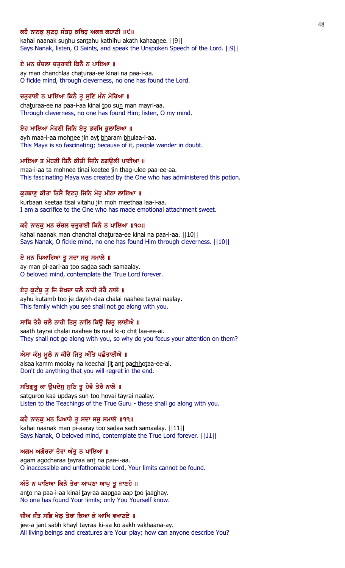# ਕਹੈ ਨਾਨਕ ਸਣਹ ਸੰਤਹ ਕਥਿਹ ਅਕਥ ਕਹਾਣੀ ॥੯॥

kahai naanak sunhu santahu kathihu akath kahaanee. [[9]] Says Nanak, listen, O Saints, and speak the Unspoken Speech of the Lord. ||9||

#### ਏ ਮਨ ਚੰਚਲਾ ਚਤੁਰਾਈ ਕਿਨੈ ਨ ਪਾਇਆ ॥

ay man chanchlaa chaturaa-ee kinai na paa-i-aa. O fickle mind, through cleverness, no one has found the Lord.

#### ਚਤੁਰਾਈ ਨ ਪਾਇਆ ਕਿਨੈ ਤੂ ਸੁਣਿ ਮੰਨ ਮੇਰਿਆ ॥

chaturaa-ee na paa-i-aa kinai too sun man mayri-aa. Through cleverness, no one has found Him; listen, O my mind.

#### ਏਹ ਮਾਇਆ ਮੋਹਣੀ ਜਿਨਿ ਏਤੁ ਭਰਮਿ ਭੁਲਾਇਆ ॥

ayh maa-i-aa mohnee jin ayt bharam bhulaa-i-aa. This Maya is so fascinating; because of it, people wander in doubt.

#### ਮਾਇਆ ਤ ਮੋਹਣੀ ਤਿਨੈ ਕੀਤੀ ਜਿਨਿ ਠਗੳਲੀ ਪਾਈਆ ॥

maa-i-aa ta mohnee tinai keetee jin thag-ulee paa-ee-aa. This fascinating Maya was created by the One who has administered this potion.

#### ਕੁਰਬਾਣੂ ਕੀਤਾ ਤਿਸੈ ਵਿਟਹੂ ਜਿਨਿ ਮੋਹੂ ਮੀਠਾ ਲਾਇਆ ॥

kurbaan keetaa tisai vitahu jin moh meethaa laa-i-aa. I am a sacrifice to the One who has made emotional attachment sweet.

### ਕਹੈ ਨਾਨਕ ਮਨ ਚੰਚਲ ਚਤਰਾਈ ਕਿਨੈ ਨ ਪਾਇਆ ॥੧੦॥

kahai naanak man chanchal chaturaa-ee kinai na paa-i-aa. ||10|| Says Nanak, O fickle mind, no one has found Him through cleverness. ||10||

#### ਏ ਮਨ ਪਿਆਰਿਆ ਤੁ ਸਦਾ ਸਚੁ ਸਮਾਲੇ ॥

ay man pi-aari-aa too sadaa sach samaalay. O beloved mind, contemplate the True Lord forever.

#### ਏਹੂ ਕੁਟੰਬੂ ਤੂ ਜਿ ਦੇਖਦਾ ਚਲੈ ਨਾਹੀ ਤੇਰੈ ਨਾਲੇ ॥

ayhu kutamb too je daykh-daa chalai naahee tayrai naalay. This family which you see shall not go along with you.

### ਸਾਥਿ ਤੇਰੈ ਚਲੈ ਨਾਹੀ ਤਿਸੁ ਨਾਲਿ ਕਿਉ ਚਿਤੁ ਲਾਈਐ ॥

saath tayrai chalai naahee tis naal ki-o chit laa-ee-ai. They shall not go along with you, so why do you focus your attention on them?

### ਐਸਾ ਕੰਮੂ ਮੂਲੇ ਨ ਕੀਚੈ ਜਿਤੂ ਅੰਤਿ ਪਛੋਤਾਈਐ ॥

aisaa kamm moolay na keechai jit ant pachhotaa-ee-ai. Don't do anything that you will regret in the end.

#### ਸਤਿਗੁਰੁ ਕਾ ਉਪਦੇਸੁ ਸੁਣਿ ਤੁ ਹੋਵੈ ਤੇਰੈ ਨਾਲੇ ॥

satguroo kaa updays sun too hovai tayrai naalay. Listen to the Teachings of the True Guru - these shall go along with you.

#### ਕਹੈ ਨਾਨਕੁ ਮਨ ਪਿਆਰੇ ਤੁ ਸਦਾ ਸਚੁ ਸਮਾਲੇ ॥੧੧॥

kahai naanak man pi-aaray too sadaa sach samaalay. ||11|| Says Nanak, O beloved mind, contemplate the True Lord forever. ||11||

#### ਅਗਮ ਅਗੋਚਰਾ ਤੇਰਾ ਅੰਤੁ ਨ ਪਾਇਆ ॥

agam agocharaa tayraa ant na paa-i-aa. O inaccessible and unfathomable Lord, Your limits cannot be found.

#### ਅੰਤੋ ਨ ਪਾਇਆ ਕਿਨੈ ਤੇਰਾ ਆਪਣਾ ਆਪੂ ਤੂ ਜਾਣਹੇ ॥

anto na paa-i-aa kinai tayraa aapnaa aap too jaanhay. No one has found Your limits; only You Yourself know.

# ਜੀਅ ਜੰਤ ਸਭਿ ਖੇਲੂ ਤੇਰਾ ਕਿਆ ਕੋ ਆਖਿ ਵਖਾਣਏ ॥

jee-a jant sabh khayl tayraa ki-aa ko aakh vakhaana-ay. All living beings and creatures are Your play; how can anyone describe You?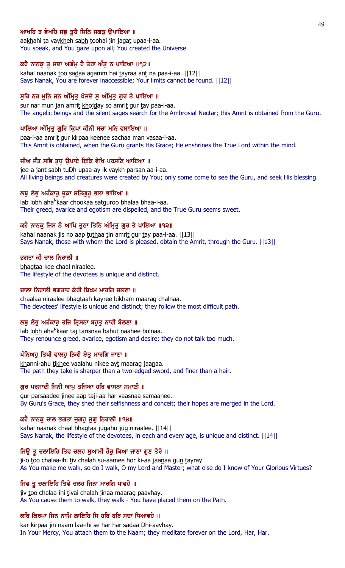# ਆਖਹਿ ਤ ਵੇਖਹਿ ਸਭੁ ਤੁਹੈ ਜਿਨਿ ਜਗਤੁ ਉਪਾਇਆ ॥

aakhahi ta vaykheh sabh toohai jin jagat upaa-i-aa. You speak, and You gaze upon all; You created the Universe.

### ਕਹੈ ਨਾਨਕੂ ਤੂ ਸਦਾ ਅਗੰਮੂ ਹੈ ਤੇਰਾ ਅੰਤੂ ਨ ਪਾਇਆ ॥੧੨॥

kahai naanak too sadaa agamm hai tayraa ant na paa-i-aa. [[12]] Says Nanak, You are forever inaccessible; Your limits cannot be found. ||12||

# ਸੁਰਿ ਨਰ ਮੁਨਿ ਜਨ ਅੰਮ੍ਰਿਤੁ ਖੋਜਦੇ ਸੁ ਅੰਮ੍ਰਿਤੁ ਗੁਰ ਤੇ ਪਾਇਆ ॥

sur nar mun jan amrit khojday so amrit gur tay paa-i-aa. The angelic beings and the silent sages search for the Ambrosial Nectar; this Amrit is obtained from the Guru.

### ਪਾਇਆ ਅੰਮ੍ਰਿਤੁ ਗੁਰਿ ਕ੍ਰਿਪਾ ਕੀਨੀ ਸਚਾ ਮਨਿ ਵਸਾਇਆ ॥

paa-i-aa amrit gur kirpaa keenee sachaa man vasaa-i-aa. This Amrit is obtained, when the Guru grants His Grace; He enshrines the True Lord within the mind.

# ਜੀਅ ਜੰਤ ਸਭਿ ਤੁਧੂ ਉਪਾਏ ਇਕਿ ਵੇਖਿ ਪਰਸਣਿ ਆਇਆ ॥

jee-a jant sabh tuDh upaa-ay ik vaykh parsan aa-i-aa. All living beings and creatures were created by You; only some come to see the Guru, and seek His blessing.

# ਲਬੁ ਲੋਭੁ ਅਹੰਕਾਰੁ ਚੂਕਾ ਸਤਿਗੁਰੂ ਭਲਾ ਭਾਇਆ ॥

lab lo<u>bh</u> aha<sup>n</sup>kaar chookaa sa<u>tg</u>uroo <u>bh</u>alaa <u>bh</u>aa-i-aa. Their greed, avarice and egotism are dispelled, and the True Guru seems sweet.

# ਕਹੈ ਨਾਨਕੁ ਜਿਸ ਨੋ ਆਪਿ ਤੁਠਾ ਤਿਨਿ ਅੰਮ੍ਰਿਤੁ ਗੁਰ ਤੇ ਪਾਇਆ ॥੧੩॥

kahai naanak jis no aap tuthaa tin amrit gur tay paa-i-aa. [13] Says Nanak, those with whom the Lord is pleased, obtain the Amrit, through the Guru. ||13||

### ਭਗਤਾ ਕੀ ਚਾਲ ਨਿਰਾਲੀ ॥

bhagtaa kee chaal niraalee. The lifestyle of the devotees is unique and distinct.

### ਚਾਲਾ ਨਿਰਾਲੀ ਭਗਤਾਹ ਕੇਰੀ ਬਿਖਮ ਮਾਰਗਿ ਚਲਣਾ ॥

chaalaa niraalee bhagtaah kayree bikham maarag chalnaa. The devotees' lifestyle is unique and distinct; they follow the most difficult path.

# ਲਬੂ ਲੋਭੂ ਅਹੰਕਾਰੂ ਤਜਿ ਤ੍ਰਿਸਨਾ ਬਹੁਤੂ ਨਾਹੀ ਬੋਲਣਾ ॥

lab lo<u>bh</u> aha<sup>n</sup>kaar <u>t</u>aj <u>t</u>arisnaa bahu<u>t</u> naahee bol<u>n</u>aa. They renounce greed, avarice, egotism and desire; they do not talk too much.

# ਖੰਨਿਅਹੂ ਤਿਖੀ ਵਾਲਹੂ ਨਿਕੀ ਏਤੂ ਮਾਰਗਿ ਜਾਣਾ ॥

khanni-ahu tikhee vaalahu nikee ayt maarag jaanaa. The path they take is sharper than a two-edged sword, and finer than a hair.

### ਗੁਰ ਪਰਸਾਦੀ ਜਿਨੀ ਆਪੁ ਤਜਿਆ ਹਰਿ ਵਾਸਨਾ ਸਮਾਣੀ ॥

gur parsaadee jinee aap taji-aa har vaasnaa samaanee. By Guru's Grace, they shed their selfishness and conceit; their hopes are merged in the Lord.

### ਕਹੈ ਨਾਨਕੁ ਚਾਲ ਭਗਤਾ ਜੁਗਹੁ ਜੁਗੁ ਨਿਰਾਲੀ ॥੧੪॥

kahai naanak chaal bhagtaa jugahu jug niraalee. ||14|| Says Nanak, the lifestyle of the devotees, in each and every age, is unique and distinct. ||14||

# ਜਿਉ ਤੂ ਚਲਾਇਹਿ ਤਿਵ ਚਲਹ ਸੁਆਮੀ ਹੋਰੁ ਕਿਆ ਜਾਣਾ ਗੁਣ ਤੇਰੇ ॥

ji-o too chalaa-ihi tiv chalah su-aamee hor ki-aa jaanaa gun tayray. As You make me walk, so do I walk, O my Lord and Master; what else do I know of Your Glorious Virtues?

### ਜਿਵ ਤੂ ਚਲਾਇਹਿ ਤਿਵੈ ਚਲਹ ਜਿਨਾ ਮਾਰਗਿ ਪਾਵਹੇ ॥

jiv too chalaa-ihi tivai chalah jinaa maarag paavhay. As You cause them to walk, they walk - You have placed them on the Path.

# ਕਰਿ ਕਿਰਪਾ ਜਿਨ ਨਾਮਿ ਲਾਇਹਿ ਸਿ ਹਰਿ ਹਰਿ ਸਦਾ ਧਿਆਵਹੇ ॥

kar kirpaa jin naam laa-ihi se har har sadaa Dhi-aavhay. In Your Mercy, You attach them to the Naam; they meditate forever on the Lord, Har, Har.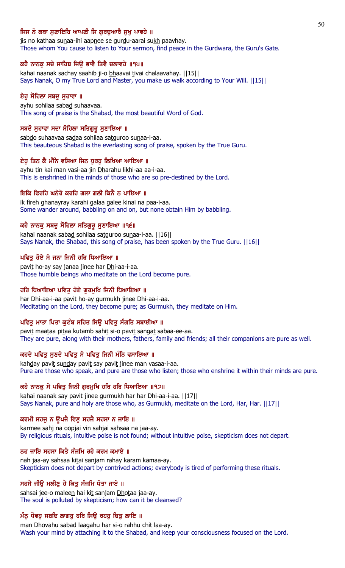# ਜਿਸ ਨੋ ਕਥਾ ਸਣਾਇਹਿ ਆਪਣੀ ਸਿ ਗਰਦਆਰੈ ਸਖ ਪਾਵਹੇ ॥

jis no kathaa sunaa-ihi aapnee se gurdu-aarai sukh paavhay. Those whom You cause to listen to Your sermon, find peace in the Gurdwara, the Guru's Gate.

### ਕਹੈ ਨਾਨਕੂ ਸਚੇ ਸਾਹਿਬ ਜਿਉ ਭਾਵੈ ਤਿਵੈ ਚਲਾਵਹੇ ॥੧੫॥

kahai naanak sachay saahib ji-o bhaavai tivai chalaavahay. [[15]] Says Nanak, O my True Lord and Master, you make us walk according to Your Will. ||15||

### ਏਹੁ ਸੋਹਿਲਾ ਸਬਦੁ ਸੁਹਾਵਾ ॥

ayhu sohilaa sabad suhaavaa. This song of praise is the Shabad, the most beautiful Word of God.

#### ਸਬਦੋ ਸੁਹਾਵਾ ਸਦਾ ਸੋਹਿਲਾ ਸਤਿਗੁਰੂ ਸੁਣਾਇਆ ॥

sabdo suhaavaa sadaa sohilaa satguroo sunaa-i-aa. This beauteous Shabad is the everlasting song of praise, spoken by the True Guru.

#### ਏਹ ਤਿਨ ਕੈ ਮੰਨਿ ਵਸਿਆ ਜਿਨ ਧਰਹ ਲਿਖਿਆ ਆਇਆ ॥

ayhu tin kai man vasi-aa jin Dharahu likhi-aa aa-i-aa. This is enshrined in the minds of those who are so pre-destined by the Lord.

#### ਇਕਿ ਫਿਰਹਿ ਘਨੇਰੇ ਕਰਹਿ ਗਲਾ ਗਲੀ ਕਿਨੈ ਨ ਪਾਇਆ ॥

ik fireh ghanayray karahi galaa galee kinai na paa-i-aa. Some wander around, babbling on and on, but none obtain Him by babbling.

### ਕਹੈ ਨਾਨਕ ਸਬਦ ਸੋਹਿਲਾ ਸਤਿਗਰ ਸਣਾਇਆ ॥੧੬॥

kahai naanak sabad sohilaa satguroo sunaa-i-aa. ||16|| Says Nanak, the Shabad, this song of praise, has been spoken by the True Guru. ||16||

#### ਪਵਿਤੂ ਹੋਏ ਸੇ ਜਨਾ ਜਿਨੀ ਹਰਿ ਧਿਆਇਆ ॥

pavit ho-ay say janaa jinee har Dhi-aa-i-aa. Those humble beings who meditate on the Lord become pure.

### ਹਰਿ ਧਿਆਇਆ ਪਵਿਤੁ ਹੋਏ ਗੁਰਮੁਖਿ ਜਿਨੀ ਧਿਆਇਆ ॥

har Dhi-aa-i-aa pavit ho-ay gurmukh jinee Dhi-aa-i-aa. Meditating on the Lord, they become pure; as Gurmukh, they meditate on Him.

# ਪਵਿਤੂ ਮਾਤਾ ਪਿਤਾ ਕੁਟੰਬ ਸਹਿਤ ਸਿਉ ਪਵਿਤੂ ਸੰਗਤਿ ਸਬਾਈਆ ॥

pavit maataa pitaa kutamb sahit si-o pavit sangat sabaa-ee-aa. They are pure, along with their mothers, fathers, family and friends; all their companions are pure as well.

### ਕਹਦੇ ਪਵਿਤੂ ਸੁਣਦੇ ਪਵਿਤੂ ਸੇ ਪਵਿਤੂ ਜਿਨੀ ਮੰਨਿ ਵਸਾਇਆ ॥

kahday pavit sunday pavit say pavit jinee man vasaa-i-aa. Pure are those who speak, and pure are those who listen; those who enshrine it within their minds are pure.

# ਕਹੇ ਨਾਨਕੁ ਸੇ ਪਵਿਤੁ ਜਿਨੀ ਗੁਰਮੁਖਿ ਹਰਿ ਹਰਿ ਧਿਆਇਆ ॥੧੭॥

kahai naanak say pavit jinee gurmukh har har Dhi-aa-i-aa. [17] Says Nanak, pure and holy are those who, as Gurmukh, meditate on the Lord, Har, Har. ||17||

### ਕਰਮੀ ਸਹਜੂ ਨ ਉਪਜੈ ਵਿਣੂ ਸਹਜੈ ਸਹਸਾ ਨ ਜਾਇ ॥

karmee sahj na oopjai vin sahjai sahsaa na jaa-ay. By religious rituals, intuitive poise is not found; without intuitive poise, skepticism does not depart.

#### ਨਹ ਜਾਇ ਸਹਸਾ ਕਿਤੈ ਸੰਜਮਿ ਰਹੇ ਕਰਮ ਕਮਾਏ ॥

nah jaa-ay sahsaa kitai sanjam rahay karam kamaa-ay. Skepticism does not depart by contrived actions; everybody is tired of performing these rituals.

### ਸਹਸੈ ਜੀਉ ਮਲੀਣੂ ਹੈ ਕਿਤੂ ਸੰਜਮਿ ਧੋਤਾ ਜਾਏ ॥

sahsai jee-o maleen hai kit sanjam Dhotaa jaa-ay. The soul is polluted by skepticism; how can it be cleansed?

### ਮੰਨੂ ਧੋਵਹੂ ਸਬਦਿ ਲਾਗਹੂ ਹਰਿ ਸਿਉ ਰਹਹੂ ਚਿਤੂ ਲਾਇ ॥

man Dhovahu sabad laagahu har si-o rahhu chit laa-ay. Wash your mind by attaching it to the Shabad, and keep your consciousness focused on the Lord.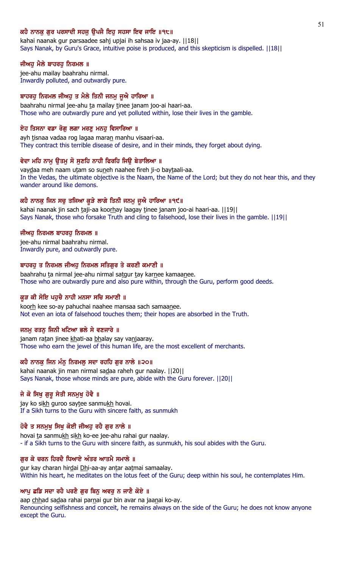# ਕਹੈ ਨਾਨਕ ਗਰ ਪਰਸਾਦੀ ਸਹਜ ੳਪਜੈ ਇਹ ਸਹਸਾ ਇਵ ਜਾਇ ॥੧੮॥

kahai naanak gur parsaadee sahj upjai ih sahsaa iv jaa-ay. ||18|| Says Nanak, by Guru's Grace, intuitive poise is produced, and this skepticism is dispelled. ||18||

### ਜੀਅਹੁ ਮੈਲੇ ਬਾਹਰਹੁ ਨਿਰਮਲ ॥

jee-ahu mailay baahrahu nirmal. Inwardly polluted, and outwardly pure.

### ਬਾਹਰਹੂ ਨਿਰਮਲ ਜੀਅਹੂ ਤ ਮੈਲੇ ਤਿਨੀ ਜਨਮੂ ਜੂਐ ਹਾਰਿਆ ॥

baahrahu nirmal jee-ahu ta mailay tinee janam joo-ai haari-aa. Those who are outwardly pure and yet polluted within, lose their lives in the gamble.

#### ਏਹ ਤਿਸਨਾ ਵਡਾ ਰੋਗ ਲਗਾ ਮਰਣ ਮਨਹ ਵਿਸਾਰਿਆ ॥

ayh tisnaa vadaa rog lagaa maran manhu visaari-aa. They contract this terrible disease of desire, and in their minds, they forget about dying.

### ਵੇਦਾ ਮਹਿ ਨਾਮ ੳਤਮ ਸੋ ਸਣਹਿ ਨਾਹੀ ਫਿਰਹਿ ਜਿੳ ਬੇਤਾਲਿਆ ॥

vaydaa meh naam utam so suneh naahee fireh ji-o baytaali-aa. In the Vedas, the ultimate objective is the Naam, the Name of the Lord; but they do not hear this, and they wander around like demons.

### ਕਹੈ ਨਾਨਕੂ ਜਿਨ ਸਚੂ ਤਜਿਆ ਕੂੜੇ ਲਾਗੇ ਤਿਨੀ ਜਨਮੂ ਜੂਐ ਹਾਰਿਆ ॥੧੯॥

kahai naanak jin sach taji-aa koorhay laagay tinee janam joo-ai haari-aa. [19] Says Nanak, those who forsake Truth and cling to falsehood, lose their lives in the gamble. ||19||

#### ਜੀਅਹ ਨਿਰਮਲ ਬਾਹਰਹ ਨਿਰਮਲ ॥

jee-ahu nirmal baahrahu nirmal. Inwardly pure, and outwardly pure.

#### ਬਾਹਰਹੁ ਤ ਨਿਰਮਲ ਜੀਅਹੁ ਨਿਰਮਲ ਸਤਿਗੁਰ ਤੇ ਕਰਣੀ ਕਮਾਣੀ ॥

baahrahu ta nirmal jee-ahu nirmal satgur tay karnee kamaanee. Those who are outwardly pure and also pure within, through the Guru, perform good deeds.

### ਕੁੜ ਕੀ ਸੋਇ ਪਹੁਚੈ ਨਾਹੀ ਮਨਸਾ ਸਚਿ ਸਮਾਣੀ ॥

koorh kee so-ay pahuchai naahee mansaa sach samaanee. Not even an iota of falsehood touches them; their hopes are absorbed in the Truth.

#### ਜਨਮੂ ਰਤਨੂ ਜਿਨੀ ਖਟਿਆ ਭਲੇ ਸੇ ਵਣਜਾਰੇ ॥

janam ratan jinee khati-aa bhalay say vanjaaray. Those who earn the jewel of this human life, are the most excellent of merchants.

# ਕਹੈ ਨਾਨਕੂ ਜਿਨ ਮੰਨੂ ਨਿਰਮਲੂ ਸਦਾ ਰਹਹਿ ਗੁਰ ਨਾਲੇ ॥੨੦॥

kahai naanak jin man nirmal sadaa raheh gur naalay. ||20|| Says Nanak, those whose minds are pure, abide with the Guru forever. ||20||

### ਜੇ ਕੋ ਸਿਖੁ ਗੁਰੁ ਸੇਤੀ ਸਨਮੁਖੁ ਹੋਵੈ ॥

jay ko sikh guroo saytee sanmukh hovai. If a Sikh turns to the Guru with sincere faith, as sunmukh

### ਹੋਵੈ ਤ ਸਨਮੁਖੁ ਸਿਖੁ ਕੋਈ ਜੀਅਹੁ ਰਹੈ ਗੁਰ ਨਾਲੇ ॥

hovai ta sanmukh sikh ko-ee jee-ahu rahai gur naalay. - if a Sikh turns to the Guru with sincere faith, as sunmukh, his soul abides with the Guru.

# ਗਰ ਕੇ ਚਰਨ ਹਿਰਦੈ ਧਿਆਏ ਅੰਤਰ ਆਤਮੈ ਸਮਾਲੇ ॥

gur kay charan hirdai Dhi-aa-ay antar aatmai samaalay. Within his heart, he meditates on the lotus feet of the Guru; deep within his soul, he contemplates Him.

# ਆਪੂ ਛਡਿ ਸਦਾ ਰਹੈ ਪਰਣੈ ਗੁਰ ਬਿਨੂ ਅਵਰੂ ਨ ਜਾਣੈ ਕੋਏ ॥

aap chhad sadaa rahai parnai gur bin avar na jaanai ko-ay. Renouncing selfishness and conceit, he remains always on the side of the Guru; he does not know anyone except the Guru.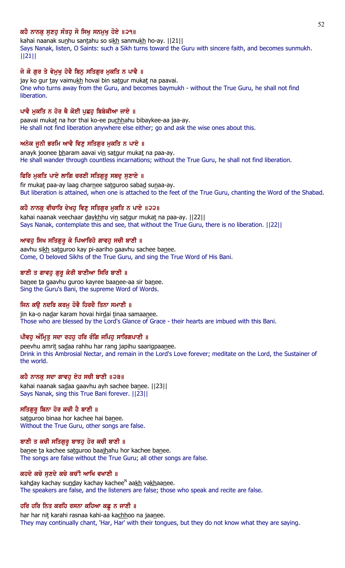# ਕਹੈ ਨਾਨਕ ਸਣਹ ਸੰਤਹ ਸੋ ਸਿਖ ਸਨਮਖ ਹੋਏ ॥੨੧॥

kahai naanak sunhu santahu so sikh sanmukh ho-ay. [[21]] Says Nanak, listen, O Saints: such a Sikh turns toward the Guru with sincere faith, and becomes sunmukh. ||21||

# ਜੇ ਕੋ ਗਰ ਤੇ ਵੇਮਖ ਹੋਵੈ ਬਿਨ ਸਤਿਗਰ ਮਕਤਿ ਨ ਪਾਵੈ ॥

jay ko gur tay vaimukh hovai bin satgur mukat na paavai. One who turns away from the Guru, and becomes baymukh - without the True Guru, he shall not find **liberation** 

# ਪਾਵੈ ਮੁਕਤਿ ਨ ਹੋਰ ਥੈ ਕੋਈ ਪੁਛਹੁ ਬਿਬੇਕੀਆ ਜਾਏ ॥

paavai mukat na hor thai ko-ee puchhahu bibaykee-aa jaa-ay. He shall not find liberation anywhere else either; go and ask the wise ones about this.

### ਅਨੇਕ ਜੂਨੀ ਭਰਮਿ ਆਵੈ ਵਿਣੁ ਸਤਿਗੁਰ ਮੁਕਤਿ ਨ ਪਾਏ ॥

anayk joonee bharam aavai vin satgur mukat na paa-ay. He shall wander through countless incarnations; without the True Guru, he shall not find liberation.

# ਫਿਰਿ ਮੁਕਤਿ ਪਾਏ ਲਾਗਿ ਚਰਣੀ ਸਤਿਗੁਰੂ ਸਬਦੂ ਸੁਣਾਏ ॥

fir mukat paa-ay laag charnee satguroo sabad sunaa-ay. But liberation is attained, when one is attached to the feet of the True Guru, chanting the Word of the Shabad.

# ਕਹੈ ਨਾਨਕ ਵੀਚਾਰਿ ਦੇਖਹ ਵਿਣ ਸਤਿਗਰ ਮਕਤਿ ਨ ਪਾਏ ॥੨੨॥

kahai naanak veechaar daykhhu vin satgur mukat na paa-ay. [[22]] Says Nanak, contemplate this and see, that without the True Guru, there is no liberation. ||22||

# ਆਵਹ ਸਿਖ ਸਤਿਗਰ ਕੇ ਪਿਆਰਿਹੋ ਗਾਵਹ ਸਚੀ ਬਾਣੀ ॥

aavhu sikh satguroo kay pi-aariho gaavhu sachee banee. Come, O beloved Sikhs of the True Guru, and sing the True Word of His Bani.

# ਬਾਣੀ ਤ ਗਾਵਹ ਗਰ ਕੇਰੀ ਬਾਣੀਆ ਸਿਰਿ ਬਾਣੀ ॥

banee ta gaavhu guroo kayree baanee-aa sir banee. Sing the Guru's Bani, the supreme Word of Words.

### ਜਿਨ ਕੳ ਨਦਰਿ ਕਰਮ ਹੋਵੈ ਹਿਰਦੈ ਤਿਨਾ ਸਮਾਣੀ ॥

jin ka-o nadar karam hovai hirdai tinaa samaanee. Those who are blessed by the Lord's Glance of Grace - their hearts are imbued with this Bani.

# ਪੀਵਹੂ ਅੰਮ੍ਰਿਤੂ ਸਦਾ ਰਹਹੂ ਹਰਿ ਰੰਗਿ ਜਪਿਹੂ ਸਾਰਿਗਪਾਣੀ ॥

peevhu amrit sadaa rahhu har rang japihu saarigpaanee. Drink in this Ambrosial Nectar, and remain in the Lord's Love forever; meditate on the Lord, the Sustainer of the world.

# ਕਹੈ ਨਾਨਕੁ ਸਦਾ ਗਾਵਹੁ ਏਹ ਸਚੀ ਬਾਣੀ ॥੨੩॥

kahai naanak sadaa gaavhu ayh sachee banee. ||23|| Says Nanak, sing this True Bani forever. ||23||

### ਸਤਿਗੁਰੂ ਬਿਨਾ ਹੋਰ ਕਚੀ ਹੈ ਬਾਣੀ ॥

satguroo binaa hor kachee hai banee. Without the True Guru, other songs are false.

### ਬਾਣੀ ਤ ਕਚੀ ਸਤਿਗੁਰੂ ਬਾਝਹੂ ਹੋਰ ਕਚੀ ਬਾਣੀ ॥

banee ta kachee satguroo baajhahu hor kachee banee. The songs are false without the True Guru; all other songs are false.

### ਕਹਦੇ ਕਚੇ ਸੁਣਦੇ ਕਚੇ ਕਚੀ ਆਖਿ ਵਖਾਣੀ ॥

kah<u>d</u>ay kachay su<u>nd</u>ay kachay kachee<sup>n</sup> aa<u>kh</u> vakhaanee. The speakers are false, and the listeners are false; those who speak and recite are false.

#### ਹਰਿ ਹਰਿ ਨਿਤ ਕਰਹਿ ਰਸਨਾ ਕਹਿਆ ਕਛੁ ਨ ਜਾਣੀ ॥

har har nit karahi rasnaa kahi-aa kachhoo na jaanee. They may continually chant, 'Har, Har' with their tongues, but they do not know what they are saying.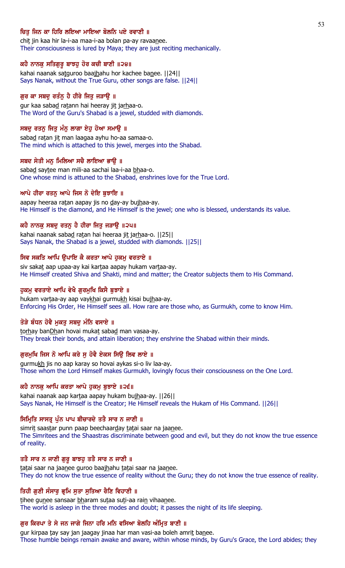# ਚਿਤ ਜਿਨ ਕਾ ਹਿਰਿ ਲਇਆ ਮਾਇਆ ਬੋਲਨਿ ਪਏ ਰਵਾਣੀ ॥

chit jin kaa hir la-i-aa maa-i-aa bolan pa-ay ravaanee. Their consciousness is lured by Maya; they are just reciting mechanically.

#### ਕਹੈ ਨਾਨਕੁ ਸਤਿਗੁਰੁ ਬਾਝਹੁ ਹੋਰ ਕਚੀ ਬਾਣੀ ॥੨੪॥

kahai naanak satguroo baajhahu hor kachee banee. [[24]] Says Nanak, without the True Guru, other songs are false. ||24||

### ਗੁਰ ਕਾ ਸਬਦੂ ਰਤੰਨੂ ਹੈ ਹੀਰੇ ਜਿਤੂ ਜੜਾਉ ॥

gur kaa sabad ratann hai heeray jit jarhaa-o. The Word of the Guru's Shabad is a jewel, studded with diamonds.

### ਸਬਦੂ ਰਤਨੂ ਜਿਤੂ ਮੰਨੂ ਲਾਗਾ ਏਹੂ ਹੋਆ ਸਮਾਊ ॥

sabad ratan jit man laagaa ayhu ho-aa samaa-o. The mind which is attached to this jewel, merges into the Shabad.

#### ਸਬਦ ਸੇਤੀ ਮਨੂ ਮਿਲਿਆ ਸਚੈ ਲਾਇਆ ਭਾਉ ॥

sabad saytee man mili-aa sachai laa-i-aa bhaa-o. One whose mind is attuned to the Shabad, enshrines love for the True Lord.

#### ਆਪੇ ਹੀਰਾ ਰਤਨੂ ਆਪੇ ਜਿਸ ਨੌ ਦੇਇ ਬੁਝਾਇ ॥

aapay heeraa ratan aapay jis no day-ay bujhaa-ay. He Himself is the diamond, and He Himself is the jewel; one who is blessed, understands its value.

### ਕਹੈ ਨਾਨਕੁ ਸਬਦੁ ਰਤਨੁ ਹੈ ਹੀਰਾ ਜਿਤੁ ਜੜਾਉ ॥੨੫॥

kahai naanak sabad ratan hai heeraa jit jarhaa-o. [[25]] Says Nanak, the Shabad is a jewel, studded with diamonds. ||25||

#### ਸਿਵ ਸਕਤਿ ਆਪਿ ਉਪਾਇ ਕੈ ਕਰਤਾ ਆਪੇ ਹੁਕਮੂ ਵਰਤਾਏ ॥

siv sakat aap upaa-ay kai kartaa aapay hukam vartaa-ay. He Himself created Shiva and Shakti, mind and matter; the Creator subjects them to His Command.

#### ਹੁਕਮੁ ਵਰਤਾਏ ਆਪਿ ਵੇਖੈ ਗੁਰਮੁਖਿ ਕਿਸੈ ਬੁਝਾਏ ॥

hukam vartaa-ay aap vaykhai gurmukh kisai bujhaa-ay. Enforcing His Order, He Himself sees all. How rare are those who, as Gurmukh, come to know Him.

#### ਤੋੜੇ ਬੰਧਨ ਹੋਵੈ ਮੁਕਤੂ ਸਬਦੂ ਮੰਨਿ ਵਸਾਏ ॥

torhay banDhan hovai mukat sabad man vasaa-ay. They break their bonds, and attain liberation; they enshrine the Shabad within their minds.

# ਗੁਰਮੁਖਿ ਜਿਸ ਨੋ ਆਪਿ ਕਰੇ ਸੁ ਹੋਵੈ ਏਕਸ ਸਿਉ ਲਿਵ ਲਾਏ ॥

gurmukh jis no aap karay so hovai aykas si-o liv laa-ay. Those whom the Lord Himself makes Gurmukh, lovingly focus their consciousness on the One Lord.

#### ਕਹੈ ਨਾਨਕੁ ਆਪਿ ਕਰਤਾ ਆਪੇ ਹੁਕਮੁ ਬੁਝਾਏ ॥੨੬॥

kahai naanak aap kartaa aapay hukam bujhaa-ay. ||26|| Says Nanak, He Himself is the Creator; He Himself reveals the Hukam of His Command. ||26||

### ਸਿਮ੍ਰਿਤਿ ਸਾਸਤ੍ਰ ਪੁੰਨ ਪਾਪ ਬੀਚਾਰਦੇ ਤਤੈ ਸਾਰ ਨ ਜਾਣੀ ॥

simrit saastar punn paap beechaarday tatai saar na jaanee. The Simritees and the Shaastras discriminate between good and evil, but they do not know the true essence of reality.

### ਤਤੈ ਸਾਰ ਨ ਜਾਣੀ ਗੁਰੂ ਬਾਝਹੂ ਤਤੈ ਸਾਰ ਨ ਜਾਣੀ ॥

tatai saar na jaanee guroo baajhahu tatai saar na jaanee. They do not know the true essence of reality without the Guru; they do not know the true essence of reality.

### ਤਿਹੀ ਗੁਣੀ ਸੰਸਾਰੁ ਭ੍ਰਮਿ ਸੁਤਾ ਸੁਤਿਆ ਰੈਣਿ ਵਿਹਾਣੀ ॥

tihee gunee sansaar bharam sutaa suti-aa rain vihaanee. The world is asleep in the three modes and doubt; it passes the night of its life sleeping.

#### ਗੁਰ ਕਿਰਪਾ ਤੇ ਸੇ ਜਨ ਜਾਗੇ ਜਿਨਾ ਹਰਿ ਮਨਿ ਵਸਿਆ ਬੋਲਹਿ ਅੰਮ੍ਰਿਤ ਬਾਣੀ ॥

gur kirpaa tay say jan jaagay jinaa har man vasi-aa boleh amrit banee. Those humble beings remain awake and aware, within whose minds, by Guru's Grace, the Lord abides; they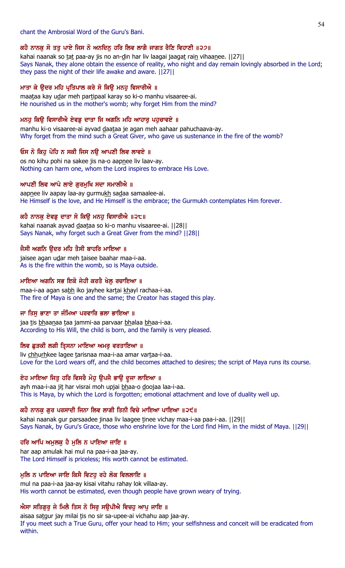# chant the Ambrosial Word of the Guru's Bani.

# ਕਹੈ ਨਾਨਕੂ ਸੋ ਤਤੂ ਪਾਏ ਜਿਸ ਨੋ ਅਨਦਿਨੂ ਹਰਿ ਲਿਵ ਲਾਗੈ ਜਾਗਤ ਰੈਣਿ ਵਿਹਾਣੀ ॥੨੭॥

kahai naanak so tat paa-ay jis no an-din har liv laagai jaagat rain vihaanee. [[27]] Says Nanak, they alone obtain the essence of reality, who night and day remain lovingly absorbed in the Lord; they pass the night of their life awake and aware. ||27||

# ਮਾਤਾ ਕੇ ਉਦਰ ਮਹਿ ਪ੍ਰਤਿਪਾਲ ਕਰੇ ਸੋ ਕਿਉ ਮਨਹੂ ਵਿਸਾਰੀਐ ॥

maataa kay udar meh partipaal karay so ki-o manhu visaaree-ai. He nourished us in the mother's womb; why forget Him from the mind?

# ਮਨਹੂ ਕਿਉ ਵਿਸਾਰੀਐ ਏਵਡੂ ਦਾਤਾ ਜਿ ਅਗਨਿ ਮਹਿ ਆਹਾਰੂ ਪਹੁਚਾਵਏ ॥

manhu ki-o visaaree-ai ayvad daataa je agan meh aahaar pahuchaava-ay. Why forget from the mind such a Great Giver, who gave us sustenance in the fire of the womb?

# ਓਸ ਨੋ ਕਿਹ ਪੋਹਿ ਨ ਸਕੀ ਜਿਸ ਨੳ ਆਪਣੀ ਲਿਵ ਲਾਵਏ ॥

os no kihu pohi na sakee jis na-o aapnee liv laav-ay. Nothing can harm one, whom the Lord inspires to embrace His Love.

# ਆਪਣੀ ਲਿਵ ਆਪੇ ਲਾਏ ਗੁਰਮੁਖਿ ਸਦਾ ਸਮਾਲੀਐ ॥

aapnee liv aapay laa-ay gurmukh sadaa samaalee-ai. He Himself is the love, and He Himself is the embrace; the Gurmukh contemplates Him forever.

# ਕਹੈ ਨਾਨਕੂ ਏਵਡੂ ਦਾਤਾ ਸੋ ਕਿਉ ਮਨਹੂ ਵਿਸਾਰੀਐ ॥੨੮॥

kahai naanak ayvad daataa so ki-o manhu visaaree-ai. ||28|| Says Nanak, why forget such a Great Giver from the mind? ||28||

# ਜੈਸੀ ਅਗਨਿ ੳਦਰ ਮਹਿ ਤੈਸੀ ਬਾਹਰਿ ਮਾਇਆ ॥

jaisee agan udar meh taisee baahar maa-i-aa. As is the fire within the womb, so is Maya outside.

# ਮਾਇਆ ਅਗਨਿ ਸਭ ਇਕੋ ਜੇਹੀ ਕਰਤੈ ਖੇਲ ਰਚਾਇਆ ॥

maa-i-aa agan sabh iko jayhee kartai khayl rachaa-i-aa. The fire of Maya is one and the same; the Creator has staged this play.

# ਜਾ ਤਿਸੁ ਭਾਣਾ ਤਾ ਜੰਮਿਆ ਪਰਵਾਰਿ ਭਲਾ ਭਾਇਆ ॥

jaa tis bhaanaa taa jammi-aa parvaar bhalaa bhaa-i-aa. According to His Will, the child is born, and the family is very pleased.

# ਲਿਵ ਛੁੜਕੀ ਲਗੀ ਤ੍ਰਿਸਨਾ ਮਾਇਆ ਅਮਰੂ ਵਰਤਾਇਆ ॥

liv chhurhkee lagee tarisnaa maa-i-aa amar vartaa-i-aa. Love for the Lord wears off, and the child becomes attached to desires; the script of Maya runs its course.

# ਏਹ ਮਾਇਆ ਜਿਤੂ ਹਰਿ ਵਿਸਰੈ ਮੋਹੂ ਉਪਜੈ ਭਾਉ ਦੂਜਾ ਲਾਇਆ ॥

ayh maa-i-aa jit har visrai moh upjai bhaa-o doojaa laa-i-aa. This is Maya, by which the Lord is forgotten; emotional attachment and love of duality well up.

# ਕਹੈ ਨਾਨਕ ਗਰ ਪਰਸਾਦੀ ਜਿਨਾ ਲਿਵ ਲਾਗੀ ਤਿਨੀ ਵਿਚੇ ਮਾਇਆ ਪਾਇਆ ॥੨੯॥

kahai naanak gur parsaadee jinaa liv laagee tinee vichay maa-i-aa paa-i-aa. [[29]] Says Nanak, by Guru's Grace, those who enshrine love for the Lord find Him, in the midst of Maya. ||29||

# ਹਰਿ ਆਪਿ ਅਮੁਲਕੁ ਹੈ ਮੁਲਿ ਨ ਪਾਇਆ ਜਾਇ ॥

har aap amulak hai mul na paa-i-aa jaa-ay. The Lord Himself is priceless; His worth cannot be estimated.

# ਮੂਲਿ ਨ ਪਾਇਆ ਜਾਇ ਕਿਸੈ ਵਿਟਹੂ ਰਹੇ ਲੋਕ ਵਿਲਲਾਇ ॥

mul na paa-i-aa jaa-ay kisai vitahu rahay lok villaa-ay. His worth cannot be estimated, even though people have grown weary of trying.

# ਐਸਾ ਸਤਿਗੁਰੂ ਜੇ ਮਿਲੈ ਤਿਸ ਨੋ ਸਿਰੂ ਸਉਪੀਐ ਵਿਚਹੂ ਆਪੂ ਜਾਇ ॥

aisaa satgur jay milai tis no sir sa-upee-ai vichahu aap jaa-ay. If you meet such a True Guru, offer your head to Him; your selfishness and conceit will be eradicated from within.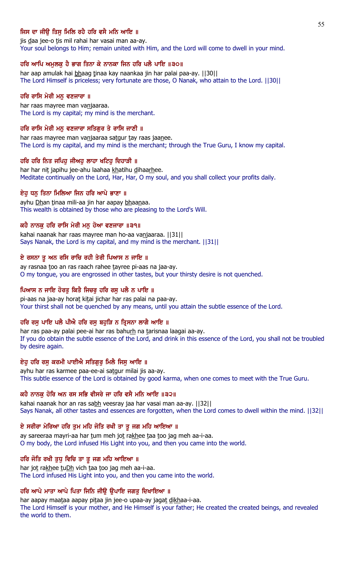# ਜਿਸ ਦਾ ਜੀੳ ਤਿਸ ਮਿਲਿ ਰਹੈ ਹਰਿ ਵਸੈ ਮਨਿ ਆਇ ॥

jis daa jee-o tis mil rahai har vasai man aa-ay. Your soul belongs to Him; remain united with Him, and the Lord will come to dwell in your mind.

### ਹਰਿ ਆਪਿ ਅਮੁਲਕੁ ਹੈ ਭਾਗ ਤਿਨਾ ਕੇ ਨਾਨਕਾ ਜਿਨ ਹਰਿ ਪਲੈ ਪਾਇ ॥੩੦॥

har aap amulak hai bhaag tinaa kay naankaa jin har palai paa-ay. [[30]] The Lord Himself is priceless; very fortunate are those, O Nanak, who attain to the Lord. ||30||

#### ਹਰਿ ਰਾਸਿ ਮੇਰੀ ਮਨੁ ਵਣਜਾਰਾ ॥

har raas mayree man vanjaaraa. The Lord is my capital; my mind is the merchant.

#### ਹਰਿ ਰਾਸਿ ਮੇਰੀ ਮਨ ਵਣਜਾਰਾ ਸਤਿਗਰ ਤੇ ਰਾਸਿ ਜਾਣੀ ॥

har raas mayree man vanjaaraa satgur tay raas jaanee. The Lord is my capital, and my mind is the merchant; through the True Guru, I know my capital.

#### ਹਰਿ ਹਰਿ ਨਿਤ ਜਪਿਹ ਜੀਅਹ ਲਾਹਾ ਖਟਿਹ ਦਿਹਾੜੀ ॥

har har nit japihu jee-ahu laahaa khatihu dihaarhee. Meditate continually on the Lord, Har, Har, O my soul, and you shall collect your profits daily.

#### ਏਹੁ ਧਨੁ ਤਿਨਾ ਮਿਲਿਆ ਜਿਨ ਹਰਿ ਆਪੇ ਭਾਣਾ ॥

ayhu Dhan tinaa mili-aa jin har aapay bhaanaa. This wealth is obtained by those who are pleasing to the Lord's Will.

### ਕਹੈ ਨਾਨਕ ਹਰਿ ਰਾਸਿ ਮੇਰੀ ਮਨ ਹੋਆ ਵਣਜਾਰਾ ॥੩੧॥

kahai naanak har raas mayree man ho-aa vanjaaraa. ||31|| Says Nanak, the Lord is my capital, and my mind is the merchant. ||31||

#### ਏ ਰਸਨਾ ਤੂ ਅਨ ਰਸਿ ਰਾਚਿ ਰਹੀ ਤੇਰੀ ਪਿਆਸ ਨ ਜਾਇ ॥

ay rasnaa too an ras raach rahee tayree pi-aas na jaa-ay. O my tongue, you are engrossed in other tastes, but your thirsty desire is not quenched.

#### ਪਿਆਸ ਨ ਜਾਇ ਹੋਰਤੂ ਕਿਤੈ ਜਿਚਰੂ ਹਰਿ ਰਸੂ ਪਲੈ ਨ ਪਾਇ ॥

pi-aas na jaa-ay horat kitai jichar har ras palai na paa-ay. Your thirst shall not be quenched by any means, until you attain the subtle essence of the Lord.

### ਹਰਿ ਰਸ ਪਾਇ ਪਲੈ ਪੀਐ ਹਰਿ ਰਸ ਬਹੜਿ ਨ ਤ੍ਰਿਸਨਾ ਲਾਗੈ ਆਇ ॥

har ras paa-ay palai pee-ai har ras bahurh na tarisnaa laagai aa-ay. If you do obtain the subtle essence of the Lord, and drink in this essence of the Lord, you shall not be troubled by desire again.

# ਏਹੂ ਹਰਿ ਰਸੂ ਕਰਮੀ ਪਾਈਐ ਸਤਿਗੁਰੂ ਮਿਲੈ ਜਿਸੂ ਆਇ ॥

ayhu har ras karmee paa-ee-ai satgur milai jis aa-ay. This subtle essence of the Lord is obtained by good karma, when one comes to meet with the True Guru.

#### ਕਹੈ ਨਾਨਕੂ ਹੋਰਿ ਅਨ ਰਸ ਸਭਿ ਵੀਸਰੇ ਜਾ ਹਰਿ ਵਸੈ ਮਨਿ ਆਇ ॥੩੨॥

kahai naanak hor an ras sabh veesray jaa har vasai man aa-ay. [[32]] Says Nanak, all other tastes and essences are forgotten, when the Lord comes to dwell within the mind. ||32||

### ਏ ਸਰੀਰਾ ਮੇਰਿਆ ਹਰਿ ਤੁਮ ਮਹਿ ਜੋਤਿ ਰਖੀ ਤਾ ਤੁ ਜਗ ਮਹਿ ਆਇਆ ॥

ay sareeraa mayri-aa har tum meh jot rakhee taa too jag meh aa-i-aa. O my body, the Lord infused His Light into you, and then you came into the world.

#### ਹਰਿ ਜੋਤਿ ਰਖੀ ਤੁਧੂ ਵਿਚਿ ਤਾ ਤੁ ਜਗ ਮਹਿ ਆਇਆ ॥

har jot rakhee tuDh vich taa too jag meh aa-i-aa. The Lord infused His Light into you, and then you came into the world.

### ਹਰਿ ਆਪੇ ਮਾਤਾ ਆਪੇ ਪਿਤਾ ਜਿਨਿ ਜੀਉ ਉਪਾਇ ਜਗਤੁ ਦਿਖਾਇਆ ॥

har aapay maataa aapay pitaa jin jee-o upaa-ay jagat dikhaa-i-aa. The Lord Himself is your mother, and He Himself is your father; He created the created beings, and revealed the world to them.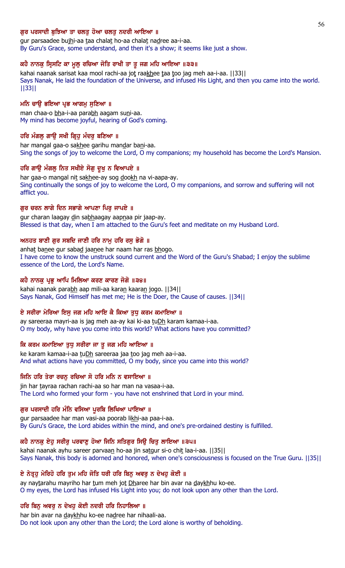### ਗਰ ਪਰਸਾਦੀ ਬਝਿਆ ਤਾ ਚਲਤ ਹੋਆ ਚਲਤ ਨਦਰੀ ਆਇਆ ॥

gur parsaadee bujhi-aa taa chalat ho-aa chalat nadree aa-i-aa. By Guru's Grace, some understand, and then it's a show; it seems like just a show.

#### ਕਹੈ ਨਾਨਕੁ ਸ੍ਰਿਸਟਿ ਕਾ ਮੁਲੁ ਰਚਿਆ ਜੋਤਿ ਰਾਖੀ ਤਾ ਤੁ ਜਗ ਮਹਿ ਆਇਆ ॥੩੩॥

kahai naanak sarisat kaa mool rachi-aa jot raakhee taa too jag meh aa-i-aa. ||33|| Says Nanak, He laid the foundation of the Universe, and infused His Light, and then you came into the world. ||33||

#### ਮਨਿ ਚਾਉ ਭਇਆ ਪ੍ਰਭ ਆਗਮੁ ਸੁਣਿਆ ॥

man chaa-o bha-i-aa parabh aagam suni-aa. My mind has become joyful, hearing of God's coming.

#### ਹਰਿ ਮੰਗਲੂ ਗਾਉ ਸਖੀ ਗ੍ਰਿਹੂ ਮੰਦਰੂ ਬਣਿਆ ॥

har mangal gaa-o sakhee garihu mandar bani-aa. Sing the songs of joy to welcome the Lord, O my companions; my household has become the Lord's Mansion.

#### ਹਰਿ ਗਾਉ ਮੰਗਲੂ ਨਿਤ ਸਖੀਏ ਸੋਗੂ ਦੁਖੂ ਨ ਵਿਆਪਏ ॥

har gaa-o mangal nit sakhee-ay sog dookh na vi-aapa-ay. Sing continually the songs of joy to welcome the Lord, O my companions, and sorrow and suffering will not afflict you.

#### ਗਰ ਚਰਨ ਲਾਗੇ ਦਿਨ ਸਭਾਗੇ ਆਪਣਾ ਪਿਰ ਜਾਪਏ ॥

gur charan laagay din sabhaagay aapnaa pir jaap-ay. Blessed is that day, when I am attached to the Guru's feet and meditate on my Husband Lord.

#### ਅਨਹਤ ਬਾਣੀ ਗੁਰ ਸਬਦਿ ਜਾਣੀ ਹਰਿ ਨਾਮੂ ਹਰਿ ਰਸੂ ਭੋਗੋ ॥

anhat banee gur sabad jaanee har naam har ras bhogo. I have come to know the unstruck sound current and the Word of the Guru's Shabad; I enjoy the sublime essence of the Lord, the Lord's Name.

#### ਕਹੈ ਨਾਨਕੂ ਪ੍ਰਭੂ ਆਪਿ ਮਿਲਿਆ ਕਰਣ ਕਾਰਣ ਜੋਗੋ ॥੩੪॥

kahai naanak parabh aap mili-aa karan kaaran jogo. [[34]] Says Nanak, God Himself has met me; He is the Doer, the Cause of causes. ||34||

#### ਏ ਸਰੀਰਾ ਮੇਰਿਆ ਇਸੂ ਜਗ ਮਹਿ ਆਇ ਕੈ ਕਿਆ ਤੁਧੂ ਕਰਮ ਕਮਾਇਆ ॥

ay sareeraa mayri-aa is jag meh aa-ay kai ki-aa tuDh karam kamaa-i-aa. O my body, why have you come into this world? What actions have you committed?

#### ਕਿ ਕਰਮ ਕਮਾਇਆ ਤੁਧੂ ਸਰੀਰਾ ਜਾ ਤੁ ਜਗ ਮਹਿ ਆਇਆ ॥

ke karam kamaa-i-aa tuDh sareeraa jaa too jag meh aa-i-aa. And what actions have you committed, O my body, since you came into this world?

#### ਜਿਨਿ ਹਰਿ ਤੇਰਾ ਰਚਨੁ ਰਚਿਆ ਸੋ ਹਰਿ ਮਨਿ ਨ ਵਸਾਇਆ ॥

jin har tayraa rachan rachi-aa so har man na vasaa-i-aa. The Lord who formed your form - you have not enshrined that Lord in your mind.

#### ਗੁਰ ਪਰਸਾਦੀ ਹਰਿ ਮੰਨਿ ਵਸਿਆ ਪੁਰਬਿ ਲਿਖਿਆ ਪਾਇਆ ॥

gur parsaadee har man vasi-aa poorab likhi-aa paa-i-aa. By Guru's Grace, the Lord abides within the mind, and one's pre-ordained destiny is fulfilled.

### ਕਹੈ ਨਾਨਕੂ ਏਹੂ ਸਰੀਰੂ ਪਰਵਾਣੂ ਹੋਆ ਜਿਨਿ ਸਤਿਗੁਰ ਸਿਊ ਚਿਤੂ ਲਾਇਆ ॥੩੫॥

kahai naanak ayhu sareer parvaan ho-aa jin satgur si-o chit laa-i-aa. | 35 | | Says Nanak, this body is adorned and honored, when one's consciousness is focused on the True Guru. ||35||

### ਏ ਨੇਤੁਹੂ ਮੇਰਿਹੋ ਹਰਿ ਤੁਮ ਮਹਿ ਜੋਤਿ ਧਰੀ ਹਰਿ ਬਿਨ੍ਹ ਅਵਰੂ ਨ ਦੇਖਹੂ ਕੋਈ ॥

ay naytarahu mayriho har tum meh jot Dharee har bin avar na daykhhu ko-ee. O my eyes, the Lord has infused His Light into you; do not look upon any other than the Lord.

#### ਹਰਿ ਬਿਨੁ ਅਵਰੁ ਨ ਦੇਖਹੁ ਕੋਈ ਨਦਰੀ ਹਰਿ ਨਿਹਾਲਿਆ ॥

har bin avar na daykhhu ko-ee nadree har nihaali-aa. Do not look upon any other than the Lord; the Lord alone is worthy of beholding.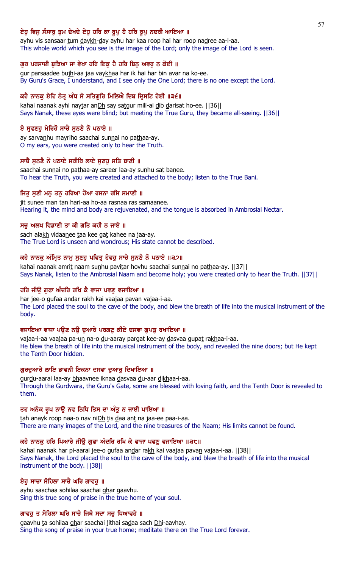# ਏਹੁ ਵਿਸੁ ਸੰਸਾਰੁ ਤੁਮ ਦੇਖਦੇ ਏਹੁ ਹਰਿ ਕਾ ਰੁਪੁ ਹੈ ਹਰਿ ਰੁਪੁ ਨਦਰੀ ਆਇਆ ॥

ayhu vis sansaar tum daykh-day ayhu har kaa roop hai har roop nadree aa-i-aa. This whole world which you see is the image of the Lord; only the image of the Lord is seen.

### ਗੁਰ ਪਰਸਾਦੀ ਬੁਝਿਆ ਜਾ ਵੇਖਾ ਹਰਿ ਇਕ ਹੈ ਹਰਿ ਬਿਨ੍ਹ ਅਵਰੂ ਨ ਕੋਈ ॥

gur parsaadee bujhi-aa jaa vaykhaa har ik hai har bin avar na ko-ee. By Guru's Grace, I understand, and I see only the One Lord; there is no one except the Lord.

# ਕਹੈ ਨਾਨਕੂ ਏਹਿ ਨੇਤ੍ਰ ਅੰਧ ਸੇ ਸਤਿਗੁਰਿ ਮਿਲਿਐ ਦਿਬ ਦ੍ਰਿਸਟਿ ਹੋਈ ॥੩੬॥

kahai naanak ayhi naytar anDh say satgur mili-ai dib darisat ho-ee. [[36]] Says Nanak, these eyes were blind; but meeting the True Guru, they became all-seeing. ||36||

# ਏ ਸੁਵਣਹੁ ਮੇਰਿਹੋ ਸਾਚੈ ਸੁਨਣੈ ਨੋ ਪਠਾਏ ॥

ay sarvanhu mayriho saachai sunnai no pathaa-ay. O my ears, you were created only to hear the Truth.

# ਸਾਚੈ ਸਨਣੈ ਨੋ ਪਠਾਏ ਸਰੀਰਿ ਲਾਏ ਸਣਹ ਸਤਿ ਬਾਣੀ ॥

saachai sunnai no pathaa-ay sareer laa-ay sunhu sat banee. To hear the Truth, you were created and attached to the body; listen to the True Bani.

# ਜਿਤੂ ਸੁਣੀ ਮਨੂ ਤਨੂ ਹਰਿਆ ਹੋਆ ਰਸਨਾ ਰਸਿ ਸਮਾਣੀ ॥

jit sunee man tan hari-aa ho-aa rasnaa ras samaanee. Hearing it, the mind and body are rejuvenated, and the tongue is absorbed in Ambrosial Nectar.

# ਸਚ ਅਲਖ ਵਿਡਾਣੀ ਤਾ ਕੀ ਗਤਿ ਕਹੀ ਨ ਜਾਏ ॥

sach alakh vidaanee taa kee gat kahee na jaa-ay. The True Lord is unseen and wondrous; His state cannot be described.

### ਕਹੈ ਨਾਨਕੂ ਅੰਮ੍ਰਿਤ ਨਾਮੂ ਸੁਣਹੁ ਪਵਿਤ੍ਰ ਹੋਵਹੂ ਸਾਚੈ ਸੁਨਣੈ ਨੋ ਪਠਾਏ ॥੩੭॥

kahai naanak amrit naam sunhu pavitar hovhu saachai sunnai no pathaa-ay. [[37]] Says Nanak, listen to the Ambrosial Naam and become holy; you were created only to hear the Truth. ||37||

### ਹਰਿ ਜੀਉ ਗੁਫਾ ਅੰਦਰਿ ਰਖਿ ਕੈ ਵਾਜਾ ਪਵਣੂ ਵਜਾਇਆ ॥

har jee-o gufaa andar rakh kai vaajaa pavan vajaa-i-aa. The Lord placed the soul to the cave of the body, and blew the breath of life into the musical instrument of the body.

# ਵਜਾਇਆ ਵਾਜਾ ਪਉਣ ਨਉ ਦੁਆਰੇ ਪਰਗਟੁ ਕੀਏ ਦਸਵਾ ਗੁਪਤੁ ਰਖਾਇਆ ॥

vajaa-i-aa vaajaa pa-un na-o du-aaray pargat kee-ay dasvaa gupat rakhaa-i-aa. He blew the breath of life into the musical instrument of the body, and revealed the nine doors; but He kept the Tenth Door hidden.

### ਗੁਰਦੁਆਰੈ ਲਾਇ ਭਾਵਨੀ ਇਕਨਾ ਦਸਵਾ ਦੁਆਰੂ ਦਿਖਾਇਆ ॥

gurdu-aarai laa-ay bhaavnee iknaa dasvaa du-aar dikhaa-i-aa. Through the Gurdwara, the Guru's Gate, some are blessed with loving faith, and the Tenth Door is revealed to them.

### ਤਹ ਅਨੇਕ ਰੂਪ ਨਾਉ ਨਵ ਨਿਧਿ ਤਿਸ ਦਾ ਅੰਤੂ ਨ ਜਾਈ ਪਾਇਆ ॥

tah anayk roop naa-o nav niDh tis daa ant na jaa-ee paa-i-aa. There are many images of the Lord, and the nine treasures of the Naam; His limits cannot be found.

### ਕਹੈ ਨਾਨਕ ਹਰਿ ਪਿਆਰੈ ਜੀੳ ਗਫਾ ਅੰਦਰਿ ਰਖਿ ਕੈ ਵਾਜਾ ਪਵਣ ਵਜਾਇਆ ॥੩੮॥

kahai naanak har pi-aarai jee-o gufaa andar rakh kai vaajaa pavan vajaa-i-aa. [[38]] Says Nanak, the Lord placed the soul to the cave of the body, and blew the breath of life into the musical instrument of the body. ||38||

### ਏਹ ਸਾਚਾ ਸੋਹਿਲਾ ਸਾਚੈ ਘਰਿ ਗਾਵਹ ॥

ayhu saachaa sohilaa saachai ghar gaavhu. Sing this true song of praise in the true home of your soul.

### ਗਾਵਹੁ ਤ ਸੋਹਿਲਾ ਘਰਿ ਸਾਚੈ ਜਿਥੈ ਸਦਾ ਸਚੁ ਧਿਆਵਹੇ ॥

gaavhu ta sohilaa ghar saachai jithai sadaa sach Dhi-aavhay. Sing the song of praise in your true home; meditate there on the True Lord forever.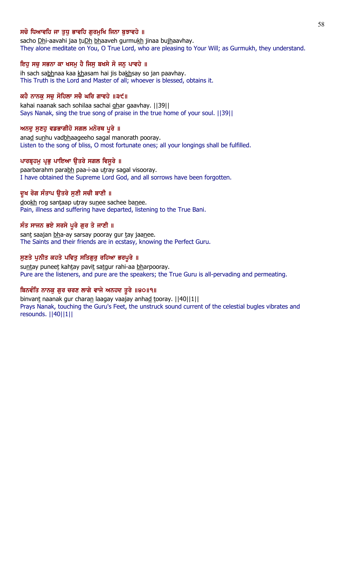# ਸਚੋ ਧਿਆਵਹਿ ਜਾ ਤਧ ਭਾਵਹਿ ਗਰਮਖਿ ਜਿਨਾ ਬਝਾਵਹੇ ॥

sacho Dhi-aavahi jaa tuDh bhaaveh gurmukh jinaa bujhaavhay. They alone meditate on You, O True Lord, who are pleasing to Your Will; as Gurmukh, they understand.

# ਇਹ ਸਚ ਸਭਨਾ ਕਾ ਖਸਮੂ ਹੈ ਜਿਸੂ ਬਖਸੇ ਸੋ ਜਨੂ ਪਾਵਹੇ ॥

ih sach sabhnaa kaa khasam hai jis bakhsay so jan paavhay. This Truth is the Lord and Master of all; whoever is blessed, obtains it.

# ਕਹੈ ਨਾਨਕੂ ਸਚੂ ਸੋਹਿਲਾ ਸਚੈ ਘਰਿ ਗਾਵਹੇ ॥੩੯॥

kahai naanak sach sohilaa sachai ghar gaavhay. ||39|| Says Nanak, sing the true song of praise in the true home of your soul. ||39||

# ਅਨਦੁ ਸੁਣਹੁ ਵਡਭਾਗੀਹੋ ਸਗਲ ਮਨੋਰਥ ਪੁਰੇ ॥

anad sunhu vadbhaageeho sagal manorath pooray. Listen to the song of bliss, O most fortunate ones; all your longings shall be fulfilled.

# ਪਾਰਬੁਹਮੂ ਪ੍ਰਭੂ ਪਾਇਆ ਉਤਰੇ ਸਗਲ ਵਿਸੁਰੇ ॥

paarbarahm parabh paa-i-aa utray sagal visooray. I have obtained the Supreme Lord God, and all sorrows have been forgotten.

# ਦੁਖ ਰੋਗ ਸੰਤਾਪ ਉਤਰੇ ਸੁਣੀ ਸਚੀ ਬਾਣੀ ॥

dookh rog santaap utray sunee sachee banee. Pain, illness and suffering have departed, listening to the True Bani.

# ਸੰਤ ਸਾਜਨ ਭਏ ਸਰਸੇ ਪੂਰੇ ਗੁਰ ਤੇ ਜਾਣੀ ॥

sant saajan bha-ay sarsay pooray gur tay jaanee. The Saints and their friends are in ecstasy, knowing the Perfect Guru.

### ਸੁਣਤੇ ਪੁਨੀਤ ਕਹਤੇ ਪਵਿਤੂ ਸਤਿਗੁਰੂ ਰਹਿਆ ਭਰਪੂਰੇ ॥

suntay puneet kahtay pavit satgur rahi-aa bharpooray. Pure are the listeners, and pure are the speakers; the True Guru is all-pervading and permeating.

# ਬਿਨਵੰਤਿ ਨਾਨਕੁ ਗੁਰ ਚਰਣ ਲਾਗੇ ਵਾਜੇ ਅਨਹਦ ਤੁਰੇ ॥੪੦॥੧॥

binvant naanak gur charan laagay vaajay anhad tooray. [[40][1]] Prays Nanak, touching the Guru's Feet, the unstruck sound current of the celestial bugles vibrates and resounds. ||40||1||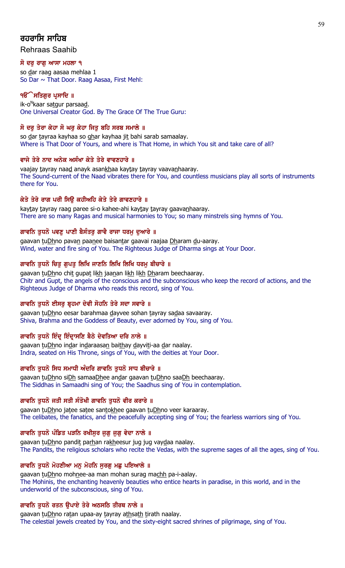# ਰਹਰਾਸਿ ਸਾਹਿਬ

Rehraas Saahib

# ਸੋ ਦਰੁ ਰਾਗੁ ਆਸਾ ਮਹਲਾ ੧

so dar raag aasaa mehlaa 1 So Dar ~ That Door. Raag Aasaa, First Mehl:

# ੧**ੳੇਸਤਿਗਰ ਪ੍ਰਸਾਦਿ** ॥

ik-o<sup>n</sup>kaar sa<u>tg</u>ur parsaa<u>d</u>. One Universal Creator God. By The Grace Of The True Guru:

# ਸੋ ਦਰੁ ਤੇਰਾ ਕੇਹਾ ਸੋ ਘਰੁ ਕੇਹਾ ਜਿਤੁ ਬਹਿ ਸਰਬ ਸਮਾਲੇ ॥

so dar tayraa kayhaa so ghar kayhaa jit bahi sarab samaalay. Where is That Door of Yours, and where is That Home, in which You sit and take care of all?

# ਵਾਜੇ ਤੇਰੇ ਨਾਦ ਅਨੇਕ ਅਸੰਖਾ ਕੇਤੇ ਤੇਰੇ ਵਾਵਣਹਾਰੇ ॥

vaajay tayray naad anayk asankhaa kaytay tayray vaavanhaaray. The Sound-current of the Naad vibrates there for You, and countless musicians play all sorts of instruments there for You.

# ਕੇਤੇ ਤੇਰੇ ਰਾਗ ਪਰੀ ਸਿਉ ਕਹੀਅਹਿ ਕੇਤੇ ਤੇਰੇ ਗਾਵਣਹਾਰੇ ॥

kaytay tayray raag paree si-o kahee-ahi kaytay tayray gaavanhaaray. There are so many Ragas and musical harmonies to You; so many minstrels sing hymns of You.

# ਗਾਵਨਿ ਤਧਨੋ ਪਵਣ ਪਾਣੀ ਬੈਸੰਤਰ ਗਾਵੈ ਰਾਜਾ ਧਰਮ ਦਆਰੇ ॥

gaavan tuDhno pavan paanee baisantar gaavai raajaa Dharam du-aaray. Wind, water and fire sing of You. The Righteous Judge of Dharma sings at Your Door.

# ਗਾਵਨਿ ਤੁਧਨੋ ਚਿਤੁ ਗੁਪਤੁ ਲਿਖਿ ਜਾਣਨਿ ਲਿਖਿ ਲਿਖਿ ਧਰਮੁ ਬੀਚਾਰੇ ॥

gaavan tuDhno chit gupat likh jaanan likh likh Dharam beechaaray. Chitr and Gupt, the angels of the conscious and the subconscious who keep the record of actions, and the Righteous Judge of Dharma who reads this record, sing of You.

# ਗਾਵਨਿ ਤਧਨੋ ਈਸਰ ਬੁਹਮਾ ਦੇਵੀ ਸੋਹਨਿ ਤੇਰੇ ਸਦਾ ਸਵਾਰੇ ॥

gaavan tuDhno eesar barahmaa dayvee sohan tayray sadaa savaaray. Shiva, Brahma and the Goddess of Beauty, ever adorned by You, sing of You.

# ਗਾਵਨਿ ਤੁਧਨੋ ਇੰਦ੍ਰ ਇੰਦ੍ਰਾਸਣਿ ਬੈਠੇ ਦੇਵਤਿਆ ਦਰਿ ਨਾਲੇ ॥

gaavan tuDhno indar indaraasan baithay dayviti-aa dar naalay. Indra, seated on His Throne, sings of You, with the deities at Your Door.

# ਗਾਵਨਿ ਤੁਧਨੋ ਸਿਧ ਸਮਾਧੀ ਅੰਦਰਿ ਗਾਵਨਿ ਤੁਧਨੋ ਸਾਧ ਬੀਚਾਰੇ ॥

gaavan tuDhno siDh samaaDhee andar gaavan tuDhno saaDh beechaaray. The Siddhas in Samaadhi sing of You; the Saadhus sing of You in contemplation.

# ਗਾਵਨਿ ਤੁਧਨੋ ਜਤੀ ਸਤੀ ਸੰਤੋਖੀ ਗਾਵਨਿ ਤੁਧਨੋ ਵੀਰ ਕਰਾਰੇ ॥

gaavan tuDhno jatee satee santokhee gaavan tuDhno veer karaaray. The celibates, the fanatics, and the peacefully accepting sing of You; the fearless warriors sing of You.

# ਗਾਵਨਿ ਤੁਧਨੋ ਪੰਡਿਤ ਪੜਨਿ ਰਖੀਸੁਰ ਜੁਗੁ ਜੁਗੁ ਵੇਦਾ ਨਾਲੇ ॥

gaavan tuDhno pandit parhan rakheesur jug jug vaydaa naalay. The Pandits, the religious scholars who recite the Vedas, with the supreme sages of all the ages, sing of You.

# ਗਾਵਨਿ ਤੁਧਨੋ ਮੋਹਣੀਆ ਮਨੁ ਮੋਹਨਿ ਸੁਰਗੁ ਮਛੁ ਪਇਆਲੇ ॥

gaavan tuDhno mohnee-aa man mohan surag machh pa-i-aalay. The Mohinis, the enchanting heavenly beauties who entice hearts in paradise, in this world, and in the underworld of the subconscious, sing of You.

# ਗਾਵਨਿ ਤੁਧਨੋ ਰਤਨ ਉਪਾਏ ਤੇਰੇ ਅਠਸਠਿ ਤੀਰਥ ਨਾਲੇ ॥

gaavan tuDhno ratan upaa-ay tayray athsath tirath naalay. The celestial jewels created by You, and the sixty-eight sacred shrines of pilgrimage, sing of You.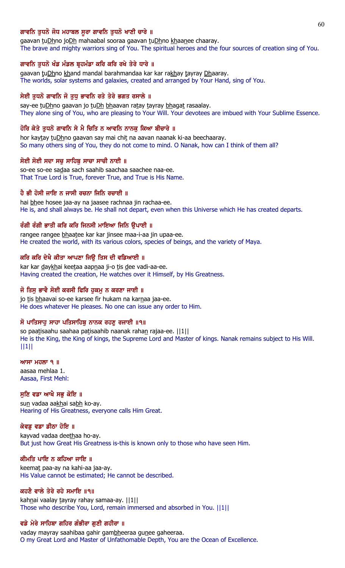### ਗਾਵਨਿ ਤਧਨੋ ਜੋਧ ਮਹਾਬਲ ਸਰਾ ਗਾਵਨਿ ਤਧਨੋ ਖਾਣੀ ਚਾਰੇ ॥

gaavan tuDhno joDh mahaabal sooraa gaavan tuDhno khaanee chaaray. The brave and mighty warriors sing of You. The spiritual heroes and the four sources of creation sing of You.

### ਗਾਵਨਿ ਤੁਧਨੋ ਖੰਡ ਮੰਡਲ ਬੁਹਮੰਡਾ ਕਰਿ ਕਰਿ ਰਖੇ ਤੇਰੇ ਧਾਰੇ ॥

gaavan tuDhno khand mandal barahmandaa kar kar rakhay tayray Dhaaray. The worlds, solar systems and galaxies, created and arranged by Your Hand, sing of You.

### ਸੇਈ ਤੁਧਨੋ ਗਾਵਨਿ ਜੋ ਤੁਧੂ ਭਾਵਨਿ ਰਤੇ ਤੇਰੇ ਭਗਤ ਰਸਾਲੇ ॥

say-ee tuDhno gaavan jo tuDh bhaavan ratay tayray bhagat rasaalay. They alone sing of You, who are pleasing to Your Will. Your devotees are imbued with Your Sublime Essence.

### ਹੋਰਿ ਕੇਤੇ ਤਧਨੋ ਗਾਵਨਿ ਸੇ ਮੈ ਚਿਤਿ ਨ ਆਵਨਿ ਨਾਨਕ ਕਿਆ ਬੀਚਾਰੇ ॥

hor kaytay tuDhno gaavan say mai chit na aavan naanak ki-aa beechaaray. So many others sing of You, they do not come to mind. O Nanak, how can I think of them all?

# ਸੋਈ ਸੋਈ ਸਦਾ ਸਚ ਸਾਹਿਬ ਸਾਚਾ ਸਾਚੀ ਨਾਈ ॥

so-ee so-ee sadaa sach saahib saachaa saachee naa-ee. That True Lord is True, forever True, and True is His Name.

# ਹੈ ਭੀ ਹੋਸੀ ਜਾਇ ਨ ਜਾਸੀ ਰਚਨਾ ਜਿਨਿ ਰਚਾਈ ॥

hai bhee hosee jaa-ay na jaasee rachnaa jin rachaa-ee. He is, and shall always be. He shall not depart, even when this Universe which He has created departs.

# ਰੰਗੀ ਰੰਗੀ ਭਾਤੀ ਕਰਿ ਕਰਿ ਜਿਨਸੀ ਮਾਇਆ ਜਿਨਿ ੳਪਾਈ ॥

rangee rangee bhaatee kar kar jinsee maa-i-aa jin upaa-ee. He created the world, with its various colors, species of beings, and the variety of Maya.

# ਕਰਿ ਕਰਿ ਦੇਖੈ ਕੀਤਾ ਆਪਣਾ ਜਿੳ ਤਿਸ ਦੀ ਵਡਿਆਈ ॥

kar kar daykhai keetaa aapnaa ji-o tis dee vadi-aa-ee. Having created the creation, He watches over it Himself, by His Greatness.

# ਜੋ ਤਿਸ ਭਾਵੈ ਸੋਈ ਕਰਸੀ ਫਿਰਿ ਹਕਮ ਨ ਕਰਣਾ ਜਾਈ ॥

jo tis bhaavai so-ee karsee fir hukam na karnaa jaa-ee. He does whatever He pleases. No one can issue any order to Him.

### ਸੋ ਪਾਤਿਸਾਹ ਸਾਹਾ ਪਤਿਸਾਹਿਬ ਨਾਨਕ ਰਹਣ ਰਜਾਈ ॥੧॥

so paatisaahu saahaa patisaahib naanak rahan rajaa-ee. ||1|| He is the King, the King of kings, the Supreme Lord and Master of kings. Nanak remains subject to His Will. ||1||

#### $MT$   $H$  $\overline{O}$   $\overline{O}$   $\overline{O}$   $\overline{O}$   $\overline{O}$   $\overline{O}$   $\overline{O}$   $\overline{O}$   $\overline{O}$   $\overline{O}$   $\overline{O}$   $\overline{O}$   $\overline{O}$   $\overline{O}$   $\overline{O}$   $\overline{O}$   $\overline{O}$   $\overline{O}$   $\overline{O}$   $\overline{O}$   $\overline{O}$   $\overline{O}$   $\overline{O}$   $\overline{O}$

aasaa mehlaa 1. Aasaa, First Mehl:

### ਸੁਣਿ ਵਡਾ ਆਖੈ ਸਭੁ ਕੋਇ ॥

sun vadaa aakhai sabh ko-ay. Hearing of His Greatness, everyone calls Him Great.

### ਕੇਵਡ ਵਡਾ ਡੀਠਾ ਹੋਇ ॥

kayvad vadaa deethaa ho-ay. But just how Great His Greatness is-this is known only to those who have seen Him.

# ਕੀਮਤਿ ਪਾਇ ਨ ਕਹਿਆ ਜਾਇ ॥

keemat paa-ay na kahi-aa jaa-ay. His Value cannot be estimated; He cannot be described.

# ਕਹਣੈ ਵਾਲੇ ਤੇਰੇ ਰਹੇ ਸਮਾਇ ॥੧॥

kahnai vaalay tayray rahay samaa-ay. | | 1 | | Those who describe You, Lord, remain immersed and absorbed in You. ||1||

### ਵਡੇ ਮੇਰੇ ਸਾਹਿਬਾ ਗਹਿਰ ਗੰਭੀਰਾ ਗੁਣੀ ਗਹੀਰਾ ॥

vaday mayray saahibaa gahir gambheeraa gunee gaheeraa. O my Great Lord and Master of Unfathomable Depth, You are the Ocean of Excellence.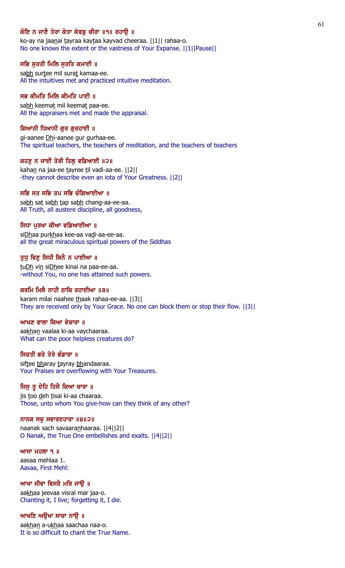# ਕੋਇ ਨ ਜਾਣੈ ਤੇਰਾ ਕੇਤਾ ਕੇਵਡ ਚੀਰਾ ॥੧॥ ਰਹਾੳ ॥

ko-ay na jaanai tayraa kaytaa kayvad cheeraa. | | 1 | rahaa-o. No one knows the extent or the vastness of Your Expanse. ||1||Pause||

#### ਸਭਿ ਸੂਰਤੀ ਮਿਲਿ ਸੂਰਤਿ ਕਮਾਈ ॥

sabh surtee mil surat kamaa-ee. All the intuitives met and practiced intuitive meditation.

### ਸਭ ਕੀਮਤਿ ਮਿਲਿ ਕੀਮਤਿ ਪਾਈ ॥

sabh keemat mil keemat paa-ee. All the appraisers met and made the appraisal.

#### ਗਿਆਨੀ ਧਿਆਨੀ ਗੁਰ ਗੁਰਹਾਈ ॥

gi-aanee Dhi-aanee gur gurhaa-ee. The spiritual teachers, the teachers of meditation, and the teachers of teachers

#### ਕਹਣ ਨ ਜਾਈ ਤੇਰੀ ਤਿਲ ਵਡਿਆਈ ॥੨॥

kahan na jaa-ee tayree til vadi-aa-ee. [2] -they cannot describe even an iota of Your Greatness. ||2||

#### ਸਭਿ ਸਤ ਸਭਿ ਤਪ ਸਭਿ ਚੰਗਿਆਈਆ ॥

sabh sat sabh tap sabh chang-aa-ee-aa. All Truth, all austere discipline, all goodness,

#### ਸਿਧਾ ਪਰਖਾ ਕੀਆ ਵਡਿਆਈਆ ॥

siDhaa purkhaa kee-aa vadi-aa-ee-aa. all the great miraculous spiritual powers of the Siddhas

#### ਤੁਧੂ ਵਿਣੂ ਸਿਧੀ ਕਿਨੈ ਨ ਪਾਈਆ ॥

tuDh vin siDhee kinai na paa-ee-aa. -without You, no one has attained such powers.

### ਕਰਮਿ ਮਿਲੈ ਨਾਹੀ ਠਾਕਿ ਰਹਾਈਆ ॥੩॥

karam milai naahee thaak rahaa-ee-aa. ||3|| They are received only by Your Grace. No one can block them or stop their flow. ||3||

### ਆਖਣ ਵਾਲਾ ਕਿਆ ਵੇਚਾਰਾ ॥

aakhan vaalaa ki-aa vaychaaraa. What can the poor helpless creatures do?

#### ਸਿਫਤੀ ਭਰੇ ਤੇਰੇ ਭੰਡਾਰਾ ॥

siftee bharay tayray bhandaaraa. Your Praises are overflowing with Your Treasures.

#### ਜਿਸੁ ਤੁ ਦੇਹਿ ਤਿਸੈ ਕਿਆ ਚਾਰਾ ॥

jis too deh tisai ki-aa chaaraa. Those, unto whom You give-how can they think of any other?

#### ਨਾਨਕ ਸਚੁ ਸਵਾਰਣਹਾਰਾ ॥੪॥੨॥

naanak sach savaaranhaaraa. ||4||2|| O Nanak, the True One embellishes and exalts. ||4||2||

ਆਸਾ ਮਹਲਾ ੧ ॥ aasaa mehlaa 1. Aasaa, First Mehl:

ਆਖਾ ਜੀਵਾ ਵਿਸਰੈ ਮਰਿ ਜਾਉ ॥ aakhaa jeevaa visrai mar jaa-o. Chanting it, I live; forgetting it, I die.

# ਆਖਣਿ ਅਉਖਾ ਸਾਚਾ ਨਾਉ ॥ aakhan a-ukhaa saachaa naa-o.

It is so difficult to chant the True Name.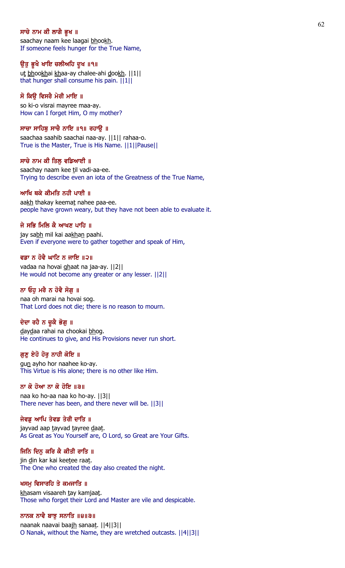#### ਸਾਚੇ ਨਾਮ ਕੀ ਲਾਗੈ ਭੁਖ ॥

saachay naam kee laagai bhookh. If someone feels hunger for the True Name,

#### ਉਤੂ ਭੁਖੈ ਖਾਇ ਚਲੀਅਹਿ ਦੁਖ ॥੧॥

ut bhookhai khaa-ay chalee-ahi dookh. ||1|| that hunger shall consume his pain. ||1||

### ਸੋ ਕਿਉ ਵਿਸਰੈ ਮੇਰੀ ਮਾਇ ॥

so ki-o visrai mayree maa-ay. How can I forget Him, O my mother?

#### ਸਾਚਾ ਸਾਹਿਬ ਸਾਚੈ ਨਾਇ ॥੧॥ ਰਹਾੳ ॥

saachaa saahib saachai naa-ay. ||1|| rahaa-o. True is the Master, True is His Name. ||1||Pause||

#### ਸਾਚੇ ਨਾਮ ਕੀ ਤਿਲ ਵਡਿਆਈ ॥

saachay naam kee til vadi-aa-ee. Trying to describe even an iota of the Greatness of the True Name,

#### ਆਖਿ ਥਕੇ ਕੀਮਤਿ ਨਹੀ ਪਾਈ ॥

aakh thakay keemat nahee paa-ee. people have grown weary, but they have not been able to evaluate it.

#### ਜੇ ਸਭਿ ਮਿਲਿ ਕੈ ਆਖਣ ਪਾਹਿ ॥

jay sabh mil kai aakhan paahi. Even if everyone were to gather together and speak of Him,

#### ਵਡਾ ਨ ਹੋਵੈ ਘਾਟਿ ਨ ਜਾਇ ॥੨॥

vadaa na hovai ghaat na jaa-ay. ||2|| He would not become any greater or any lesser. ||2||

### ਨਾ ਓਹੁ ਮਰੈ ਨ ਹੋਵੈ ਸੋਗੁ ॥

naa oh marai na hovai sog. That Lord does not die; there is no reason to mourn.

### ਦੇਦਾ ਰਹੈ ਨ ਚੁਕੈ ਭੋਗੁ ॥

daydaa rahai na chookai bhog. He continues to give, and His Provisions never run short.

# ਗੁਣੁ ਏਹੋ ਹੋਰੁ ਨਾਹੀ ਕੋਇ ॥

gun ayho hor naahee ko-ay. This Virtue is His alone; there is no other like Him.

#### ਨਾ ਕੋ ਹੋਆ ਨਾ ਕੋ ਹੋਇ ॥੩॥

naa ko ho-aa naa ko ho-ay. ||3|| There never has been, and there never will be. ||3||

### ਜੇਵਡੂ ਆਪਿ ਤੇਵਡ ਤੇਰੀ ਦਾਤਿ ॥

jayvad aap tayvad tayree daat. As Great as You Yourself are, O Lord, so Great are Your Gifts.

# ਜਿਨਿ ਦਿਨੂ ਕਰਿ ਕੈ ਕੀਤੀ ਰਾਤਿ ॥

jin din kar kai keetee raat. The One who created the day also created the night.

#### ਖਸਮੂ ਵਿਸਾਰਹਿ ਤੇ ਕਮਜਾਤਿ ॥

khasam visaareh tay kamjaat. Those who forget their Lord and Master are vile and despicable.

#### ਨਾਨਕ ਨਾਵੈ ਬਾਝੂ ਸਨਾਤਿ ॥੪॥੩॥

naanak naavai baajh sanaat. ||4||3|| O Nanak, without the Name, they are wretched outcasts. ||4||3||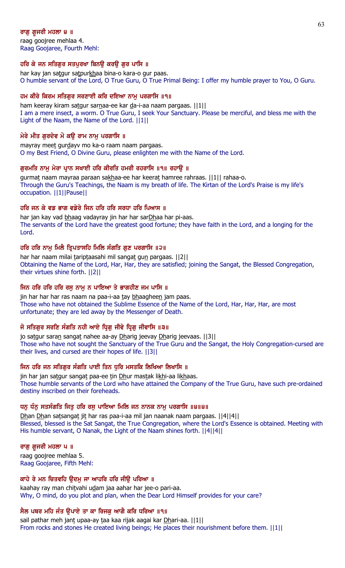# ਰਾਗ ਗ਼ਜਰੀ ਮਹਲਾ ੪ ॥

raag goojree mehlaa 4. Raag Goojaree, Fourth Mehl:

# ਹਰਿ ਕੇ ਜਨ ਸਤਿਗੁਰ ਸਤਪੁਰਖਾ ਬਿਨਉ ਕਰਉ ਗੁਰ ਪਾਸਿ ॥

har kay jan satgur satpurkhaa bina-o kara-o gur paas. O humble servant of the Lord, O True Guru, O True Primal Being: I offer my humble prayer to You, O Guru.

# ਹਮ ਕੀਰੇ ਕਿਰਮ ਸਤਿਗੁਰ ਸਰਣਾਈ ਕਰਿ ਦਇਆ ਨਾਮੂ ਪਰਗਾਸਿ ॥੧॥

ham keeray kiram satgur sarnaa-ee kar da-i-aa naam pargaas. ||1|| I am a mere insect, a worm. O True Guru, I seek Your Sanctuary. Please be merciful, and bless me with the Light of the Naam, the Name of the Lord. ||1||

# ਮੇਰੇ ਮੀਤ ਗੁਰਦੇਵ ਮੋ ਕਉ ਰਾਮ ਨਾਮੂ ਪਰਗਾਸਿ ॥

mayray meet gurdayy mo ka-o raam naam pargaas. O my Best Friend, O Divine Guru, please enlighten me with the Name of the Lord.

# ਗਰਮਤਿ ਨਾਮ ਮੇਰਾ ਪਾਨ ਸਖਾਈ ਹਰਿ ਕੀਰਤਿ ਹਮਰੀ ਰਹਰਾਸਿ ॥੧॥ ਰਹਾੳ ॥

gurmat naam mayraa paraan sakhaa-ee har keerat hamree rahraas. ||1|| rahaa-o. Through the Guru's Teachings, the Naam is my breath of life. The Kirtan of the Lord's Praise is my life's occupation. ||1||Pause||

# ਹਰਿ ਜਨ ਕੇ ਵਡ ਭਾਗ ਵਡੇਰੇ ਜਿਨ ਹਰਿ ਹਰਿ ਸਰਧਾ ਹਰਿ ਪਿਆਸ ॥

har jan kay vad bhaag vadayray jin har har sarDhaa har pi-aas. The servants of the Lord have the greatest good fortune; they have faith in the Lord, and a longing for the Lord.

# ਹਰਿ ਹਰਿ ਨਾਮ ਮਿਲੈ ਤਿ੍ਪਤਾਸਹਿ ਮਿਲਿ ਸੰਗਤਿ ਗਣ ਪਰਗਾਸਿ ॥੨॥

har har naam milai tariptaasahi mil sangat gun pargaas. ||2|| Obtaining the Name of the Lord, Har, Har, they are satisfied; joining the Sangat, the Blessed Congregation, their virtues shine forth. ||2||

# ਜਿਨ ਹਰਿ ਹਰਿ ਹਰਿ ਰਸ ਨਾਮ ਨ ਪਾਇਆ ਤੇ ਭਾਗਹੀਣ ਜਮ ਪਾਸਿ ॥

jin har har har ras naam na paa-i-aa tay bhaagheen jam paas. Those who have not obtained the Sublime Essence of the Name of the Lord, Har, Har, Har, are most unfortunate; they are led away by the Messenger of Death.

# ਜੋ ਸਤਿਗਰ ਸਰਣਿ ਸੰਗਤਿ ਨਹੀ ਆਏ ਧਿਗ ਜੀਵੇ ਧਿਗ ਜੀਵਾਸਿ ॥੩॥

jo satgur saran sangat nahee aa-ay Dharig jeevay Dharig jeevaas. [[3]] Those who have not sought the Sanctuary of the True Guru and the Sangat, the Holy Congregation-cursed are their lives, and cursed are their hopes of life. ||3||

# ਜਿਨ ਹਰਿ ਜਨ ਸਤਿਗਰ ਸੰਗਤਿ ਪਾਈ ਤਿਨ ਧਰਿ ਮਸਤਕਿ ਲਿਖਿਆ ਲਿਖਾਸਿ ॥

jin har jan satgur sangat paa-ee tin Dhur mastak likhi-aa likhaas. Those humble servants of the Lord who have attained the Company of the True Guru, have such pre-ordained destiny inscribed on their foreheads.

### ਧਨ ਧੰਨ ਸਤਸੰਗਤਿ ਜਿਤ ਹਰਿ ਰਸ ਪਾਇਆ ਮਿਲਿ ਜਨ ਨਾਨਕ ਨਾਮ ਪਰਗਾਸਿ ॥੪॥੪॥

Dhan Dhan satsangat jit har ras paa-i-aa mil jan naanak naam pargaas. ||4||4|| Blessed, blessed is the Sat Sangat, the True Congregation, where the Lord's Essence is obtained. Meeting with His humble servant, O Nanak, the Light of the Naam shines forth. ||4||4||

### ਰਾਗੁ ਗੁਜਰੀ ਮਹਲਾ ਪ ॥

raag goojree mehlaa 5. Raag Goojaree, Fifth Mehl:

### ਕਾਹੇ ਰੇ ਮਨ ਚਿਤਵਹਿ ੳਦਮ ਜਾ ਆਹਰਿ ਹਰਿ ਜੀੳ ਪਰਿਆ ॥

kaahay ray man chitvahi udam jaa aahar har jee-o pari-aa. Why, O mind, do you plot and plan, when the Dear Lord Himself provides for your care?

# ਸੈਲ ਪਥਰ ਮਹਿ ਜੰਤ ੳਪਾਏ ਤਾ ਕਾ ਰਿਜਕ ਆਗੈ ਕਰਿ ਧਰਿਆ ॥੧॥

sail pathar meh jant upaa-ay taa kaa rijak aagai kar Dhari-aa. ||1|| From rocks and stones He created living beings; He places their nourishment before them. ||1||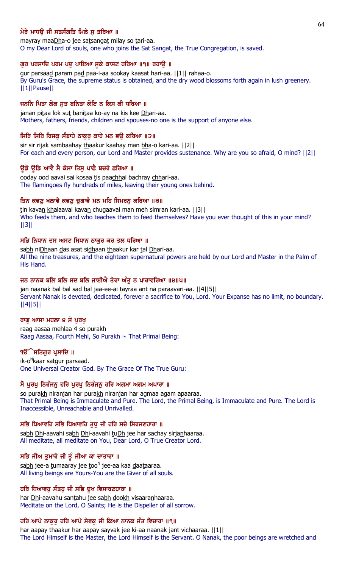# ਮੇਰੇ ਮਾਧੳ ਜੀ ਸਤਸੰਗਤਿ ਮਿਲੇ ਸ ਤਰਿਆ ॥

mayray maaDha-o jee satsangat milay so tari-aa. O my Dear Lord of souls, one who joins the Sat Sangat, the True Congregation, is saved.

#### ਗੁਰ ਪਰਸਾਦਿ ਪਰਮ ਪਦੁ ਪਾਇਆ ਸੁਕੇ ਕਾਸਟ ਹਰਿਆ ॥੧॥ ਰਹਾਉ ॥

gur parsaad param pad paa-i-aa sookay kaasat hari-aa. ||1|| rahaa-o. By Guru's Grace, the supreme status is obtained, and the dry wood blossoms forth again in lush greenery. ||1||Pause||

#### ਜਨਨਿ ਪਿਤਾ ਲੋਕ ਸੂਤ ਬਨਿਤਾ ਕੋਇ ਨ ਕਿਸ ਕੀ ਧਰਿਆ ॥

janan pitaa lok sut banitaa ko-ay na kis kee Dhari-aa. Mothers, fathers, friends, children and spouses-no one is the support of anyone else.

### ਸਿਰਿ ਸਿਰਿ ਰਿਜਕੁ ਸੰਬਾਹੇ ਠਾਕੁਰੂ ਕਾਹੇ ਮਨ ਭਉ ਕਰਿਆ ॥੨॥

sir sir rijak sambaahay thaakur kaahay man bha-o kari-aa. [[2]] For each and every person, our Lord and Master provides sustenance. Why are you so afraid, O mind? ||2||

#### ਉਡੇ ਉਡਿ ਆਵੈ ਸੈ ਕੋਸਾ ਤਿਸੁ ਪਾਛੈ ਬਚਰੇ ਛਰਿਆ ॥

ooday ood aavai sai kosaa tis paachhai bachray chhari-aa. The flamingoes fly hundreds of miles, leaving their young ones behind.

#### ਤਿਨ ਕਵਣ ਖਲਾਵੈ ਕਵਣ ਚਗਾਵੈ ਮਨ ਮਹਿ ਸਿਮਰਨ ਕਰਿਆ ॥੩॥

tin kavan khalaavai kavan chugaavai man meh simran kari-aa. [[3]] Who feeds them, and who teaches them to feed themselves? Have you ever thought of this in your mind? ||3||

#### ਸਭਿ ਨਿਧਾਨ ਦਸ ਅਸਟ ਸਿਧਾਨ ਠਾਕਰ ਕਰ ਤਲ ਧਰਿਆ ॥

sabh niDhaan das asat sidhaan thaakur kar tal Dhari-aa. All the nine treasures, and the eighteen supernatural powers are held by our Lord and Master in the Palm of His Hand.

#### ਜਨ ਨਾਨਕ ਬਲਿ ਬਲਿ ਸਦ ਬਲਿ ਜਾਈਐ ਤੇਰਾ ਅੰਤੂ ਨ ਪਾਰਾਵਰਿਆ ॥੪॥੫॥

jan naanak bal bal sad bal jaa-ee-ai tayraa ant na paraavari-aa. [[4][5]] Servant Nanak is devoted, dedicated, forever a sacrifice to You, Lord. Your Expanse has no limit, no boundary. ||4||5||

#### ਰਾਗੁ ਆਸਾ ਮਹਲਾ ੪ ਸੋ ਪੁਰਖੁ

raag aasaa mehlaa 4 so purakh Raag Aasaa, Fourth Mehl, So Purakh  $\sim$  That Primal Being:

#### ੧**ੳੇਸਤਿਗੁਰ ਪ੍ਰਸਾਦਿ** ॥

ik-o<sup>n</sup>kaar sa<u>t</u>gur parsaa<u>d</u>. One Universal Creator God. By The Grace Of The True Guru:

#### ਸੋ ਪੂਰਖੂ ਨਿਰੰਜਨੂ ਹਰਿ ਪੂਰਖੂ ਨਿਰੰਜਨੂ ਹਰਿ ਅਗਮਾ ਅਗਮ ਅਪਾਰਾ ॥

so purakh niranjan har purakh niranjan har agmaa agam apaaraa. That Primal Being is Immaculate and Pure. The Lord, the Primal Being, is Immaculate and Pure. The Lord is Inaccessible, Unreachable and Unrivalled.

### ਸਭਿ ਧਿਆਵਹਿ ਸਭਿ ਧਿਆਵਹਿ ਤੁਧੂ ਜੀ ਹਰਿ ਸਚੇ ਸਿਰਜਣਹਾਰਾ ॥

sabh Dhi-aavahi sabh Dhi-aavahi tuDh jee har sachay sirjanhaaraa. All meditate, all meditate on You, Dear Lord, O True Creator Lord.

# ਸਭਿ ਜੀਅ ਤੁਮਾਰੇ ਜੀ ਤੂੰ ਜੀਆ ਕਾ ਦਾਤਾਰਾ ॥

sa<u>bh</u> jee-a <u>t</u>umaaray jee <u>t</u>oo<sup>n</sup> jee-aa kaa <u>d</u>aa<u>t</u>aaraa. All living beings are Yours-You are the Giver of all souls.

#### ਹਰਿ ਧਿਆਵਹੂ ਸੰਤਹੂ ਜੀ ਸਭਿ ਦੁਖ ਵਿਸਾਰਣਹਾਰਾ ॥

har Dhi-aavahu santahu jee sabh dookh visaaranhaaraa. Meditate on the Lord, O Saints; He is the Dispeller of all sorrow.

### ਹਰਿ ਆਪੇ ਠਾਕੁਰੂ ਹਰਿ ਆਪੇ ਸੇਵਕੁ ਜੀ ਕਿਆ ਨਾਨਕ ਜੰਤ ਵਿਚਾਰਾ ॥੧॥

har aapay thaakur har aapay sayvak jee ki-aa naanak jant vichaaraa. ||1|| The Lord Himself is the Master, the Lord Himself is the Servant. O Nanak, the poor beings are wretched and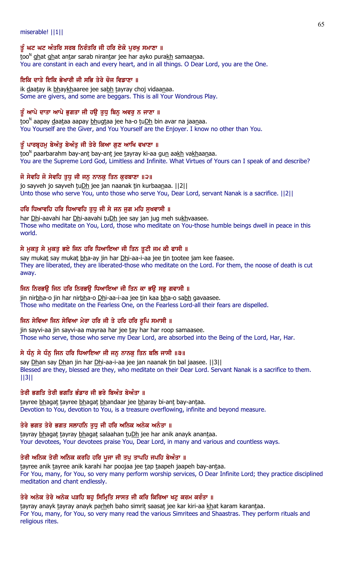miserable! ||1||

# ਤੂੰ ਘਟ ਘਟ ਅੰਤਰਿ ਸਰਬ ਨਿਰੰਤਰਿ ਜੀ ਹਰਿ ਏਕੋ ਪੂਰਖੂ ਸਮਾਣਾ ॥

too<sup>n</sup> ghat ghat antar sarab nirantar jee har ayko purakh samaanaa. You are constant in each and every heart, and in all things. O Dear Lord, you are the One.

# ਇਕਿ ਦਾਤੇ ਇਕਿ ਭੇਖਾਰੀ ਜੀ ਸਭਿ ਤੇਰੇ ਚੋਜ ਵਿਡਾਣਾ ॥

ik daatay ik bhaykhaaree jee sabh tayray choj vidaanaa. Some are givers, and some are beggars. This is all Your Wondrous Play.

# ਤੂੰ ਆਪੇ ਦਾਤਾ ਆਪੇ ਭੁਗਤਾ ਜੀ ਹਉ ਤੁਧੂ ਬਿਨੂ ਅਵਰੂ ਨ ਜਾਣਾ ॥

too<sup>n</sup> aapay <u>d</u>aataa aapay <u>bh</u>ugtaa jee ha-o tuDh bin avar na jaanaa. You Yourself are the Giver, and You Yourself are the Enjoyer. I know no other than You.

# ਤੂੰ ਪਾਰਬ੍ਰਹਮੁ ਬੇਅੰਤੂ ਬੇਅੰਤੁ ਜੀ ਤੇਰੇ ਕਿਆ ਗੁਣ ਆਖਿ ਵਖਾਣਾ ॥

<u>t</u>oo<sup>n</sup> paarbarahm bay-an<u>t</u> bay-an<u>t</u> jee <u>t</u>ayray ki-aa gu<u>n</u> aa<u>kh</u> va<u>kh</u>aa<u>n</u>aa. You are the Supreme Lord God, Limitless and Infinite. What Virtues of Yours can I speak of and describe?

# ਜੋ ਸੇਵਹਿ ਜੋ ਸੇਵਹਿ ਤੁਧੂ ਜੀ ਜਨੂ ਨਾਨਕੂ ਤਿਨ ਕੁਰਬਾਣਾ ॥੨॥

jo sayveh jo sayveh tuDh jee jan naanak tin kurbaanaa. ||2|| Unto those who serve You, unto those who serve You, Dear Lord, servant Nanak is a sacrifice. ||2||

# ਹਰਿ ਧਿਆਵਹਿ ਹਰਿ ਧਿਆਵਹਿ ਤਧ ਜੀ ਸੇ ਜਨ ਜਗ ਮਹਿ ਸਖਵਾਸੀ ॥

har Dhi-aavahi har Dhi-aavahi tuDh jee say jan jug meh sukhvaasee. Those who meditate on You, Lord, those who meditate on You-those humble beings dwell in peace in this world.

# ਸੇ ਮੁਕਤੂ ਸੇ ਮੁਕਤੂ ਭਏ ਜਿਨ ਹਰਿ ਧਿਆਇਆ ਜੀ ਤਿਨ ਤੁਟੀ ਜਮ ਕੀ ਫਾਸੀ ॥

say mukat say mukat bha-ay jin har Dhi-aa-i-aa jee tin tootee jam kee faasee. They are liberated, they are liberated-those who meditate on the Lord. For them, the noose of death is cut away.

# ਜਿਨ ਨਿਰਭਉ ਜਿਨ ਹਰਿ ਨਿਰਭਉ ਧਿਆਇਆ ਜੀ ਤਿਨ ਕਾ ਭਉ ਸਭੁ ਗਵਾਸੀ ॥

jin nirbha-o jin har nirbha-o Dhi-aa-i-aa jee tin kaa bha-o sabh gavaasee. Those who meditate on the Fearless One, on the Fearless Lord-all their fears are dispelled.

# ਜਿਨ ਸੇਵਿਆ ਜਿਨ ਸੇਵਿਆ ਮੇਰਾ ਹਰਿ ਜੀ ਤੇ ਹਰਿ ਹਰਿ ਰੁਪਿ ਸਮਾਸੀ ॥

jin sayvi-aa jin sayvi-aa mayraa har jee tay har har roop samaasee. Those who serve, those who serve my Dear Lord, are absorbed into the Being of the Lord, Har, Har.

# ਸੇ ਧੰਨੂ ਸੇ ਧੰਨੂ ਜਿਨ ਹਰਿ ਧਿਆਇਆ ਜੀ ਜਨੂ ਨਾਨਕੂ ਤਿਨ ਬਲਿ ਜਾਸੀ ॥੩॥

say Dhan say Dhan jin har Dhi-aa-i-aa jee jan naanak tin bal jaasee. [13] Blessed are they, blessed are they, who meditate on their Dear Lord. Servant Nanak is a sacrifice to them. ||3||

# ਤੇਰੀ ਭਗਤਿ ਤੇਰੀ ਭਗਤਿ ਭੰਡਾਰ ਜੀ ਭਰੇ ਬਿਅੰਤ ਬੇਅੰਤਾ ॥

tayree bhagat tayree bhagat bhandaar jee bharay bi-ant bay-antaa. Devotion to You, devotion to You, is a treasure overflowing, infinite and beyond measure.

# ਤੇਰੇ ਭਗਤ ਤੇਰੇ ਭਗਤ ਸਲਾਹਨਿ ਤੁਧੂ ਜੀ ਹਰਿ ਅਨਿਕ ਅਨੇਕ ਅਨੰਤਾ ॥

tayray bhagat tayray bhagat salaahan tuDh jee har anik anayk anantaa. Your devotees, Your devotees praise You, Dear Lord, in many and various and countless ways.

# ਤੇਰੀ ਅਨਿਕ ਤੇਰੀ ਅਨਿਕ ਕਰਹਿ ਹਰਿ ਪਜਾ ਜੀ ਤਪ ਤਾਪਹਿ ਜਪਹਿ ਬੇਅੰਤਾ ॥

tayree anik tayree anik karahi har poojaa jee tap taapeh jaapeh bay-antaa. For You, many, for You, so very many perform worship services, O Dear Infinite Lord; they practice disciplined meditation and chant endlessly.

# ਤੇਰੇ ਅਨੇਕ ਤੇਰੇ ਅਨੇਕ ਪੜਹਿ ਬਹ ਸਿਮਿਤਿ ਸਾਸਤ ਜੀ ਕਰਿ ਕਿਰਿਆ ਖਟ ਕਰਮ ਕਰੰਤਾ ॥

tayray anayk tayray anayk parheh baho simrit saasat jee kar kiri-aa khat karam karantaa. For You, many, for You, so very many read the various Simritees and Shaastras. They perform rituals and religious rites.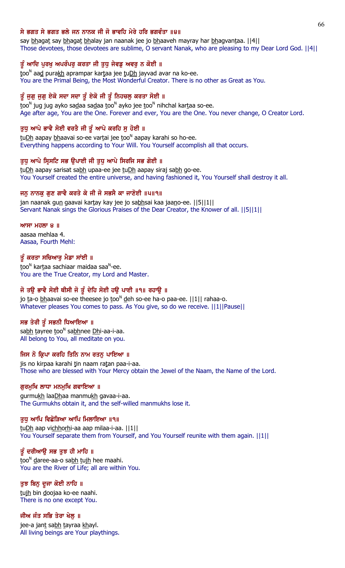# ਸੇ ਭਗਤ ਸੇ ਭਗਤ ਭਲੇ ਜਨ ਨਾਨਕ ਜੀ ਜੋ ਭਾਵਹਿ ਮੇਰੇ ਹਰਿ ਭਗਵੰਤਾ ॥੪॥

say bhagat say bhagat bhalay jan naanak jee jo bhaaveh mayray har bhagvantaa. [[4]] Those devotees, those devotees are sublime, O servant Nanak, who are pleasing to my Dear Lord God. ||4||

# ਤੂੰ ਆਦਿ ਪੂਰਖੂ ਅਪਰੰਪਰੂ ਕਰਤਾ ਜੀ ਤੁਧੂ ਜੇਵਡੂ ਅਵਰੂ ਨ ਕੋਈ ॥

too<sup>n</sup> aa<u>d</u> purakh aprampar kartaa jee tu<u>Dh</u> jayvad avar na ko-ee. You are the Primal Being, the Most Wonderful Creator. There is no other as Great as You.

# ਤੂੰ ਜੁਗੁ ਜੁਗੁ ਏਕੋ ਸਦਾ ਸਦਾ ਤੂੰ ਏਕੋ ਜੀ ਤੂੰ ਨਿਹਚਲੁ ਕਰਤਾ ਸੋਈ ॥

<u>t</u>oo<sup>n</sup> jug jug ayko sa<u>d</u>aa sa<u>d</u>aa <u>t</u>oo<sup>n</sup> ayko jee <u>t</u>oo<sup>n</sup> nihchal kar<u>t</u>aa so-ee. Age after age, You are the One. Forever and ever, You are the One. You never change, O Creator Lord.

### ਤੁਧੁ ਆਪੇ ਭਾਵੈ ਸੋਈ ਵਰਤੈ ਜੀ ਤੂੰ ਆਪੇ ਕਰਹਿ ਸੁ ਹੋਈ ॥

tu<u>Dh</u> aapay <u>bh</u>aavai so-ee vartai jee too<sup>n</sup> aapay karahi so ho-ee. Everything happens according to Your Will. You Yourself accomplish all that occurs.

### ਤੁਧੂ ਆਪੇ ਸਿਸਟਿ ਸਭ ਉਪਾਈ ਜੀ ਤੁਧੂ ਆਪੇ ਸਿਰਜਿ ਸਭ ਗੋਈ ॥

tuDh aapay sarisat sabh upaa-ee jee tuDh aapay siraj sabh go-ee. You Yourself created the entire universe, and having fashioned it, You Yourself shall destroy it all.

# ਜਨੁ ਨਾਨਕੁ ਗੁਣ ਗਾਵੈ ਕਰਤੇ ਕੇ ਜੀ ਜੋ ਸਭਸੈ ਕਾ ਜਾਣੋਈ ॥੫॥੧॥

jan naanak gun gaavai kartay kay jee jo sabhsai kaa jaano-ee. [[5][1]] Servant Nanak sings the Glorious Praises of the Dear Creator, the Knower of all. ||5||1||

### $MT$   $H$  $\overline{O}$   $\overline{O}$   $\overline{O}$   $\overline{O}$   $\overline{O}$   $\overline{O}$   $\overline{O}$   $\overline{O}$   $\overline{O}$   $\overline{O}$   $\overline{O}$   $\overline{O}$   $\overline{O}$   $\overline{O}$   $\overline{O}$   $\overline{O}$   $\overline{O}$   $\overline{O}$   $\overline{O}$   $\overline{O}$   $\overline{O}$   $\overline{O}$   $\overline{O}$   $\overline{O}$

aasaa mehlaa 4. Aasaa, Fourth Mehl:

# ਤੂੰ ਕਰਤਾ ਸਚਿਆਰੂ ਮੈਡਾ ਸਾਂਈ ॥

<u>t</u>oo<sup>n</sup> kar<u>t</u>aa sachiaar maidaa saa<sup>n</sup>-ee. You are the True Creator, my Lord and Master.

# ਜੋ ਤਉ ਭਾਵੈ ਸੋਈ ਥੀਸੀ ਜੋ ਤੂੰ ਦੇਹਿ ਸੋਈ ਹਉ ਪਾਈ ॥੧॥ ਰਹਾਉ ॥

jo <u>t</u>a-o <u>bh</u>aavai so-ee theesee jo <u>t</u>oo<sup>n</sup> deh so-ee ha-o paa-ee. [[1][ rahaa-o. Whatever pleases You comes to pass. As You give, so do we receive. ||1||Pause||

# ਸਭ ਤੇਰੀ ਤੂੰ ਸਭਨੀ ਧਿਆਇਆ ॥

sa<u>bh t</u>ayree <u>t</u>oo<sup>n</sup> sa<u>bh</u>nee <u>Dh</u>i-aa-i-aa. All belong to You, all meditate on you.

### ਜਿਸ ਨੋ ਕ੍ਰਿਪਾ ਕਰਹਿ ਤਿਨਿ ਨਾਮ ਰਤਨੂ ਪਾਇਆ ॥

jis no kirpaa karahi tin naam ratan paa-i-aa. Those who are blessed with Your Mercy obtain the Jewel of the Naam, the Name of the Lord.

### ਗੁਰਮੁਖਿ ਲਾਧਾ ਮਨਮੁਖਿ ਗਵਾਇਆ ॥

gurmukh laaDhaa manmukh gavaa-i-aa. The Gurmukhs obtain it, and the self-willed manmukhs lose it.

### ਤੁਧ ਆਪਿ ਵਿਛੋੜਿਆ ਆਪਿ ਮਿਲਾਇਆ ॥੧॥

tuDh aap vichhorhi-aa aap milaa-i-aa. ||1|| You Yourself separate them from Yourself, and You Yourself reunite with them again. ||1||

# ਤੂੰ ਦਰੀਆਉ ਸਭ ਤੁਝ ਹੀ ਮਾਹਿ ॥

<u>t</u>oo<sup>n</sup> daree-aa-o sa<u>bh t</u>ujh hee maahi. You are the River of Life; all are within You.

### ਤੁਝ ਬਿਨੁ ਦੂਜਾ ਕੋਈ ਨਾਹਿ ॥

tujh bin doojaa ko-ee naahi. There is no one except You.

### ਜੀਅ ਜੰਤ ਸਭਿ ਤੇਰਾ ਖੇਲੂ ॥

jee-a jan<u>t</u> sa<u>bh t</u>ayraa <u>kh</u>ayl. All living beings are Your playthings.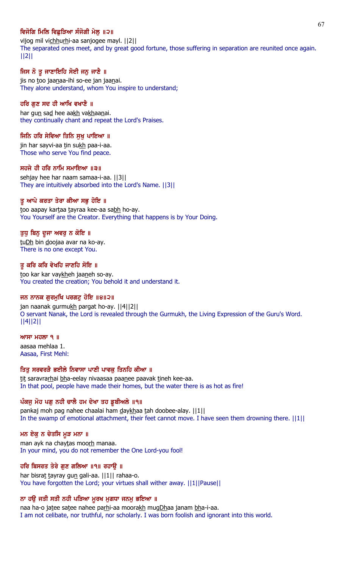# ਵਿਜੋਗਿ ਮਿਲਿ ਵਿਛੜਿਆ ਸੰਜੋਗੀ ਮੇਲ ॥੨॥

vijog mil vichhurhi-aa sanjogee mayl. | [2] The separated ones meet, and by great good fortune, those suffering in separation are reunited once again. ||2||

# ਜਿਸ ਨੋ ਤੁ ਜਾਣਾਇਹਿ ਸੋਈ ਜਨ ਜਾਣੈ ॥

jis no too jaanaa-ihi so-ee jan jaanai. They alone understand, whom You inspire to understand;

### ਹਰਿ ਗੁਣ ਸਦ ਹੀ ਆਖਿ ਵਖਾਣੈ ॥

har gun sad hee aakh vakhaanai. they continually chant and repeat the Lord's Praises.

### ਜਿਨਿ ਹਰਿ ਸੇਵਿਆ ਤਿਨਿ ਸੁਖੁ ਪਾਇਆ ॥

jin har sayvi-aa tin sukh paa-i-aa. Those who serve You find peace.

#### ਸਹਜੇ ਹੀ ਹਰਿ ਨਾਮਿ ਸਮਾਇਆ ॥੩॥

sehjay hee har naam samaa-i-aa. ||3|| They are intuitively absorbed into the Lord's Name. ||3||

#### ਤੂ ਆਪੇ ਕਰਤਾ ਤੇਰਾ ਕੀਆ ਸਭੂ ਹੋਇ ॥

too aapay kartaa tayraa kee-aa sabh ho-ay. You Yourself are the Creator. Everything that happens is by Your Doing.

#### ਤੁਧੁ ਬਿਨੁ ਦੂਜਾ ਅਵਰੁ ਨ ਕੋਇ ॥

tuDh bin doojaa avar na ko-ay. There is no one except You.

#### ਤੂ ਕਰਿ ਕਰਿ ਵੇਖਹਿ ਜਾਣਹਿ ਸੋਇ ॥

too kar kar vaykheh jaaneh so-ay. You created the creation; You behold it and understand it.

### ਜਨ ਨਾਨਕ ਗੁਰਮੁਖਿ ਪਰਗਟੁ ਹੋਇ ॥੪॥੨॥

jan naanak gurmukh pargat ho-ay. ||4||2|| O servant Nanak, the Lord is revealed through the Gurmukh, the Living Expression of the Guru's Word. ||4||2||

#### $MT$  ਮਹਲਾ ੧ ॥

aasaa mehlaa 1. Aasaa, First Mehl:

# ਤਿਤ ਸਰਵਰੜੈ ਭਈਲੇ ਨਿਵਾਸਾ ਪਾਣੀ ਪਾਵਕ ਤਿਨਹਿ ਕੀਆ ॥

tit saravrarhai bha-eelay nivaasaa paanee paavak tineh kee-aa. In that pool, people have made their homes, but the water there is as hot as fire!

### ਪੰਕਜੂ ਮੋਹ ਪਗੂ ਨਹੀ ਚਾਲੈ ਹਮ ਦੇਖਾ ਤਹ ਡੁਬੀਅਲੇ ॥੧॥

pankaj moh pag nahee chaalai ham daykhaa tah doobee-alay. [11] In the swamp of emotional attachment, their feet cannot move. I have seen them drowning there.  $||1||$ 

#### ਮਨ ਏਕੁ ਨ ਚੇਤਸਿ ਮੁੜ ਮਨਾ ॥

man ayk na chaytas moorh manaa. In your mind, you do not remember the One Lord-you fool!

### ਹਰਿ ਬਿਸਰਤ ਤੇਰੇ ਗੁਣ ਗਲਿਆ ॥੧॥ ਰਹਾਉ ॥

har bisrat tayray gun gali-aa. ||1|| rahaa-o. You have forgotten the Lord; your virtues shall wither away. ||1||Pause||

#### ਨਾ ਹਉ ਜਤੀ ਸਤੀ ਨਹੀ ਪੜਿਆ ਮੁਰਖ ਮੁਗਧਾ ਜਨਮੁ ਭਇਆ ॥

naa ha-o jatee satee nahee parhi-aa moorakh mugDhaa janam bha-i-aa. I am not celibate, nor truthful, nor scholarly. I was born foolish and ignorant into this world.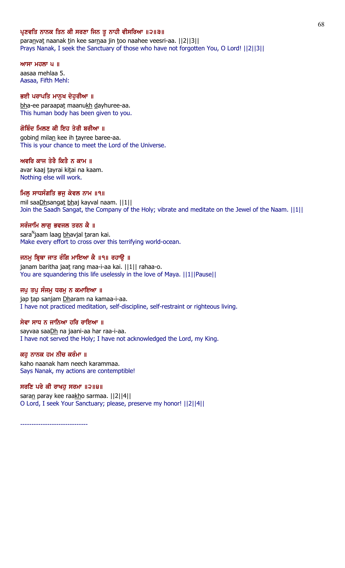### ਪ੍ਰਣਵਤਿ ਨਾਨਕ ਤਿਨ ਕੀ ਸਰਣਾ ਜਿਨ ਤੁ ਨਾਹੀ ਵੀਸਰਿਆ ॥੨॥੩॥

paranvat naanak tin kee sarnaa jin too naahee veesri-aa. | | 2 | | 3 | | Prays Nanak, I seek the Sanctuary of those who have not forgotten You, O Lord! ||2||3||

ਆਸਾ ਮਹਲਾ  $\boldsymbol{u}$  ॥ aasaa mehlaa 5. Aasaa, Fifth Mehl:

#### ਭਈ ਪਰਾਪਤਿ ਮਾਨੁਖ ਦੇਹੁਰੀਆ ॥

bha-ee paraapat maanukh dayhuree-aa. This human body has been given to you.

#### ਗੋਬਿੰਦ ਮਿਲਣ ਕੀ ਇਹ ਤੇਰੀ ਬਰੀਆ ॥

gobind milan kee ih tayree baree-aa. This is your chance to meet the Lord of the Universe.

#### ਅਵਰਿ ਕਾਜ ਤੇਰੈ ਕਿਤੈ ਨ ਕਾਮ ॥

avar kaaj tayrai kitai na kaam. Nothing else will work.

#### ਮਿਲ ਸਾਧਸੰਗਤਿ ਭਜੂ ਕੇਵਲ ਨਾਮ ॥੧॥

mil saaDhsangat bhaj kayval naam. ||1|| Join the Saadh Sangat, the Company of the Holy; vibrate and meditate on the Jewel of the Naam. ||1||

### ਸਰੰਜਾਮਿ ਲਾਗ ਭਵਜਲ ਤਰਨ ਕੈ ॥

sara<sup>n</sup>jaam laag <u>bh</u>avjal <u>t</u>aran kai. Make every effort to cross over this terrifying world-ocean.

#### ਜਨਮੂ ਬ੍ਰਿਥਾ ਜਾਤ ਰੰਗਿ ਮਾਇਆ ਕੈ ॥੧॥ ਰਹਾਉ ॥

janam baritha jaat rang maa-i-aa kai. ||1|| rahaa-o. You are squandering this life uselessly in the love of Maya. ||1||Pause||

#### ਜਪੁ ਤਪੁ ਸੰਜਮੁ ਧਰਮੁ ਨ ਕਮਾਇਆ ॥

jap tap sanjam Dharam na kamaa-i-aa. I have not practiced meditation, self-discipline, self-restraint or righteous living.

#### ਸੇਵਾ ਸਾਧ ਨ ਜਾਨਿਆ ਹਰਿ ਰਾਇਆ ॥

sayvaa saaDh na jaani-aa har raa-i-aa. I have not served the Holy; I have not acknowledged the Lord, my King.

# ਕਹੁ ਨਾਨਕ ਹਮ ਨੀਚ ਕਰੰਮਾ ॥

kaho naanak ham neech karammaa. Says Nanak, my actions are contemptible!

#### ਸਰਣਿ ਪਰੇ ਕੀ ਰਾਖਹੁ ਸਰਮਾ ॥੨॥੪॥

saran paray kee raakho sarmaa. | 2||4|| O Lord, I seek Your Sanctuary; please, preserve my honor! ||2||4||

------------------------------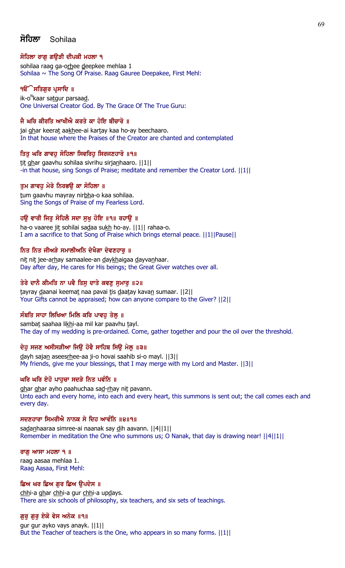# ਸੋਹਿਲਾ Sohilaa

# ਸੋਹਿਲਾ ਰਾਗ ਗੳੜੀ ਦੀਪਕੀ ਮਹਲਾ ੧

sohilaa raag ga-orhee deepkee mehlaa 1 Sohilaa  $\sim$  The Song Of Praise. Raag Gauree Deepakee, First Mehl:

# ੧**ੳੱੇ ਸਤਿਗੁਰ ਪ੍ਰਸਾਦਿ** ॥

ik-o<sup>n</sup>kaar sa<u>tg</u>ur parsaa<u>d</u>. One Universal Creator God. By The Grace Of The True Guru:

# ਜੈ ਘਰਿ ਕੀਰਤਿ ਆਖੀਐ ਕਰਤੇ ਕਾ ਹੋਇ ਬੀਚਾਰੋ ॥

jai ghar keerat aakhee-ai kartay kaa ho-ay beechaaro. In that house where the Praises of the Creator are chanted and contemplated

# ਤਿਤੂ ਘਰਿ ਗਾਵਹੂ ਸੋਹਿਲਾ ਸਿਵਰਿਹੂ ਸਿਰਜਣਹਾਰੋ ॥੧॥

tit ghar gaavhu sohilaa sivrihu sirjanhaaro. ||1|| -in that house, sing Songs of Praise; meditate and remember the Creator Lord. ||1||

# ਤੁਮ ਗਾਵਹੁ ਮੇਰੇ ਨਿਰਭਉ ਕਾ ਸੋਹਿਲਾ ॥

tum gaavhu mayray nirbha-o kaa sohilaa. Sing the Songs of Praise of my Fearless Lord.

# ਹਉ ਵਾਰੀ ਜਿਤੁ ਸੋਹਿਲੈ ਸਦਾ ਸੁਖੁ ਹੋਇ ॥੧॥ ਰਹਾਉ ॥

ha-o vaaree jit sohilai sadaa sukh ho-ay. ||1|| rahaa-o. I am a sacrifice to that Song of Praise which brings eternal peace. ||1||Pause||

# ਨਿਤ ਨਿਤ ਜੀਅੜੇ ਸਮਾਲੀਅਨਿ ਦੇਖੈਗਾ ਦੇਵਣਹਾਰ ॥

nit nit jee-arhay samaalee-an daykhaigaa dayvanhaar. Day after day, He cares for His beings; the Great Giver watches over all.

# ਤੇਰੇ ਦਾਨੈ ਕੀਮਤਿ ਨਾ ਪਵੈ ਤਿਸੂ ਦਾਤੇ ਕਵਣੂ ਸੁਮਾਰੂ ॥੨॥

tayray daanai keemat naa pavai tis daatay kavan sumaar. [[2]] Your Gifts cannot be appraised; how can anyone compare to the Giver? ||2||

### ਸੰਬਤਿ ਸਾਹਾ ਲਿਖਿਆ ਮਿਲਿ ਕਰਿ ਪਾਵਹ ਤੇਲ ॥

sambat saahaa likhi-aa mil kar paavhu tayl. The day of my wedding is pre-ordained. Come, gather together and pour the oil over the threshold.

### ਦੇਹੁ ਸਜਣ ਅਸੀਸੜੀਆ ਜਿਉ ਹੋਵੈ ਸਾਹਿਬ ਸਿਉ ਮੇਲੂ ॥੩॥

dayh sajan aseesrhee-aa ji-o hovai saahib si-o mayl. ||3|| My friends, give me your blessings, that I may merge with my Lord and Master. ||3||

### ਘਰਿ ਘਰਿ ਏਹੋ ਪਾਹੁਚਾ ਸਦੜੇ ਨਿਤ ਪਵੰਨਿ ॥

ghar ghar ayho paahuchaa sad-rhay nit pavann. Unto each and every home, into each and every heart, this summons is sent out; the call comes each and every day.

### ਸਦਣਹਾਰਾ ਸਿਮਰੀਐ ਨਾਨਕ ਸੇ ਦਿਹ ਆਵੰਨਿ ॥੪॥੧॥

sadanhaaraa simree-ai naanak say dih aavann. ||4||1|| Remember in meditation the One who summons us; O Nanak, that day is drawing near! ||4||1||

### ਰਾਗ ਆਸਾ ਮਹਲਾ ੧ ॥

raag aasaa mehlaa 1. Raag Aasaa, First Mehl:

# ਛਿਅ ਘਰ ਛਿਅ ਗੁਰ ਛਿਅ ਉਪਦੇਸ ॥

chhi-a ghar chhi-a gur chhi-a updays. There are six schools of philosophy, six teachers, and six sets of teachings.

### ਗੁਰੂ ਗੁਰੂ ਏਕੋ ਵੇਸ ਅਨੇਕ ॥੧॥

gur gur ayko vays anayk. ||1|| But the Teacher of teachers is the One, who appears in so many forms. ||1||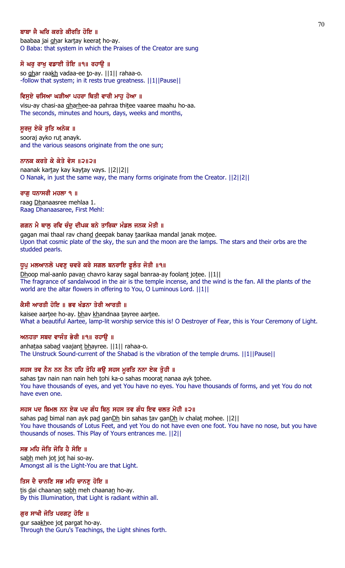### ਬਾਬਾ ਜੈ ਘਰਿ ਕਰਤੇ ਕੀਰਤਿ ਹੋਇ ॥

baabaa jai ghar kartay keerat ho-ay. O Baba: that system in which the Praises of the Creator are sung

### ਸੋ ਘਰੁ ਰਾਖੁ ਵਡਾਈ ਤੋਇ ॥੧॥ ਰਹਾਉ ॥

so ghar raakh vadaa-ee to-ay. ||1|| rahaa-o. -follow that system; in it rests true greatness. ||1||Pause||

### ਵਿਸੁਏ ਚਸਿਆ ਘੜੀਆ ਪਹਰਾ ਥਿਤੀ ਵਾਰੀ ਮਾਹੂ ਹੋਆ ॥

visu-ay chasi-aa gharhee-aa pahraa thitee vaaree maahu ho-aa. The seconds, minutes and hours, days, weeks and months,

#### ਸੁਰਜੁ ਏਕੋ ਰੁਤਿ ਅਨੇਕ ॥

sooraj ayko rut anayk. and the various seasons originate from the one sun;

#### ਨਾਨਕ ਕਰਤੇ ਕੇ ਕੇਤੇ ਵੇਸ ॥੨॥੨॥

naanak kartay kay kaytay vays. ||2||2|| O Nanak, in just the same way, the many forms originate from the Creator. ||2||2||

#### ਰਾਗੂ ਧਨਾਸਰੀ ਮਹਲਾ ੧ ॥

raag Dhanaasree mehlaa 1. Raag Dhanaasaree, First Mehl:

### ਗਗਨ ਮੈ ਥਾਲ ਰਵਿ ਚੰਦ ਦੀਪਕ ਬਨੇ ਤਾਰਿਕਾ ਮੰਡਲ ਜਨਕ ਮੋਤੀ ॥

gagan mai thaal rav chand deepak banay taarikaa mandal janak motee. Upon that cosmic plate of the sky, the sun and the moon are the lamps. The stars and their orbs are the studded pearls.

### ਧੁਪੁ ਮਲਆਨਲੋ ਪਵਣੁ ਚਵਰੋ ਕਰੇ ਸਗਲ ਬਨਰਾਇ ਫੁਲੰਤ ਜੋਤੀ ॥੧॥

Dhoop mal-aanlo pavan chavro karay sagal banraa-ay foolant jotee.  $||1||$ The fragrance of sandalwood in the air is the temple incense, and the wind is the fan. All the plants of the world are the altar flowers in offering to You, O Luminous Lord. ||1||

### ਕੈਸੀ ਆਰਤੀ ਹੋਇ ॥ ਭਵ ਖੰਡਨਾ ਤੇਰੀ ਆਰਤੀ ॥

kaisee aartee ho-ay. bhav khandnaa tayree aartee. What a beautiful Aartee, lamp-lit worship service this is! O Destroyer of Fear, this is Your Ceremony of Light.

### ਅਨਹਤਾ ਸਬਦ ਵਾਜੰਤ ਭੇਰੀ ॥੧॥ ਰਹਾਉ ॥

anhataa sabad vaajant bhayree. ||1|| rahaa-o. The Unstruck Sound-current of the Shabad is the vibration of the temple drums. ||1||Pause||

# ਸਹਸ ਤਵ ਨੈਨ ਨਨ ਨੈਨ ਹਹਿ ਤੋਹਿ ਕਉ ਸਹਸ ਮੂਰਤਿ ਨਨਾ ਏਕ ਤੁਹੀ ॥

sahas tav nain nan nain heh tohi ka-o sahas moorat nanaa ayk tohee. You have thousands of eyes, and yet You have no eyes. You have thousands of forms, and yet You do not have even one.

#### ਸਹਸ ਪਦ ਬਿਮਲ ਨਨ ਏਕ ਪਦ ਗੰਧ ਬਿਨੁ ਸਹਸ ਤਵ ਗੰਧ ਇਵ ਚਲਤ ਮੋਹੀ ॥੨॥

sahas pad bimal nan ayk pad ganDh bin sahas tav ganDh iv chalat mohee. ||2|| You have thousands of Lotus Feet, and yet You do not have even one foot. You have no nose, but you have thousands of noses. This Play of Yours entrances me. ||2||

#### ਸਭ ਮਹਿ ਜੋਤਿ ਜੋਤਿ ਹੈ ਸੋਇ ॥

sabh meh jot jot hai so-ay. Amongst all is the Light-You are that Light.

#### ਤਿਸ ਦੈ ਚਾਨਣਿ ਸਭ ਮਹਿ ਚਾਨਣ ਹੋਇ ॥

tis dai chaanan sabh meh chaanan ho-ay. By this Illumination, that Light is radiant within all.

### ਗੁਰ ਸਾਖੀ ਜੋਤਿ ਪਰਗਟੁ ਹੋਇ ॥

gur saakhee jot pargat ho-ay. Through the Guru's Teachings, the Light shines forth.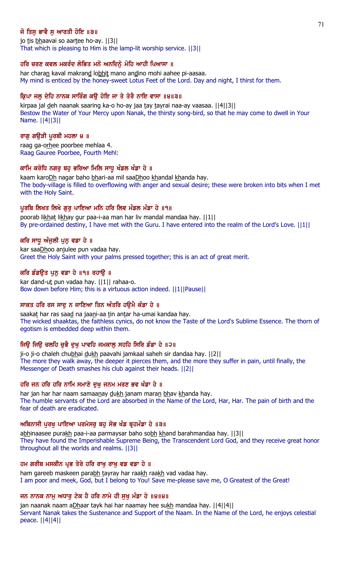# ਜੋ ਤਿਸ ਭਾਵੈ ਸ ਆਰਤੀ ਹੋਇ ॥੩॥

jo tis bhaavai so aartee ho-ay. [[3]] That which is pleasing to Him is the lamp-lit worship service. ||3||

# ਹਰਿ ਚਰਣ ਕਵਲ ਮਕਰੰਦ ਲੋਭਿਤ ਮਨੋ ਅਨਦਿਨੋਂ ਮੋਹਿ ਆਹੀ ਪਿਆਸਾ ॥

har charan kaval makrand lobhit mano andino mohi aahee pi-aasaa. My mind is enticed by the honey-sweet Lotus Feet of the Lord. Day and night, I thirst for them.

# ਕ੍ਰਿਪਾ ਜਲੂ ਦੇਹਿ ਨਾਨਕ ਸਾਰਿੰਗ ਕਉ ਹੋਇ ਜਾ ਤੇ ਤੇਰੈ ਨਾਇ ਵਾਸਾ ॥੪॥੩॥

kirpaa jal deh naanak saaring ka-o ho-ay jaa tay tayrai naa-ay vaasaa. [[4][3]] Bestow the Water of Your Mercy upon Nanak, the thirsty song-bird, so that he may come to dwell in Your Name. ||4||3||

### ਰਾਗੁ ਗਉੜੀ ਪੁਰਬੀ ਮਹਲਾ ੪ ॥

raag ga-orhee poorbee mehlaa 4. Raag Gauree Poorbee, Fourth Mehl:

# ਕਾਮਿ ਕਰੋਧਿ ਨਗਰੂ ਬਹੁ ਭਰਿਆ ਮਿਲਿ ਸਾਧੂ ਖੰਡਲ ਖੰਡਾ ਹੇ ॥

kaam karoDh nagar baho bhari-aa mil saaDhoo khandal khanda hay. The body-village is filled to overflowing with anger and sexual desire; these were broken into bits when I met with the Holy Saint.

# ਪੁਰਬਿ ਲਿਖਤ ਲਿਖੇ ਗਰ ਪਾਇਆ ਮਨਿ ਹਰਿ ਲਿਵ ਮੰਡਲ ਮੰਡਾ ਹੇ ॥੧॥

poorab likhat likhay gur paa-i-aa man har liv mandal mandaa hay. ||1|| By pre-ordained destiny, I have met with the Guru. I have entered into the realm of the Lord's Love. ||1||

# ਕਰਿ ਸਾਧੂ ਅੰਜੂਲੀ ਪੁਨੂ ਵਡਾ ਹੇ ॥

kar saaDhoo anjulee pun vadaa hay. Greet the Holy Saint with your palms pressed together; this is an act of great merit.

# ਕਰਿ ਡੰਡੳਤ ਪਨ ਵਡਾ ਹੇ ॥੧॥ ਰਹਾੳ ॥

kar dand-ut pun vadaa hay. ||1|| rahaa-o. Bow down before Him; this is a virtuous action indeed. ||1||Pause||

# ਸਾਕਤ ਹਰਿ ਰਸ ਸਾਦੂ ਨ ਜਾਣਿਆ ਤਿਨ ਅੰਤਰਿ ਹਉਮੈ ਕੰਡਾ ਹੇ ॥

saakat har ras saad na jaani-aa tin antar ha-umai kandaa hay. The wicked shaaktas, the faithless cynics, do not know the Taste of the Lord's Sublime Essence. The thorn of egotism is embedded deep within them.

# ਜਿਉ ਜਿਉ ਚਲਹਿ ਚੁਭੈ ਦੁਖੁ ਪਾਵਹਿ ਜਮਕਾਲੂ ਸਹਹਿ ਸਿਰਿ ਡੰਡਾ ਹੇ ॥੨॥

ji-o ji-o chaleh chubhai dukh paavahi jamkaal saheh sir dandaa hay. [[2]] The more they walk away, the deeper it pierces them, and the more they suffer in pain, until finally, the Messenger of Death smashes his club against their heads. ||2||

### ਹਰਿ ਜਨ ਹਰਿ ਹਰਿ ਨਾਮਿ ਸਮਾਣੇ ਦਖ ਜਨਮ ਮਰਣ ਭਵ ਖੰਡਾ ਹੇ ॥

har jan har har naam samaanay dukh janam maran bhav khanda hay. The humble servants of the Lord are absorbed in the Name of the Lord, Har, Har. The pain of birth and the fear of death are eradicated.

### ਅਬਿਨਾਸੀ ਪੂਰਖੂ ਪਾਇਆ ਪਰਮੇਸਰੂ ਬਹੁ ਸੋਭ ਖੰਡ ਬੁਹਮੰਡਾ ਹੇ ॥੩॥

abhinaasee purakh paa-i-aa parmaysar baho sobh khand barahmandaa hay. ||3|| They have found the Imperishable Supreme Being, the Transcendent Lord God, and they receive great honor throughout all the worlds and realms. ||3||

# ਹਮ ਗਰੀਬ ਮਸਕੀਨ ਪ੍ਰਭ ਤੇਰੇ ਹਰਿ ਰਾਖੂ ਰਾਖੂ ਵਡ ਵਡਾ ਹੇ ॥

ham gareeb maskeen parabh tayray har raakh raakh vad vadaa hay. I am poor and meek, God, but I belong to You! Save me-please save me, O Greatest of the Great!

### ਜਨ ਨਾਨਕ ਨਾਮੂ ਅਧਾਰੂ ਟੇਕ ਹੈ ਹਰਿ ਨਾਮੇ ਹੀ ਸੁਖੂ ਮੰਡਾ ਹੇ ॥੪॥੪॥

jan naanak naam aDhaar tayk hai har naamay hee sukh mandaa hay. ||4||4|| Servant Nanak takes the Sustenance and Support of the Naam. In the Name of the Lord, he enjoys celestial peace. ||4||4||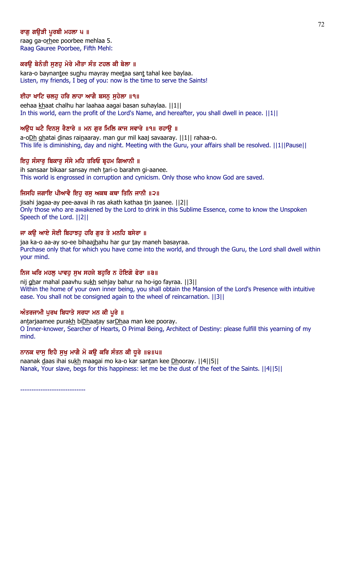# ਰਾਗ ਗੳੜੀ ਪਰਬੀ ਮਹਲਾ ਪ ॥

raag ga-orhee poorbee mehlaa 5. Raag Gauree Poorbee, Fifth Mehl:

### ਕਰਊ ਬੇਨੰਤੀ ਸੁਣਹੁ ਮੇਰੇ ਮੀਤਾ ਸੰਤ ਟਹਲ ਕੀ ਬੇਲਾ ॥

kara-o baynantee sunhu mayray meetaa sant tahal kee baylaa. Listen, my friends, I beg of you: now is the time to serve the Saints!

### ਈਹਾ ਖਾਟਿ ਚਲਹੂ ਹਰਿ ਲਾਹਾ ਆਗੈ ਬਸਨੂ ਸੁਹੇਲਾ ॥੧॥

eehaa khaat chalhu har laahaa aagai basan suhaylaa. ||1|| In this world, earn the profit of the Lord's Name, and hereafter, you shall dwell in peace. ||1||

# ਅੳਧ ਘਟੈ ਦਿਨਸ ਰੈਣਾਰੇ ॥ ਮਨ ਗਰ ਮਿਲਿ ਕਾਜ ਸਵਾਰੇ ॥੧॥ ਰਹਾੳ ॥

a-oDh ghatai dinas rainaaray. man gur mil kaaj savaaray. ||1|| rahaa-o. This life is diminishing, day and night. Meeting with the Guru, your affairs shall be resolved. ||1||Pause||

# ਇਹ ਸੰਸਾਰ ਬਿਕਾਰ ਸੰਸੇ ਮਹਿ ਤਰਿਓ ਬਹਮ ਗਿਆਨੀ ॥

ih sansaar bikaar sansay meh tari-o barahm gi-aanee. This world is engrossed in corruption and cynicism. Only those who know God are saved.

# ਜਿਸਹਿ ਜਗਾਇ ਪੀਆਵੈ ਇਹ ਰਸ ਅਕਥ ਕਥਾ ਤਿਨਿ ਜਾਨੀ ॥੨॥

jisahi jagaa-ay pee-aavai ih ras akath kathaa tin jaanee. ||2|| Only those who are awakened by the Lord to drink in this Sublime Essence, come to know the Unspoken Speech of the Lord. ||2||

# ਜਾ ਕੳ ਆਏ ਸੋਈ ਬਿਹਾਝਹ ਹਰਿ ਗਰ ਤੇ ਮਨਹਿ ਬਸੇਰਾ ॥

jaa ka-o aa-ay so-ee bihaajhahu har gur tay maneh basayraa. Purchase only that for which you have come into the world, and through the Guru, the Lord shall dwell within your mind.

# ਨਿਜ ਘਰਿ ਮਹਲ ਪਾਵਹ ਸਖ ਸਹਜੇ ਬਹਰਿ ਨ ਹੋਇਗੋ ਫੇਰਾ ॥੩॥

nij ghar mahal paavhu sukh sehjay bahur na ho-igo fayraa. [[3]] Within the home of your own inner being, you shall obtain the Mansion of the Lord's Presence with intuitive ease. You shall not be consigned again to the wheel of reincarnation. ||3||

# ਅੰਤਰਜਾਮੀ ਪੂਰਖ ਬਿਧਾਤੇ ਸਰਧਾ ਮਨ ਕੀ ਪੂਰੇ ॥

antarjaamee purakh biDhaatay sarDhaa man kee pooray. O Inner-knower, Searcher of Hearts, O Primal Being, Architect of Destiny: please fulfill this yearning of my mind.

# ਨਾਨਕ ਦਾਸੂ ਇਹੈ ਸੁਖੂ ਮਾਗੈ ਮੋ ਕਉ ਕਰਿ ਸੰਤਨ ਕੀ ਧੂਰੇ ॥੪॥੫॥

naanak daas ihai sukh maagai mo ka-o kar santan kee Dhooray. [[4][5]] Nanak, Your slave, begs for this happiness: let me be the dust of the feet of the Saints. ||4||5||

-----------------------------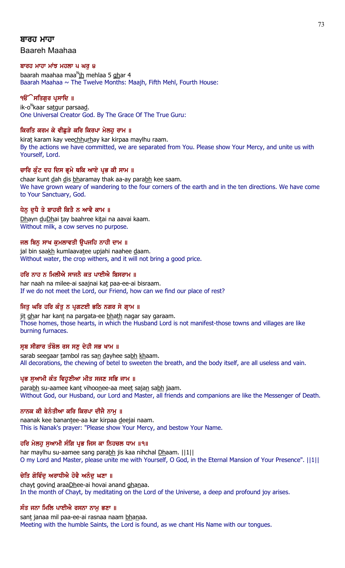# ਬਾਰਹ ਮਾਹਾ

Baareh Maahaa

### ਬਾਰਹ ਮਾਹਾ ਮਾਂਝ ਮਹਲਾ ੫ ਘਰ ੪

baarah maahaa maa<sup>n</sup>ih mehlaa 5 <u>gh</u>ar 4 Baarah Maahaa  $\sim$  The Twelve Months: Maajh, Fifth Mehl, Fourth House:

# ੧**ੳੇਸਤਿਗਰ ਪ੍ਰਸਾਦਿ** ॥

ik-o<sup>n</sup>kaar sa<u>t</u>gur parsaa<u>d</u>. One Universal Creator God. By The Grace Of The True Guru:

# ਕਿਰਤਿ ਕਰਮ ਕੇ ਵੀਛੜੇ ਕਰਿ ਕਿਰਪਾ ਮੇਲਹ ਰਾਮ ॥

kirat karam kay veechhurhay kar kirpaa maylhu raam. By the actions we have committed, we are separated from You. Please show Your Mercy, and unite us with Yourself, Lord.

### ਚਾਰਿ ਕੁੰਟ ਦਹ ਦਿਸ ਭ੍ਰਮੇ ਥਕਿ ਆਏ ਪ੍ਰਭ ਕੀ ਸਾਮ ॥

chaar kunt dah dis bharamay thak aa-ay parabh kee saam. We have grown weary of wandering to the four corners of the earth and in the ten directions. We have come to Your Sanctuary, God.

### ਧੇਨੂ ਦੁਧੈ ਤੇ ਬਾਹਰੀ ਕਿਤੈ ਨ ਆਵੈ ਕਾਮ ॥

Dhayn duDhai tay baahree kitai na aavai kaam. Without milk, a cow serves no purpose.

### ਜਲ ਬਿਨ ਸਾਖ ਕਮਲਾਵਤੀ ੳਪਜਹਿ ਨਾਹੀ ਦਾਮ ॥

jal bin saakh kumlaavatee upjahi naahee daam. Without water, the crop withers, and it will not bring a good price.

### ਹਰਿ ਨਾਹ ਨ ਮਿਲੀਐ ਸਾਜਨੈ ਕਤ ਪਾਈਐ ਬਿਸਰਾਮ ॥

har naah na milee-ai saajnai kat paa-ee-ai bisraam. If we do not meet the Lord, our Friend, how can we find our place of rest?

# ਜਿਤੂ ਘਰਿ ਹਰਿ ਕੰਤੂ ਨ ਪ੍ਰਗਟਈ ਭਠਿ ਨਗਰ ਸੇ ਗ੍ਰਾਮ ॥

jit ghar har kant na pargata-ee bhath nagar say garaam. Those homes, those hearts, in which the Husband Lord is not manifest-those towns and villages are like burning furnaces.

### ਸੂਬ ਸੀਗਾਰ ਤੰਬੋਲ ਰਸ ਸਣ ਦੇਹੀ ਸਭ ਖਾਮ ॥

sarab seegaar tambol ras san dayhee sabh khaam. All decorations, the chewing of betel to sweeten the breath, and the body itself, are all useless and vain.

# ਪ੍ਰਭ ਸੁਆਮੀ ਕੰਤ ਵਿਹੁਣੀਆ ਮੀਤ ਸਜਣ ਸਭਿ ਜਾਮ ॥

parabh su-aamee kant vihoonee-aa meet sajan sabh jaam. Without God, our Husband, our Lord and Master, all friends and companions are like the Messenger of Death.

### ਨਾਨਕ ਕੀ ਬੇਨੰਤੀਆ ਕਰਿ ਕਿਰਪਾ ਦੀਜੈ ਨਾਮ ॥

naanak kee banantee-aa kar kirpaa deejai naam. This is Nanak's prayer: "Please show Your Mercy, and bestow Your Name.

### ਹਰਿ ਮੇਲਹ ਸਆਮੀ ਸੰਗਿ ਪ੍ਰਭ ਜਿਸ ਕਾ ਨਿਹਚਲ ਧਾਮ ॥੧॥

har maylhu su-aamee sang parabh jis kaa nihchal Dhaam. ||1|| O my Lord and Master, please unite me with Yourself, O God, in the Eternal Mansion of Your Presence". ||1||

### ਚੇਤਿ ਗੋਵਿੰਦ ਅਰਾਧੀਐ ਹੋਵੈ ਅਨੰਦ ਘਣਾ ॥

chayt govind araaDhee-ai hovai anand ghanaa. In the month of Chayt, by meditating on the Lord of the Universe, a deep and profound joy arises.

### ਸੰਤ ਜਨਾ ਮਿਲਿ ਪਾਈਐ ਰਸਨਾ ਨਾਮੁ ਭਣਾ ॥

sant janaa mil paa-ee-ai rasnaa naam bhanaa. Meeting with the humble Saints, the Lord is found, as we chant His Name with our tongues.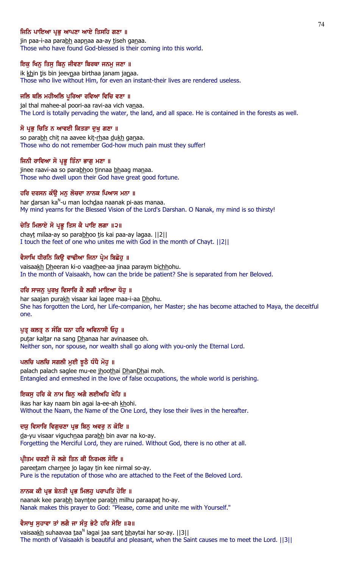### ਜਿਨਿ ਪਾਇਆ ਪ੍ਰਭ ਆਪਣਾ ਆਏ ਤਿਸਹਿ ਗਣਾ ॥

jin paa-i-aa parabh aapnaa aa-ay tiseh ganaa. Those who have found God-blessed is their coming into this world.

#### ਇਕ ਖਿਨ੍ਹ ਤਿਸੁ ਬਿਨੁ ਜੀਵਣਾ ਬਿਰਥਾ ਜਨਮੁ ਜਣਾ ॥

ik khin tis bin jeevnaa birthaa janam janaa. Those who live without Him, for even an instant-their lives are rendered useless.

#### ਜਲਿ ਥਲਿ ਮਹੀਅਲਿ ਪੁਰਿਆ ਰਵਿਆ ਵਿਚਿ ਵਣਾ ॥

jal thal mahee-al poori-aa ravi-aa vich vanaa. The Lord is totally pervading the water, the land, and all space. He is contained in the forests as well.

#### ਸੋ ਪ੍ਰਭੂ ਚਿਤਿ ਨ ਆਵਈ ਕਿਤੜਾ ਦੁਖੁ ਗਣਾ ॥

so parabh chit na aavee kit-rhaa dukh ganaa. Those who do not remember God-how much pain must they suffer!

#### ਜਿਨੀ ਰਾਵਿਆ ਸੋ ਪ੍ਰਭੂ ਤਿੰਨਾ ਭਾਗੂ ਮਣਾ ॥

jinee raavi-aa so parabhoo tinnaa bhaag manaa. Those who dwell upon their God have great good fortune.

### ਹਰਿ ਦਰਸਨ ਕੰਉ ਮਨੁ ਲੋਚਦਾ ਨਾਨਕ ਪਿਆਸ ਮਨਾ ॥

har <u>d</u>arsan ka<sup>n</sup>-u man loch<u>d</u>aa naanak pi-aas manaa. My mind yearns for the Blessed Vision of the Lord's Darshan. O Nanak, my mind is so thirsty!

#### ਚੇਤਿ ਮਿਲਾਏ ਸੋ ਪ੍ਰਭੂ ਤਿਸ ਕੈ ਪਾਇ ਲਗਾ ॥੨॥

chayt milaa-ay so parabhoo tis kai paa-ay lagaa. [[2]] I touch the feet of one who unites me with God in the month of Chayt. ||2||

#### ਵੈਸਾਖਿ ਧੀਰਨਿ ਕਿਉ ਵਾਢੀਆ ਜਿਨਾ ਪ੍ਰੇਮ ਬਿਛੋਹੁ ॥

vaisaakh Dheeran ki-o vaadhee-aa jinaa paraym bichhohu. In the month of Vaisaakh, how can the bride be patient? She is separated from her Beloved.

# ਹਰਿ ਸਾਜਨੁ ਪੁਰਖੁ ਵਿਸਾਰਿ ਕੈ ਲਗੀ ਮਾਇਆ ਧੋਹ ॥

har saajan purakh visaar kai lagee maa-i-aa Dhohu. She has forgotten the Lord, her Life-companion, her Master; she has become attached to Maya, the deceitful one.

### ਪੁਤ੍ਰ ਕਲਤ੍ਰ ਨ ਸੰਗਿ ਧਨਾ ਹਰਿ ਅਵਿਨਾਸੀ ਓਹੁ ॥

putar kaltar na sang Dhanaa har avinaasee oh. Neither son, nor spouse, nor wealth shall go along with you-only the Eternal Lord.

### ਪਲਚਿ ਪਲਚਿ ਸਗਲੀ ਮੁਈ ਝੁਠੈ ਧੰਧੈ ਮੋਹੁ ॥

palach palach saglee mu-ee jhoothai DhanDhai moh. Entangled and enmeshed in the love of false occupations, the whole world is perishing.

#### ਇਕਸੂ ਹਰਿ ਕੇ ਨਾਮ ਬਿਨੂ ਅਗੈ ਲਈਅਹਿ ਖੋਹਿ ॥

ikas har kay naam bin agai la-ee-ah khohi. Without the Naam, the Name of the One Lord, they lose their lives in the hereafter.

### ਦਯੁ ਵਿਸਾਰਿ ਵਿਗੁਚਣਾ ਪ੍ਰਭ ਬਿਨੁ ਅਵਰੁ ਨ ਕੋਇ ॥

da-yu visaar viguchnaa parabh bin avar na ko-ay. Forgetting the Merciful Lord, they are ruined. Without God, there is no other at all.

### ਪੀਤਮ ਚਰਣੀ ਜੋ ਲਗੇ ਤਿਨ ਕੀ ਨਿਰਮਲ ਸੋਇ ॥

pareetam charnee jo lagay tin kee nirmal so-ay. Pure is the reputation of those who are attached to the Feet of the Beloved Lord.

### ਨਾਨਕ ਕੀ ਪ੍ਰਭ ਬੇਨਤੀ ਪ੍ਰਭ ਮਿਲਹੂ ਪਰਾਪਤਿ ਹੋਇ ॥

naanak kee parabh bayntee parabh milhu paraapat ho-ay. Nanak makes this prayer to God: "Please, come and unite me with Yourself."

### ਵੈਸਾਖੂ ਸੁਹਾਵਾ ਤਾਂ ਲਗੈ ਜਾ ਸੰਤੂ ਭੇਟੈ ਹਰਿ ਸੋਇ ॥੩॥

vaisaa<u>kh</u> suhaavaa taa<sup>n</sup> lagai jaa sant <u>bh</u>aytai har so-ay. [[3]] The month of Vaisaakh is beautiful and pleasant, when the Saint causes me to meet the Lord. ||3||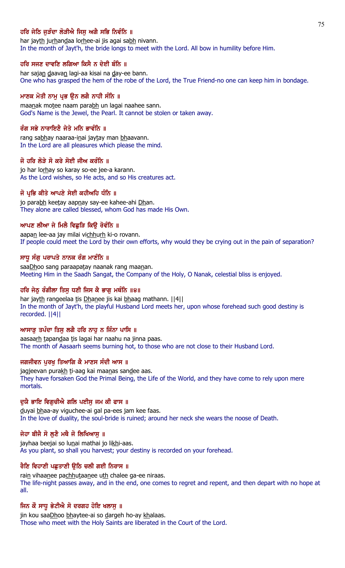# ਹਰਿ ਜੇਠਿ ਜੜੰਦਾ ਲੋੜੀਐ ਜਿਸ ਅਗੈ ਸਭਿ ਨਿਵੰਨਿ ॥

har jayth jurhandaa lorhee-ai jis agai sabh nivann. In the month of Jayt'h, the bride longs to meet with the Lord. All bow in humility before Him.

#### ਹਰਿ ਸਜਣ ਦਾਵਣਿ ਲਗਿਆ ਕਿਸੈ ਨ ਦੇਈ ਬੰਨਿ ॥

har sajan daavan lagi-aa kisai na day-ee bann. One who has grasped the hem of the robe of the Lord, the True Friend-no one can keep him in bondage.

### ਮਾਣਕ ਮੋਤੀ ਨਾਮੂ ਪ੍ਰਭ ਉਨ ਲਗੈ ਨਾਹੀ ਸੰਨਿ ॥

maanak motee naam parabh un lagai naahee sann. God's Name is the Jewel, the Pearl. It cannot be stolen or taken away.

### ਰੰਗ ਸਭੇ ਨਾਰਾਇਣੈ ਜੇਤੇ ਮਨਿ ਭਾਵੰਨਿ ॥

rang sabhay naaraa-inai jaytay man bhaavann. In the Lord are all pleasures which please the mind.

#### ਜੋ ਹਰਿ ਲੋੜੇ ਸੋ ਕਰੇ ਸੋਈ ਜੀਅ ਕਰੰਨਿ ॥

jo har lorhay so karay so-ee jee-a karann. As the Lord wishes, so He acts, and so His creatures act.

#### ਜੋ ਪ੍ਰਭਿ ਕੀਤੇ ਆਪਣੇ ਸੇਈ ਕਹੀਅਹਿ ਧੰਨਿ ॥

jo parabh keetay aapnay say-ee kahee-ahi Dhan. They alone are called blessed, whom God has made His Own.

#### ਆਪਣ ਲੀਆ ਜੇ ਮਿਲੈ ਵਿਛੜਿ ਕਿੳ ਰੋਵੰਨਿ ॥

aapan lee-aa jay milai vichhurh ki-o rovann. If people could meet the Lord by their own efforts, why would they be crying out in the pain of separation?

#### ਸਾਧੂ ਸੰਗੂ ਪਰਾਪਤੇ ਨਾਨਕ ਰੰਗ ਮਾਣੰਨਿ ॥

saaDhoo sang paraapatay naanak rang maanan. Meeting Him in the Saadh Sangat, the Company of the Holy, O Nanak, celestial bliss is enjoyed.

### ਹਰਿ ਜੇਠ ਰੰਗੀਲਾ ਤਿਸ ਧਣੀ ਜਿਸ ਕੈ ਭਾਗ ਮਥੰਨਿ ॥੪॥

har jayth rangeelaa tis Dhanee jis kai bhaag mathann. ||4|| In the month of Jayt'h, the playful Husband Lord meets her, upon whose forehead such good destiny is recorded. ||4||

#### ਆਸਾੜ ਤਪੰਦਾ ਤਿਸ ਲਗੈ ਹਰਿ ਨਾਹ ਨ ਜਿੰਨਾ ਪਾਸਿ ॥

aasaarh tapandaa tis lagai har naahu na jinna paas. The month of Aasaarh seems burning hot, to those who are not close to their Husband Lord.

### ਜਗਜੀਵਨ ਪਰਖ ਤਿਆਗਿ ਕੈ ਮਾਣਸ ਸੰਦੀ ਆਸ ॥

jagjeevan purakh ti-aag kai maanas sandee aas. They have forsaken God the Primal Being, the Life of the World, and they have come to rely upon mere mortals.

#### ਦਯੈ ਭਾਇ ਵਿਗਚੀਐ ਗਲਿ ਪਈਸ ਜਮ ਕੀ ਫਾਸ ॥

duyai bhaa-ay viguchee-ai gal pa-ees jam kee faas. In the love of duality, the soul-bride is ruined; around her neck she wears the noose of Death.

### ਜੇਹਾ ਬੀਜੈ ਸੋ ਲੁਣੈ ਮਥੈ ਜੋ ਲਿਖਿਆਸੁ ॥

jayhaa beejai so lunai mathai jo likhi-aas. As you plant, so shall you harvest; your destiny is recorded on your forehead.

#### ਰੈਣਿ ਵਿਹਾਣੀ ਪਛੁਤਾਣੀ ਉਠਿ ਚਲੀ ਗਈ ਨਿਰਾਸ ॥

rain vihaanee pachhutaanee uth chalee ga-ee niraas. The life-night passes away, and in the end, one comes to regret and repent, and then depart with no hope at all.

#### ਜਿਨ ਕੌ ਸਾਧੁ ਭੇਟੀਐ ਸੋ ਦਰਗਹ ਹੋਇ ਖਲਾਸੁ ॥

jin kou saaDhoo bhaytee-ai so dargeh ho-ay khalaas. Those who meet with the Holy Saints are liberated in the Court of the Lord.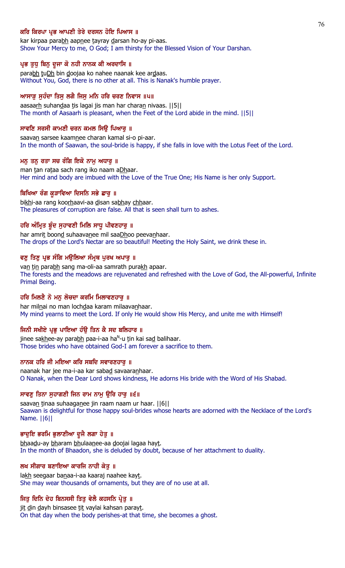### ਕਰਿ ਕਿਰਪਾ ਪ੍ਰਭ ਆਪਣੀ ਤੇਰੇ ਦਰਸਨ ਹੋਇ ਪਿਆਸ ॥

kar kirpaa parabh aapnee tayray darsan ho-ay pi-aas. Show Your Mercy to me, O God; I am thirsty for the Blessed Vision of Your Darshan.

#### ਪ੍ਰਭ ਤੁਧ ਬਿਨੂ ਦੂਜਾ ਕੋ ਨਹੀ ਨਾਨਕ ਕੀ ਅਰਦਾਸਿ ॥

parabh tuDh bin doojaa ko nahee naanak kee ardaas. Without You, God, there is no other at all. This is Nanak's humble prayer.

### ਆਸਾੜ ਸੁਹੰਦਾ ਤਿਸੁ ਲਗੈ ਜਿਸੁ ਮਨਿ ਹਰਿ ਚਰਣ ਨਿਵਾਸ ॥੫॥

aasaarh suhandaa tis lagai jis man har charan nivaas. [[5]] The month of Aasaarh is pleasant, when the Feet of the Lord abide in the mind. ||5||

#### ਸਾਵਣਿ ਸਰਸੀ ਕਾਮਣੀ ਚਰਨ ਕਮਲ ਸਿੳ ਪਿਆਰ ॥

saavan sarsee kaamnee charan kamal si-o pi-aar. In the month of Saawan, the soul-bride is happy, if she falls in love with the Lotus Feet of the Lord.

#### ਮਨ ਤਨ ਰਤਾ ਸਚ ਰੰਗਿ ਇਕੋ ਨਾਮ ਅਧਾਰ ॥

man tan rataa sach rang iko naam aDhaar. Her mind and body are imbued with the Love of the True One; His Name is her only Support.

#### ਬਿਖਿਆ ਰੰਗ ਕੁੜਾਵਿਆ ਦਿਸਨਿ ਸਭੇ ਛਾਰੂ ॥

bikhi-aa rang koorhaavi-aa disan sabhay chhaar. The pleasures of corruption are false. All that is seen shall turn to ashes.

### ਹਰਿ ਅੰਮ੍ਰਿਤ ਬੰਦ ਸਹਾਵਣੀ ਮਿਲਿ ਸਾਧੂ ਪੀਵਣਹਾਰ ॥

har amrit boond suhaavanee mil saaDhoo peevanhaar. The drops of the Lord's Nectar are so beautiful! Meeting the Holy Saint, we drink these in.

#### ਵਣੂ ਤਿਣੂ ਪ੍ਰਭ ਸੰਗਿ ਮਉਲਿਆ ਸੰਮੁਥ ਪੂਰਖ ਅਪਾਰੂ ॥

van tin parabh sang ma-oli-aa samrath purakh apaar. The forests and the meadows are rejuvenated and refreshed with the Love of God, the All-powerful, Infinite Primal Being.

### ਹਰਿ ਮਿਲਣੈ ਨੋ ਮਨੁ ਲੋਚਦਾ ਕਰਮਿ ਮਿਲਾਵਣਹਾਰੁ ॥

har milnai no man lochdaa karam milaavanhaar. My mind yearns to meet the Lord. If only He would show His Mercy, and unite me with Himself!

#### ਜਿਨੀ ਸਖੀਏ ਪ੍ਰਭ ਪਾਇਆ ਹੰੳ ਤਿਨ ਕੈ ਸਦ ਬਲਿਹਾਰ ॥

jinee sa<u>kh</u>ee-ay para<u>bh</u> paa-i-aa ha<sup>n</sup>-u <u>t</u>in kai sa<u>d</u> balihaar. Those brides who have obtained God-I am forever a sacrifice to them.

### ਨਾਨਕ ਹਰਿ ਜੀ ਮਇਆ ਕਰਿ ਸਬਦਿ ਸਵਾਰਣਹਾਰ ॥

naanak har jee ma-i-aa kar sabad savaaranhaar. O Nanak, when the Dear Lord shows kindness, He adorns His bride with the Word of His Shabad.

#### ਸਾਵਣੂ ਤਿਨਾ ਸੁਹਾਗਣੀ ਜਿਨ ਰਾਮ ਨਾਮੂ ਉਰਿ ਹਾਰੂ ॥੬॥

saavan tinaa suhaaganee jin raam naam ur haar. [6] Saawan is delightful for those happy soul-brides whose hearts are adorned with the Necklace of the Lord's Name. ||6||

#### ਭਾਦੁਇ ਭਰਮਿ ਭੁਲਾਣੀਆ ਦੂਜੈ ਲਗਾ ਹੇਤੁ ॥

bhaadu-ay bharam bhulaanee-aa doojai lagaa hayt. In the month of Bhaadon, she is deluded by doubt, because of her attachment to duality.

#### ਲਖ ਸੀਗਾਰ ਬਣਾਇਆ ਕਾਰਜਿ ਨਾਹੀ ਕੇਤੁ ॥

lakh seegaar banaa-i-aa kaaraj naahee kayt. She may wear thousands of ornaments, but they are of no use at all.

### ਜਿਤੂ ਦਿਨਿ ਦੇਹ ਬਿਨਸਸੀ ਤਿਤੂ ਵੇਲੈ ਕਹਸਨਿ ਪ੍ਰੇਤੂ ॥

jit din dayh binsasee tit vaylai kahsan parayt. On that day when the body perishes-at that time, she becomes a ghost.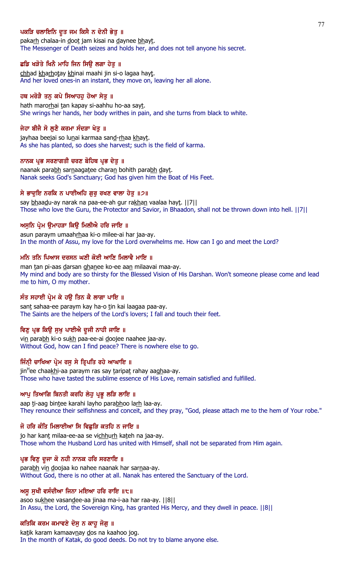# ਪਕੜਿ ਚਲਾਇਨਿ ਦੂਤ ਜਮ ਕਿਸੈ ਨ ਦੇਨੀ ਭੇਤ ॥

pakarh chalaa-in doot jam kisai na daynee bhayt. The Messenger of Death seizes and holds her, and does not tell anyone his secret.

### ਛਡਿ ਖੜੋਤੇ ਖਿਨੈ ਮਾਹਿ ਜਿਨ ਸਿਉ ਲਗਾ ਹੇਤੁ ॥

chhad kharhotay khinai maahi jin si-o lagaa hayt. And her loved ones-in an instant, they move on, leaving her all alone.

# ਹਥ ਮਰੋੜੈ ਤਨੂ ਕਪੇ ਸਿਆਹਹੂ ਹੋਆ ਸੇਤੂ ॥

hath marorhai tan kapay si-aahhu ho-aa sayt. She wrings her hands, her body writhes in pain, and she turns from black to white.

### ਜੇਹਾ ਬੀਜੈ ਸੋ ਲਣੈ ਕਰਮਾ ਸੰਦੜਾ ਖੇਤ ॥

jayhaa beejai so lunai karmaa sand-rhaa khayt. As she has planted, so does she harvest; such is the field of karma.

### ਨਾਨਕ ਪਭ ਸਰਣਾਗਤੀ ਚਰਣ ਬੋਹਿਥ ਪਭ ਦੇਤ ॥

naanak parabh sarnaagatee charan bohith parabh dayt. Nanak seeks God's Sanctuary; God has given him the Boat of His Feet.

### ਸੇ ਭਾਦੁਇ ਨਰਕਿ ਨ ਪਾਈਅਹਿ ਗੁਰੁ ਰਖਣ ਵਾਲਾ ਹੇਤੁ ॥੭॥

say bhaadu-ay narak na paa-ee-ah gur rakhan vaalaa hayt. ||7|| Those who love the Guru, the Protector and Savior, in Bhaadon, shall not be thrown down into hell. ||7||

### ਅਸਨਿ ਪ੍ਰੇਮ ੳਮਾਹੜਾ ਕਿੳ ਮਿਲੀਐ ਹਰਿ ਜਾਇ ॥

asun paraym umaahrhaa ki-o milee-ai har jaa-ay. In the month of Assu, my love for the Lord overwhelms me. How can I go and meet the Lord?

### ਮਨਿ ਤਨਿ ਪਿਆਸ ਦਰਸਨ ਘਣੀ ਕੋਈ ਆਣਿ ਮਿਲਾਵੈ ਮਾਇ ॥

man tan pi-aas darsan ghanee ko-ee aan milaavai maa-ay. My mind and body are so thirsty for the Blessed Vision of His Darshan. Won't someone please come and lead me to him, O my mother.

# ਸੰਤ ਸਹਾਈ ਪ੍ਰੇਮ ਕੇ ਹਉ ਤਿਨ ਕੈ ਲਾਗਾ ਪਾਇ ॥

sant sahaa-ee paraym kay ha-o tin kai laagaa paa-ay. The Saints are the helpers of the Lord's lovers; I fall and touch their feet.

### ਵਿਣੁ ਪ੍ਰਭ ਕਿਉ ਸੁਖੁ ਪਾਈਐ ਦੂਜੀ ਨਾਹੀ ਜਾਇ ॥

vin parabh ki-o sukh paa-ee-ai doojee naahee jaa-ay. Without God, how can I find peace? There is nowhere else to go.

# ਜਿੰਨੀ ਚਾਖਿਆ ਪ੍ਰੇਮ ਰਸੂ ਸੇ ਤ੍ਰਿਪਤਿ ਰਹੇ ਆਘਾਇ ॥

jin<sup>H</sup>ee chaa<u>kh</u>i-aa paraym ras say <u>t</u>aripa<u>t</u> rahay aa<u>gh</u>aa-ay. Those who have tasted the sublime essence of His Love, remain satisfied and fulfilled.

### ਆਪੂ ਤਿਆਗਿ ਬਿਨਤੀ ਕਰਹਿ ਲੇਹੂ ਪ੍ਰਭੂ ਲੜਿ ਲਾਇ ॥

aap ti-aag bintee karahi layho parabhoo larh laa-ay. They renounce their selfishness and conceit, and they pray, "God, please attach me to the hem of Your robe."

### ਜੋ ਹਰਿ ਕੰਤਿ ਮਿਲਾਈਆ ਸਿ ਵਿਛੜਿ ਕਤਹਿ ਨ ਜਾਇ ॥

jo har kant milaa-ee-aa se vichhurh kateh na jaa-ay. Those whom the Husband Lord has united with Himself, shall not be separated from Him again.

### ਪ੍ਰਭ ਵਿਣੁ ਦੂਜਾ ਕੋ ਨਹੀ ਨਾਨਕ ਹਰਿ ਸਰਣਾਇ ॥

parabh vin doojaa ko nahee naanak har sarnaa-ay. Without God, there is no other at all. Nanak has entered the Sanctuary of the Lord.

### ਅਸੁ ਸੁਖੀ ਵਸੰਦੀਆ ਜਿਨਾ ਮਇਆ ਹਰਿ ਰਾਇ ॥੮॥

asoo sukhee vasandee-aa jinaa ma-i-aa har raa-ay. ||8|| In Assu, the Lord, the Sovereign King, has granted His Mercy, and they dwell in peace. ||8||

### ਕਤਿਕਿ ਕਰਮ ਕਮਾਵਣੇ ਦੋਸੂ ਨ ਕਾਹੂ ਜੋਗੂ ॥

katik karam kamaavnay dos na kaahoo jog. In the month of Katak, do good deeds. Do not try to blame anyone else.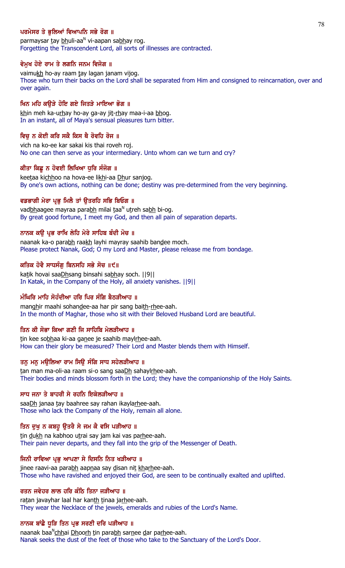# ਪਰਮੇਸਰ ਤੇ ਭਲਿਆਂ ਵਿਆਪਨਿ ਸਭੇ ਰੋਗ ॥

parmaysar <u>t</u>ay <u>bh</u>uli-aa<sup>n</sup> vi-aapan sa<u>bh</u>ay rog. Forgetting the Transcendent Lord, all sorts of illnesses are contracted.

### ਵੇਮੁਖ ਹੋਏ ਰਾਮ ਤੇ ਲਗਨਿ ਜਨਮ ਵਿਜੋਗ ॥

vaimukh ho-ay raam tay lagan janam vijog. Those who turn their backs on the Lord shall be separated from Him and consigned to reincarnation, over and over again.

### ਖਿਨ ਮਹਿ ਕੳੜੇ ਹੋਇ ਗਏ ਜਿਤੜੇ ਮਾਇਆ ਭੋਗ ॥

khin meh ka-urhay ho-ay ga-ay jit-rhay maa-i-aa bhog. In an instant, all of Maya's sensual pleasures turn bitter.

# ਵਿਚੂ ਨ ਕੋਈ ਕਰਿ ਸਕੈ ਕਿਸ ਥੈ ਰੋਵਹਿ ਰੋਜ ॥

vich na ko-ee kar sakai kis thai roveh roj. No one can then serve as your intermediary. Unto whom can we turn and cry?

### ਕੀਤਾ ਕਿਛ ਨ ਹੋਵਈ ਲਿਖਿਆ ਧਰਿ ਸੰਜੋਗ ॥

keetaa kichhoo na hova-ee likhi-aa Dhur sanjog. By one's own actions, nothing can be done; destiny was pre-determined from the very beginning.

# ਵਡਭਾਗੀ ਮੇਰਾ ਪਭ ਮਿਲੈ ਤਾਂ ੳਤਰਹਿ ਸਭਿ ਬਿਓਗ ॥

vad<u>bh</u>aagee mayraa para<u>bh</u> milai taa<sup>n</sup> utreh sa<u>bh</u> bi-og. By great good fortune, I meet my God, and then all pain of separation departs.

### ਨਾਨਕ ਕੳ ਪਭ ਰਾਖਿ ਲੇਹਿ ਮੇਰੇ ਸਾਹਿਬ ਬੰਦੀ ਮੋਚ ॥

naanak ka-o parabh raakh layhi mayray saahib bandee moch. Please protect Nanak, God; O my Lord and Master, please release me from bondage.

### ਕਤਿਕ ਹੋਵੈ ਸਾਧਸੰਗ ਬਿਨਸਹਿ ਸਭੇ ਸੋਚ ॥੯॥

katik hovai saaDhsang binsahi sabhay soch. ||9|| In Katak, in the Company of the Holy, all anxiety vanishes. ||9||

# ਮੰਘਿਰਿ ਮਾਹਿ ਸੋਹੰਦੀਆ ਹਰਿ ਪਿਰ ਸੰਗਿ ਬੈਠੜੀਆਹ ॥

manghir maahi sohandee-aa har pir sang baith-rhee-aah. In the month of Maghar, those who sit with their Beloved Husband Lord are beautiful.

### ਤਿਨ ਕੀ ਸੋਭਾ ਕਿਆ ਗਣੀ ਜਿ ਸਾਹਿਬਿ ਮੇਲੜੀਆਹ ॥

tin kee sobhaa ki-aa ganee je saahib maylrhee-aah. How can their glory be measured? Their Lord and Master blends them with Himself.

### ਤਨ ਮਨ ਮੳਲਿਆ ਰਾਮ ਸਿੳ ਸੰਗਿ ਸਾਧ ਸਹੇਲੜੀਆਹ ॥

tan man ma-oli-aa raam si-o sang saaDh sahaylrhee-aah. Their bodies and minds blossom forth in the Lord; they have the companionship of the Holy Saints.

### ਸਾਧ ਜਨਾ ਤੇ ਬਾਹਰੀ ਸੇ ਰਹਨਿ ਇਕੇਲੜੀਆਹ ॥

saaDh janaa tay baahree say rahan ikaylarhee-aah. Those who lack the Company of the Holy, remain all alone.

# ਤਿਨ ਦਖ ਨ ਕਬਹੁ ੳਤਰੈ ਸੇ ਜਮ ਕੈ ਵਸਿ ਪੜੀਆਹ ॥

tin dukh na kabhoo utrai say jam kai vas parhee-aah. Their pain never departs, and they fall into the grip of the Messenger of Death.

### ਜਿਨੀ ਰਾਵਿਆ ਪ੍ਰਭੂ ਆਪਣਾ ਸੇ ਦਿਸਨਿ ਨਿਤ ਖੜੀਆਹ ॥

jinee raavi-aa parabh aapnaa say disan nit kharhee-aah. Those who have ravished and enjoyed their God, are seen to be continually exalted and uplifted.

### ਰਤਨ ਜਵੇਹਰ ਲਾਲ ਹਰਿ ਕੰਠਿ ਤਿਨਾ ਜੜੀਆਹ ॥

ratan javayhar laal har kanth tinaa jarhee-aah. They wear the Necklace of the jewels, emeralds and rubies of the Lord's Name.

### ਨਾਨਕ ਬਾਂਛੇ ਧੁੜਿ ਤਿਨ ਪ੍ਰਭ ਸਰਣੀ ਦਰਿ ਪੜੀਆਹ ॥

naanak baa<sup>n</sup><u>chh</u>ai <u>Dhoorh t</u>in para<u>bh</u> sarnee dar parhee-aah. Nanak seeks the dust of the feet of those who take to the Sanctuary of the Lord's Door.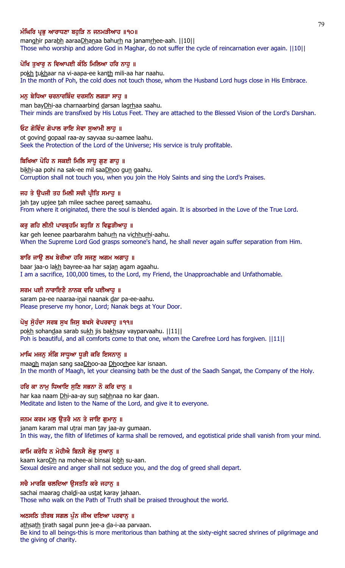# ਮੰਘਿਰਿ ਪ੍ਰਭ ਆਰਾਧਣਾ ਬਹੜਿ ਨ ਜਨਮੜੀਆਹ ॥੧੦॥

manghir parabh aaraaDhanaa bahurh na janamrhee-aah. ||10|| Those who worship and adore God in Maghar, do not suffer the cycle of reincarnation ever again. ||10||

# ਪੋਖਿ ਤੁਖਾਰੂ ਨ ਵਿਆਪਈ ਕੰਠਿ ਮਿਲਿਆ ਹਰਿ ਨਾਹੂ ॥

pokh tukhaar na vi-aapa-ee kanth mili-aa har naahu. In the month of Poh, the cold does not touch those, whom the Husband Lord hugs close in His Embrace.

### ਮਨੂ ਬੇਧਿਆ ਚਰਨਾਰਬਿੰਦ ਦਰਸਨਿ ਲਗੜਾ ਸਾਹੂ ॥

man bayDhi-aa charnaarbind darsan lagrhaa saahu. Their minds are transfixed by His Lotus Feet. They are attached to the Blessed Vision of the Lord's Darshan.

### ਓਟ ਗੋਵਿੰਦ ਗੋਪਾਲ ਰਾਇ ਸੇਵਾ ਸਆਮੀ ਲਾਹ ॥

ot govind gopaal raa-ay sayvaa su-aamee laahu. Seek the Protection of the Lord of the Universe; His service is truly profitable.

### ਬਿਖਿਆ ਪੋਹਿ ਨ ਸਕਈ ਮਿਲਿ ਸਾਧੂ ਗੁਣ ਗਾਹੁ ॥

bikhi-aa pohi na sak-ee mil saaDhoo gun gaahu. Corruption shall not touch you, when you join the Holy Saints and sing the Lord's Praises.

### ਜਹ ਤੇ ਉਪਜੀ ਤਹ ਮਿਲੀ ਸਚੀ ਪ੍ਰੀਤਿ ਸਮਾਹੂ ॥

jah tay upjee tah milee sachee pareet samaahu. From where it originated, there the soul is blended again. It is absorbed in the Love of the True Lord.

# ਕਰ ਗਹਿ ਲੀਨੀ ਪਾਰਬੁਹਮਿ ਬਹੜਿ ਨ ਵਿਛੜੀਆਹ ॥

kar geh leenee paarbarahm bahurh na vichhurhi-aahu. When the Supreme Lord God grasps someone's hand, he shall never again suffer separation from Him.

### ਬਾਰਿ ਜਾੳ ਲਖ ਬੇਰੀਆ ਹਰਿ ਸਜਣ ਅਗਮ ਅਗਾਹ ॥

baar jaa-o lakh bayree-aa har sajan agam agaahu. I am a sacrifice, 100,000 times, to the Lord, my Friend, the Unapproachable and Unfathomable.

# ਸਰਮ ਪਈ ਨਾਰਾਇਣੈ ਨਾਨਕ ਦਰਿ ਪਈਆਹ ॥

saram pa-ee naaraa-inai naanak dar pa-ee-aahu. Please preserve my honor, Lord; Nanak begs at Your Door.

# ਪੋਖ ਸੋਹੰਦਾ ਸਰਬ ਸਖ ਜਿਸ ਬਖਸੇ ਵੇਪਰਵਾਹ ॥੧੧॥

pokh sohandaa sarab sukh jis bakhsay vayparvaahu. ||11|| Poh is beautiful, and all comforts come to that one, whom the Carefree Lord has forgiven.  $||11||$ 

# ਮਾਘਿ ਮਜਨੂ ਸੰਗਿ ਸਾਧੁਆ ਧੁੜੀ ਕਰਿ ਇਸਨਾਨੂ ॥

maagh majan sang saaDhoo-aa Dhoorhee kar isnaan. In the month of Maagh, let your cleansing bath be the dust of the Saadh Sangat, the Company of the Holy.

### ਹਰਿ ਕਾ ਨਾਮ ਧਿਆਇ ਸਣਿ ਸਭਨਾ ਨੋ ਕਰਿ ਦਾਨ ॥

har kaa naam Dhi-aa-ay sun sabhnaa no kar daan. Meditate and listen to the Name of the Lord, and give it to everyone.

### ਜਨਮ ਕਰਮ ਮਲੂ ਉਤਰੈ ਮਨ ਤੇ ਜਾਇ ਗੁਮਾਨੂ ॥

janam karam mal utrai man tay jaa-ay gumaan. In this way, the filth of lifetimes of karma shall be removed, and egotistical pride shall vanish from your mind.

# ਕਾਮਿ ਕਰੋਧਿ ਨ ਮੋਹੀਐ ਬਿਨਸੈ ਲੋਭੂ ਸੁਆਨੂ ॥

kaam karoDh na mohee-ai binsai lobh su-aan. Sexual desire and anger shall not seduce you, and the dog of greed shall depart.

### ਸਚੈ ਮਾਰਗਿ ਚਲਦਿਆ ਉਸਤਤਿ ਕਰੇ ਜਹਾਨੂ ॥

sachai maarag chaldi-aa ustat karay jahaan. Those who walk on the Path of Truth shall be praised throughout the world.

### ਅਠਸਠਿ ਤੀਰਥ ਸਗਲ ਪੁੰਨ ਜੀਅ ਦਇਆ ਪਰਵਾਨੂ ॥

athsath tirath sagal punn jee-a da-i-aa parvaan. Be kind to all beings-this is more meritorious than bathing at the sixty-eight sacred shrines of pilgrimage and the giving of charity.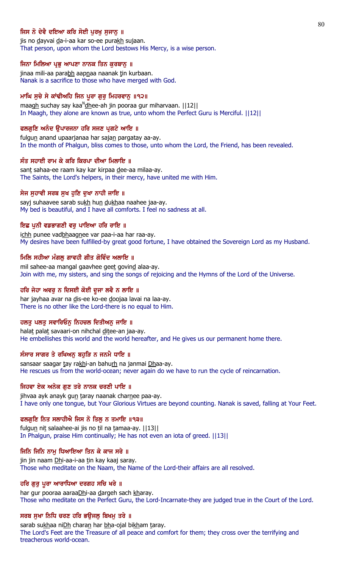# ਜਿਸ ਨੋ ਦੇਵੈ ਦਇਆ ਕਰਿ ਸੋਈ ਪਰਖ ਸਜਾਨ ॥

jis no dayvai da-i-aa kar so-ee purakh sujaan. That person, upon whom the Lord bestows His Mercy, is a wise person.

### ਜਿਨਾ ਮਿਲਿਆ ਪ੍ਰਭੂ ਆਪਣਾ ਨਾਨਕ ਤਿਨ ਕੁਰਬਾਨੂ ॥

jinaa mili-aa parabh aapnaa naanak tin kurbaan. Nanak is a sacrifice to those who have merged with God.

### ਮਾਘਿ ਸੁਚੇ ਸੇ ਕਾਂਢੀਅਹਿ ਜਿਨ ਪੁਰਾ ਗੁਰੂ ਮਿਹਰਵਾਨੂ ॥੧੨॥

maagh suchay say kaa<sup>n</sup>dhee-ah jin pooraa gur miharvaan. ||12|| In Maagh, they alone are known as true, unto whom the Perfect Guru is Merciful. ||12||

### ਫਲਗੁਣਿ ਅਨੰਦ ਉਪਾਰਜਨਾ ਹਰਿ ਸਜਣ ਪ੍ਰਗਟੇ ਆਇ ॥

fulgun anand upaarjanaa har sajan pargatay aa-ay. In the month of Phalgun, bliss comes to those, unto whom the Lord, the Friend, has been revealed.

### ਸੰਤ ਸਹਾਈ ਰਾਮ ਕੇ ਕਰਿ ਕਿਰਪਾ ਦੀਆ ਮਿਲਾਇ ॥

sant sahaa-ee raam kay kar kirpaa dee-aa milaa-ay. The Saints, the Lord's helpers, in their mercy, have united me with Him.

### ਸੇਜ ਸੁਹਾਵੀ ਸਰਬ ਸੁਖ ਹੁਣਿ ਦੁਖਾ ਨਾਹੀ ਜਾਇ ॥

sayj suhaavee sarab sukh hun dukhaa naahee jaa-ay. My bed is beautiful, and I have all comforts. I feel no sadness at all.

### ਇਛ ਪਨੀ ਵਡਭਾਗਣੀ ਵਰ ਪਾਇਆ ਹਰਿ ਰਾਇ ॥

ichh punee vadbhaagnee var paa-i-aa har raa-ay. My desires have been fulfilled-by great good fortune, I have obtained the Sovereign Lord as my Husband.

### ਮਿਲਿ ਸਹੀਆ ਮੰਗਲ ਗਾਵਹੀ ਗੀਤ ਗੋਵਿੰਦ ਅਲਾਇ ॥

mil sahee-aa mangal gaavhee geet govind alaa-ay. Join with me, my sisters, and sing the songs of rejoicing and the Hymns of the Lord of the Universe.

# ਹਰਿ ਜੇਹਾ ਅਵਰੂ ਨ ਦਿਸਈ ਕੋਈ ਦੂਜਾ ਲਵੈ ਨ ਲਾਇ ॥

har jayhaa avar na dis-ee ko-ee doojaa lavai na laa-ay. There is no other like the Lord-there is no equal to Him.

# ਹਲਤੁ ਪਲਤੁ ਸਵਾਰਿਓਨੁ ਨਿਹਚਲ ਦਿਤੀਅਨੁ ਜਾਇ ॥

halat palat savaari-on nihchal ditee-an jaa-ay. He embellishes this world and the world hereafter, and He gives us our permanent home there.

### ਸੰਸਾਰ ਸਾਗਰ ਤੇ ਰਖਿਅਨੂ ਬਹੁੜਿ ਨ ਜਨਮੈ ਧਾਇ ॥

sansaar saagar tay rakhi-an bahurh na janmai Dhaa-ay. He rescues us from the world-ocean; never again do we have to run the cycle of reincarnation.

### ਜਿਹਵਾ ਏਕ ਅਨੇਕ ਗਣ ਤਰੇ ਨਾਨਕ ਚਰਣੀ ਪਾਇ ॥

jihvaa ayk anayk gun taray naanak charnee paa-ay. I have only one tongue, but Your Glorious Virtues are beyond counting. Nanak is saved, falling at Your Feet.

### ਫਲਗੁਣਿ ਨਿਤ ਸਲਾਹੀਐ ਜਿਸ ਨੋ ਤਿਲ੍ਹ ਨ ਤਮਾਇ ॥੧੩॥

fulgun nit salaahee-ai jis no til na tamaa-ay. ||13|| In Phalgun, praise Him continually; He has not even an iota of greed. ||13||

# ਜਿਨਿ ਜਿਨਿ ਨਾਮੁ ਧਿਆਇਆ ਤਿਨ ਕੇ ਕਾਜ ਸਰੇ ॥

jin jin naam Dhi-aa-i-aa tin kay kaaj saray. Those who meditate on the Naam, the Name of the Lord-their affairs are all resolved.

### ਹਰਿ ਗੁਰੂ ਪੂਰਾ ਆਰਾਧਿਆ ਦਰਗਹ ਸਚਿ ਖਰੇ ॥

har gur pooraa aaraaDhi-aa dargeh sach kharay. Those who meditate on the Perfect Guru, the Lord-Incarnate-they are judged true in the Court of the Lord.

### ਸਰਬ ਸੁਖਾ ਨਿਧਿ ਚਰਣ ਹਰਿ ਭਉਜਲੂ ਬਿਖਮੂ ਤਰੇ ॥

sarab sukhaa niDh charan har bha-ojal bikham taray. The Lord's Feet are the Treasure of all peace and comfort for them; they cross over the terrifying and treacherous world-ocean.